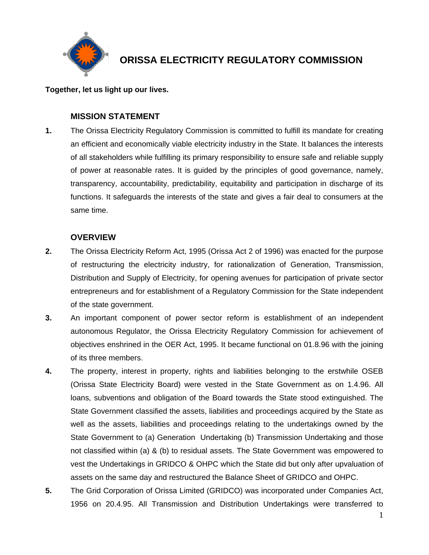

# **ORISSA ELECTRICITY REGULATORY COMMISSION**

**Together, let us light up our lives.** 

## **MISSION STATEMENT**

**1.** The Orissa Electricity Regulatory Commission is committed to fulfill its mandate for creating an efficient and economically viable electricity industry in the State. It balances the interests of all stakeholders while fulfilling its primary responsibility to ensure safe and reliable supply of power at reasonable rates. It is guided by the principles of good governance, namely, transparency, accountability, predictability, equitability and participation in discharge of its functions. It safeguards the interests of the state and gives a fair deal to consumers at the same time.

## **OVERVIEW**

- **2.** The Orissa Electricity Reform Act, 1995 (Orissa Act 2 of 1996) was enacted for the purpose of restructuring the electricity industry, for rationalization of Generation, Transmission, Distribution and Supply of Electricity, for opening avenues for participation of private sector entrepreneurs and for establishment of a Regulatory Commission for the State independent of the state government.
- **3.** An important component of power sector reform is establishment of an independent autonomous Regulator, the Orissa Electricity Regulatory Commission for achievement of objectives enshrined in the OER Act, 1995. It became functional on 01.8.96 with the joining of its three members.
- **4.** The property, interest in property, rights and liabilities belonging to the erstwhile OSEB (Orissa State Electricity Board) were vested in the State Government as on 1.4.96. All loans, subventions and obligation of the Board towards the State stood extinguished. The State Government classified the assets, liabilities and proceedings acquired by the State as well as the assets, liabilities and proceedings relating to the undertakings owned by the State Government to (a) Generation Undertaking (b) Transmission Undertaking and those not classified within (a) & (b) to residual assets. The State Government was empowered to vest the Undertakings in GRIDCO & OHPC which the State did but only after upvaluation of assets on the same day and restructured the Balance Sheet of GRIDCO and OHPC.
- **5.** The Grid Corporation of Orissa Limited (GRIDCO) was incorporated under Companies Act, 1956 on 20.4.95. All Transmission and Distribution Undertakings were transferred to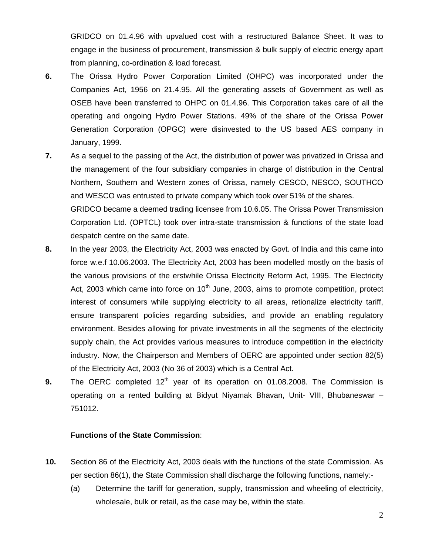GRIDCO on 01.4.96 with upvalued cost with a restructured Balance Sheet. It was to engage in the business of procurement, transmission & bulk supply of electric energy apart from planning, co-ordination & load forecast.

- **6.** The Orissa Hydro Power Corporation Limited (OHPC) was incorporated under the Companies Act, 1956 on 21.4.95. All the generating assets of Government as well as OSEB have been transferred to OHPC on 01.4.96. This Corporation takes care of all the operating and ongoing Hydro Power Stations. 49% of the share of the Orissa Power Generation Corporation (OPGC) were disinvested to the US based AES company in January, 1999.
- **7.** As a sequel to the passing of the Act, the distribution of power was privatized in Orissa and the management of the four subsidiary companies in charge of distribution in the Central Northern, Southern and Western zones of Orissa, namely CESCO, NESCO, SOUTHCO and WESCO was entrusted to private company which took over 51% of the shares. GRIDCO became a deemed trading licensee from 10.6.05. The Orissa Power Transmission Corporation Ltd. (OPTCL) took over intra-state transmission & functions of the state load despatch centre on the same date.
- **8.** In the year 2003, the Electricity Act, 2003 was enacted by Govt. of India and this came into force w.e.f 10.06.2003. The Electricity Act, 2003 has been modelled mostly on the basis of the various provisions of the erstwhile Orissa Electricity Reform Act, 1995. The Electricity Act, 2003 which came into force on  $10<sup>th</sup>$  June, 2003, aims to promote competition, protect interest of consumers while supplying electricity to all areas, retionalize electricity tariff, ensure transparent policies regarding subsidies, and provide an enabling regulatory environment. Besides allowing for private investments in all the segments of the electricity supply chain, the Act provides various measures to introduce competition in the electricity industry. Now, the Chairperson and Members of OERC are appointed under section 82(5) of the Electricity Act, 2003 (No 36 of 2003) which is a Central Act.
- **9.** The OERC completed 12<sup>th</sup> year of its operation on 01.08.2008. The Commission is operating on a rented building at Bidyut Niyamak Bhavan, Unit- VIII, Bhubaneswar – 751012.

#### **Functions of the State Commission**:

- **10.** Section 86 of the Electricity Act, 2003 deals with the functions of the state Commission. As per section 86(1), the State Commission shall discharge the following functions, namely:-
	- (a) Determine the tariff for generation, supply, transmission and wheeling of electricity, wholesale, bulk or retail, as the case may be, within the state.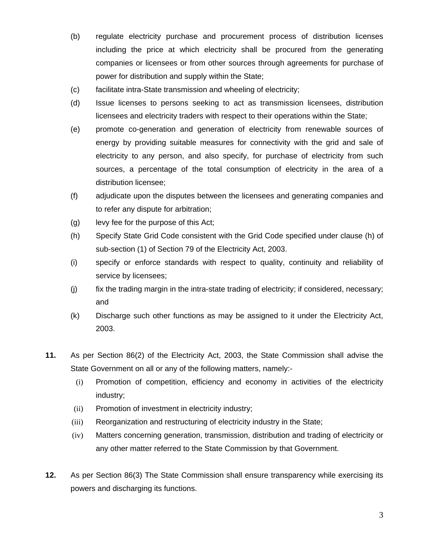- (b) regulate electricity purchase and procurement process of distribution licenses including the price at which electricity shall be procured from the generating companies or licensees or from other sources through agreements for purchase of power for distribution and supply within the State;
- (c) facilitate intra-State transmission and wheeling of electricity;
- (d) Issue licenses to persons seeking to act as transmission licensees, distribution licensees and electricity traders with respect to their operations within the State;
- (e) promote co-generation and generation of electricity from renewable sources of energy by providing suitable measures for connectivity with the grid and sale of electricity to any person, and also specify, for purchase of electricity from such sources, a percentage of the total consumption of electricity in the area of a distribution licensee;
- (f) adjudicate upon the disputes between the licensees and generating companies and to refer any dispute for arbitration;
- (g) levy fee for the purpose of this Act;
- (h) Specify State Grid Code consistent with the Grid Code specified under clause (h) of sub-section (1) of Section 79 of the Electricity Act, 2003.
- (i) specify or enforce standards with respect to quality, continuity and reliability of service by licensees;
- (j) fix the trading margin in the intra-state trading of electricity; if considered, necessary; and
- (k) Discharge such other functions as may be assigned to it under the Electricity Act, 2003.
- **11.** As per Section 86(2) of the Electricity Act, 2003, the State Commission shall advise the State Government on all or any of the following matters, namely:-
	- (i) Promotion of competition, efficiency and economy in activities of the electricity industry;
	- (ii) Promotion of investment in electricity industry;
	- (iii) Reorganization and restructuring of electricity industry in the State;
	- (iv) Matters concerning generation, transmission, distribution and trading of electricity or any other matter referred to the State Commission by that Government.
- **12.** As per Section 86(3) The State Commission shall ensure transparency while exercising its powers and discharging its functions.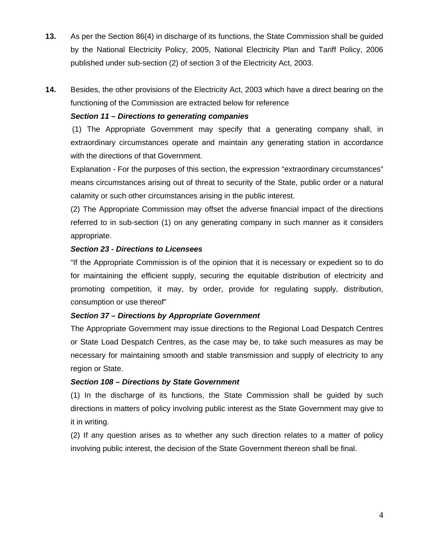- **13.** As per the Section 86(4) in discharge of its functions, the State Commission shall be guided by the National Electricity Policy, 2005, National Electricity Plan and Tariff Policy, 2006 published under sub-section (2) of section 3 of the Electricity Act, 2003.
- **14.** Besides, the other provisions of the Electricity Act, 2003 which have a direct bearing on the functioning of the Commission are extracted below for reference

### *Section 11 – Directions to generating companies*

(1) The Appropriate Government may specify that a generating company shall, in extraordinary circumstances operate and maintain any generating station in accordance with the directions of that Government.

Explanation - For the purposes of this section, the expression "extraordinary circumstances" means circumstances arising out of threat to security of the State, public order or a natural calamity or such other circumstances arising in the public interest.

(2) The Appropriate Commission may offset the adverse financial impact of the directions referred to in sub-section (1) on any generating company in such manner as it considers appropriate.

## *Section 23 - Directions to Licensees*

"If the Appropriate Commission is of the opinion that it is necessary or expedient so to do for maintaining the efficient supply, securing the equitable distribution of electricity and promoting competition, it may, by order, provide for regulating supply, distribution, consumption or use thereof"

#### *Section 37 – Directions by Appropriate Government*

The Appropriate Government may issue directions to the Regional Load Despatch Centres or State Load Despatch Centres, as the case may be, to take such measures as may be necessary for maintaining smooth and stable transmission and supply of electricity to any region or State.

#### *Section 108 – Directions by State Government*

(1) In the discharge of its functions, the State Commission shall be guided by such directions in matters of policy involving public interest as the State Government may give to it in writing.

(2) If any question arises as to whether any such direction relates to a matter of policy involving public interest, the decision of the State Government thereon shall be final.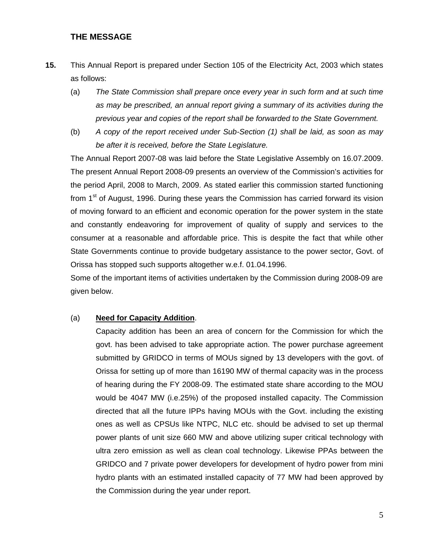## **THE MESSAGE**

- **15.** This Annual Report is prepared under Section 105 of the Electricity Act, 2003 which states as follows:
	- (a) *The State Commission shall prepare once every year in such form and at such time as may be prescribed, an annual report giving a summary of its activities during the previous year and copies of the report shall be forwarded to the State Government.*
	- (b) *A copy of the report received under Sub-Section (1) shall be laid, as soon as may be after it is received, before the State Legislature.*

The Annual Report 2007-08 was laid before the State Legislative Assembly on 16.07.2009. The present Annual Report 2008-09 presents an overview of the Commission's activities for the period April, 2008 to March, 2009. As stated earlier this commission started functioning from 1<sup>st</sup> of August, 1996. During these years the Commission has carried forward its vision of moving forward to an efficient and economic operation for the power system in the state and constantly endeavoring for improvement of quality of supply and services to the consumer at a reasonable and affordable price. This is despite the fact that while other State Governments continue to provide budgetary assistance to the power sector, Govt. of Orissa has stopped such supports altogether w.e.f. 01.04.1996.

Some of the important items of activities undertaken by the Commission during 2008-09 are given below.

#### (a) **Need for Capacity Addition**.

Capacity addition has been an area of concern for the Commission for which the govt. has been advised to take appropriate action. The power purchase agreement submitted by GRIDCO in terms of MOUs signed by 13 developers with the govt. of Orissa for setting up of more than 16190 MW of thermal capacity was in the process of hearing during the FY 2008-09. The estimated state share according to the MOU would be 4047 MW (i.e.25%) of the proposed installed capacity. The Commission directed that all the future IPPs having MOUs with the Govt. including the existing ones as well as CPSUs like NTPC, NLC etc. should be advised to set up thermal power plants of unit size 660 MW and above utilizing super critical technology with ultra zero emission as well as clean coal technology. Likewise PPAs between the GRIDCO and 7 private power developers for development of hydro power from mini hydro plants with an estimated installed capacity of 77 MW had been approved by the Commission during the year under report.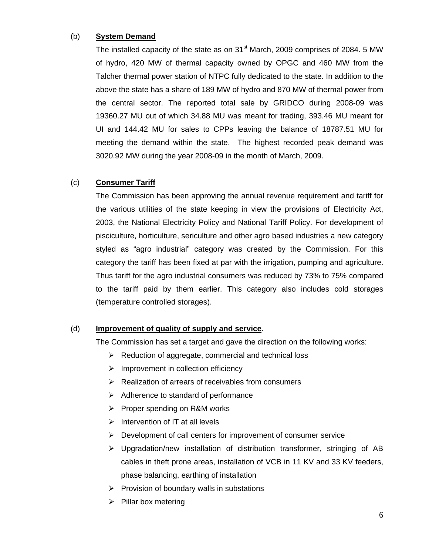## (b) **System Demand**

The installed capacity of the state as on 31<sup>st</sup> March, 2009 comprises of 2084. 5 MW of hydro, 420 MW of thermal capacity owned by OPGC and 460 MW from the Talcher thermal power station of NTPC fully dedicated to the state. In addition to the above the state has a share of 189 MW of hydro and 870 MW of thermal power from the central sector. The reported total sale by GRIDCO during 2008-09 was 19360.27 MU out of which 34.88 MU was meant for trading, 393.46 MU meant for UI and 144.42 MU for sales to CPPs leaving the balance of 18787.51 MU for meeting the demand within the state. The highest recorded peak demand was 3020.92 MW during the year 2008-09 in the month of March, 2009.

## (c) **Consumer Tariff**

The Commission has been approving the annual revenue requirement and tariff for the various utilities of the state keeping in view the provisions of Electricity Act, 2003, the National Electricity Policy and National Tariff Policy. For development of pisciculture, horticulture, sericulture and other agro based industries a new category styled as "agro industrial" category was created by the Commission. For this category the tariff has been fixed at par with the irrigation, pumping and agriculture. Thus tariff for the agro industrial consumers was reduced by 73% to 75% compared to the tariff paid by them earlier. This category also includes cold storages (temperature controlled storages).

#### (d) **Improvement of quality of supply and service**.

The Commission has set a target and gave the direction on the following works:

- $\triangleright$  Reduction of aggregate, commercial and technical loss
- $\triangleright$  Improvement in collection efficiency
- $\triangleright$  Realization of arrears of receivables from consumers
- $\triangleright$  Adherence to standard of performance
- $\triangleright$  Proper spending on R&M works
- $\triangleright$  Intervention of IT at all levels
- $\triangleright$  Development of call centers for improvement of consumer service
- $\triangleright$  Upgradation/new installation of distribution transformer, stringing of AB cables in theft prone areas, installation of VCB in 11 KV and 33 KV feeders, phase balancing, earthing of installation
- $\triangleright$  Provision of boundary walls in substations
- $\triangleright$  Pillar box metering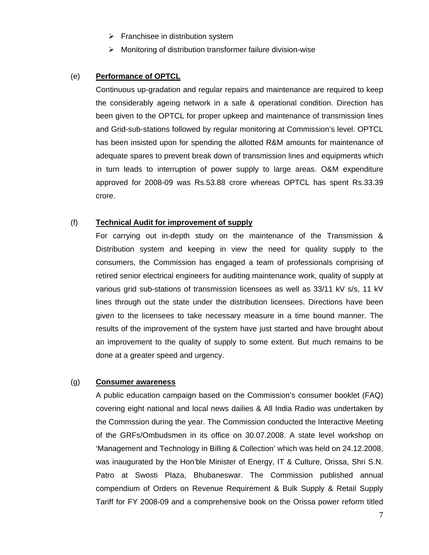- $\triangleright$  Franchisee in distribution system
- $\triangleright$  Monitoring of distribution transformer failure division-wise

#### (e) **Performance of OPTCL**

Continuous up-gradation and regular repairs and maintenance are required to keep the considerably ageing network in a safe & operational condition. Direction has been given to the OPTCL for proper upkeep and maintenance of transmission lines and Grid-sub-stations followed by regular monitoring at Commission's level. OPTCL has been insisted upon for spending the allotted R&M amounts for maintenance of adequate spares to prevent break down of transmission lines and equipments which in turn leads to interruption of power supply to large areas. O&M expenditure approved for 2008-09 was Rs.53.88 crore whereas OPTCL has spent Rs.33.39 crore.

#### (f) **Technical Audit for improvement of supply**

For carrying out in-depth study on the maintenance of the Transmission & Distribution system and keeping in view the need for quality supply to the consumers, the Commission has engaged a team of professionals comprising of retired senior electrical engineers for auditing maintenance work, quality of supply at various grid sub-stations of transmission licensees as well as 33/11 kV s/s, 11 kV lines through out the state under the distribution licensees. Directions have been given to the licensees to take necessary measure in a time bound manner. The results of the improvement of the system have just started and have brought about an improvement to the quality of supply to some extent. But much remains to be done at a greater speed and urgency.

#### (g) **Consumer awareness**

A public education campaign based on the Commission's consumer booklet (FAQ) covering eight national and local news dailies & All India Radio was undertaken by the Commssion during the year. The Commission conducted the Interactive Meeting of the GRFs/Ombudsmen in its office on 30.07.2008. A state level workshop on 'Management and Technology in Billing & Collection' which was held on 24.12.2008, was inaugurated by the Hon'ble Minister of Energy, IT & Culture, Orissa, Shri S.N. Patro at Swosti Plaza, Bhubaneswar. The Commission published annual compendium of Orders on Revenue Requirement & Bulk Supply & Retail Supply Tariff for FY 2008-09 and a comprehensive book on the Orissa power reform titled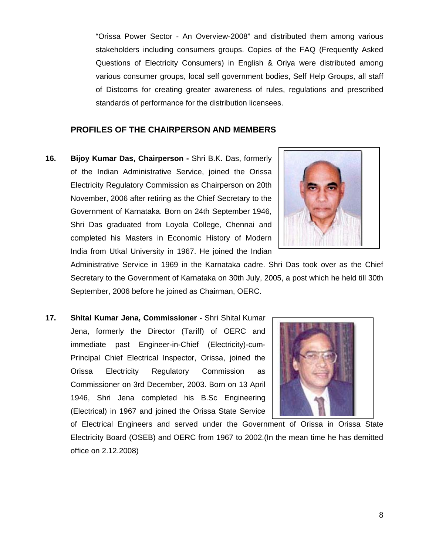"Orissa Power Sector - An Overview-2008" and distributed them among various stakeholders including consumers groups. Copies of the FAQ (Frequently Asked Questions of Electricity Consumers) in English & Oriya were distributed among various consumer groups, local self government bodies, Self Help Groups, all staff of Distcoms for creating greater awareness of rules, regulations and prescribed standards of performance for the distribution licensees.

#### **PROFILES OF THE CHAIRPERSON AND MEMBERS**

**16. Bijoy Kumar Das, Chairperson -** Shri B.K. Das, formerly of the Indian Administrative Service, joined the Orissa Electricity Regulatory Commission as Chairperson on 20th November, 2006 after retiring as the Chief Secretary to the Government of Karnataka. Born on 24th September 1946, Shri Das graduated from Loyola College, Chennai and completed his Masters in Economic History of Modern India from Utkal University in 1967. He joined the Indian



Administrative Service in 1969 in the Karnataka cadre. Shri Das took over as the Chief Secretary to the Government of Karnataka on 30th July, 2005, a post which he held till 30th September, 2006 before he joined as Chairman, OERC.

**17. Shital Kumar Jena, Commissioner -** Shri Shital Kumar Jena, formerly the Director (Tariff) of OERC and immediate past Engineer-in-Chief (Electricity)-cum-Principal Chief Electrical Inspector, Orissa, joined the Orissa Electricity Regulatory Commission as Commissioner on 3rd December, 2003. Born on 13 April 1946, Shri Jena completed his B.Sc Engineering (Electrical) in 1967 and joined the Orissa State Service



of Electrical Engineers and served under the Government of Orissa in Orissa State Electricity Board (OSEB) and OERC from 1967 to 2002.(In the mean time he has demitted office on 2.12.2008)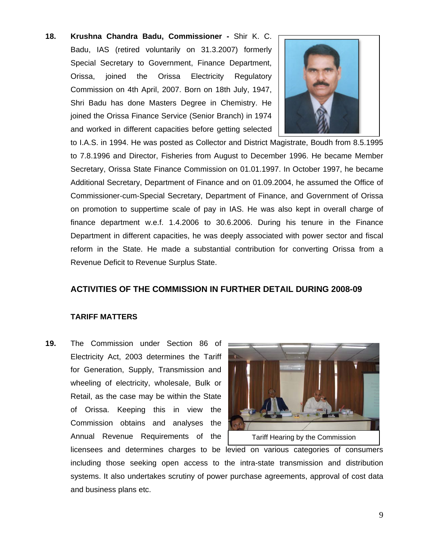**18. Krushna Chandra Badu, Commissioner -** Shir K. C. Badu, IAS (retired voluntarily on 31.3.2007) formerly Special Secretary to Government, Finance Department, Orissa, joined the Orissa Electricity Regulatory Commission on 4th April, 2007. Born on 18th July, 1947, Shri Badu has done Masters Degree in Chemistry. He joined the Orissa Finance Service (Senior Branch) in 1974 and worked in different capacities before getting selected



to I.A.S. in 1994. He was posted as Collector and District Magistrate, Boudh from 8.5.1995 to 7.8.1996 and Director, Fisheries from August to December 1996. He became Member Secretary, Orissa State Finance Commission on 01.01.1997. In October 1997, he became Additional Secretary, Department of Finance and on 01.09.2004, he assumed the Office of Commissioner-cum-Special Secretary, Department of Finance, and Government of Orissa on promotion to suppertime scale of pay in IAS. He was also kept in overall charge of finance department w.e.f. 1.4.2006 to 30.6.2006. During his tenure in the Finance Department in different capacities, he was deeply associated with power sector and fiscal reform in the State. He made a substantial contribution for converting Orissa from a Revenue Deficit to Revenue Surplus State.

## **ACTIVITIES OF THE COMMISSION IN FURTHER DETAIL DURING 2008-09**

#### **TARIFF MATTERS**

**19.** The Commission under Section 86 of Electricity Act, 2003 determines the Tariff for Generation, Supply, Transmission and wheeling of electricity, wholesale, Bulk or Retail, as the case may be within the State of Orissa. Keeping this in view the Commission obtains and analyses the Annual Revenue Requirements of the



Tariff Hearing by the Commission

licensees and determines charges to be levied on various categories of consumers including those seeking open access to the intra-state transmission and distribution systems. It also undertakes scrutiny of power purchase agreements, approval of cost data and business plans etc.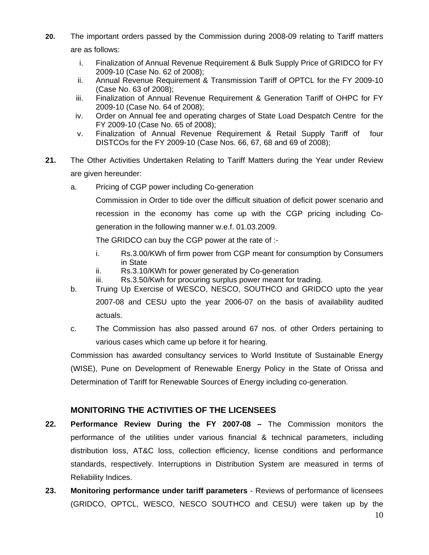**20.** The important orders passed by the Commission during 2008-09 relating to Tariff matters are as follows:

- i. Finalization of Annual Revenue Requirement & Bulk Supply Price of GRIDCO for FY 2009-10 (Case No. 62 of 2008);
- ii. Annual Revenue Requirement & Transmission Tariff of OPTCL for the FY 2009-10 (Case No. 63 of 2008);
- iii. Finalization of Annual Revenue Requirement & Generation Tariff of OHPC for FY 2009-10 (Case No. 64 of 2008);
- iv. Order on Annual fee and operating charges of State Load Despatch Centre for the FY 2009-10 (Case No. 65 of 2008);
- v. Finalization of Annual Revenue Requirement & Retail Supply Tariff of four DISTCOs for the FY 2009-10 (Case Nos. 66, 67, 68 and 69 of 2008);
- **21.** The Other Activities Undertaken Relating to Tariff Matters during the Year under Review are given hereunder:
	- a. Pricing of CGP power including Co-generation

Commission in Order to tide over the difficult situation of deficit power scenario and recession in the economy has come up with the CGP pricing including Cogeneration in the following manner w.e.f. 01.03.2009.

The GRIDCO can buy the CGP power at the rate of :-

- i. Rs.3.00/KWh of firm power from CGP meant for consumption by Consumers in State
- ii. Rs.3.10/KWh for power generated by Co-generation
- iii. Rs.3.50/Kwh for procuring surplus power meant for trading.
- b. Truing Up Exercise of WESCO, NESCO, SOUTHCO and GRIDCO upto the year 2007-08 and CESU upto the year 2006-07 on the basis of availability audited actuals.
- c. The Commission has also passed around 67 nos. of other Orders pertaining to various cases which came up before it for hearing.

Commission has awarded consultancy services to World Institute of Sustainable Energy (WISE), Pune on Development of Renewable Energy Policy in the State of Orissa and Determination of Tariff for Renewable Sources of Energy including co-generation.

## **MONITORING THE ACTIVITIES OF THE LICENSEES**

- **22. Performance Review During the FY 2007-08 –** The Commission monitors the performance of the utilities under various financial & technical parameters, including distribution loss, AT&C loss, collection efficiency, license conditions and performance standards, respectively. Interruptions in Distribution System are measured in terms of Reliability Indices.
- **23. Monitoring performance under tariff parameters** Reviews of performance of licensees (GRIDCO, OPTCL, WESCO, NESCO SOUTHCO and CESU) were taken up by the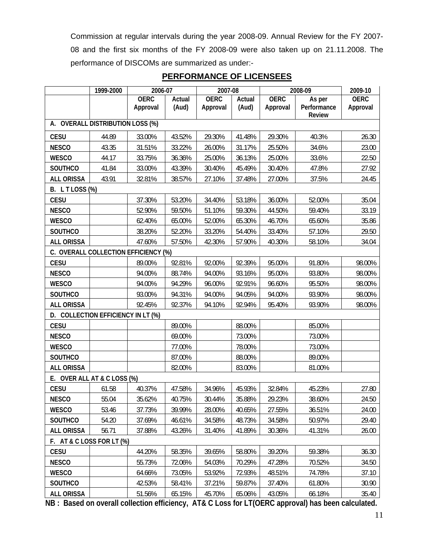Commission at regular intervals during the year 2008-09. Annual Review for the FY 2007- 08 and the first six months of the FY 2008-09 were also taken up on 21.11.2008. The performance of DISCOMs are summarized as under:-

|                                      | 1999-2000 | 2006-07                 |                 | 2007-08                 |                 |                         | 2008-09                                | 2009-10                 |  |
|--------------------------------------|-----------|-------------------------|-----------------|-------------------------|-----------------|-------------------------|----------------------------------------|-------------------------|--|
|                                      |           | <b>OERC</b><br>Approval | Actual<br>(Aud) | <b>OERC</b><br>Approval | Actual<br>(Aud) | <b>OERC</b><br>Approval | As per<br>Performance<br><b>Review</b> | <b>OERC</b><br>Approval |  |
| A. OVERALL DISTRIBUTION LOSS (%)     |           |                         |                 |                         |                 |                         |                                        |                         |  |
| CESU                                 | 44.89     | 33.00%                  | 43.52%          | 29.30%                  | 41.48%          | 29.30%                  | 40.3%                                  | 26.30                   |  |
| <b>NESCO</b>                         | 43.35     | 31.51%                  | 33.22%          | 26.00%                  | 31.17%          | 25.50%                  | 34.6%                                  | 23.00                   |  |
| <b>WESCO</b>                         | 44.17     | 33.75%                  | 36.36%          | 25.00%                  | 36.13%          | 25.00%                  | 33.6%                                  | 22.50                   |  |
| <b>SOUTHCO</b>                       | 41.84     | 33.00%                  | 43.39%          | 30.40%                  | 45.49%          | 30.40%                  | 47.8%                                  | 27.92                   |  |
| <b>ALL ORISSA</b>                    | 43.91     | 32.81%                  | 38.57%          | 27.10%                  | 37.48%          | 27.00%                  | 37.5%                                  | 24.45                   |  |
| B. L T LOSS (%)                      |           |                         |                 |                         |                 |                         |                                        |                         |  |
| CESU                                 |           | 37.30%                  | 53.20%          | 34.40%                  | 53.18%          | 36.00%                  | 52.00%                                 | 35.04                   |  |
| <b>NESCO</b>                         |           | 52.90%                  | 59.50%          | 51.10%                  | 59.30%          | 44.50%                  | 59.40%                                 | 33.19                   |  |
| <b>WESCO</b>                         |           | 62.40%                  | 65.00%          | 52.00%                  | 65.30%          | 46.70%                  | 65.60%                                 | 35.86                   |  |
| <b>SOUTHCO</b>                       |           | 38.20%                  | 52.20%          | 33.20%                  | 54.40%          | 33.40%                  | 57.10%                                 | 29.50                   |  |
| <b>ALL ORISSA</b>                    |           | 47.60%                  | 57.50%          | 42.30%                  | 57.90%          | 40.30%                  | 58.10%                                 | 34.04                   |  |
| C. OVERALL COLLECTION EFFICIENCY (%) |           |                         |                 |                         |                 |                         |                                        |                         |  |
| CESU                                 |           | 89.00%                  | 92.81%          | 92.00%                  | 92.39%          | 95.00%                  | 91.80%                                 | 98.00%                  |  |
| <b>NESCO</b>                         |           | 94.00%                  | 88.74%          | 94.00%                  | 93.16%          | 95.00%                  | 93.80%                                 | 98.00%                  |  |
| <b>WESCO</b>                         |           | 94.00%                  | 94.29%          | 96.00%                  | 92.91%          | 96.60%                  | 95.50%                                 | 98.00%                  |  |
| <b>SOUTHCO</b>                       |           | 93.00%                  | 94.31%          | 94.00%                  | 94.05%          | 94.00%                  | 93.90%                                 | 98.00%                  |  |
| <b>ALL ORISSA</b>                    |           | 92.45%                  | 92.37%          | 94.10%                  | 92.94%          | 95.40%                  | 93.90%                                 | 98.00%                  |  |
| D. COLLECTION EFFICIENCY IN LT (%)   |           |                         |                 |                         |                 |                         |                                        |                         |  |
| CESU                                 |           |                         | 89.00%          |                         | 88.00%          |                         | 85.00%                                 |                         |  |
| <b>NESCO</b>                         |           |                         | 69.00%          |                         | 73.00%          |                         | 73.00%                                 |                         |  |
| <b>WESCO</b>                         |           |                         | 77.00%          |                         | 78.00%          |                         | 73.00%                                 |                         |  |
| <b>SOUTHCO</b>                       |           |                         | 87.00%          |                         | 88.00%          |                         | 89.00%                                 |                         |  |
| <b>ALL ORISSA</b>                    |           |                         | 82.00%          |                         | 83.00%          |                         | 81.00%                                 |                         |  |
| E. OVER ALL AT & C LOSS (%)          |           |                         |                 |                         |                 |                         |                                        |                         |  |
| CESU                                 | 61.58     | 40.37%                  | 47.58%          | 34.96%                  | 45.93%          | 32.84%                  | 45.23%                                 | 27.80                   |  |
| <b>NESCO</b>                         | 55.04     | 35.62%                  | 40.75%          | 30.44%                  | 35.88%          | 29.23%                  | 38.60%                                 | 24.50                   |  |
| <b>WESCO</b>                         | 53.46     | 37.73%                  | 39.99%          | 28.00%                  | 40.65%          | 27.55%                  | 36.51%                                 | 24.00                   |  |
| <b>SOUTHCO</b>                       | 54.20     | 37.69%                  | 46.61%          | 34.58%                  | 48.73%          | 34.58%                  | 50.97%                                 | 29.40                   |  |
| <b>ALL ORISSA</b>                    | 56.71     | 37.88%                  | 43.26%          | 31.40%                  | 41.89%          | 30.36%                  | 41.31%                                 | 26.00                   |  |
| F. AT & C LOSS FOR LT (%)            |           |                         |                 |                         |                 |                         |                                        |                         |  |
| CESU                                 |           | 44.20%                  | 58.35%          | 39.65%                  | 58.80%          | 39.20%                  | 59.38%                                 | 36.30                   |  |
| <b>NESCO</b>                         |           | 55.73%                  | 72.06%          | 54.03%                  | 70.29%          | 47.28%                  | 70.52%                                 | 34.50                   |  |
| <b>WESCO</b>                         |           | 64.66%                  | 73.05%          | 53.92%                  | 72.93%          | 48.51%                  | 74.78%                                 | 37.10                   |  |
| <b>SOUTHCO</b>                       |           | 42.53%                  | 58.41%          | 37.21%                  | 59.87%          | 37.40%                  | 61.80%                                 | 30.90                   |  |
| <b>ALL ORISSA</b>                    |           | 51.56%                  | 65.15%          | 45.70%                  | 65.06%          | 43.05%                  | 66.18%                                 | 35.40                   |  |

# **PERFORMANCE OF LICENSEES**

**NB : Based on overall collection efficiency, AT& C Loss for LT(OERC approval) has been calculated.**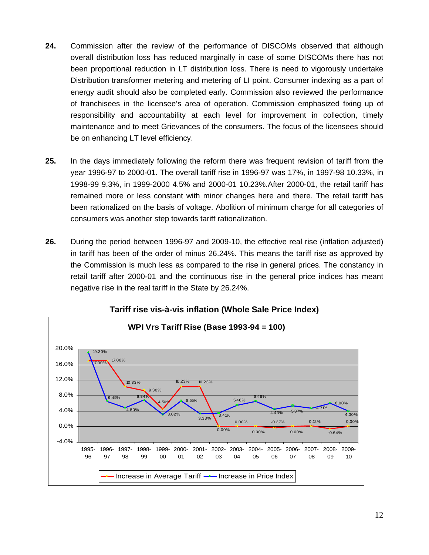- **24.** Commission after the review of the performance of DISCOMs observed that although overall distribution loss has reduced marginally in case of some DISCOMs there has not been proportional reduction in LT distribution loss. There is need to vigorously undertake Distribution transformer metering and metering of LI point. Consumer indexing as a part of energy audit should also be completed early. Commission also reviewed the performance of franchisees in the licensee's area of operation. Commission emphasized fixing up of responsibility and accountability at each level for improvement in collection, timely maintenance and to meet Grievances of the consumers. The focus of the licensees should be on enhancing LT level efficiency.
- **25.** In the days immediately following the reform there was frequent revision of tariff from the year 1996-97 to 2000-01. The overall tariff rise in 1996-97 was 17%, in 1997-98 10.33%, in 1998-99 9.3%, in 1999-2000 4.5% and 2000-01 10.23%.After 2000-01, the retail tariff has remained more or less constant with minor changes here and there. The retail tariff has been rationalized on the basis of voltage. Abolition of minimum charge for all categories of consumers was another step towards tariff rationalization.
- **26.** During the period between 1996-97 and 2009-10, the effective real rise (inflation adjusted) in tariff has been of the order of minus 26.24%. This means the tariff rise as approved by the Commission is much less as compared to the rise in general prices. The constancy in retail tariff after 2000-01 and the continuous rise in the general price indices has meant negative rise in the real tariff in the State by 26.24%.



## **Tariff rise vis-à-vis inflation (Whole Sale Price Index)**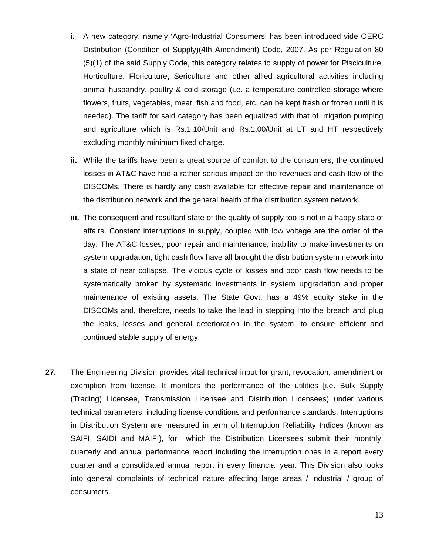- **i.** A new category, namely 'Agro-Industrial Consumers' has been introduced vide OERC Distribution (Condition of Supply)(4th Amendment) Code, 2007. As per Regulation 80 (5)(1) of the said Supply Code, this category relates to supply of power for Pisciculture, Horticulture, Floriculture**,** Sericulture and other allied agricultural activities including animal husbandry, poultry & cold storage (i.e. a temperature controlled storage where flowers, fruits, vegetables, meat, fish and food, etc. can be kept fresh or frozen until it is needed). The tariff for said category has been equalized with that of Irrigation pumping and agriculture which is Rs.1.10/Unit and Rs.1.00/Unit at LT and HT respectively excluding monthly minimum fixed charge.
- **ii.** While the tariffs have been a great source of comfort to the consumers, the continued losses in AT&C have had a rather serious impact on the revenues and cash flow of the DISCOMs. There is hardly any cash available for effective repair and maintenance of the distribution network and the general health of the distribution system network.
- **iii.** The consequent and resultant state of the quality of supply too is not in a happy state of affairs. Constant interruptions in supply, coupled with low voltage are the order of the day. The AT&C losses, poor repair and maintenance, inability to make investments on system upgradation, tight cash flow have all brought the distribution system network into a state of near collapse. The vicious cycle of losses and poor cash flow needs to be systematically broken by systematic investments in system upgradation and proper maintenance of existing assets. The State Govt. has a 49% equity stake in the DISCOMs and, therefore, needs to take the lead in stepping into the breach and plug the leaks, losses and general deterioration in the system, to ensure efficient and continued stable supply of energy.
- **27.** The Engineering Division provides vital technical input for grant, revocation, amendment or exemption from license. It monitors the performance of the utilities [i.e. Bulk Supply (Trading) Licensee, Transmission Licensee and Distribution Licensees) under various technical parameters, including license conditions and performance standards. Interruptions in Distribution System are measured in term of Interruption Reliability Indices (known as SAIFI, SAIDI and MAIFI), for which the Distribution Licensees submit their monthly, quarterly and annual performance report including the interruption ones in a report every quarter and a consolidated annual report in every financial year. This Division also looks into general complaints of technical nature affecting large areas / industrial / group of consumers.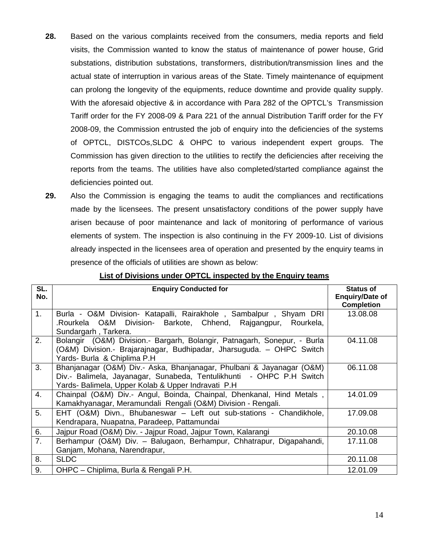- **28.** Based on the various complaints received from the consumers, media reports and field visits, the Commission wanted to know the status of maintenance of power house, Grid substations, distribution substations, transformers, distribution/transmission lines and the actual state of interruption in various areas of the State. Timely maintenance of equipment can prolong the longevity of the equipments, reduce downtime and provide quality supply. With the aforesaid objective & in accordance with Para 282 of the OPTCL's Transmission Tariff order for the FY 2008-09 & Para 221 of the annual Distribution Tariff order for the FY 2008-09, the Commission entrusted the job of enquiry into the deficiencies of the systems of OPTCL, DISTCOs,SLDC & OHPC to various independent expert groups. The Commission has given direction to the utilities to rectify the deficiencies after receiving the reports from the teams. The utilities have also completed/started compliance against the deficiencies pointed out.
- **29.** Also the Commission is engaging the teams to audit the compliances and rectifications made by the licensees. The present unsatisfactory conditions of the power supply have arisen because of poor maintenance and lack of monitoring of performance of various elements of system. The inspection is also continuing in the FY 2009-10. List of divisions already inspected in the licensees area of operation and presented by the enquiry teams in presence of the officials of utilities are shown as below:

| SL.<br>No. | <b>Enquiry Conducted for</b>                                             | <b>Status of</b><br><b>Enquiry/Date of</b> |
|------------|--------------------------------------------------------------------------|--------------------------------------------|
|            |                                                                          | <b>Completion</b>                          |
| 1.         | Burla - O&M Division- Katapalli, Rairakhole, Sambalpur, Shyam DRI        | 13.08.08                                   |
|            | .Rourkela O&M Division- Barkote, Chhend, Rajgangpur, Rourkela,           |                                            |
|            | Sundargarh, Tarkera.                                                     |                                            |
| 2.         | Bolangir (O&M) Division.- Bargarh, Bolangir, Patnagarh, Sonepur, - Burla | 04.11.08                                   |
|            | (O&M) Division.- Brajarajnagar, Budhipadar, Jharsuguda. - OHPC Switch    |                                            |
|            | Yards- Burla & Chiplima P.H                                              |                                            |
| 3.         | Bhanjanagar (O&M) Div.- Aska, Bhanjanagar, Phulbani & Jayanagar (O&M)    | 06.11.08                                   |
|            | Div.- Balimela, Jayanagar, Sunabeda, Tentulikhunti - OHPC P.H Switch     |                                            |
|            | Yards- Balimela, Upper Kolab & Upper Indravati P.H                       |                                            |
| 4.         | Chainpal (O&M) Div.- Angul, Boinda, Chainpal, Dhenkanal, Hind Metals,    | 14.01.09                                   |
|            | Kamakhyanagar, Meramundali Rengali (O&M) Division - Rengali.             |                                            |
| 5.         | EHT (O&M) Divn., Bhubaneswar - Left out sub-stations - Chandikhole,      | 17.09.08                                   |
|            | Kendrapara, Nuapatna, Paradeep, Pattamundai                              |                                            |
| 6.         | Jajpur Road (O&M) Div. - Jajpur Road, Jajpur Town, Kalarangi             | 20.10.08                                   |
| 7.         | Berhampur (O&M) Div. - Balugaon, Berhampur, Chhatrapur, Digapahandi,     | 17.11.08                                   |
|            | Ganjam, Mohana, Narendrapur,                                             |                                            |
| 8.         | <b>SLDC</b>                                                              | 20.11.08                                   |
| 9.         | OHPC – Chiplima, Burla & Rengali P.H.                                    | 12.01.09                                   |

#### **List of Divisions under OPTCL inspected by the Enquiry teams**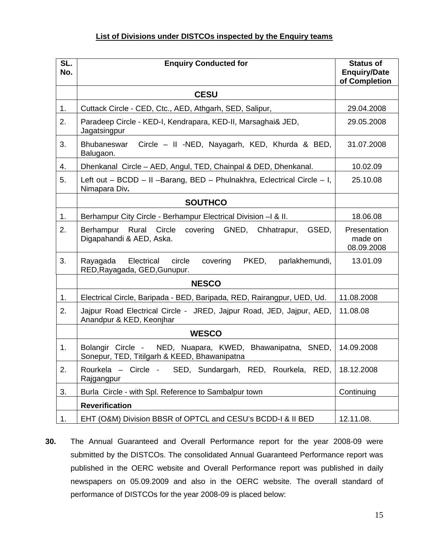## **List of Divisions under DISTCOs inspected by the Enquiry teams**

| SL.<br>No. | <b>Enquiry Conducted for</b>                                                                              | <b>Status of</b><br><b>Enquiry/Date</b><br>of Completion |
|------------|-----------------------------------------------------------------------------------------------------------|----------------------------------------------------------|
|            | <b>CESU</b>                                                                                               |                                                          |
| 1.         | Cuttack Circle - CED, Ctc., AED, Athgarh, SED, Salipur,                                                   | 29.04.2008                                               |
| 2.         | Paradeep Circle - KED-I, Kendrapara, KED-II, Marsaghai& JED,<br>Jagatsingpur                              | 29.05.2008                                               |
| 3.         | Circle - II -NED, Nayagarh, KED, Khurda & BED,<br>Bhubaneswar<br>Balugaon.                                | 31.07.2008                                               |
| 4.         | Dhenkanal Circle - AED, Angul, TED, Chainpal & DED, Dhenkanal.                                            | 10.02.09                                                 |
| 5.         | Left out - BCDD - II -Barang, BED - Phulnakhra, Eclectrical Circle - I,<br>Nimapara Div.                  | 25.10.08                                                 |
|            | <b>SOUTHCO</b>                                                                                            |                                                          |
| 1.         | Berhampur City Circle - Berhampur Electrical Division - 8 II.                                             | 18.06.08                                                 |
| 2.         | Rural Circle<br>covering GNED, Chhatrapur,<br>GSED,<br>Berhampur<br>Digapahandi & AED, Aska.              | Presentation<br>made on<br>08.09.2008                    |
| 3.         | Rayagada Electrical<br>circle<br>covering<br>PKED,<br>parlakhemundi,<br>RED, Rayagada, GED, Gunupur.      | 13.01.09                                                 |
|            | <b>NESCO</b>                                                                                              |                                                          |
| 1.         | Electrical Circle, Baripada - BED, Baripada, RED, Rairangpur, UED, Ud.                                    | 11.08.2008                                               |
| 2.         | Jaipur Road Electrical Circle - JRED, Jaipur Road, JED, Jaipur, AED,<br>Anandpur & KED, Keonjhar          | 11.08.08                                                 |
|            | <b>WESCO</b>                                                                                              |                                                          |
| 1.         | Bolangir Circle - NED, Nuapara, KWED, Bhawanipatna, SNED,<br>Sonepur, TED, Titilgarh & KEED, Bhawanipatna | 14.09.2008                                               |
| 2.         | Rourkela – Circle - SED, Sundargarh, RED, Rourkela, RED,<br>Rajgangpur                                    | 18.12.2008                                               |
| 3.         | Burla Circle - with Spl. Reference to Sambalpur town                                                      | Continuing                                               |
|            | <b>Reverification</b>                                                                                     |                                                          |
| 1.         | EHT (O&M) Division BBSR of OPTCL and CESU's BCDD-I & II BED                                               | 12.11.08.                                                |

**30.** The Annual Guaranteed and Overall Performance report for the year 2008-09 were submitted by the DISTCOs. The consolidated Annual Guaranteed Performance report was published in the OERC website and Overall Performance report was published in daily newspapers on 05.09.2009 and also in the OERC website. The overall standard of performance of DISTCOs for the year 2008-09 is placed below: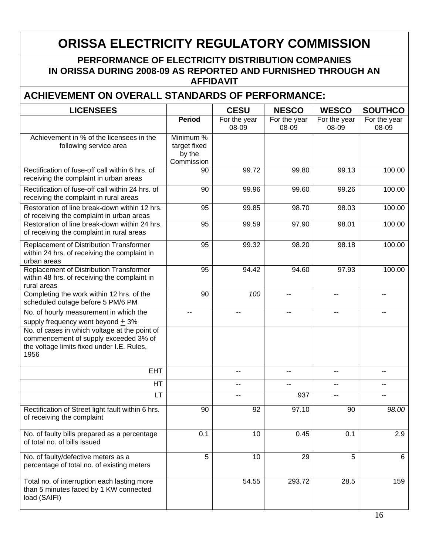# **ORISSA ELECTRICITY REGULATORY COMMISSION**

# **PERFORMANCE OF ELECTRICITY DISTRIBUTION COMPANIES IN ORISSA DURING 2008-09 AS REPORTED AND FURNISHED THROUGH AN AFFIDAVIT**

# **ACHIEVEMENT ON OVERALL STANDARDS OF PERFORMANCE:**

| <b>LICENSEES</b>                                                                                                                             |                                                   | <b>CESU</b>           | <b>NESCO</b>             | <b>WESCO</b>             | <b>SOUTHCO</b>        |
|----------------------------------------------------------------------------------------------------------------------------------------------|---------------------------------------------------|-----------------------|--------------------------|--------------------------|-----------------------|
|                                                                                                                                              | <b>Period</b>                                     | For the year<br>08-09 | For the year<br>08-09    | For the year<br>08-09    | For the year<br>08-09 |
| Achievement in % of the licensees in the<br>following service area                                                                           | Minimum %<br>target fixed<br>by the<br>Commission |                       |                          |                          |                       |
| Rectification of fuse-off call within 6 hrs. of<br>receiving the complaint in urban areas                                                    | 90                                                | 99.72                 | 99.80                    | 99.13                    | 100.00                |
| Rectification of fuse-off call within 24 hrs. of<br>receiving the complaint in rural areas                                                   | 90                                                | 99.96                 | 99.60                    | 99.26                    | 100.00                |
| Restoration of line break-down within 12 hrs.<br>of receiving the complaint in urban areas                                                   | 95                                                | 99.85                 | 98.70                    | 98.03                    | 100.00                |
| Restoration of line break-down within 24 hrs.<br>of receiving the complaint in rural areas                                                   | 95                                                | 99.59                 | 97.90                    | 98.01                    | 100.00                |
| Replacement of Distribution Transformer<br>within 24 hrs. of receiving the complaint in<br>urban areas                                       | 95                                                | 99.32                 | 98.20                    | 98.18                    | 100.00                |
| Replacement of Distribution Transformer<br>within 48 hrs. of receiving the complaint in<br>rural areas                                       | 95                                                | 94.42                 | 94.60                    | 97.93                    | 100.00                |
| Completing the work within 12 hrs. of the<br>scheduled outage before 5 PM/6 PM                                                               | 90                                                | 100                   | $\overline{\phantom{a}}$ | --                       | $-$                   |
| No. of hourly measurement in which the<br>supply frequency went beyond $\pm$ 3%                                                              |                                                   |                       |                          |                          |                       |
| No. of cases in which voltage at the point of<br>commencement of supply exceeded 3% of<br>the voltage limits fixed under I.E. Rules,<br>1956 |                                                   |                       |                          |                          |                       |
| <b>EHT</b>                                                                                                                                   |                                                   | --                    | --                       | --                       |                       |
| HT                                                                                                                                           |                                                   | --                    | $-$                      | --                       | --                    |
| $\overline{\mathsf{LT}}$                                                                                                                     |                                                   | --                    | 937                      | $\overline{\phantom{a}}$ | --                    |
| Rectification of Street light fault within 6 hrs.<br>of receiving the complaint                                                              | 90                                                | 92                    | 97.10                    | 90                       | 98.00                 |
| No. of faulty bills prepared as a percentage<br>of total no. of bills issued                                                                 | 0.1                                               | 10                    | 0.45                     | 0.1                      | 2.9                   |
| No. of faulty/defective meters as a<br>percentage of total no. of existing meters                                                            | 5                                                 | 10                    | 29                       | 5                        | 6                     |
| Total no. of interruption each lasting more<br>than 5 minutes faced by 1 KW connected<br>load (SAIFI)                                        |                                                   | 54.55                 | 293.72                   | 28.5                     | 159                   |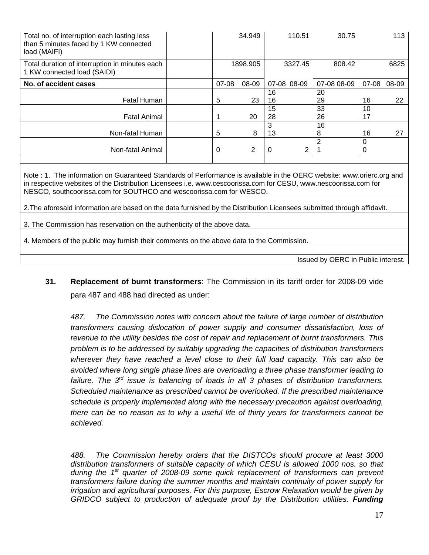| Total no. of interruption each lasting less<br>than 5 minutes faced by 1 KW connected<br>load (MAIFI) |       | 34.949   | 110.51        | 30.75          |       | 113   |
|-------------------------------------------------------------------------------------------------------|-------|----------|---------------|----------------|-------|-------|
| Total duration of interruption in minutes each<br>1 KW connected load (SAIDI)                         |       | 1898.905 | 3327.45       | 808.42         |       | 6825  |
| No. of accident cases                                                                                 | 07-08 | 08-09    | 07-08 08-09   | 07-08 08-09    | 07-08 | 08-09 |
|                                                                                                       |       |          | 16            | 20             |       |       |
| Fatal Human                                                                                           | 5     | 23       | 16            | 29             | 16    | 22    |
|                                                                                                       |       |          | 15            | 33             | 10    |       |
| <b>Fatal Animal</b>                                                                                   | 1     | 20       | 28            | 26             | 17    |       |
|                                                                                                       |       |          | 3             | 16             |       |       |
| Non-fatal Human                                                                                       | 5     | 8        | 13            | 8              | 16    | 27    |
|                                                                                                       |       |          |               | $\overline{2}$ | 0     |       |
| Non-fatal Animal                                                                                      | 0     | 2        | $\Omega$<br>2 |                | 0     |       |
|                                                                                                       |       |          |               |                |       |       |

Note : 1. The information on Guaranteed Standards of Performance is available in the OERC website: www.orierc.org and in respective websites of the Distribution Licensees i.e. www.cescoorissa.com for CESU, www.nescoorissa.com for NESCO, southcoorissa.com for SOUTHCO and wescoorissa.com for WESCO.

2.The aforesaid information are based on the data furnished by the Distribution Licensees submitted through affidavit.

3. The Commission has reservation on the authenticity of the above data.

4. Members of the public may furnish their comments on the above data to the Commission.

Issued by OERC in Public interest.

**31. Replacement of burnt transformers**: The Commission in its tariff order for 2008-09 vide para 487 and 488 had directed as under:

*487. The Commission notes with concern about the failure of large number of distribution transformers causing dislocation of power supply and consumer dissatisfaction, loss of revenue to the utility besides the cost of repair and replacement of burnt transformers. This problem is to be addressed by suitably upgrading the capacities of distribution transformers wherever they have reached a level close to their full load capacity. This can also be avoided where long single phase lines are overloading a three phase transformer leading to failure. The 3rd issue is balancing of loads in all 3 phases of distribution transformers. Scheduled maintenance as prescribed cannot be overlooked. If the prescribed maintenance schedule is properly implemented along with the necessary precaution against overloading, there can be no reason as to why a useful life of thirty years for transformers cannot be achieved.* 

*488. The Commission hereby orders that the DISTCOs should procure at least 3000 distribution transformers of suitable capacity of which CESU is allowed 1000 nos. so that during the 1st quarter of 2008-09 some quick replacement of transformers can prevent transformers failure during the summer months and maintain continuity of power supply for irrigation and agricultural purposes. For this purpose, Escrow Relaxation would be given by GRIDCO subject to production of adequate proof by the Distribution utilities. Funding*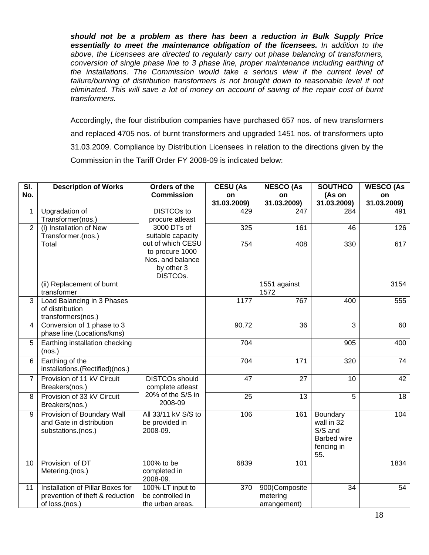*should not be a problem as there has been a reduction in Bulk Supply Price essentially to meet the maintenance obligation of the licensees. In addition to the above, the Licensees are directed to regularly carry out phase balancing of transformers, conversion of single phase line to 3 phase line, proper maintenance including earthing of the installations. The Commission would take a serious view if the current level of*  failure/burning of distribution transformers is not brought down to reasonable level if not *eliminated. This will save a lot of money on account of saving of the repair cost of burnt transformers.*

 Accordingly, the four distribution companies have purchased 657 nos. of new transformers and replaced 4705 nos. of burnt transformers and upgraded 1451 nos. of transformers upto 31.03.2009. Compliance by Distribution Licensees in relation to the directions given by the Commission in the Tariff Order FY 2008-09 is indicated below:

| $\overline{\mathsf{SI}}$ | <b>Description of Works</b>      | Orders of the                         | <b>CESU (As</b> | <b>NESCO (As</b> | <b>SOUTHCO</b>        | <b>WESCO (As</b> |
|--------------------------|----------------------------------|---------------------------------------|-----------------|------------------|-----------------------|------------------|
| No.                      |                                  | <b>Commission</b>                     | on              | on               | (As on                | on               |
|                          |                                  |                                       | 31.03.2009)     | 31.03.2009)      | 31.03.2009)           | 31.03.2009)      |
| $\mathbf{1}$             | Upgradation of                   | <b>DISTCOs to</b>                     | 429             | 247              | 284                   | 491              |
|                          | Transformer(nos.)                | procure atleast                       |                 |                  |                       |                  |
| $\overline{2}$           | (i) Installation of New          | 3000 DTs of                           | 325             | 161              | 46                    | 126              |
|                          | Transformer.(nos.)               | suitable capacity                     |                 |                  |                       |                  |
|                          | Total                            | out of which CESU                     | 754             | 408              | 330                   | 617              |
|                          |                                  | to procure 1000<br>Nos. and balance   |                 |                  |                       |                  |
|                          |                                  | by other 3                            |                 |                  |                       |                  |
|                          |                                  | DISTCOs.                              |                 |                  |                       |                  |
|                          | (ii) Replacement of burnt        |                                       |                 | 1551 against     |                       | 3154             |
|                          | transformer                      |                                       |                 | 1572             |                       |                  |
| 3                        | Load Balancing in 3 Phases       |                                       | 1177            | 767              | 400                   | 555              |
|                          | of distribution                  |                                       |                 |                  |                       |                  |
|                          | transformers(nos.)               |                                       |                 |                  |                       |                  |
| 4                        | Conversion of 1 phase to 3       |                                       | 90.72           | $\overline{36}$  | 3                     | 60               |
|                          | phase line.(Locations/kms)       |                                       |                 |                  |                       |                  |
| 5                        | Earthing installation checking   |                                       | 704             |                  | 905                   | 400              |
|                          | (nos.)                           |                                       |                 |                  |                       |                  |
| 6                        | Earthing of the                  |                                       | 704             | 171              | 320                   | 74               |
|                          | installations.(Rectified)(nos.)  |                                       |                 |                  |                       |                  |
| $\overline{7}$           | Provision of 11 kV Circuit       | <b>DISTCOs should</b>                 | 47              | 27               | 10                    | 42               |
|                          | Breakers(nos.)                   | complete atleast<br>20% of the S/S in |                 |                  |                       |                  |
| 8                        | Provision of 33 kV Circuit       | 2008-09                               | $\overline{25}$ | $\overline{13}$  | $\overline{5}$        | $\overline{18}$  |
|                          | Breakers(nos.)                   |                                       |                 |                  |                       |                  |
| 9                        | Provision of Boundary Wall       | All 33/11 kV S/S to                   | 106             | 161              | Boundary              | 104              |
|                          | and Gate in distribution         | be provided in<br>2008-09.            |                 |                  | wall in 32<br>S/S and |                  |
|                          | substations.(nos.)               |                                       |                 |                  | <b>Barbed wire</b>    |                  |
|                          |                                  |                                       |                 |                  | fencing in            |                  |
|                          |                                  |                                       |                 |                  | 55.                   |                  |
| 10                       | Provision of DT                  | 100% to be                            | 6839            | 101              |                       | 1834             |
|                          | Metering.(nos.)                  | completed in                          |                 |                  |                       |                  |
|                          |                                  | 2008-09.                              |                 |                  |                       |                  |
| 11                       | Installation of Pillar Boxes for | 100% LT input to                      | 370             | 900(Composite    | 34                    | $\overline{54}$  |
|                          | prevention of theft & reduction  | be controlled in                      |                 | metering         |                       |                  |
|                          | of loss.(nos.)                   | the urban areas.                      |                 | arrangement)     |                       |                  |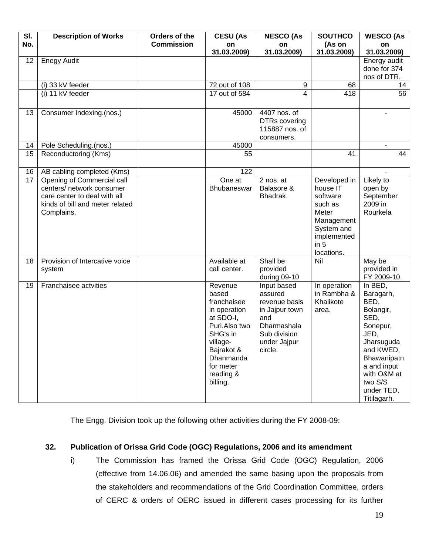| SI. | <b>Description of Works</b>                    | Orders of the     | <b>CESU (As</b>        | <b>NESCO (As</b>       | <b>SOUTHCO</b>              | <b>WESCO (As</b>             |
|-----|------------------------------------------------|-------------------|------------------------|------------------------|-----------------------------|------------------------------|
| No. |                                                | <b>Commission</b> | on                     | on                     | (As on                      | on                           |
|     |                                                |                   | 31.03.2009)            | 31.03.2009)            | 31.03.2009)                 | 31.03.2009)                  |
| 12  | <b>Enegy Audit</b>                             |                   |                        |                        |                             | Energy audit<br>done for 374 |
|     |                                                |                   |                        |                        |                             | nos of DTR.                  |
|     | (i) 33 kV feeder                               |                   | 72 out of 108          | 9                      | 68                          | 14                           |
|     | (i) 11 kV feeder                               |                   | 17 out of 584          | 4                      | 418                         | 56                           |
|     |                                                |                   |                        |                        |                             |                              |
| 13  | Consumer Indexing.(nos.)                       |                   | 45000                  | $4407$ nos. of         |                             |                              |
|     |                                                |                   |                        | <b>DTRs covering</b>   |                             |                              |
|     |                                                |                   |                        | 115887 nos. of         |                             |                              |
| 14  |                                                |                   | 45000                  | consumers.             |                             |                              |
| 15  | Pole Scheduling.(nos.)<br>Reconductoring (Kms) |                   | 55                     |                        | 41                          | 44                           |
|     |                                                |                   |                        |                        |                             |                              |
| 16  | AB cabling completed (Kms)                     |                   | 122                    |                        |                             |                              |
| 17  | Opening of Commercial call                     |                   | One at                 | 2 nos. at              | Developed in                | Likely to                    |
|     | centers/ network consumer                      |                   | Bhubaneswar            | Balasore &             | house IT                    | open by                      |
|     | care center to deal with all                   |                   |                        | Bhadrak.               | software                    | September                    |
|     | kinds of bill and meter related                |                   |                        |                        | such as                     | 2009 in                      |
|     | Complains.                                     |                   |                        |                        | Meter<br>Management         | Rourkela                     |
|     |                                                |                   |                        |                        | System and                  |                              |
|     |                                                |                   |                        |                        | implemented                 |                              |
|     |                                                |                   |                        |                        | in 5                        |                              |
|     |                                                |                   |                        |                        | locations.                  |                              |
| 18  | Provision of Intercative voice                 |                   | Available at           | Shall be               | Nil                         | May be                       |
|     | system                                         |                   | call center.           | provided               |                             | provided in                  |
| 19  | Franchaisee actvities                          |                   | Revenue                | during 09-10           |                             | FY 2009-10.                  |
|     |                                                |                   | based                  | Input based<br>assured | In operation<br>in Rambha & | In BED,<br>Baragarh,         |
|     |                                                |                   | franchaisee            | revenue basis          | Khalikote                   | BED,                         |
|     |                                                |                   | in operation           | in Jajpur town         | area.                       | Bolangir,                    |
|     |                                                |                   | at SDO-I,              | and                    |                             | SED,                         |
|     |                                                |                   | Puri.Also two          | Dharmashala            |                             | Sonepur,                     |
|     |                                                |                   | SHG's in               | Sub division           |                             | JED,                         |
|     |                                                |                   | village-               | under Jajpur           |                             | Jharsuguda                   |
|     |                                                |                   | Bajrakot &             | circle.                |                             | and KWED,                    |
|     |                                                |                   | Dhanmanda              |                        |                             | Bhawanipatn                  |
|     |                                                |                   | for meter<br>reading & |                        |                             | a and input<br>with O&M at   |
|     |                                                |                   | billing.               |                        |                             | two S/S                      |
|     |                                                |                   |                        |                        |                             | under TED,                   |
|     |                                                |                   |                        |                        |                             | Titilagarh.                  |

The Engg. Division took up the following other activities during the FY 2008-09:

## **32. Publication of Orissa Grid Code (OGC) Regulations, 2006 and its amendment**

i) The Commission has framed the Orissa Grid Code (OGC) Regulation, 2006 (effective from 14.06.06) and amended the same basing upon the proposals from the stakeholders and recommendations of the Grid Coordination Committee, orders of CERC & orders of OERC issued in different cases processing for its further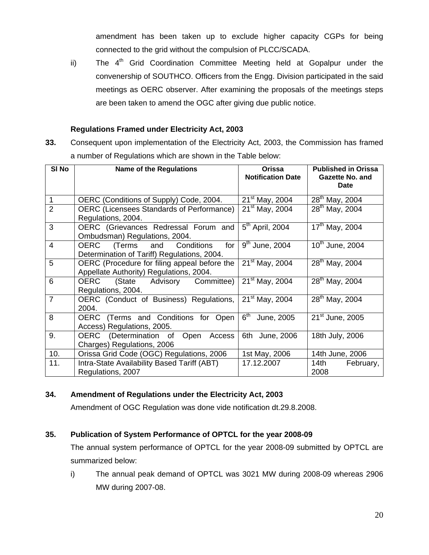amendment has been taken up to exclude higher capacity CGPs for being connected to the grid without the compulsion of PLCC/SCADA.

ii) The 4<sup>th</sup> Grid Coordination Committee Meeting held at Gopalpur under the convenership of SOUTHCO. Officers from the Engg. Division participated in the said meetings as OERC observer. After examining the proposals of the meetings steps are been taken to amend the OGC after giving due public notice.

## **Regulations Framed under Electricity Act, 2003**

**33.** Consequent upon implementation of the Electricity Act, 2003, the Commission has framed a number of Regulations which are shown in the Table below:

| SI <sub>No</sub> | <b>Name of the Regulations</b>                                                          | <b>Orissa</b>                 | <b>Published in Orissa</b>     |
|------------------|-----------------------------------------------------------------------------------------|-------------------------------|--------------------------------|
|                  |                                                                                         | <b>Notification Date</b>      | Gazette No. and<br><b>Date</b> |
| $\mathbf{1}$     | OERC (Conditions of Supply) Code, 2004.                                                 | $21^{st}$ May, 2004           | 28 <sup>th</sup> May, 2004     |
| $\overline{2}$   | <b>OERC (Licensees Standards of Performance)</b><br>Regulations, 2004.                  | 21 <sup>st</sup> May, 2004    | $28^{th}$ May, 2004            |
| 3                | OERC (Grievances Redressal Forum and<br>Ombudsman) Regulations, 2004.                   | $5th$ April, 2004             | $17^{th}$ May, 2004            |
| $\overline{4}$   | for<br>OERC (Terms<br>Conditions<br>and<br>Determination of Tariff) Regulations, 2004.  | $9th$ June, 2004              | $10^{th}$ June, 2004           |
| 5                | OERC (Procedure for filing appeal before the<br>Appellate Authority) Regulations, 2004. | $21^{st}$ May, 2004           | 28 <sup>th</sup> May, 2004     |
| $6\phantom{1}6$  | (State Advisory<br>OERC<br>Committee)<br>Regulations, 2004.                             | $21^{st}$ May, 2004           | 28 <sup>th</sup> May, 2004     |
| $\overline{7}$   | OERC (Conduct of Business) Regulations,<br>2004.                                        | $21^{st}$ May, 2004           | 28 <sup>th</sup> May, 2004     |
| 8                | OERC (Terms and Conditions for Open<br>Access) Regulations, 2005.                       | 6 <sup>th</sup><br>June, 2005 | 21 <sup>st</sup> June, 2005    |
| 9.               | OERC (Determination of<br>Open<br>Access<br>Charges) Regulations, 2006                  | 6th<br>June, 2006             | 18th July, 2006                |
| 10.              | Orissa Grid Code (OGC) Regulations, 2006                                                | 1st May, 2006                 | 14th June, 2006                |
| 11.              | Intra-State Availability Based Tariff (ABT)<br>Regulations, 2007                        | 17.12.2007                    | 14th<br>February,<br>2008      |

## **34. Amendment of Regulations under the Electricity Act, 2003**

Amendment of OGC Regulation was done vide notification dt.29.8.2008.

## **35. Publication of System Performance of OPTCL for the year 2008-09**

The annual system performance of OPTCL for the year 2008-09 submitted by OPTCL are summarized below:

 i) The annual peak demand of OPTCL was 3021 MW during 2008-09 whereas 2906 MW during 2007-08.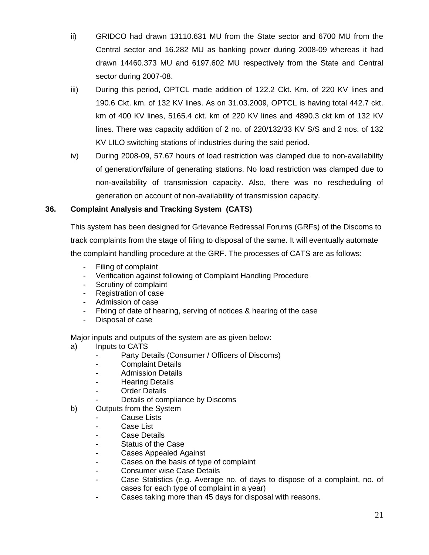- ii) GRIDCO had drawn 13110.631 MU from the State sector and 6700 MU from the Central sector and 16.282 MU as banking power during 2008-09 whereas it had drawn 14460.373 MU and 6197.602 MU respectively from the State and Central sector during 2007-08.
- iii) During this period, OPTCL made addition of 122.2 Ckt. Km. of 220 KV lines and 190.6 Ckt. km. of 132 KV lines. As on 31.03.2009, OPTCL is having total 442.7 ckt. km of 400 KV lines, 5165.4 ckt. km of 220 KV lines and 4890.3 ckt km of 132 KV lines. There was capacity addition of 2 no. of 220/132/33 KV S/S and 2 nos. of 132 KV LILO switching stations of industries during the said period.
- iv) During 2008-09, 57.67 hours of load restriction was clamped due to non-availability of generation/failure of generating stations. No load restriction was clamped due to non-availability of transmission capacity. Also, there was no rescheduling of generation on account of non-availability of transmission capacity.

## **36. Complaint Analysis and Tracking System (CATS)**

This system has been designed for Grievance Redressal Forums (GRFs) of the Discoms to track complaints from the stage of filing to disposal of the same. It will eventually automate the complaint handling procedure at the GRF. The processes of CATS are as follows:

- Filing of complaint
- Verification against following of Complaint Handling Procedure
- Scrutiny of complaint
- Registration of case
- Admission of case
- Fixing of date of hearing, serving of notices & hearing of the case
- Disposal of case

Major inputs and outputs of the system are as given below:

- a) Inputs to CATS
	- Party Details (Consumer / Officers of Discoms)
	- Complaint Details
	- Admission Details
	- Hearing Details
	- **Order Details**
	- Details of compliance by Discoms
- b) Outputs from the System
	- Cause Lists
	- Case List
	- Case Details
	- Status of the Case
	- Cases Appealed Against
	- Cases on the basis of type of complaint
	- Consumer wise Case Details
	- Case Statistics (e.g. Average no. of days to dispose of a complaint, no. of cases for each type of complaint in a year)
	- Cases taking more than 45 days for disposal with reasons.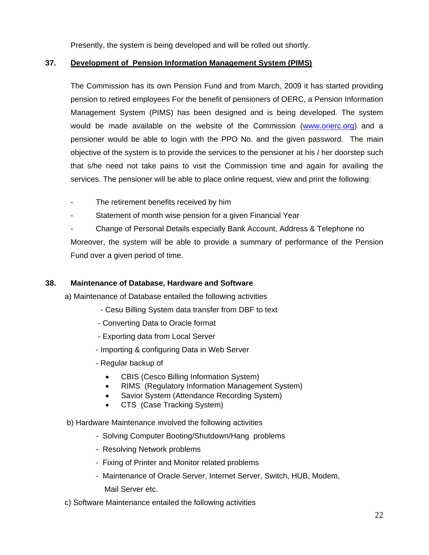Presently, the system is being developed and will be rolled out shortly.

#### **37. Development of Pension Information Management System (PIMS)**

The Commission has its own Pension Fund and from March, 2009 it has started providing pension to retired employees For the benefit of pensioners of OERC, a Pension Information Management System (PIMS) has been designed and is being developed. The system would be made available on the website of the Commission (www.orierc.org) and a pensioner would be able to login with the PPO No. and the given password. The main objective of the system is to provide the services to the pensioner at his / her doorstep such that s/he need not take pains to visit the Commission time and again for availing the services. The pensioner will be able to place online request, view and print the following:

- The retirement benefits received by him
- Statement of month wise pension for a given Financial Year
- Change of Personal Details especially Bank Account, Address & Telephone no

Moreover, the system will be able to provide a summary of performance of the Pension Fund over a given period of time.

#### **38. Maintenance of Database, Hardware and Software**

a) Maintenance of Database entailed the following activities

- Cesu Billing System data transfer from DBF to text
- Converting Data to Oracle format
- Exporting data from Local Server
- Importing & configuring Data in Web Server
- Regular backup of
	- CBIS (Cesco Billing Information System)
	- RIMS (Regulatory Information Management System)
	- Savior System (Attendance Recording System)
	- CTS (Case Tracking System)

#### b) Hardware Maintenance involved the following activities

- Solving Computer Booting/Shutdown/Hang problems
- Resolving Network problems
- Fixing of Printer and Monitor related problems
- Maintenance of Oracle Server, Internet Server, Switch, HUB, Modem, Mail Server etc.
- c) Software Maintenance entailed the following activities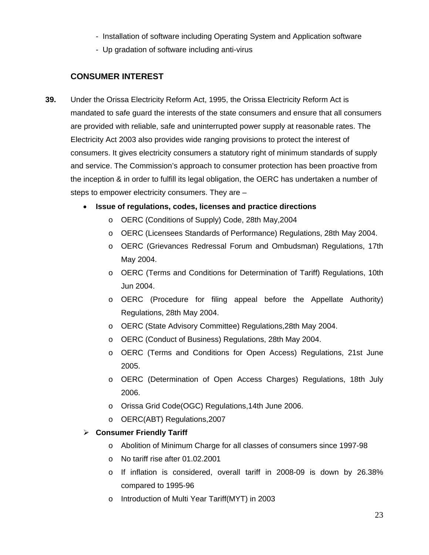- Installation of software including Operating System and Application software
- Up gradation of software including anti-virus

# **CONSUMER INTEREST**

- **39.** Under the Orissa Electricity Reform Act, 1995, the Orissa Electricity Reform Act is mandated to safe guard the interests of the state consumers and ensure that all consumers are provided with reliable, safe and uninterrupted power supply at reasonable rates. The Electricity Act 2003 also provides wide ranging provisions to protect the interest of consumers. It gives electricity consumers a statutory right of minimum standards of supply and service. The Commission's approach to consumer protection has been proactive from the inception & in order to fulfill its legal obligation, the OERC has undertaken a number of steps to empower electricity consumers. They are –
	- **Issue of regulations, codes, licenses and practice directions** 
		- o OERC (Conditions of Supply) Code, 28th May,2004
		- o OERC (Licensees Standards of Performance) Regulations, 28th May 2004.
		- o OERC (Grievances Redressal Forum and Ombudsman) Regulations, 17th May 2004.
		- o OERC (Terms and Conditions for Determination of Tariff) Regulations, 10th Jun 2004.
		- o OERC (Procedure for filing appeal before the Appellate Authority) Regulations, 28th May 2004.
		- o OERC (State Advisory Committee) Regulations,28th May 2004.
		- o OERC (Conduct of Business) Regulations, 28th May 2004.
		- o OERC (Terms and Conditions for Open Access) Regulations, 21st June 2005.
		- o OERC (Determination of Open Access Charges) Regulations, 18th July 2006.
		- o Orissa Grid Code(OGC) Regulations,14th June 2006.
		- o OERC(ABT) Regulations,2007

## ¾ **Consumer Friendly Tariff**

- o Abolition of Minimum Charge for all classes of consumers since 1997-98
- o No tariff rise after 01.02.2001
- o If inflation is considered, overall tariff in 2008-09 is down by 26.38% compared to 1995-96
- o Introduction of Multi Year Tariff(MYT) in 2003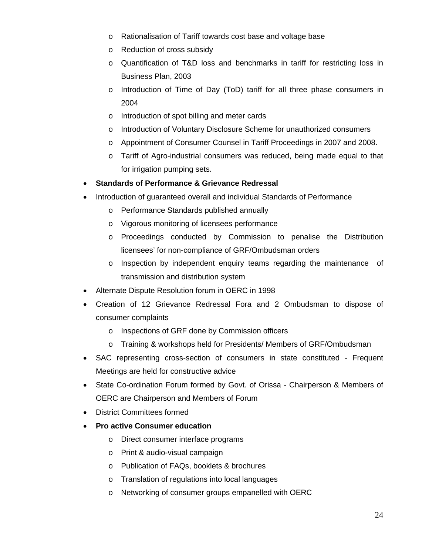- o Rationalisation of Tariff towards cost base and voltage base
- o Reduction of cross subsidy
- o Quantification of T&D loss and benchmarks in tariff for restricting loss in Business Plan, 2003
- o Introduction of Time of Day (ToD) tariff for all three phase consumers in 2004
- o Introduction of spot billing and meter cards
- o Introduction of Voluntary Disclosure Scheme for unauthorized consumers
- o Appointment of Consumer Counsel in Tariff Proceedings in 2007 and 2008.
- o Tariff of Agro-industrial consumers was reduced, being made equal to that for irrigation pumping sets.
- **Standards of Performance & Grievance Redressal**
- Introduction of guaranteed overall and individual Standards of Performance
	- o Performance Standards published annually
	- o Vigorous monitoring of licensees performance
	- o Proceedings conducted by Commission to penalise the Distribution licensees' for non-compliance of GRF/Ombudsman orders
	- o Inspection by independent enquiry teams regarding the maintenance of transmission and distribution system
- Alternate Dispute Resolution forum in OERC in 1998
- Creation of 12 Grievance Redressal Fora and 2 Ombudsman to dispose of consumer complaints
	- o Inspections of GRF done by Commission officers
	- o Training & workshops held for Presidents/ Members of GRF/Ombudsman
- SAC representing cross-section of consumers in state constituted Frequent Meetings are held for constructive advice
- State Co-ordination Forum formed by Govt. of Orissa Chairperson & Members of OERC are Chairperson and Members of Forum
- District Committees formed
- **Pro active Consumer education**
	- o Direct consumer interface programs
	- o Print & audio-visual campaign
	- o Publication of FAQs, booklets & brochures
	- o Translation of regulations into local languages
	- o Networking of consumer groups empanelled with OERC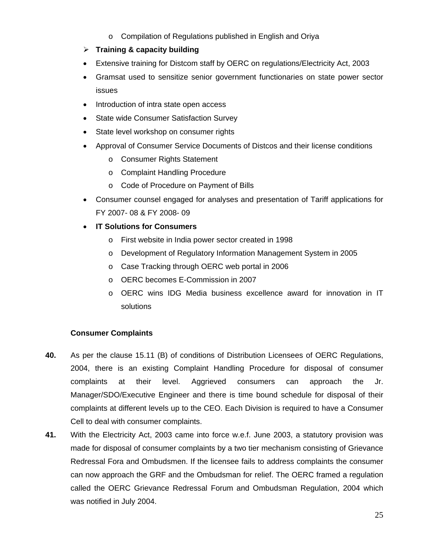- o Compilation of Regulations published in English and Oriya
- ¾ **Training & capacity building**
- Extensive training for Distcom staff by OERC on regulations/Electricity Act, 2003
- Gramsat used to sensitize senior government functionaries on state power sector issues
- Introduction of intra state open access
- State wide Consumer Satisfaction Survey
- State level workshop on consumer rights
- Approval of Consumer Service Documents of Distcos and their license conditions
	- o Consumer Rights Statement
	- o Complaint Handling Procedure
	- o Code of Procedure on Payment of Bills
- Consumer counsel engaged for analyses and presentation of Tariff applications for FY 2007- 08 & FY 2008- 09
- **IT Solutions for Consumers** 
	- o First website in India power sector created in 1998
	- o Development of Regulatory Information Management System in 2005
	- o Case Tracking through OERC web portal in 2006
	- o OERC becomes E-Commission in 2007
	- o OERC wins IDG Media business excellence award for innovation in IT solutions

#### **Consumer Complaints**

- **40.** As per the clause 15.11 (B) of conditions of Distribution Licensees of OERC Regulations, 2004, there is an existing Complaint Handling Procedure for disposal of consumer complaints at their level. Aggrieved consumers can approach the Jr. Manager/SDO/Executive Engineer and there is time bound schedule for disposal of their complaints at different levels up to the CEO. Each Division is required to have a Consumer Cell to deal with consumer complaints.
- **41.** With the Electricity Act, 2003 came into force w.e.f. June 2003, a statutory provision was made for disposal of consumer complaints by a two tier mechanism consisting of Grievance Redressal Fora and Ombudsmen. If the licensee fails to address complaints the consumer can now approach the GRF and the Ombudsman for relief. The OERC framed a regulation called the OERC Grievance Redressal Forum and Ombudsman Regulation, 2004 which was notified in July 2004.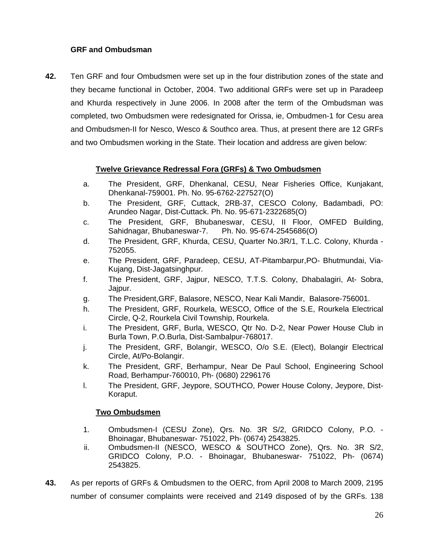## **GRF and Ombudsman**

**42.** Ten GRF and four Ombudsmen were set up in the four distribution zones of the state and they became functional in October, 2004. Two additional GRFs were set up in Paradeep and Khurda respectively in June 2006. In 2008 after the term of the Ombudsman was completed, two Ombudsmen were redesignated for Orissa, ie, Ombudmen-1 for Cesu area and Ombudsmen-II for Nesco, Wesco & Southco area. Thus, at present there are 12 GRFs and two Ombudsmen working in the State. Their location and address are given below:

## **Twelve Grievance Redressal Fora (GRFs) & Two Ombudsmen**

- a. The President, GRF, Dhenkanal, CESU, Near Fisheries Office, Kunjakant, Dhenkanal-759001. Ph. No. 95-6762-227527(O)
- b. The President, GRF, Cuttack, 2RB-37, CESCO Colony, Badambadi, PO: Arundeo Nagar, Dist-Cuttack. Ph. No. 95-671-2322685(O)
- c. The President, GRF, Bhubaneswar, CESU, II Floor, OMFED Building, Sahidnagar, Bhubaneswar-7. Ph. No. 95-674-2545686(O)
- d. The President, GRF, Khurda, CESU, Quarter No.3R/1, T.L.C. Colony, Khurda 752055.
- e. The President, GRF, Paradeep, CESU, AT-Pitambarpur,PO- Bhutmundai, Via-Kujang, Dist-Jagatsinghpur.
- f. The President, GRF, Jajpur, NESCO, T.T.S. Colony, Dhabalagiri, At- Sobra, Jajpur.
- g. The President,GRF, Balasore, NESCO, Near Kali Mandir, Balasore-756001.
- h. The President, GRF, Rourkela, WESCO, Office of the S.E, Rourkela Electrical Circle, Q-2, Rourkela Civil Township, Rourkela.
- i. The President, GRF, Burla, WESCO, Qtr No. D-2, Near Power House Club in Burla Town, P.O.Burla, Dist-Sambalpur-768017.
- j. The President, GRF, Bolangir, WESCO, O/o S.E. (Elect), Bolangir Electrical Circle, At/Po-Bolangir.
- k. The President, GRF, Berhampur, Near De Paul School, Engineering School Road, Berhampur-760010, Ph- (0680) 2296176
- l. The President, GRF, Jeypore, SOUTHCO, Power House Colony, Jeypore, Dist-Koraput.

#### **Two Ombudsmen**

- 1. Ombudsmen-I (CESU Zone), Qrs. No. 3R S/2, GRIDCO Colony, P.O. Bhoinagar, Bhubaneswar- 751022, Ph- (0674) 2543825.
- ii. Ombudsmen-II (NESCO, WESCO & SOUTHCO Zone), Qrs. No. 3R S/2, GRIDCO Colony, P.O. - Bhoinagar, Bhubaneswar- 751022, Ph- (0674) 2543825.
- **43.** As per reports of GRFs & Ombudsmen to the OERC, from April 2008 to March 2009, 2195 number of consumer complaints were received and 2149 disposed of by the GRFs. 138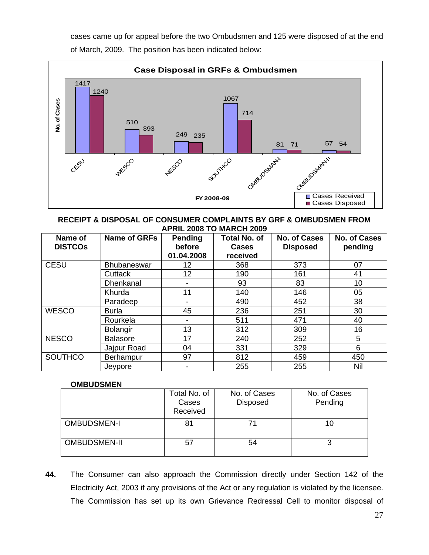cases came up for appeal before the two Ombudsmen and 125 were disposed of at the end of March, 2009. The position has been indicated below:



#### **RECEIPT & DISPOSAL OF CONSUMER COMPLAINTS BY GRF & OMBUDSMEN FROM APRIL 2008 TO MARCH 2009**

| Name of<br><b>DISTCOS</b> | Name of GRFs     | <b>Pending</b><br>before<br>01.04.2008 | <b>Total No. of</b><br><b>Cases</b><br>received | <b>No. of Cases</b><br><b>Disposed</b> | <b>No. of Cases</b><br>pending |
|---------------------------|------------------|----------------------------------------|-------------------------------------------------|----------------------------------------|--------------------------------|
| <b>CESU</b>               | Bhubaneswar      | 12                                     | 368                                             | 373                                    | 07                             |
|                           | Cuttack          | 12                                     | 190                                             | 161                                    | 41                             |
|                           | <b>Dhenkanal</b> |                                        | 93                                              | 83                                     | 10                             |
|                           | Khurda           | 11                                     | 140                                             | 146                                    | 05                             |
|                           | Paradeep         |                                        | 490                                             | 452                                    | 38                             |
| <b>WESCO</b>              | <b>Burla</b>     | 45                                     | 236                                             | 251                                    | 30                             |
|                           | Rourkela         |                                        | 511                                             | 471                                    | 40                             |
|                           | <b>Bolangir</b>  | 13                                     | 312                                             | 309                                    | 16                             |
| <b>NESCO</b>              | <b>Balasore</b>  | 17                                     | 240                                             | 252                                    | 5                              |
|                           | Jajpur Road      | 04                                     | 331                                             | 329                                    | 6                              |
| <b>SOUTHCO</b>            | Berhampur        | 97                                     | 812                                             | 459                                    | 450                            |
|                           | Jeypore          |                                        | 255                                             | 255                                    | Nil                            |

#### **OMBUDSMEN**

|                     | Total No. of<br>Cases<br>Received | No. of Cases<br><b>Disposed</b> | No. of Cases<br>Pending |
|---------------------|-----------------------------------|---------------------------------|-------------------------|
| <b>OMBUDSMEN-I</b>  | 81                                | 71                              |                         |
| <b>OMBUDSMEN-II</b> | 57                                | 54                              |                         |

**44.** The Consumer can also approach the Commission directly under Section 142 of the Electricity Act, 2003 if any provisions of the Act or any regulation is violated by the licensee. The Commission has set up its own Grievance Redressal Cell to monitor disposal of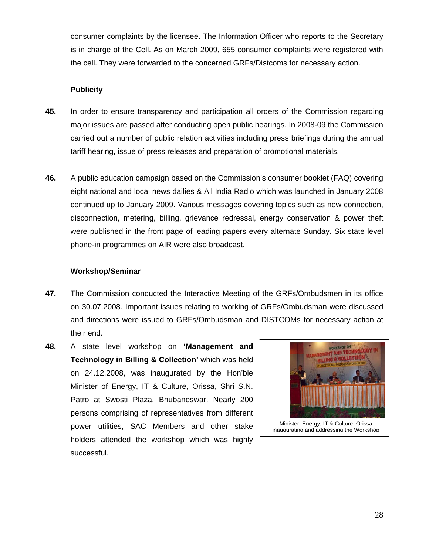consumer complaints by the licensee. The Information Officer who reports to the Secretary is in charge of the Cell. As on March 2009, 655 consumer complaints were registered with the cell. They were forwarded to the concerned GRFs/Distcoms for necessary action.

### **Publicity**

- **45.** In order to ensure transparency and participation all orders of the Commission regarding major issues are passed after conducting open public hearings. In 2008-09 the Commission carried out a number of public relation activities including press briefings during the annual tariff hearing, issue of press releases and preparation of promotional materials.
- **46.** A public education campaign based on the Commission's consumer booklet (FAQ) covering eight national and local news dailies & All India Radio which was launched in January 2008 continued up to January 2009. Various messages covering topics such as new connection, disconnection, metering, billing, grievance redressal, energy conservation & power theft were published in the front page of leading papers every alternate Sunday. Six state level phone-in programmes on AIR were also broadcast.

#### **Workshop/Seminar**

- **47.** The Commission conducted the Interactive Meeting of the GRFs/Ombudsmen in its office on 30.07.2008. Important issues relating to working of GRFs/Ombudsman were discussed and directions were issued to GRFs/Ombudsman and DISTCOMs for necessary action at their end.
- **48.** A state level workshop on **'Management and Technology in Billing & Collection'** which was held on 24.12.2008, was inaugurated by the Hon'ble Minister of Energy, IT & Culture, Orissa, Shri S.N. Patro at Swosti Plaza, Bhubaneswar. Nearly 200 persons comprising of representatives from different power utilities, SAC Members and other stake holders attended the workshop which was highly successful.



Minister, Energy, IT & Culture, Orissa inaugurating and addressing the Workshop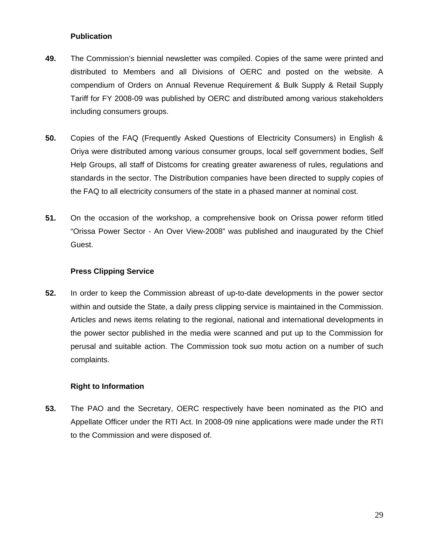## **Publication**

- **49.** The Commission's biennial newsletter was compiled. Copies of the same were printed and distributed to Members and all Divisions of OERC and posted on the website. A compendium of Orders on Annual Revenue Requirement & Bulk Supply & Retail Supply Tariff for FY 2008-09 was published by OERC and distributed among various stakeholders including consumers groups.
- **50.** Copies of the FAQ (Frequently Asked Questions of Electricity Consumers) in English & Oriya were distributed among various consumer groups, local self government bodies, Self Help Groups, all staff of Distcoms for creating greater awareness of rules, regulations and standards in the sector. The Distribution companies have been directed to supply copies of the FAQ to all electricity consumers of the state in a phased manner at nominal cost.
- **51.** On the occasion of the workshop, a comprehensive book on Orissa power reform titled "Orissa Power Sector - An Over View-2008" was published and inaugurated by the Chief Guest.

## **Press Clipping Service**

**52.** In order to keep the Commission abreast of up-to-date developments in the power sector within and outside the State, a daily press clipping service is maintained in the Commission. Articles and news items relating to the regional, national and international developments in the power sector published in the media were scanned and put up to the Commission for perusal and suitable action. The Commission took suo motu action on a number of such complaints.

## **Right to Information**

**53.** The PAO and the Secretary, OERC respectively have been nominated as the PIO and Appellate Officer under the RTI Act. In 2008-09 nine applications were made under the RTI to the Commission and were disposed of.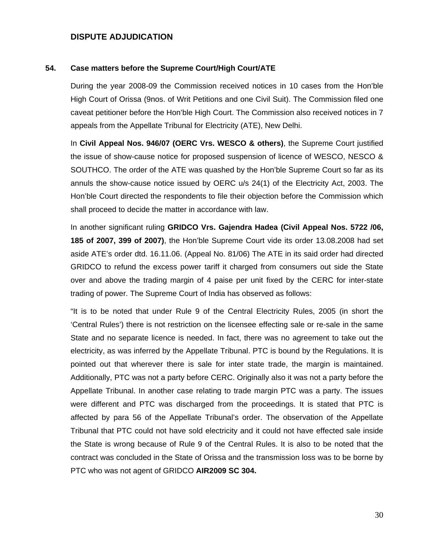#### **DISPUTE ADJUDICATION**

#### **54. Case matters before the Supreme Court/High Court/ATE**

During the year 2008-09 the Commission received notices in 10 cases from the Hon'ble High Court of Orissa (9nos. of Writ Petitions and one Civil Suit). The Commission filed one caveat petitioner before the Hon'ble High Court. The Commission also received notices in 7 appeals from the Appellate Tribunal for Electricity (ATE), New Delhi.

In **Civil Appeal Nos. 946/07 (OERC Vrs. WESCO & others)**, the Supreme Court justified the issue of show-cause notice for proposed suspension of licence of WESCO, NESCO & SOUTHCO. The order of the ATE was quashed by the Hon'ble Supreme Court so far as its annuls the show-cause notice issued by OERC u/s 24(1) of the Electricity Act, 2003. The Hon'ble Court directed the respondents to file their objection before the Commission which shall proceed to decide the matter in accordance with law.

In another significant ruling **GRIDCO Vrs. Gajendra Hadea (Civil Appeal Nos. 5722 /06, 185 of 2007, 399 of 2007)**, the Hon'ble Supreme Court vide its order 13.08.2008 had set aside ATE's order dtd. 16.11.06. (Appeal No. 81/06) The ATE in its said order had directed GRIDCO to refund the excess power tariff it charged from consumers out side the State over and above the trading margin of 4 paise per unit fixed by the CERC for inter-state trading of power. The Supreme Court of India has observed as follows:

"It is to be noted that under Rule 9 of the Central Electricity Rules, 2005 (in short the 'Central Rules') there is not restriction on the licensee effecting sale or re-sale in the same State and no separate licence is needed. In fact, there was no agreement to take out the electricity, as was inferred by the Appellate Tribunal. PTC is bound by the Regulations. It is pointed out that wherever there is sale for inter state trade, the margin is maintained. Additionally, PTC was not a party before CERC. Originally also it was not a party before the Appellate Tribunal. In another case relating to trade margin PTC was a party. The issues were different and PTC was discharged from the proceedings. It is stated that PTC is affected by para 56 of the Appellate Tribunal's order. The observation of the Appellate Tribunal that PTC could not have sold electricity and it could not have effected sale inside the State is wrong because of Rule 9 of the Central Rules. It is also to be noted that the contract was concluded in the State of Orissa and the transmission loss was to be borne by PTC who was not agent of GRIDCO **AIR2009 SC 304.**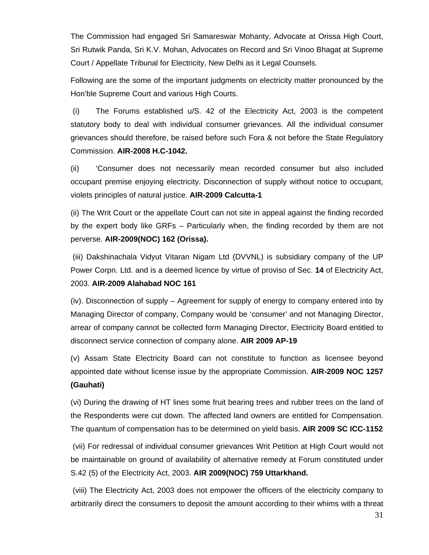The Commission had engaged Sri Samareswar Mohanty, Advocate at Orissa High Court, Sri Rutwik Panda, Sri K.V. Mohan, Advocates on Record and Sri Vinoo Bhagat at Supreme Court / Appellate Tribunal for Electricity, New Delhi as it Legal Counsels.

Following are the some of the important judgments on electricity matter pronounced by the Hon'ble Supreme Court and various High Courts.

 (i) The Forums established u/S. 42 of the Electricity Act, 2003 is the competent statutory body to deal with individual consumer grievances. All the individual consumer grievances should therefore, be raised before such Fora & not before the State Regulatory Commission. **AIR-2008 H.C-1042.** 

(ii) 'Consumer does not necessarily mean recorded consumer but also included occupant premise enjoying electricity. Disconnection of supply without notice to occupant, violets principles of natural justice. **AIR-2009 Calcutta-1**

(ii) The Writ Court or the appellate Court can not site in appeal against the finding recorded by the expert body like GRFs – Particularly when, the finding recorded by them are not perverse. **AIR-2009(NOC) 162 (Orissa).**

 (iii) Dakshinachala Vidyut Vitaran Nigam Ltd (DVVNL) is subsidiary company of the UP Power Corpn. Ltd. and is a deemed licence by virtue of proviso of Sec. **14** of Electricity Act, 2003. **AIR-2009 Alahabad NOC 161** 

(iv). Disconnection of supply – Agreement for supply of energy to company entered into by Managing Director of company, Company would be 'consumer' and not Managing Director, arrear of company cannot be collected form Managing Director, Electricity Board entitled to disconnect service connection of company alone. **AIR 2009 AP-19**

(v) Assam State Electricity Board can not constitute to function as licensee beyond appointed date without license issue by the appropriate Commission. **AIR-2009 NOC 1257 (Gauhati)** 

(vi) During the drawing of HT lines some fruit bearing trees and rubber trees on the land of the Respondents were cut down. The affected land owners are entitled for Compensation. The quantum of compensation has to be determined on yield basis. **AIR 2009 SC ICC-1152**

(vii) For redressal of individual consumer grievances Writ Petition at High Court would not be maintainable on ground of availability of alternative remedy at Forum constituted under S.42 (5) of the Electricity Act, 2003. **AIR 2009(NOC) 759 Uttarkhand.**

(viii) The Electricity Act, 2003 does not empower the officers of the electricity company to arbitrarily direct the consumers to deposit the amount according to their whims with a threat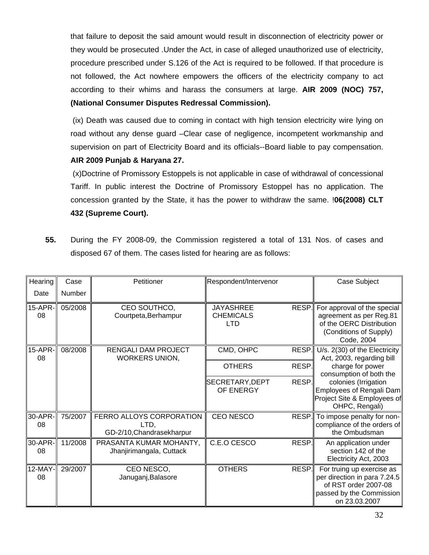that failure to deposit the said amount would result in disconnection of electricity power or they would be prosecuted .Under the Act, in case of alleged unauthorized use of electricity, procedure prescribed under S.126 of the Act is required to be followed. If that procedure is not followed, the Act nowhere empowers the officers of the electricity company to act according to their whims and harass the consumers at large. **AIR 2009 (NOC) 757, (National Consumer Disputes Redressal Commission).** 

(ix) Death was caused due to coming in contact with high tension electricity wire lying on road without any dense guard –Clear case of negligence, incompetent workmanship and supervision on part of Electricity Board and its officials--Board liable to pay compensation. **AIR 2009 Punjab & Haryana 27.**

(x)Doctrine of Promissory Estoppels is not applicable in case of withdrawal of concessional Tariff. In public interest the Doctrine of Promissory Estoppel has no application. The concession granted by the State, it has the power to withdraw the same. !**06(2008) CLT 432 (Supreme Court).** 

**55.** During the FY 2008-09, the Commission registered a total of 131 Nos. of cases and disposed 67 of them. The cases listed for hearing are as follows:

| Hearing       | Case    | Petitioner                                                    | Respondent/Intervenor                              |       | Case Subject                                                                                                                   |
|---------------|---------|---------------------------------------------------------------|----------------------------------------------------|-------|--------------------------------------------------------------------------------------------------------------------------------|
| Date          | Number  |                                                               |                                                    |       |                                                                                                                                |
| 15-APR-<br>08 | 05/2008 | CEO SOUTHCO,<br>Courtpeta, Berhampur                          | <b>JAYASHREE</b><br><b>CHEMICALS</b><br><b>LTD</b> | RESP. | For approval of the special<br>agreement as per Reg.81<br>of the OERC Distribution<br>(Conditions of Supply)<br>Code, 2004     |
| 15-APR-<br>08 | 08/2008 | <b>RENGALI DAM PROJECT</b><br><b>WORKERS UNION,</b>           | CMD, OHPC                                          | RESP. | U/s. 2(30) of the Electricity<br>Act, 2003, regarding bill                                                                     |
|               |         |                                                               | <b>OTHERS</b>                                      | RESP. | charge for power<br>consumption of both the                                                                                    |
|               |         |                                                               | SECRETARY, DEPT<br>OF ENERGY                       | RESP. | colonies (Irrigation<br>Employees of Rengali Dam<br>Project Site & Employees of<br>OHPC, Rengali)                              |
| 30-APR-<br>08 | 75/2007 | FERRO ALLOYS CORPORATION<br>LTD,<br>GD-2/10, Chandrasekharpur | <b>CEO NESCO</b>                                   | RESP. | To impose penalty for non-<br>compliance of the orders of<br>the Ombudsman                                                     |
| 30-APR-<br>08 | 11/2008 | PRASANTA KUMAR MOHANTY,<br>Jhanjirimangala, Cuttack           | C.E.O CESCO                                        | RESP. | An application under<br>section 142 of the<br>Electricity Act, 2003                                                            |
| 12-MAY-<br>08 | 29/2007 | CEO NESCO,<br>Januganj, Balasore                              | <b>OTHERS</b>                                      | RESP. | For truing up exercise as<br>per direction in para 7.24.5<br>of RST order 2007-08<br>passed by the Commission<br>on 23.03.2007 |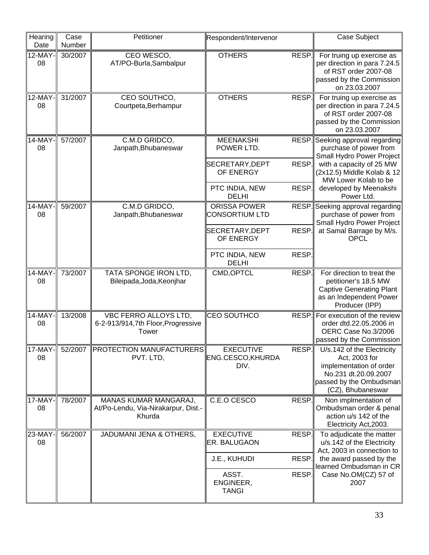| Hearing<br>Date | Case<br>Number | Petitioner                                                             | Respondent/Intervenor                        |             | Case Subject                                                                                                                                   |
|-----------------|----------------|------------------------------------------------------------------------|----------------------------------------------|-------------|------------------------------------------------------------------------------------------------------------------------------------------------|
| 12-MAY-<br>08   | 30/2007        | CEO WESCO,<br>AT/PO-Burla, Sambalpur                                   | <b>OTHERS</b>                                | RESP.       | For truing up exercise as<br>per direction in para 7.24.5<br>of RST order 2007-08<br>passed by the Commission<br>on 23.03.2007                 |
| 12-MAY-<br>08   | 31/2007        | CEO SOUTHCO,<br>Courtpeta, Berhampur                                   | <b>OTHERS</b>                                | RESP.       | For truing up exercise as<br>per direction in para 7.24.5<br>of RST order 2007-08<br>passed by the Commission<br>on 23.03.2007                 |
| 14-MAY-<br>08   | 57/2007        | C.M.D GRIDCO,<br>Janpath, Bhubaneswar                                  | <b>MEENAKSHI</b><br>POWER LTD.               | RESP.       | Seeking approval regarding<br>purchase of power from<br>Small Hydro Power Project                                                              |
|                 |                |                                                                        | SECRETARY, DEPT<br>OF ENERGY                 | RESP.       | with a capacity of 25 MW<br>(2x12.5) Middle Kolab & 12<br>MW Lower Kolab to be                                                                 |
|                 |                |                                                                        | PTC INDIA, NEW<br><b>DELHI</b>               | RESP.       | developed by Meenakshi<br>Power Ltd.                                                                                                           |
| 14-MAY-<br>08   | 59/2007        | C.M.D GRIDCO,<br>Janpath, Bhubaneswar                                  | <b>ORISSA POWER</b><br>CONSORTIUM LTD        |             | RESP. Seeking approval regarding<br>purchase of power from<br>Small Hydro Power Project                                                        |
|                 |                |                                                                        | SECRETARY, DEPT<br>OF ENERGY                 | RESP.       | at Samal Barrage by M/s.<br>OPCL                                                                                                               |
|                 |                |                                                                        | PTC INDIA, NEW<br><b>DELHI</b>               | <b>RESP</b> |                                                                                                                                                |
| 14-MAY-<br>08   | 73/2007        | TATA SPONGE IRON LTD,<br>Bileipada, Joda, Keonjhar                     | CMD, OPTCL                                   | RESP.       | For direction to treat the<br>petitioner's 18.5 MW<br><b>Captive Generating Plant</b><br>as an Independent Power<br>Producer (IPP)             |
| $14-MAY-$<br>08 | 13/2008        | VBC FERRO ALLOYS LTD,<br>6-2-913/914,7th Floor, Progressive<br>Tower   | <b>CEO SOUTHCO</b>                           | RESP.       | For execution of the review<br>order dtd.22.05.2006 in<br>OERC Case No.3/2006<br>passed by the Commission                                      |
| 17-MAY-<br>08   |                | 52/2007   PROTECTION MANUFACTURERS<br>PVT. LTD,                        | <b>EXECUTIVE</b><br>ENG.CESCO,KHURDA<br>DIV. | RESP.       | U/s.142 of the Electricity<br>Act, 2003 for<br>implementation of order<br>No.231 dt.20.09.2007<br>passed by the Ombudsman<br>(CZ), Bhubaneswar |
| 17-MAY-<br>08   | 78/2007        | MANAS KUMAR MANGARAJ,<br>At/Po-Lendu, Via-Nirakarpur, Dist.-<br>Khurda | C.E.O CESCO                                  | RESP.       | Non implmentation of<br>Ombudsman order & penal<br>action u/s 142 of the<br>Electricity Act, 2003.                                             |
| 23-MAY-<br>08   | 56/2007        | JADUMANI JENA & OTHERS,                                                | <b>EXECUTIVE</b><br>ER. BALUGAON             | RESP.       | To adjudicate the matter<br>u/s.142 of the Electricity<br>Act, 2003 in connection to                                                           |
|                 |                |                                                                        | J.E., KUHUDI                                 | RESP.       | the award passed by the<br>learned Ombudsman in CR                                                                                             |
|                 |                |                                                                        | ASST.<br>ENGINEER,<br><b>TANGI</b>           | RESP.       | Case No.OM(CZ) 57 of<br>2007                                                                                                                   |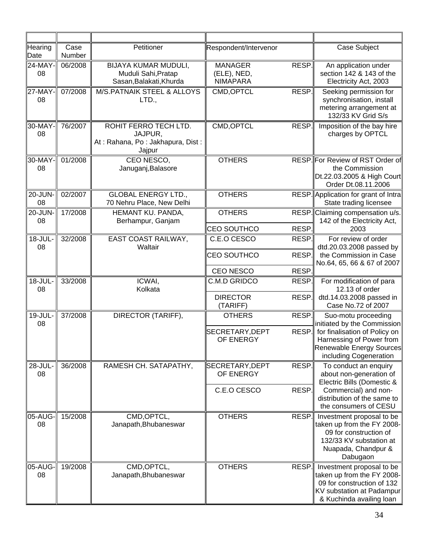| Hearing<br>Date | Case<br>Number | Petitioner                                                                     | Respondent/Intervenor                            |       | Case Subject                                                                                                                                    |
|-----------------|----------------|--------------------------------------------------------------------------------|--------------------------------------------------|-------|-------------------------------------------------------------------------------------------------------------------------------------------------|
| 24-MAY-<br>08   | 06/2008        | BIJAYA KUMAR MUDULI,<br>Muduli Sahi, Pratap<br>Sasan, Balakati, Khurda         | <b>MANAGER</b><br>(ELE), NED,<br><b>NIMAPARA</b> | RESP. | An application under<br>section 142 & 143 of the<br>Electricity Act, 2003                                                                       |
| 27-MAY-<br>08   | 07/2008        | <b>M/S.PATNAIK STEEL &amp; ALLOYS</b><br>LTD.,                                 | CMD, OPTCL                                       | RESP. | Seeking permission for<br>synchronisation, install<br>metering arrangement at<br>132/33 KV Grid S/s                                             |
| 30-MAY-<br>08   | 76/2007        | ROHIT FERRO TECH LTD.<br>JAJPUR,<br>At: Rahana, Po: Jakhapura, Dist:<br>Jajpur | CMD, OPTCL                                       | RESP. | Imposition of the bay hire<br>charges by OPTCL                                                                                                  |
| 30-MAY-<br>08   | 01/2008        | CEO NESCO,<br>Januganj, Balasore                                               | <b>OTHERS</b>                                    |       | RESP. For Review of RST Order of<br>the Commission<br>Dt.22.03.2005 & High Court<br>Order Dt.08.11.2006                                         |
| 20-JUN-<br>08   | 02/2007        | <b>GLOBAL ENERGY LTD.,</b><br>70 Nehru Place, New Delhi                        | <b>OTHERS</b>                                    |       | RESP. Application for grant of Intra<br>State trading licensee                                                                                  |
| 20-JUN-<br>08   | 17/2008        | HEMANT KU. PANDA,<br>Berhampur, Ganjam                                         | <b>OTHERS</b>                                    |       | RESP. Claiming compensation u/s.<br>142 of the Electricity Act,                                                                                 |
|                 |                |                                                                                | <b>CEO SOUTHCO</b>                               | RESP. | 2003                                                                                                                                            |
| 18-JUL-<br>08   | 32/2008        | EAST COAST RAILWAY,<br>Waltair                                                 | C.E.O CESCO                                      | RESP. | For review of order<br>dtd.20.03.2008 passed by                                                                                                 |
|                 |                |                                                                                | <b>CEO SOUTHCO</b>                               | RESP. | the Commission in Case<br>No.64, 65, 66 & 67 of 2007                                                                                            |
|                 |                |                                                                                | <b>CEO NESCO</b>                                 | RESP. |                                                                                                                                                 |
| 18-JUL-<br>08   | 33/2008        | ICWAI,<br>Kolkata                                                              | C.M.D GRIDCO                                     | RESP. | For modification of para<br>12.13 of order                                                                                                      |
|                 |                |                                                                                | <b>DIRECTOR</b><br>(TARIFF)                      | RESP. | dtd.14.03.2008 passed in<br>Case No.72 of 2007                                                                                                  |
| 19-JUL-<br>08   | 37/2008        | DIRECTOR (TARIFF),                                                             | <b>OTHERS</b>                                    | RESP. | Suo-motu proceeding<br>initiated by the Commission                                                                                              |
|                 |                |                                                                                | SECRETARY, DEPT<br>OF ENERGY                     | RESP. | for finalisation of Policy on<br>Harnessing of Power from<br>Renewable Energy Sources<br>including Cogeneration                                 |
| 28-JUL-<br>08   | 36/2008        | RAMESH CH. SATAPATHY,                                                          | SECRETARY, DEPT<br>OF ENERGY                     | RESP. | To conduct an enquiry<br>about non-generation of<br>Electric Bills (Domestic &                                                                  |
|                 |                |                                                                                | C.E.O CESCO                                      | RESP. | Commercial) and non-<br>distribution of the same to<br>the consumers of CESU                                                                    |
| 05-AUG-<br>08   | 15/2008        | CMD, OPTCL,<br>Janapath, Bhubaneswar                                           | <b>OTHERS</b>                                    | RESP. | Investment proposal to be<br>taken up from the FY 2008-<br>09 for construction of<br>132/33 KV substation at<br>Nuapada, Chandpur &<br>Dabugaon |
| 05-AUG-<br>08   | 19/2008        | CMD, OPTCL,<br>Janapath, Bhubaneswar                                           | <b>OTHERS</b>                                    | RESP. | Investment proposal to be<br>taken up from the FY 2008-<br>09 for construction of 132<br>KV substation at Padampur<br>& Kuchinda availing loan  |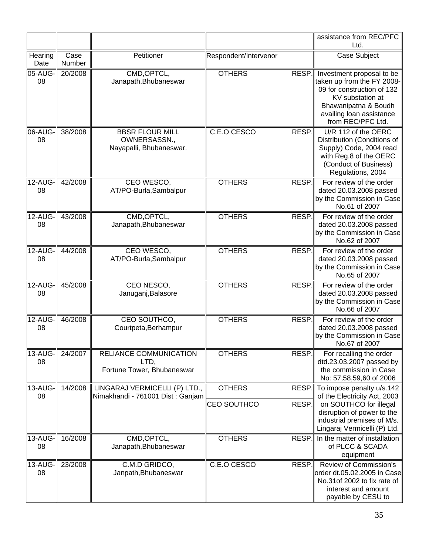|                    |                |                                                                   |                       |       | assistance from REC/PFC<br>Ltd.                                                                                                                                                    |
|--------------------|----------------|-------------------------------------------------------------------|-----------------------|-------|------------------------------------------------------------------------------------------------------------------------------------------------------------------------------------|
| Hearing<br>Date    | Case<br>Number | Petitioner                                                        | Respondent/Intervenor |       | Case Subject                                                                                                                                                                       |
| 05-AUG-<br>08      | 20/2008        | CMD, OPTCL,<br>Janapath, Bhubaneswar                              | <b>OTHERS</b>         | RESP. | Investment proposal to be<br>taken up from the FY 2008-<br>09 for construction of 132<br>KV substation at<br>Bhawanipatna & Boudh<br>availing loan assistance<br>from REC/PFC Ltd. |
| 06-AUG-<br>08      | 38/2008        | <b>BBSR FLOUR MILL</b><br>OWNERSASSN.,<br>Nayapalli, Bhubaneswar. | C.E.O CESCO           | RESP. | U/R 112 of the OERC<br>Distribution (Conditions of<br>Supply) Code, 2004 read<br>with Reg.8 of the OERC<br>(Conduct of Business)<br>Regulations, 2004                              |
| 12-AUG-<br>08      | 42/2008        | CEO WESCO,<br>AT/PO-Burla, Sambalpur                              | <b>OTHERS</b>         | RESP. | For review of the order<br>dated 20.03.2008 passed<br>by the Commission in Case<br>No.61 of 2007                                                                                   |
| 12-AUG-<br>08      | 43/2008        | CMD, OPTCL,<br>Janapath, Bhubaneswar                              | <b>OTHERS</b>         | RESP. | For review of the order<br>dated 20.03.2008 passed<br>by the Commission in Case<br>No.62 of 2007                                                                                   |
| 12-AUG-<br>08      | 44/2008        | CEO WESCO,<br>AT/PO-Burla, Sambalpur                              | <b>OTHERS</b>         | RESP. | For review of the order<br>dated 20.03.2008 passed<br>by the Commission in Case<br>No.65 of 2007                                                                                   |
| 12-AUG-<br>08      | 45/2008        | CEO NESCO,<br>Januganj, Balasore                                  | <b>OTHERS</b>         | RESP. | For review of the order<br>dated 20.03.2008 passed<br>by the Commission in Case<br>No.66 of 2007                                                                                   |
| 12-AUG-<br>08      | 46/2008        | CEO SOUTHCO,<br>Courtpeta, Berhampur                              | <b>OTHERS</b>         | RESP. | For review of the order<br>dated 20.03.2008 passed<br>by the Commission in Case<br>No.67 of 2007                                                                                   |
| 13-AUG-<br>08      | 24/2007        | RELIANCE COMMUNICATION<br>LTD,<br>Fortune Tower, Bhubaneswar      | <b>OTHERS</b>         | RESP. | For recalling the order<br>dtd.23.03.2007 passed by<br>the commission in Case<br>No: 57,58,59,60 of 2006                                                                           |
| 13-AUG-<br>08      | 14/2008        | LINGARAJ VERMICELLI (P) LTD.,<br>Nimakhandi - 761001 Dist: Ganjam | <b>OTHERS</b>         | RESP. | To impose penalty u/s.142<br>of the Electricity Act, 2003                                                                                                                          |
|                    |                |                                                                   | CEO SOUTHCO           | RESP. | on SOUTHCO for illegal<br>disruption of power to the<br>industrial premises of M/s.<br>Lingaraj Vermicelli (P) Ltd.                                                                |
| $13 - AU$ G-<br>08 | 16/2008        | CMD, OPTCL,<br>Janapath, Bhubaneswar                              | <b>OTHERS</b>         | RESP. | In the matter of installation<br>of PLCC & SCADA<br>equipment                                                                                                                      |
| 13-AUG-<br>08      | 23/2008        | C.M.D GRIDCO,<br>Janpath, Bhubaneswar                             | C.E.O CESCO           | RESP. | Review of Commission's<br>order dt.05.02.2005 in Case<br>No.31of 2002 to fix rate of<br>interest and amount<br>payable by CESU to                                                  |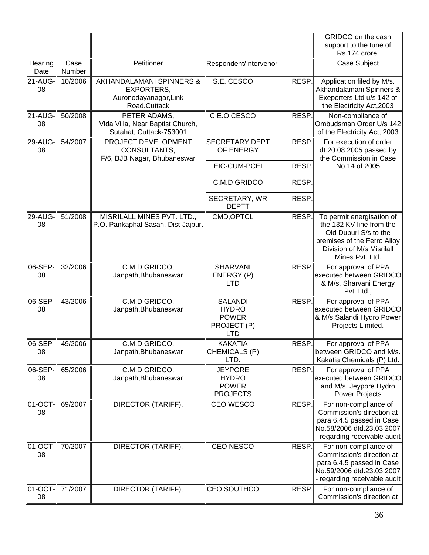|                 |                |                                                                                        |                                                                             |       | GRIDCO on the cash<br>support to the tune of<br>Rs.174 crore.                                                                                                 |
|-----------------|----------------|----------------------------------------------------------------------------------------|-----------------------------------------------------------------------------|-------|---------------------------------------------------------------------------------------------------------------------------------------------------------------|
| Hearing<br>Date | Case<br>Number | Petitioner                                                                             | Respondent/Intervenor                                                       |       | Case Subject                                                                                                                                                  |
| 21-AUG-<br>08   | 10/2006        | AKHANDALAMANI SPINNERS &<br><b>EXPORTERS,</b><br>Auronodayanagar, Link<br>Road.Cuttack | S.E. CESCO                                                                  | RESP. | Application filed by M/s.<br>Akhandalamani Spinners &<br>Exeporters Ltd u/s 142 of<br>the Electricity Act, 2003                                               |
| 21-AUG-<br>08   | 50/2008        | PETER ADAMS,<br>Vida Villa, Near Baptist Church,<br>Sutahat, Cuttack-753001            | C.E.O CESCO                                                                 | RESP. | Non-compliance of<br>Ombudsman Order U/s 142<br>of the Electricity Act, 2003                                                                                  |
| 29-AUG-<br>08   | 54/2007        | PROJECT DEVELOPMENT<br>CONSULTANTS,<br>F/6, BJB Nagar, Bhubaneswar                     | SECRETARY, DEPT<br>OF ENERGY                                                | RESP. | For execution of order<br>dt.20.08.2005 passed by<br>the Commission in Case                                                                                   |
|                 |                |                                                                                        | EIC-CUM-PCEI                                                                | RESP. | No.14 of 2005                                                                                                                                                 |
|                 |                |                                                                                        | C.M.D GRIDCO                                                                | RESP. |                                                                                                                                                               |
|                 |                |                                                                                        | SECRETARY, WR<br><b>DEPTT</b>                                               | RESP. |                                                                                                                                                               |
| 29-AUG-<br>08   | 51/2008        | MISRILALL MINES PVT. LTD.,<br>P.O. Pankaphal Sasan, Dist-Jajpur.                       | CMD, OPTCL                                                                  | RESP. | To permit energisation of<br>the 132 KV line from the<br>Old Duburi S/s to the<br>premises of the Ferro Alloy<br>Division of M/s Misrilall<br>Mines Pvt. Ltd. |
| 06-SEP-<br>08   | 32/2006        | C.M.D GRIDCO,<br>Janpath, Bhubaneswar                                                  | <b>SHARVANI</b><br>ENERGY (P)<br><b>LTD</b>                                 | RESP. | For approval of PPA<br>executed between GRIDCO<br>& M/s. Sharvani Energy<br>Pvt. Ltd.,                                                                        |
| 06-SEP-<br>08   | 43/2006        | C.M.D GRIDCO,<br>Janpath, Bhubaneswar                                                  | <b>SALANDI</b><br><b>HYDRO</b><br><b>POWER</b><br>PROJECT (P)<br><b>LTD</b> | RESP. | For approval of PPA<br>executed between GRIDCO<br>& M/s.Salandi Hydro Power<br>Projects Limited.                                                              |
| 06-SEP-<br>08   | 49/2006        | C.M.D GRIDCO,<br>Janpath, Bhubaneswar                                                  | <b>KAKATIA</b><br>CHEMICALS (P)<br>LTD.                                     | RESP. | For approval of PPA<br>between GRIDCO and M/s.<br>Kakatia Chemicals (P) Ltd.                                                                                  |
| 06-SEP-<br>08   | 65/2006        | C.M.D GRIDCO,<br>Janpath, Bhubaneswar                                                  | <b>JEYPORE</b><br><b>HYDRO</b><br><b>POWER</b><br><b>PROJECTS</b>           | RESP. | For approval of PPA<br>executed between GRIDCO<br>and M/s. Jeypore Hydro<br><b>Power Projects</b>                                                             |
| 01-OCT-<br>08   | 69/2007        | DIRECTOR (TARIFF),                                                                     | CEO WESCO                                                                   | RESP. | For non-compliance of<br>Commission's direction at<br>para 6.4.5 passed in Case<br>No.58/2006 dtd.23.03.2007<br>- regarding receivable audit                  |
| 01-OCT-<br>08   | 70/2007        | DIRECTOR (TARIFF),                                                                     | CEO NESCO                                                                   | RESP. | For non-compliance of<br>Commission's direction at<br>para 6.4.5 passed in Case<br>No.59/2006 dtd.23.03.2007<br>regarding receivable audit                    |
| 01-OCT-<br>08   | 71/2007        | DIRECTOR (TARIFF),                                                                     | CEO SOUTHCO                                                                 | RESP. | For non-compliance of<br>Commission's direction at                                                                                                            |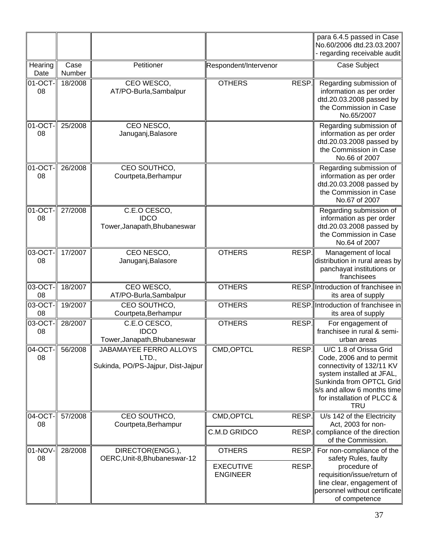|                 |                |                                                                       |                                     |       | para 6.4.5 passed in Case<br>No.60/2006 dtd.23.03.2007<br>regarding receivable audit                                                                                                                                   |
|-----------------|----------------|-----------------------------------------------------------------------|-------------------------------------|-------|------------------------------------------------------------------------------------------------------------------------------------------------------------------------------------------------------------------------|
| Hearing<br>Date | Case<br>Number | Petitioner                                                            | Respondent/Intervenor               |       | Case Subject                                                                                                                                                                                                           |
| 01-OCT-<br>08   | 18/2008        | CEO WESCO,<br>AT/PO-Burla, Sambalpur                                  | <b>OTHERS</b>                       | RESP. | Regarding submission of<br>information as per order<br>dtd.20.03.2008 passed by<br>the Commission in Case<br>No.65/2007                                                                                                |
| 01-OCT-<br>08   | 25/2008        | CEO NESCO,<br>Januganj, Balasore                                      |                                     |       | Regarding submission of<br>information as per order<br>dtd.20.03.2008 passed by<br>the Commission in Case<br>No.66 of 2007                                                                                             |
| 01-OCT-<br>08   | 26/2008        | CEO SOUTHCO,<br>Courtpeta, Berhampur                                  |                                     |       | Regarding submission of<br>information as per order<br>dtd.20.03.2008 passed by<br>the Commission in Case<br>No.67 of 2007                                                                                             |
| 01-OCT-<br>08   | 27/2008        | C.E.O CESCO,<br><b>IDCO</b><br>Tower, Janapath, Bhubaneswar           |                                     |       | Regarding submission of<br>information as per order<br>dtd.20.03.2008 passed by<br>the Commission in Case<br>No.64 of 2007                                                                                             |
| 03-OCT-<br>08   | 17/2007        | CEO NESCO,<br>Januganj, Balasore                                      | <b>OTHERS</b>                       | RESP. | Management of local<br>distribution in rural areas by<br>panchayat institutions or<br>franchisees                                                                                                                      |
| 03-OCT-<br>08   | 18/2007        | CEO WESCO,<br>AT/PO-Burla, Sambalpur                                  | <b>OTHERS</b>                       |       | RESP. Introduction of franchisee in<br>its area of supply                                                                                                                                                              |
| 03-OCT-<br>08   | 19/2007        | CEO SOUTHCO,<br>Courtpeta, Berhampur                                  | <b>OTHERS</b>                       |       | RESP. Introduction of franchisee in<br>its area of supply                                                                                                                                                              |
| 03-OCT-<br>08   | 28/2007        | C.E.O CESCO,<br><b>IDCO</b><br>Tower, Janapath, Bhubaneswar           | <b>OTHERS</b>                       | RESP. | For engagement of<br>franchisee in rural & semi-<br>urban areas                                                                                                                                                        |
| ∥04-OCT-<br>08  | 56/2008        | JABAMAYEE FERRO ALLOYS<br>LTD.,<br>Sukinda, PO/PS-Jajpur, Dist-Jajpur | CMD, OPTCL                          | RESP. | U/C 1.8 of Orissa Grid<br>Code, 2006 and to permit<br>connectivity of 132/11 KV<br>system installed at JFAL,<br>Sunkinda from OPTCL Grid<br>$ s/s$ and allow 6 months time<br>for installation of PLCC &<br><b>TRU</b> |
| 04-OCT-<br>08   | 57/2008        | CEO SOUTHCO,<br>Courtpeta, Berhampur                                  | CMD, OPTCL                          | RESP. | U/s 142 of the Electricity<br>Act, 2003 for non-                                                                                                                                                                       |
|                 |                |                                                                       | C.M.D GRIDCO                        | RESP. | compliance of the direction<br>of the Commission.                                                                                                                                                                      |
| 01-NOV-<br>08   | 28/2008        | DIRECTOR(ENGG.),<br>OERC, Unit-8, Bhubaneswar-12                      | <b>OTHERS</b>                       |       | RESP. For non-compliance of the<br>safety Rules, faulty                                                                                                                                                                |
|                 |                |                                                                       | <b>EXECUTIVE</b><br><b>ENGINEER</b> | RESP. | procedure of<br>requisition/issue/return of<br>line clear, engagement of<br>personnel without certificate<br>of competence                                                                                             |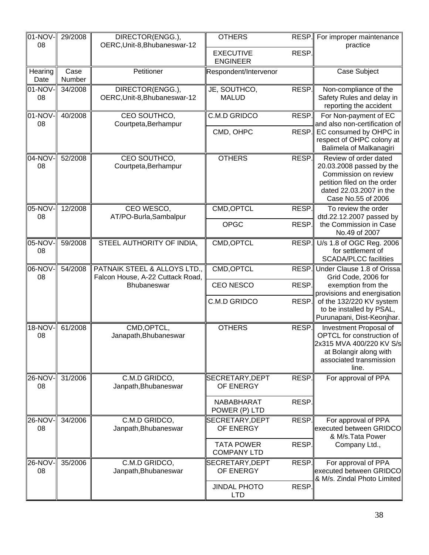| 01-NOV-<br>08          | 29/2008        | DIRECTOR(ENGG.),<br>OERC, Unit-8, Bhubaneswar-12                 | <b>OTHERS</b>                           | RESP. | For improper maintenance<br>practice                                                                                                                      |
|------------------------|----------------|------------------------------------------------------------------|-----------------------------------------|-------|-----------------------------------------------------------------------------------------------------------------------------------------------------------|
|                        |                |                                                                  | <b>EXECUTIVE</b><br><b>ENGINEER</b>     | RESP. |                                                                                                                                                           |
| Hearing<br>Date        | Case<br>Number | Petitioner                                                       | Respondent/Intervenor                   |       | Case Subject                                                                                                                                              |
| 01-NOV-<br>08          | 34/2008        | DIRECTOR(ENGG.),<br>OERC, Unit-8, Bhubaneswar-12                 | JE, SOUTHCO,<br><b>MALUD</b>            | RESP. | Non-compliance of the<br>Safety Rules and delay in<br>reporting the accident                                                                              |
| $\sqrt{01-NO_V}$<br>08 | 40/2008        | CEO SOUTHCO,<br>Courtpeta, Berhampur                             | C.M.D GRIDCO                            | RESP. | For Non-payment of EC<br>and also non-certification of                                                                                                    |
|                        |                |                                                                  | CMD, OHPC                               | RESP. | EC consumed by OHPC in<br>respect of OHPC colony at<br>Balimela of Malkanagiri                                                                            |
| 04-NOV-<br>08          | 52/2008        | CEO SOUTHCO,<br>Courtpeta, Berhampur                             | <b>OTHERS</b>                           | RESP. | Review of order dated<br>20.03.2008 passed by the<br>Commission on review<br>petition filed on the order<br>dated 22.03.2007 in the<br>Case No.55 of 2006 |
| 05-NOV-<br>08          | 12/2008        | CEO WESCO,<br>AT/PO-Burla, Sambalpur                             | CMD, OPTCL                              | RESP. | To review the order<br>dtd.22.12.2007 passed by                                                                                                           |
|                        |                |                                                                  | OPGC                                    | RESP. | the Commission in Case<br>No.49 of 2007                                                                                                                   |
| 05-NOV-<br>08          | 59/2008        | STEEL AUTHORITY OF INDIA,                                        | CMD, OPTCL                              | RESP. | U/s 1.8 of OGC Reg. 2006<br>for settlement of<br><b>SCADA/PLCC facilities</b>                                                                             |
| 06-NOV-<br>08          | 54/2008        | PATNAIK STEEL & ALLOYS LTD.,<br>Falcon House, A-22 Cuttack Road, | CMD, OPTCL                              |       | RESP. Under Clause 1.8 of Orissa<br>Grid Code, 2006 for                                                                                                   |
|                        |                | <b>Bhubaneswar</b>                                               | <b>CEO NESCO</b>                        | RESP. | exemption from the<br>provisions and energisation                                                                                                         |
|                        |                |                                                                  | C.M.D GRIDCO                            | RESP. | of the 132/220 KV system<br>to be installed by PSAL,<br>Purunapani, Dist-Keonjhar.                                                                        |
| 18-NOV-<br>08          | 61/2008        | CMD, OPTCL,<br>Janapath, Bhubaneswar                             | <b>OTHERS</b>                           | RESP. | Investment Proposal of<br>OPTCL for construction of<br>∥2x315 MVA 400/220 KV S/s∥<br>at Bolangir along with<br>associated transmission<br>line.           |
| 26-NOV-<br>08          | 31/2006        | C.M.D GRIDCO,<br>Janpath, Bhubaneswar                            | SECRETARY, DEPT<br>OF ENERGY            | RESP. | For approval of PPA                                                                                                                                       |
|                        |                |                                                                  | NABABHARAT<br>POWER (P) LTD             | RESP. |                                                                                                                                                           |
| 26-NOV-<br>08          | 34/2006        | C.M.D GRIDCO,<br>Janpath, Bhubaneswar                            | SECRETARY, DEPT<br>OF ENERGY            | RESP. | For approval of PPA<br>executed between GRIDCO<br>& M/s.Tata Power                                                                                        |
|                        |                |                                                                  | <b>TATA POWER</b><br><b>COMPANY LTD</b> | RESP. | Company Ltd.,                                                                                                                                             |
| 26-NOV-<br>08          | 35/2006        | C.M.D GRIDCO,<br>Janpath, Bhubaneswar                            | SECRETARY, DEPT<br>OF ENERGY            | RESP. | For approval of PPA<br>executed between GRIDCO<br>& M/s. Zindal Photo Limited                                                                             |
|                        |                |                                                                  | <b>JINDAL PHOTO</b><br><b>LTD</b>       | RESP. |                                                                                                                                                           |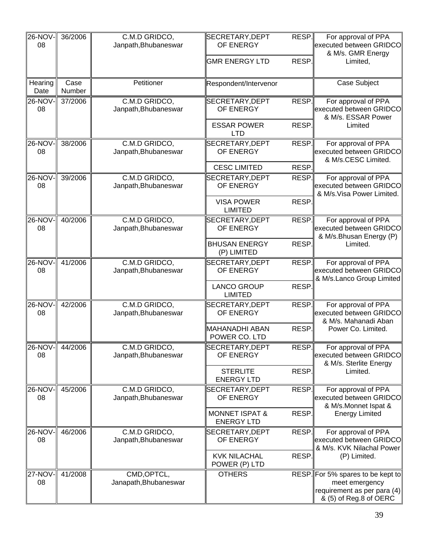| 26-NOV-<br>08   | 36/2006        | C.M.D GRIDCO,<br>Janpath, Bhubaneswar | SECRETARY, DEPT<br>OF ENERGY                   | RESP.  | For approval of PPA<br>executed between GRIDCO<br>& M/s. GMR Energy                                            |  |
|-----------------|----------------|---------------------------------------|------------------------------------------------|--------|----------------------------------------------------------------------------------------------------------------|--|
|                 |                |                                       | <b>GMR ENERGY LTD</b>                          | RESP.  | Limited,                                                                                                       |  |
| Hearing<br>Date | Case<br>Number | Petitioner                            | Respondent/Intervenor                          |        | Case Subject                                                                                                   |  |
| 26-NOV-<br>08   | 37/2006        | C.M.D GRIDCO,<br>Janpath, Bhubaneswar | SECRETARY, DEPT<br>OF ENERGY                   | RESP.  | For approval of PPA<br>executed between GRIDCO<br>& M/s. ESSAR Power                                           |  |
|                 |                |                                       | <b>ESSAR POWER</b><br><b>LTD</b>               | RESP.  | Limited                                                                                                        |  |
| 26-NOV-<br>08   | 38/2006        | C.M.D GRIDCO,<br>Janpath, Bhubaneswar | SECRETARY, DEPT<br>OF ENERGY                   | RESP.  | For approval of PPA<br>executed between GRIDCO<br>& M/s.CESC Limited.                                          |  |
|                 |                |                                       | <b>CESC LIMITED</b>                            | RESP.  |                                                                                                                |  |
| $26-NOV$<br>08  | 39/2006        | C.M.D GRIDCO,<br>Janpath, Bhubaneswar | SECRETARY, DEPT<br>OF ENERGY                   | RESP.  | For approval of PPA<br>executed between GRIDCO<br>& M/s. Visa Power Limited.                                   |  |
|                 |                |                                       | <b>VISA POWER</b><br><b>LIMITED</b>            | RESP.  |                                                                                                                |  |
| 26-NOV-<br>08   | 40/2006        | C.M.D GRIDCO,<br>Janpath, Bhubaneswar | SECRETARY, DEPT<br>OF ENERGY                   | RESP.  | For approval of PPA<br>executed between GRIDCO<br>& M/s.Bhusan Energy (P)                                      |  |
|                 |                |                                       | <b>BHUSAN ENERGY</b><br>(P) LIMITED            | RESP.  | Limited.                                                                                                       |  |
| 26-NOV-<br>08   | 41/2006        | C.M.D GRIDCO,<br>Janpath, Bhubaneswar | SECRETARY, DEPT<br>OF ENERGY                   | RESP.  | For approval of PPA<br>executed between GRIDCO<br>& M/s.Lanco Group Limited                                    |  |
|                 |                |                                       | <b>LANCO GROUP</b><br><b>LIMITED</b>           | RESP.  |                                                                                                                |  |
| 26-NOV-<br>08   | 42/2006        | C.M.D GRIDCO,<br>Janpath, Bhubaneswar | SECRETARY, DEPT<br>OF ENERGY                   | RESP.  | For approval of PPA<br>executed between GRIDCO<br>& M/s. Mahanadi Aban<br>Power Co. Limited.                   |  |
|                 |                |                                       | <b>MAHANADHI ABAN</b><br>POWER CO. LTD         | RESP.  |                                                                                                                |  |
| 26-NOV-<br>08   | 44/2006        | C.M.D GRIDCO,<br>Janpath, Bhubaneswar | SECRETARY,DEPT<br>OF ENERGY                    | RESP.∥ | For approval of PPA<br>executed between GRIDCO<br>& M/s. Sterlite Energy                                       |  |
|                 |                |                                       | <b>STERLITE</b><br><b>ENERGY LTD</b>           | RESP.  | Limited.                                                                                                       |  |
| 26-NOV-<br>08   | 45/2006        | C.M.D GRIDCO,<br>Janpath, Bhubaneswar | SECRETARY, DEPT<br>OF ENERGY                   | RESP.  | For approval of PPA<br>executed between GRIDCO<br>& M/s.Monnet Ispat &                                         |  |
|                 |                |                                       | <b>MONNET ISPAT &amp;</b><br><b>ENERGY LTD</b> | RESP.  | <b>Energy Limited</b>                                                                                          |  |
| 26-NOV-<br>08   | 46/2006        | C.M.D GRIDCO,<br>Janpath, Bhubaneswar | SECRETARY, DEPT<br>OF ENERGY                   | RESP.  | For approval of PPA<br>executed between GRIDCO<br>& M/s. KVK Nilachal Power                                    |  |
|                 |                |                                       | <b>KVK NILACHAL</b><br>POWER (P) LTD           | RESP.  | (P) Limited.                                                                                                   |  |
| 27-NOV-<br>08   | 41/2008        | CMD, OPTCL,<br>Janapath, Bhubaneswar  | <b>OTHERS</b>                                  |        | RESP. For 5% spares to be kept to<br>meet emergency<br>requirement as per para $(4)$<br>& (5) of Reg.8 of OERC |  |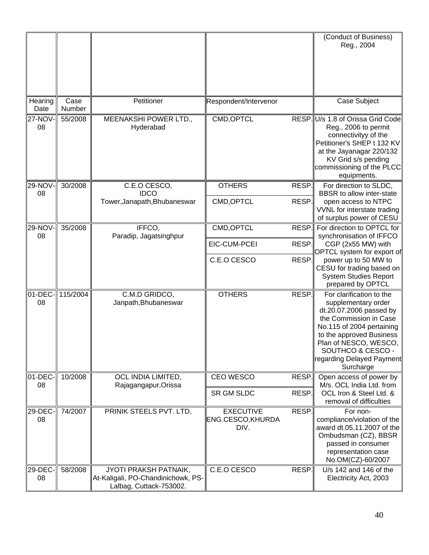|                 |                |                                                                                        |                                               |       | (Conduct of Business)<br>Reg., 2004                                                                                                                                                                                                                   |
|-----------------|----------------|----------------------------------------------------------------------------------------|-----------------------------------------------|-------|-------------------------------------------------------------------------------------------------------------------------------------------------------------------------------------------------------------------------------------------------------|
| Hearing<br>Date | Case<br>Number | Petitioner                                                                             | Respondent/Intervenor                         |       | Case Subject                                                                                                                                                                                                                                          |
| 27-NOV-<br>08   | 55/2008        | MEENAKSHI POWER LTD.,<br>Hyderabad                                                     | <b>CMD, OPTCL</b>                             |       | RESP. U/s 1.8 of Orissa Grid Code<br>Reg., 2006 to permit<br>connectivityy of the<br>Petitioner's SHEP t 132 KV<br>at the Jayanagar 220/132<br>KV Grid s/s pending<br>commissioning of the PLCC<br>equipments.                                        |
| 29-NOV-<br>08   | 30/2008        | C.E.O CESCO,<br><b>IDCO</b>                                                            | <b>OTHERS</b>                                 | RESP. | For direction to SLDC,<br><b>BBSR</b> to allow inter-state                                                                                                                                                                                            |
|                 |                | Tower, Janapath, Bhubaneswar                                                           | CMD, OPTCL                                    | RESP. | open access to NTPC<br>VVNL for interstate trading<br>of surplus power of CESU                                                                                                                                                                        |
| 29-NOV-<br>08   | 35/2008        | IFFCO,<br>Paradip, Jagatsinghpur                                                       | CMD, OPTCL                                    | RESP. | For direction to OPTCL for<br>synchronisation of IFFCO                                                                                                                                                                                                |
|                 |                |                                                                                        | EIC-CUM-PCEI                                  | RESP. | CGP (2x55 MW) with                                                                                                                                                                                                                                    |
|                 |                |                                                                                        | C.E.O CESCO                                   | RESP. | OPTCL system for export of<br>power up to 50 MW to<br>CESU for trading based on<br><b>System Studies Report</b><br>prepared by OPTCL                                                                                                                  |
| 01-DEC-<br>08   | 115/2004       | C.M.D GRIDCO,<br>Janpath, Bhubaneswar                                                  | <b>OTHERS</b>                                 | RESP. | For clarification to the<br>supplementary order<br>dt.20.07.2006 passed by<br>the Commission in Case<br>No.115 of 2004 pertaining<br>to the approved Business<br>Plan of NESCO, WESCO,<br>SOUTHCO & CESCO -<br>regarding Delayed Payment<br>Surcharge |
| 01-DEC-<br>08   | 10/2008        | OCL INDIA LIMITED,<br>Rajagangapur, Orissa                                             | CEO WESCO                                     | RESP. | Open access of power by<br>M/s. OCL India Ltd. from                                                                                                                                                                                                   |
|                 |                |                                                                                        | SR GM SLDC                                    | RESP. | OCL Iron & Steel Ltd. &<br>removal of difficulties                                                                                                                                                                                                    |
| 29-DEC-<br>08   | 74/2007        | PRINIK STEELS PVT. LTD,                                                                | <b>EXECUTIVE</b><br>ENG.CESCO, KHURDA<br>DIV. | RESP. | For non-<br>compliance/violation of the<br>award dt.05.11.2007 of the<br>Ombudsman (CZ), BBSR<br>passed in consumer<br>representation case<br>No.OM(CZ)-60/2007                                                                                       |
| 29-DEC-<br>08   | 58/2008        | JYOTI PRAKSH PATNAIK,<br>At-Kaligali, PO-Chandinichowk, PS-<br>Lalbag, Cuttack-753002. | C.E.O CESCO                                   | RESP. | U/s 142 and 146 of the<br>Electricity Act, 2003                                                                                                                                                                                                       |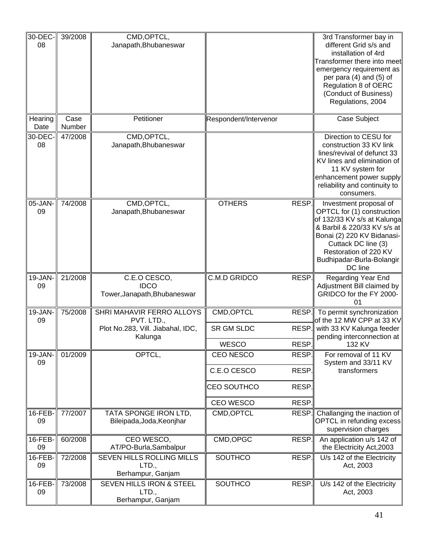| 30-DEC-<br>08    | 39/2008        | CMD, OPTCL,<br>Janapath, Bhubaneswar                              |                       |       | 3rd Transformer bay in<br>different Grid s/s and<br>installation of 4rd<br>Transformer there into meet<br>emergency requirement as<br>per para (4) and (5) of<br>Regulation 8 of OERC<br>(Conduct of Business)<br>Regulations, 2004      |
|------------------|----------------|-------------------------------------------------------------------|-----------------------|-------|------------------------------------------------------------------------------------------------------------------------------------------------------------------------------------------------------------------------------------------|
| Hearing<br>Date  | Case<br>Number | Petitioner                                                        | Respondent/Intervenor |       | Case Subject                                                                                                                                                                                                                             |
| 30-DEC-<br>08    | 47/2008        | CMD, OPTCL,<br>Janapath, Bhubaneswar                              |                       |       | Direction to CESU for<br>construction 33 KV link<br>lines/revival of defunct 33<br>KV lines and elimination of<br>11 KV system for<br>enhancement power supply<br>reliability and continuity to<br>consumers.                            |
| 05-JAN-<br>09    | 74/2008        | CMD, OPTCL,<br>Janapath, Bhubaneswar                              | <b>OTHERS</b>         | RESP. | Investment proposal of<br>OPTCL for (1) construction<br>of 132/33 KV s/s at Kalunga<br>& Barbil & 220/33 KV s/s at<br>Bonai (2) 220 KV Bidanasi-<br>Cuttack DC line (3)<br>Restoration of 220 KV<br>Budhipadar-Burla-Bolangir<br>DC line |
| 19-JAN-<br>09    | 21/2008        | C.E.O CESCO,<br><b>IDCO</b><br>Tower, Janapath, Bhubaneswar       | <b>C.M.D GRIDCO</b>   | RESP. | Regarding Year End<br>Adjustment Bill claimed by<br>GRIDCO for the FY 2000-<br>01                                                                                                                                                        |
| 19-JAN-<br>09    | 75/2008        | SHRI MAHAVIR FERRO ALLOYS<br>PVT. LTD.,                           | CMD, OPTCL            | RESP. | To permit synchronization<br>of the 12 MW CPP at 33 KV                                                                                                                                                                                   |
|                  |                | Plot No.283, Vill. Jiabahal, IDC,<br>Kalunga                      | <b>SR GM SLDC</b>     | RESP. | with 33 KV Kalunga feeder<br>pending interconnection at                                                                                                                                                                                  |
|                  |                |                                                                   | <b>WESCO</b>          | RESP. | 132 KV                                                                                                                                                                                                                                   |
| 19-JAN-<br>09    | 01/2009        | OPTCL,                                                            | <b>CEO NESCO</b>      | RESP. | For removal of 11 KV<br>System and 33/11 KV                                                                                                                                                                                              |
|                  |                |                                                                   | C.E.O CESCO           | RESP. | transformers                                                                                                                                                                                                                             |
|                  |                |                                                                   | <b>CEO SOUTHCO</b>    | RESP. |                                                                                                                                                                                                                                          |
|                  |                |                                                                   | CEO WESCO             | RESP. |                                                                                                                                                                                                                                          |
| 16-FEB-<br>09    | 77/2007        | TATA SPONGE IRON LTD,<br>Bileipada, Joda, Keonjhar                | CMD, OPTCL            | RESP. | Challanging the inaction of<br>OPTCL in refunding excess<br>supervision charges                                                                                                                                                          |
| 16-FEB-<br>09    | 60/2008        | CEO WESCO,<br>AT/PO-Burla, Sambalpur                              | CMD, OPGC             | RESP. | An application u/s 142 of<br>the Electricity Act, 2003                                                                                                                                                                                   |
| 16-FEB-<br>09    | 72/2008        | SEVEN HILLS ROLLING MILLS<br>LTD.<br>Berhampur, Ganjam            | <b>SOUTHCO</b>        | RESP. | U/s 142 of the Electricity<br>Act, 2003                                                                                                                                                                                                  |
| $16$ -FEB-<br>09 | 73/2008        | <b>SEVEN HILLS IRON &amp; STEEL</b><br>LTD.,<br>Berhampur, Ganjam | <b>SOUTHCO</b>        | RESP. | U/s 142 of the Electricity<br>Act, 2003                                                                                                                                                                                                  |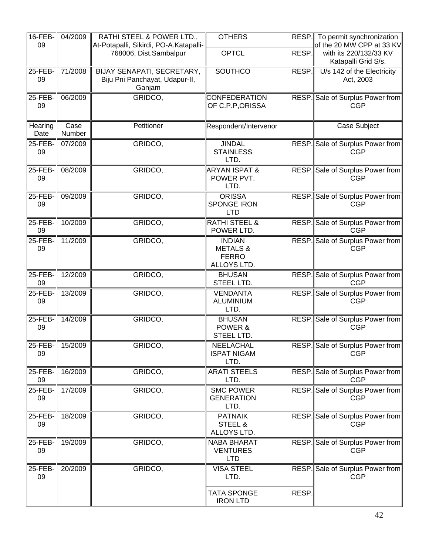| 16-FEB-<br>09   | 04/2009        | RATHI STEEL & POWER LTD.,<br>At-Potapalli, Sikirdi, PO-A.Katapalli-    | <b>OTHERS</b>                                                       |       | RESP. To permit synchronization<br>of the 20 MW CPP at 33 KV |  |
|-----------------|----------------|------------------------------------------------------------------------|---------------------------------------------------------------------|-------|--------------------------------------------------------------|--|
|                 |                | 768006, Dist.Sambalpur                                                 | <b>OPTCL</b>                                                        | RESP. | with its 220/132/33 KV<br>Katapalli Grid S/s.                |  |
| 25-FEB-<br>09   | 71/2008        | BIJAY SENAPATI, SECRETARY,<br>Biju Pni Panchayat, Udapur-II,<br>Ganjam | SOUTHCO                                                             | RESP. | U/s 142 of the Electricity<br>Act, 2003                      |  |
| 25-FEB-<br>09   | 06/2009        | GRIDCO,                                                                | <b>CONFEDERATION</b><br>OF C.P.P, ORISSA                            |       | RESP. Sale of Surplus Power from<br><b>CGP</b>               |  |
| Hearing<br>Date | Case<br>Number | Petitioner                                                             | Respondent/Intervenor                                               |       | Case Subject                                                 |  |
| 25-FEB-<br>09   | 07/2009        | GRIDCO,                                                                | <b>JINDAL</b><br><b>STAINLESS</b><br>LTD.                           |       | RESP. Sale of Surplus Power from<br><b>CGP</b>               |  |
| 25-FEB-<br>09   | 08/2009        | GRIDCO,                                                                | <b>ARYAN ISPAT &amp;</b><br>POWER PVT.<br>LTD.                      |       | RESP. Sale of Surplus Power from<br><b>CGP</b>               |  |
| 25-FEB-<br>09   | 09/2009        | GRIDCO,                                                                | <b>ORISSA</b><br><b>SPONGE IRON</b><br><b>LTD</b>                   |       | RESP. Sale of Surplus Power from<br><b>CGP</b>               |  |
| 25-FEB-<br>09   | 10/2009        | GRIDCO,                                                                | <b>RATHI STEEL &amp;</b><br>POWER LTD.                              |       | RESP. Sale of Surplus Power from<br><b>CGP</b>               |  |
| 25-FEB-<br>09   | 11/2009        | GRIDCO,                                                                | <b>INDIAN</b><br><b>METALS &amp;</b><br><b>FERRO</b><br>ALLOYS LTD. |       | RESP. Sale of Surplus Power from<br><b>CGP</b>               |  |
| 25-FEB-<br>09   | 12/2009        | GRIDCO,                                                                | <b>BHUSAN</b><br>STEEL LTD.                                         |       | RESP. Sale of Surplus Power from<br><b>CGP</b>               |  |
| 25-FEB-<br>09   | 13/2009        | GRIDCO,                                                                | <b>VENDANTA</b><br>ALUMINIUM<br>LTD.                                |       | RESP. Sale of Surplus Power from<br><b>CGP</b>               |  |
| 25-FEB-<br>09   | 14/2009        | GRIDCO,                                                                | <b>BHUSAN</b><br>POWER &<br>STEEL LTD.                              |       | RESP. Sale of Surplus Power from<br><b>CGP</b>               |  |
| 09              | 25-FEB-15/2009 | GRIDCO,                                                                | <b>NEELACHAL</b><br><b>ISPAT NIGAM</b><br>LTD.                      |       | RESP. Sale of Surplus Power from<br><b>CGP</b>               |  |
| 25-FEB-<br>09   | 16/2009        | GRIDCO,                                                                | <b>ARATI STEELS</b><br>LTD.                                         |       | RESP. Sale of Surplus Power from<br><b>CGP</b>               |  |
| 25-FEB-<br>09   | 17/2009        | GRIDCO,                                                                | <b>SMC POWER</b><br><b>GENERATION</b><br>LTD.                       |       | RESP. Sale of Surplus Power from<br><b>CGP</b>               |  |
| 25-FEB-<br>09   | 18/2009        | GRIDCO,                                                                | <b>PATNAIK</b><br>STEEL &<br>ALLOYS LTD.                            |       | RESP. Sale of Surplus Power from<br><b>CGP</b>               |  |
| 25-FEB-<br>09   | 19/2009        | GRIDCO,                                                                | <b>NABA BHARAT</b><br><b>VENTURES</b><br><b>LTD</b>                 |       | RESP. Sale of Surplus Power from<br><b>CGP</b>               |  |
| 25-FEB-<br>09   | 20/2009        | GRIDCO,                                                                | <b>VISA STEEL</b><br>LTD.                                           |       | RESP. Sale of Surplus Power from<br><b>CGP</b>               |  |
|                 |                |                                                                        | <b>TATA SPONGE</b><br><b>IRON LTD</b>                               | RESP. |                                                              |  |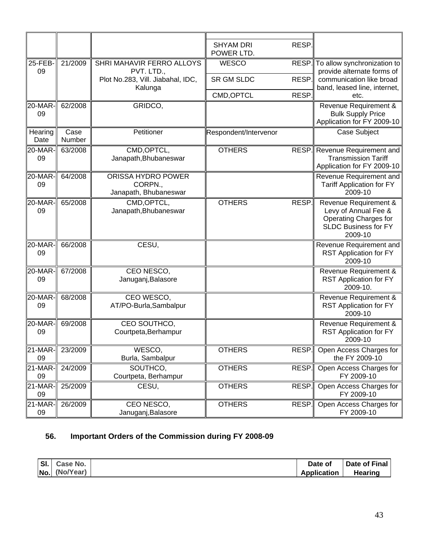|                  |                |                                                               | <b>SHYAM DRI</b><br>POWER LTD. | <b>RESP</b> |                                                                                                                         |
|------------------|----------------|---------------------------------------------------------------|--------------------------------|-------------|-------------------------------------------------------------------------------------------------------------------------|
| 25-FEB-<br>09    | 21/2009        | SHRI MAHAVIR FERRO ALLOYS<br>PVT. LTD.,                       | <b>WESCO</b>                   | RESP.       | To allow synchronization to<br>provide alternate forms of                                                               |
|                  |                | Plot No.283, Vill. Jiabahal, IDC,<br>Kalunga                  | SR GM SLDC                     | RESP.       | communication like broad<br>band, leased line, internet,                                                                |
|                  |                |                                                               | CMD, OPTCL                     | RESP.       | etc.                                                                                                                    |
| 20-MAR-<br>09    | 62/2008        | GRIDCO,                                                       |                                |             | Revenue Requirement &<br><b>Bulk Supply Price</b><br>Application for FY 2009-10                                         |
| Hearing<br>Date  | Case<br>Number | Petitioner                                                    | Respondent/Intervenor          |             | Case Subject                                                                                                            |
| 20-MAR-<br>09    | 63/2008        | CMD, OPTCL,<br>Janapath, Bhubaneswar                          | <b>OTHERS</b>                  | RESP.       | Revenue Requirement and<br><b>Transmission Tariff</b><br>Application for FY 2009-10                                     |
| 20-MAR-<br>09    | 64/2008        | <b>ORISSA HYDRO POWER</b><br>CORPN.,<br>Janapath, Bhubaneswar |                                |             | Revenue Requirement and<br><b>Tariff Application for FY</b><br>2009-10                                                  |
| $20-MAR -$<br>09 | 65/2008        | CMD, OPTCL,<br>Janapath, Bhubaneswar                          | <b>OTHERS</b>                  | RESP.       | Revenue Requirement &<br>Levy of Annual Fee &<br><b>Operating Charges for</b><br><b>SLDC Business for FY</b><br>2009-10 |
| 20-MAR-<br>09    | 66/2008        | CESU,                                                         |                                |             | Revenue Requirement and<br><b>RST Application for FY</b><br>2009-10                                                     |
| 20-MAR-<br>09    | 67/2008        | CEO NESCO,<br>Januganj, Balasore                              |                                |             | Revenue Requirement &<br><b>RST Application for FY</b><br>2009-10.                                                      |
| 20-MAR-<br>09    | 68/2008        | CEO WESCO,<br>AT/PO-Burla,Sambalpur                           |                                |             | Revenue Requirement &<br><b>RST Application for FY</b><br>2009-10                                                       |
| 20-MAR-<br>09    | 69/2008        | CEO SOUTHCO,<br>Courtpeta, Berhampur                          |                                |             | Revenue Requirement &<br><b>RST Application for FY</b><br>2009-10                                                       |
| 21-MAR-<br>09    | 23/2009        | WESCO,<br>Burla, Sambalpur                                    | <b>OTHERS</b>                  | RESP.       | Open Access Charges for<br>the FY 2009-10                                                                               |
| ∥21-MAR-<br>09   | 24/2009        | SOUTHCO,<br>Courtpeta, Berhampur                              | <b>OTHERS</b>                  | RESP.       | Open Access Charges for<br>FY 2009-10                                                                                   |
| ∥21-MAR-<br>09   | 25/2009        | CESU,                                                         | <b>OTHERS</b>                  | RESP.       | Open Access Charges for<br>FY 2009-10                                                                                   |
| 21-MAR-<br>09    | 26/2009        | CEO NESCO,<br>Januganj, Balasore                              | <b>OTHERS</b>                  | RESP.       | Open Access Charges for<br>FY 2009-10                                                                                   |

# **56. Important Orders of the Commission during FY 2008-09**

| ' SI. | Case No.  | Date of            | Date of Final  |
|-------|-----------|--------------------|----------------|
| No.   | (No/Year) | <b>Application</b> | <b>Hearing</b> |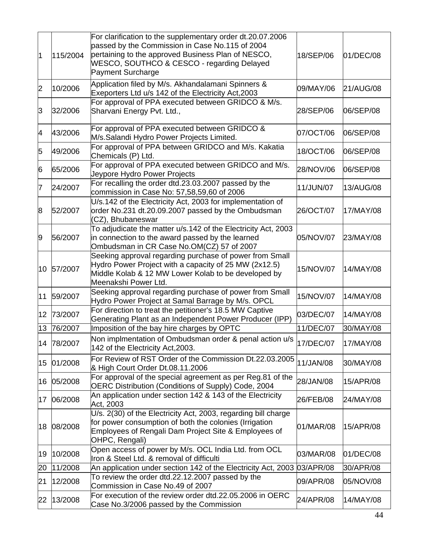| 1              | 115/2004   | For clarification to the supplementary order dt.20.07.2006<br>passed by the Commission in Case No.115 of 2004<br>pertaining to the approved Business Plan of NESCO,<br>WESCO, SOUTHCO & CESCO - regarding Delayed<br>Payment Surcharge | 18/SEP/06 | 01/DEC/08 |
|----------------|------------|----------------------------------------------------------------------------------------------------------------------------------------------------------------------------------------------------------------------------------------|-----------|-----------|
| $\overline{2}$ | 10/2006    | Application filed by M/s. Akhandalamani Spinners &<br>09/MAY/06<br>Exeporters Ltd u/s 142 of the Electricity Act, 2003                                                                                                                 |           | 21/AUG/08 |
| 3              | 32/2006    | For approval of PPA executed between GRIDCO & M/s.<br>Sharvani Energy Pvt. Ltd.,                                                                                                                                                       | 28/SEP/06 | 06/SEP/08 |
| 4              | 43/2006    | For approval of PPA executed between GRIDCO &<br>M/s.Salandi Hydro Power Projects Limited.                                                                                                                                             | 07/OCT/06 | 06/SEP/08 |
| 5              | 49/2006    | For approval of PPA between GRIDCO and M/s. Kakatia<br>Chemicals (P) Ltd.                                                                                                                                                              | 18/OCT/06 | 06/SEP/08 |
| 6              | 65/2006    | For approval of PPA executed between GRIDCO and M/s.<br>Jeypore Hydro Power Projects                                                                                                                                                   | 28/NOV/06 | 06/SEP/08 |
| 7              | 24/2007    | For recalling the order dtd.23.03.2007 passed by the<br>commission in Case No: 57,58,59,60 of 2006                                                                                                                                     | 11/JUN/07 | 13/AUG/08 |
| 8              | 52/2007    | U/s.142 of the Electricity Act, 2003 for implementation of<br>order No.231 dt.20.09.2007 passed by the Ombudsman<br>(CZ), Bhubaneswar                                                                                                  | 26/OCT/07 | 17/MAY/08 |
| 9              | 56/2007    | To adjudicate the matter u/s.142 of the Electricity Act, 2003<br>in connection to the award passed by the learned<br>Ombudsman in CR Case No.OM(CZ) 57 of 2007                                                                         | 05/NOV/07 | 23/MAY/08 |
| 10             | 57/2007    | Seeking approval regarding purchase of power from Small<br>Hydro Power Project with a capacity of 25 MW (2x12.5)<br>Middle Kolab & 12 MW Lower Kolab to be developed by<br>Meenakshi Power Ltd.                                        | 15/NOV/07 | 14/MAY/08 |
| 11             | 59/2007    | Seeking approval regarding purchase of power from Small<br>Hydro Power Project at Samal Barrage by M/s. OPCL                                                                                                                           | 15/NOV/07 | 14/MAY/08 |
| 12             | 73/2007    | For direction to treat the petitioner's 18.5 MW Captive<br>Generating Plant as an Independent Power Producer (IPP)                                                                                                                     | 03/DEC/07 | 14/MAY/08 |
| 13             | 76/2007    | Imposition of the bay hire charges by OPTC                                                                                                                                                                                             | 11/DEC/07 | 30/MAY/08 |
|                | 14 78/2007 | Non implmentation of Ombudsman order & penal action u/s<br>142 of the Electricity Act, 2003.                                                                                                                                           | 17/DEC/07 | 17/MAY/08 |
| 15             | 01/2008    | For Review of RST Order of the Commission Dt.22.03.2005<br>& High Court Order Dt.08.11.2006                                                                                                                                            | 11/JAN/08 | 30/MAY/08 |
| 16             | 05/2008    | For approval of the special agreement as per Reg.81 of the<br>OERC Distribution (Conditions of Supply) Code, 2004                                                                                                                      | 28/JAN/08 | 15/APR/08 |
| 17             | 06/2008    | An application under section 142 & 143 of the Electricity<br>Act, 2003                                                                                                                                                                 | 26/FEB/08 | 24/MAY/08 |
| 18             | 08/2008    | U/s. 2(30) of the Electricity Act, 2003, regarding bill charge<br>for power consumption of both the colonies (Irrigation<br>Employees of Rengali Dam Project Site & Employees of<br>OHPC, Rengali)                                     | 01/MAR/08 | 15/APR/08 |
| 19             | 10/2008    | Open access of power by M/s. OCL India Ltd. from OCL<br>Iron & Steel Ltd. & removal of difficulti                                                                                                                                      | 03/MAR/08 | 01/DEC/08 |
| 20             | 11/2008    | An application under section 142 of the Electricity Act, 2003                                                                                                                                                                          | 03/APR/08 | 30/APR/08 |
| 21             | 12/2008    | To review the order dtd.22.12.2007 passed by the<br>Commission in Case No.49 of 2007                                                                                                                                                   | 09/APR/08 | 05/NOV/08 |
| 22             | 13/2008    | For execution of the review order dtd.22.05.2006 in OERC<br>Case No.3/2006 passed by the Commission                                                                                                                                    | 24/APR/08 | 14/MAY/08 |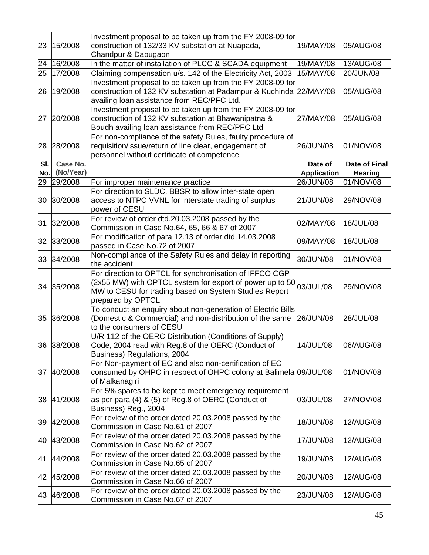| 23         | 15/2008               | Investment proposal to be taken up from the FY 2008-09 for<br>construction of 132/33 KV substation at Nuapada,                                                                                              | 19/MAY/08                     | 05/AUG/08                              |
|------------|-----------------------|-------------------------------------------------------------------------------------------------------------------------------------------------------------------------------------------------------------|-------------------------------|----------------------------------------|
|            |                       | Chandpur & Dabugaon                                                                                                                                                                                         |                               |                                        |
| 24         | 16/2008               | In the matter of installation of PLCC & SCADA equipment                                                                                                                                                     | 19/MAY/08                     | 13/AUG/08                              |
| 25         | 17/2008               | Claiming compensation u/s. 142 of the Electricity Act, 2003                                                                                                                                                 | 15/MAY/08                     | 20/JUN/08                              |
| 26         | 19/2008               | Investment proposal to be taken up from the FY 2008-09 for<br>construction of 132 KV substation at Padampur & Kuchinda 22/MAY/08<br>availing loan assistance from REC/PFC Ltd.                              |                               | 05/AUG/08                              |
| 27         | 20/2008               | Investment proposal to be taken up from the FY 2008-09 for<br>construction of 132 KV substation at Bhawanipatna &<br>Boudh availing loan assistance from REC/PFC Ltd                                        | 27/MAY/08                     | 05/AUG/08                              |
|            | 28 28/2008            | For non-compliance of the safety Rules, faulty procedure of<br>requisition/issue/return of line clear, engagement of<br>personnel without certificate of competence                                         | 26/JUN/08                     | 01/NOV/08                              |
| SI.<br>No. | Case No.<br>(No/Year) |                                                                                                                                                                                                             | Date of<br><b>Application</b> | <b>Date of Final</b><br><b>Hearing</b> |
| 29         | 29/2008               | For improper maintenance practice                                                                                                                                                                           | 26/JUN/08                     | 01/NOV/08                              |
| 30         | 30/2008               | For direction to SLDC, BBSR to allow inter-state open<br>access to NTPC VVNL for interstate trading of surplus<br>power of CESU                                                                             | 21/JUN/08                     | 29/NOV/08                              |
| 31         | 32/2008               | For review of order dtd.20.03.2008 passed by the<br>Commission in Case No.64, 65, 66 & 67 of 2007                                                                                                           | 02/MAY/08                     | 18/JUL/08                              |
| 32         | 33/2008               | For modification of para 12.13 of order dtd.14.03.2008<br>passed in Case No.72 of 2007                                                                                                                      | 09/MAY/08                     | 18/JUL/08                              |
| 33         | 34/2008               | Non-compliance of the Safety Rules and delay in reporting<br>the accident                                                                                                                                   | 30/JUN/08                     | 01/NOV/08                              |
|            | 34 35/2008            | For direction to OPTCL for synchronisation of IFFCO CGP<br>(2x55 MW) with OPTCL system for export of power up to 50 03/JUL/08<br>MW to CESU for trading based on System Studies Report<br>prepared by OPTCL |                               | 29/NOV/08                              |
| 35         | 36/2008               | To conduct an enquiry about non-generation of Electric Bills<br>(Domestic & Commercial) and non-distribution of the same<br>to the consumers of CESU                                                        | 26/JUN/08                     | 28/JUL/08                              |
|            | 36 38/2008            | U/R 112 of the OERC Distribution (Conditions of Supply)<br>Code, 2004 read with Reg.8 of the OERC (Conduct of<br>Business) Regulations, 2004                                                                | 14/JUL/08                     | 06/AUG/08                              |
|            | 37 40/2008            | For Non-payment of EC and also non-certification of EC<br>consumed by OHPC in respect of OHPC colony at Balimela 09/JUL/08<br>of Malkanagiri                                                                |                               | 01/NOV/08                              |
|            | 38 41/2008            | For 5% spares to be kept to meet emergency requirement<br>as per para (4) & (5) of Reg.8 of OERC (Conduct of<br>Business) Reg., 2004                                                                        | 03/JUL/08                     | 27/NOV/08                              |
| 39         | 42/2008               | For review of the order dated 20.03.2008 passed by the<br>Commission in Case No.61 of 2007                                                                                                                  | 18/JUN/08                     | 12/AUG/08                              |
| 40         | 43/2008               | For review of the order dated 20.03.2008 passed by the<br>Commission in Case No.62 of 2007                                                                                                                  | 17/JUN/08                     | 12/AUG/08                              |
| 41         | 44/2008               | For review of the order dated 20.03.2008 passed by the<br>Commission in Case No.65 of 2007                                                                                                                  | 19/JUN/08                     | 12/AUG/08                              |
| 42         | 45/2008               | For review of the order dated 20.03.2008 passed by the<br>Commission in Case No.66 of 2007                                                                                                                  | 20/JUN/08                     | 12/AUG/08                              |
| 43         | 46/2008               | For review of the order dated 20.03.2008 passed by the<br>Commission in Case No.67 of 2007                                                                                                                  | 23/JUN/08                     | 12/AUG/08                              |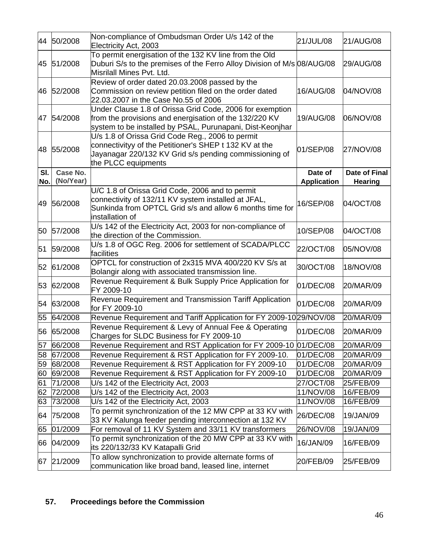| 44         | 50/2008               | Non-compliance of Ombudsman Order U/s 142 of the<br>Electricity Act, 2003                                                                                                                   | 21/JUL/08                     | 21/AUG/08                              |
|------------|-----------------------|---------------------------------------------------------------------------------------------------------------------------------------------------------------------------------------------|-------------------------------|----------------------------------------|
| 45         | 51/2008               | To permit energisation of the 132 KV line from the Old<br>Duburi S/s to the premises of the Ferro Alloy Division of M/s 08/AUG/08<br>Misrilall Mines Pvt. Ltd.                              |                               | 29/AUG/08                              |
| 46         | 52/2008               | Review of order dated 20.03.2008 passed by the<br>Commission on review petition filed on the order dated<br>22.03.2007 in the Case No.55 of 2006                                            | 16/AUG/08                     | 04/NOV/08                              |
| 47         | 54/2008               | Under Clause 1.8 of Orissa Grid Code, 2006 for exemption<br>from the provisions and energisation of the 132/220 KV<br>system to be installed by PSAL, Purunapani, Dist-Keonjhar             | 19/AUG/08                     | 06/NOV/08                              |
| 48         | 55/2008               | U/s 1.8 of Orissa Grid Code Reg., 2006 to permit<br>connectivityy of the Petitioner's SHEP t 132 KV at the<br>Jayanagar 220/132 KV Grid s/s pending commissioning of<br>the PLCC equipments | 01/SEP/08                     | 27/NOV/08                              |
| SI.<br>No. | Case No.<br>(No/Year) |                                                                                                                                                                                             | Date of<br><b>Application</b> | <b>Date of Final</b><br><b>Hearing</b> |
| 49         | 56/2008               | U/C 1.8 of Orissa Grid Code, 2006 and to permit<br>connectivity of 132/11 KV system installed at JFAL,<br>Sunkinda from OPTCL Grid s/s and allow 6 months time for<br>installation of       | 16/SEP/08                     | 04/OCT/08                              |
| 50         | 57/2008               | U/s 142 of the Electricity Act, 2003 for non-compliance of<br>the direction of the Commission.                                                                                              | 10/SEP/08                     | 04/OCT/08                              |
| 51         | 59/2008               | U/s 1.8 of OGC Reg. 2006 for settlement of SCADA/PLCC<br>facilities                                                                                                                         | 22/OCT/08                     | 05/NOV/08                              |
| 52         | 61/2008               | OPTCL for construction of 2x315 MVA 400/220 KV S/s at<br>Bolangir along with associated transmission line.                                                                                  | 30/OCT/08                     | 18/NOV/08                              |
| 53         | 62/2008               | Revenue Requirement & Bulk Supply Price Application for<br>FY 2009-10                                                                                                                       | 01/DEC/08                     | 20/MAR/09                              |
| 54         | 63/2008               | Revenue Requirement and Transmission Tariff Application<br>for FY 2009-10                                                                                                                   | 01/DEC/08                     | 20/MAR/09                              |
| 55         | 64/2008               | Revenue Requirement and Tariff Application for FY 2009-10 29/NOV/08                                                                                                                         |                               | 20/MAR/09                              |
| 56         | 65/2008               | Revenue Requirement & Levy of Annual Fee & Operating<br>Charges for SLDC Business for FY 2009-10                                                                                            | 01/DEC/08                     | 20/MAR/09                              |
|            | 57 66/2008            | Revenue Requirement and RST Application for FY 2009-10 01/DEC/08                                                                                                                            |                               | 20/MAR/09                              |
| 58         | 67/2008               | Revenue Requirement & RST Application for FY 2009-10.                                                                                                                                       | 01/DEC/08                     | 20/MAR/09                              |
| 59         | 68/2008               | Revenue Requirement & RST Application for FY 2009-10                                                                                                                                        | 01/DEC/08                     | 20/MAR/09                              |
| 60         | 69/2008               | Revenue Requirement & RST Application for FY 2009-10                                                                                                                                        | 01/DEC/08                     | 20/MAR/09                              |
| 61         | 71/2008               | U/s 142 of the Electricity Act, 2003                                                                                                                                                        | 27/OCT/08                     | 25/FEB/09                              |
| 62         | 72/2008               | U/s 142 of the Electricity Act, 2003                                                                                                                                                        | 11/NOV/08                     | 16/FEB/09                              |
| 63         | 73/2008               | U/s 142 of the Electricity Act, 2003                                                                                                                                                        | 11/NOV/08                     | 16/FEB/09                              |
| 64         | 75/2008               | To permit synchronization of the 12 MW CPP at 33 KV with<br>33 KV Kalunga feeder pending interconnection at 132 KV                                                                          | 26/DEC/08                     | 19/JAN/09                              |
| 65         | 01/2009               | For removal of 11 KV System and 33/11 KV transformers                                                                                                                                       | 26/NOV/08                     | 19/JAN/09                              |
| 66         | 04/2009               | To permit synchronization of the 20 MW CPP at 33 KV with<br>its 220/132/33 KV Katapalli Grid                                                                                                | 16/JAN/09                     | 16/FEB/09                              |
| 67         | 21/2009               | To allow synchronization to provide alternate forms of<br>communication like broad band, leased line, internet                                                                              | 20/FEB/09                     | 25/FEB/09                              |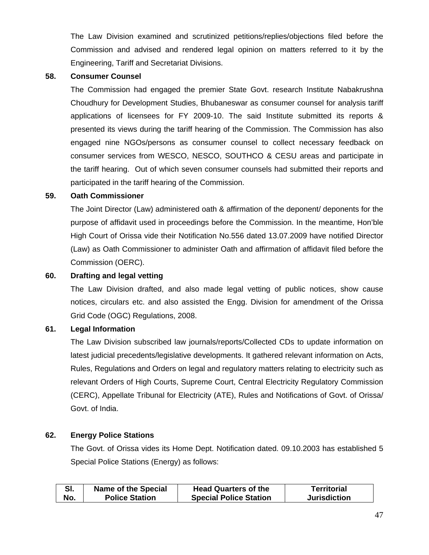The Law Division examined and scrutinized petitions/replies/objections filed before the Commission and advised and rendered legal opinion on matters referred to it by the Engineering, Tariff and Secretariat Divisions.

### **58. Consumer Counsel**

The Commission had engaged the premier State Govt. research Institute Nabakrushna Choudhury for Development Studies, Bhubaneswar as consumer counsel for analysis tariff applications of licensees for FY 2009-10. The said Institute submitted its reports & presented its views during the tariff hearing of the Commission. The Commission has also engaged nine NGOs/persons as consumer counsel to collect necessary feedback on consumer services from WESCO, NESCO, SOUTHCO & CESU areas and participate in the tariff hearing. Out of which seven consumer counsels had submitted their reports and participated in the tariff hearing of the Commission.

### **59. Oath Commissioner**

The Joint Director (Law) administered oath & affirmation of the deponent/ deponents for the purpose of affidavit used in proceedings before the Commission. In the meantime, Hon'ble High Court of Orissa vide their Notification No.556 dated 13.07.2009 have notified Director (Law) as Oath Commissioner to administer Oath and affirmation of affidavit filed before the Commission (OERC).

### **60. Drafting and legal vetting**

The Law Division drafted, and also made legal vetting of public notices, show cause notices, circulars etc. and also assisted the Engg. Division for amendment of the Orissa Grid Code (OGC) Regulations, 2008.

### **61. Legal Information**

The Law Division subscribed law journals/reports/Collected CDs to update information on latest judicial precedents/legislative developments. It gathered relevant information on Acts, Rules, Regulations and Orders on legal and regulatory matters relating to electricity such as relevant Orders of High Courts, Supreme Court, Central Electricity Regulatory Commission (CERC), Appellate Tribunal for Electricity (ATE), Rules and Notifications of Govt. of Orissa/ Govt. of India.

### **62. Energy Police Stations**

The Govt. of Orissa vides its Home Dept. Notification dated. 09.10.2003 has established 5 Special Police Stations (Energy) as follows:

| SI. | <b>Name of the Special</b> | <b>Head Quarters of the</b>   | Territorial         |
|-----|----------------------------|-------------------------------|---------------------|
| No. | <b>Police Station</b>      | <b>Special Police Station</b> | <b>Jurisdiction</b> |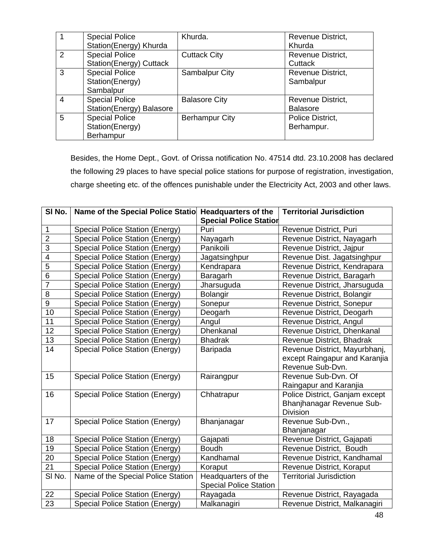| $\overline{1}$ | <b>Special Police</b>    | Khurda.               | Revenue District, |
|----------------|--------------------------|-----------------------|-------------------|
|                | Station(Energy) Khurda   |                       | Khurda            |
| 2              | <b>Special Police</b>    | <b>Cuttack City</b>   | Revenue District, |
|                | Station(Energy) Cuttack  |                       | Cuttack           |
| 3              | <b>Special Police</b>    | Sambalpur City        | Revenue District, |
|                | Station(Energy)          |                       | Sambalpur         |
|                | Sambalpur                |                       |                   |
| $\overline{4}$ | <b>Special Police</b>    | <b>Balasore City</b>  | Revenue District, |
|                | Station(Energy) Balasore |                       | <b>Balasore</b>   |
| 5              | <b>Special Police</b>    | <b>Berhampur City</b> | Police District,  |
|                | Station(Energy)          |                       | Berhampur.        |
|                | Berhampur                |                       |                   |

Besides, the Home Dept., Govt. of Orissa notification No. 47514 dtd. 23.10.2008 has declared the following 29 places to have special police stations for purpose of registration, investigation, charge sheeting etc. of the offences punishable under the Electricity Act, 2003 and other laws.

| SI No.          | Name of the Special Police Statio  | <b>Headquarters of the</b>    | <b>Territorial Jurisdiction</b> |
|-----------------|------------------------------------|-------------------------------|---------------------------------|
|                 |                                    | <b>Special Police Station</b> |                                 |
| 1               | Special Police Station (Energy)    | Puri                          | Revenue District, Puri          |
| $\overline{2}$  | Special Police Station (Energy)    | Nayagarh                      | Revenue District, Nayagarh      |
| $\overline{3}$  | Special Police Station (Energy)    | Panikoili                     | Revenue District, Jajpur        |
| 4               | Special Police Station (Energy)    | Jagatsinghpur                 | Revenue Dist. Jagatsinghpur     |
| $\overline{5}$  | Special Police Station (Energy)    | Kendrapara                    | Revenue District, Kendrapara    |
| $\overline{6}$  | Special Police Station (Energy)    | Baragarh                      | Revenue District, Baragarh      |
| $\overline{7}$  | Special Police Station (Energy)    | Jharsuguda                    | Revenue District, Jharsuguda    |
| $\overline{8}$  | Special Police Station (Energy)    | Bolangir                      | Revenue District, Bolangir      |
| $\overline{9}$  | Special Police Station (Energy)    | Sonepur                       | Revenue District, Sonepur       |
| 10              | Special Police Station (Energy)    | Deogarh                       | Revenue District, Deogarh       |
| 11              | Special Police Station (Energy)    | Angul                         | Revenue District, Angul         |
| 12              | Special Police Station (Energy)    | Dhenkanal                     | Revenue District, Dhenkanal     |
| 13              | Special Police Station (Energy)    | <b>Bhadrak</b>                | Revenue District, Bhadrak       |
| 14              | Special Police Station (Energy)    | Baripada                      | Revenue District, Mayurbhanj,   |
|                 |                                    |                               | except Raingapur and Karanjia   |
|                 |                                    |                               | Revenue Sub-Dvn.                |
| 15              | Special Police Station (Energy)    | Rairangpur                    | Revenue Sub-Dvn. Of             |
|                 |                                    |                               | Raingapur and Karanjia          |
| 16              | Special Police Station (Energy)    | Chhatrapur                    | Police District, Ganjam except  |
|                 |                                    |                               | Bhanjhanagar Revenue Sub-       |
|                 |                                    |                               | <b>Division</b>                 |
| 17              | Special Police Station (Energy)    | Bhanjanagar                   | Revenue Sub-Dvn.,               |
|                 |                                    |                               | Bhanjanagar                     |
| 18              | Special Police Station (Energy)    | Gajapati                      | Revenue District, Gajapati      |
| 19              | Special Police Station (Energy)    | <b>Boudh</b>                  | Revenue District, Boudh         |
| $\overline{20}$ | Special Police Station (Energy)    | Kandhamal                     | Revenue District, Kandhamal     |
| 21              | Special Police Station (Energy)    | Koraput                       | Revenue District, Koraput       |
| SI No.          | Name of the Special Police Station | Headquarters of the           | <b>Territorial Jurisdiction</b> |
|                 |                                    | <b>Special Police Station</b> |                                 |
| 22              | Special Police Station (Energy)    | Rayagada                      | Revenue District, Rayagada      |
| 23              | Special Police Station (Energy)    | Malkanagiri                   | Revenue District, Malkanagiri   |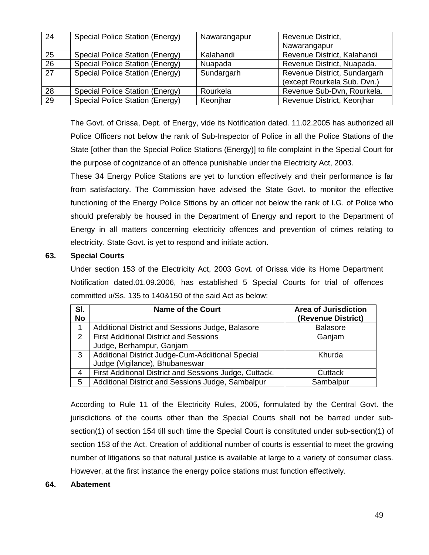| 24              | Special Police Station (Energy) | Nawarangapur | Revenue District,            |
|-----------------|---------------------------------|--------------|------------------------------|
|                 |                                 |              | Nawarangapur                 |
| 25              | Special Police Station (Energy) | Kalahandi    | Revenue District, Kalahandi  |
| 26              | Special Police Station (Energy) | Nuapada      | Revenue District, Nuapada.   |
| $\overline{27}$ | Special Police Station (Energy) | Sundargarh   | Revenue District, Sundargarh |
|                 |                                 |              | (except Rourkela Sub. Dvn.)  |
| 28              | Special Police Station (Energy) | Rourkela     | Revenue Sub-Dvn, Rourkela.   |
| 29              | Special Police Station (Energy) | Keonjhar     | Revenue District, Keonjhar   |

The Govt. of Orissa, Dept. of Energy, vide its Notification dated. 11.02.2005 has authorized all Police Officers not below the rank of Sub-Inspector of Police in all the Police Stations of the State [other than the Special Police Stations (Energy)] to file complaint in the Special Court for the purpose of cognizance of an offence punishable under the Electricity Act, 2003.

These 34 Energy Police Stations are yet to function effectively and their performance is far from satisfactory. The Commission have advised the State Govt. to monitor the effective functioning of the Energy Police Sttions by an officer not below the rank of I.G. of Police who should preferably be housed in the Department of Energy and report to the Department of Energy in all matters concerning electricity offences and prevention of crimes relating to electricity. State Govt. is yet to respond and initiate action.

### **63. Special Courts**

Under section 153 of the Electricity Act, 2003 Govt. of Orissa vide its Home Department Notification dated.01.09.2006, has established 5 Special Courts for trial of offences committed u/Ss. 135 to 140&150 of the said Act as below:

| SI.<br><b>No</b> | <b>Name of the Court</b>                               | <b>Area of Jurisdiction</b><br>(Revenue District) |
|------------------|--------------------------------------------------------|---------------------------------------------------|
|                  | Additional District and Sessions Judge, Balasore       | <b>Balasore</b>                                   |
| 2                | <b>First Additional District and Sessions</b>          | Ganjam                                            |
|                  | Judge, Berhampur, Ganjam                               |                                                   |
| 3                | Additional District Judge-Cum-Additional Special       | Khurda                                            |
|                  | Judge (Vigilance), Bhubaneswar                         |                                                   |
|                  | First Additional District and Sessions Judge, Cuttack. | <b>Cuttack</b>                                    |
| 5                | Additional District and Sessions Judge, Sambalpur      | Sambalpur                                         |

According to Rule 11 of the Electricity Rules, 2005, formulated by the Central Govt. the jurisdictions of the courts other than the Special Courts shall not be barred under subsection(1) of section 154 till such time the Special Court is constituted under sub-section(1) of section 153 of the Act. Creation of additional number of courts is essential to meet the growing number of litigations so that natural justice is available at large to a variety of consumer class. However, at the first instance the energy police stations must function effectively.

### **64. Abatement**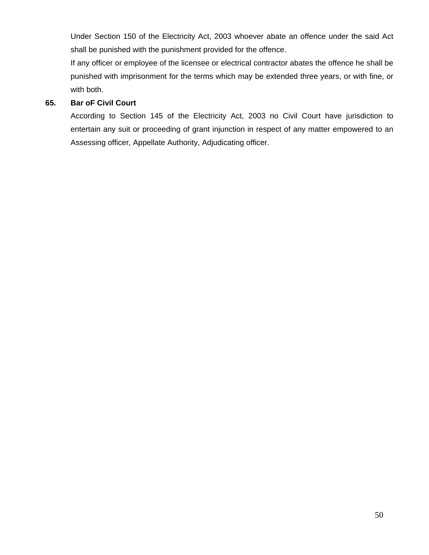Under Section 150 of the Electricity Act, 2003 whoever abate an offence under the said Act shall be punished with the punishment provided for the offence.

If any officer or employee of the licensee or electrical contractor abates the offence he shall be punished with imprisonment for the terms which may be extended three years, or with fine, or with both.

### **65. Bar oF Civil Court**

According to Section 145 of the Electricity Act, 2003 no Civil Court have jurisdiction to entertain any suit or proceeding of grant injunction in respect of any matter empowered to an Assessing officer, Appellate Authority, Adjudicating officer.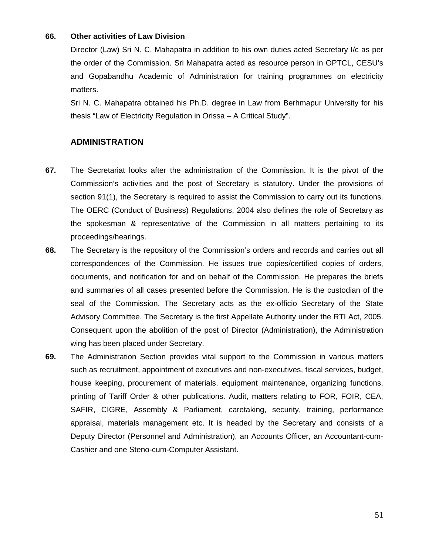#### **66. Other activities of Law Division**

Director (Law) Sri N. C. Mahapatra in addition to his own duties acted Secretary I/c as per the order of the Commission. Sri Mahapatra acted as resource person in OPTCL, CESU's and Gopabandhu Academic of Administration for training programmes on electricity matters.

Sri N. C. Mahapatra obtained his Ph.D. degree in Law from Berhmapur University for his thesis "Law of Electricity Regulation in Orissa – A Critical Study".

# **ADMINISTRATION**

- **67.** The Secretariat looks after the administration of the Commission. It is the pivot of the Commission's activities and the post of Secretary is statutory. Under the provisions of section 91(1), the Secretary is required to assist the Commission to carry out its functions. The OERC (Conduct of Business) Regulations, 2004 also defines the role of Secretary as the spokesman & representative of the Commission in all matters pertaining to its proceedings/hearings.
- **68.** The Secretary is the repository of the Commission's orders and records and carries out all correspondences of the Commission. He issues true copies/certified copies of orders, documents, and notification for and on behalf of the Commission. He prepares the briefs and summaries of all cases presented before the Commission. He is the custodian of the seal of the Commission. The Secretary acts as the ex-officio Secretary of the State Advisory Committee. The Secretary is the first Appellate Authority under the RTI Act, 2005. Consequent upon the abolition of the post of Director (Administration), the Administration wing has been placed under Secretary.
- **69.** The Administration Section provides vital support to the Commission in various matters such as recruitment, appointment of executives and non-executives, fiscal services, budget, house keeping, procurement of materials, equipment maintenance, organizing functions, printing of Tariff Order & other publications. Audit, matters relating to FOR, FOIR, CEA, SAFIR, CIGRE, Assembly & Parliament, caretaking, security, training, performance appraisal, materials management etc. It is headed by the Secretary and consists of a Deputy Director (Personnel and Administration), an Accounts Officer, an Accountant-cum-Cashier and one Steno-cum-Computer Assistant.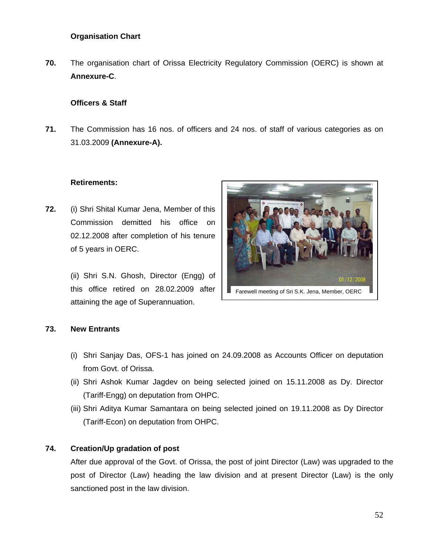### **Organisation Chart**

**70.** The organisation chart of Orissa Electricity Regulatory Commission (OERC) is shown at **Annexure-C**.

### **Officers & Staff**

**71.** The Commission has 16 nos. of officers and 24 nos. of staff of various categories as on 31.03.2009 **(Annexure-A).**

### **Retirements:**

**72.** (i) Shri Shital Kumar Jena, Member of this Commission demitted his office on 02.12.2008 after completion of his tenure of 5 years in OERC.

> (ii) Shri S.N. Ghosh, Director (Engg) of this office retired on 28.02.2009 after attaining the age of Superannuation.



### **73. New Entrants**

- (i) Shri Sanjay Das, OFS-1 has joined on 24.09.2008 as Accounts Officer on deputation from Govt. of Orissa.
- (ii) Shri Ashok Kumar Jagdev on being selected joined on 15.11.2008 as Dy. Director (Tariff-Engg) on deputation from OHPC.
- (iii) Shri Aditya Kumar Samantara on being selected joined on 19.11.2008 as Dy Director (Tariff-Econ) on deputation from OHPC.

### **74. Creation/Up gradation of post**

After due approval of the Govt. of Orissa, the post of joint Director (Law) was upgraded to the post of Director (Law) heading the law division and at present Director (Law) is the only sanctioned post in the law division.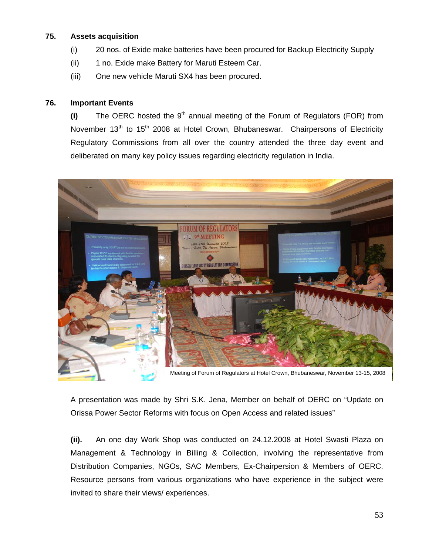### **75. Assets acquisition**

- (i) 20 nos. of Exide make batteries have been procured for Backup Electricity Supply
- (ii) 1 no. Exide make Battery for Maruti Esteem Car.
- (iii) One new vehicle Maruti SX4 has been procured.

# **76. Important Events**

**(i)** The OERC hosted the 9<sup>th</sup> annual meeting of the Forum of Regulators (FOR) from November  $13<sup>th</sup>$  to  $15<sup>th</sup>$  2008 at Hotel Crown, Bhubaneswar. Chairpersons of Electricity Regulatory Commissions from all over the country attended the three day event and deliberated on many key policy issues regarding electricity regulation in India.



Meeting of Forum of Regulators at Hotel Crown, Bhubaneswar, November 13-15, 2008

A presentation was made by Shri S.K. Jena, Member on behalf of OERC on "Update on Orissa Power Sector Reforms with focus on Open Access and related issues"

**(ii).** An one day Work Shop was conducted on 24.12.2008 at Hotel Swasti Plaza on Management & Technology in Billing & Collection, involving the representative from Distribution Companies, NGOs, SAC Members, Ex-Chairpersion & Members of OERC. Resource persons from various organizations who have experience in the subject were invited to share their views/ experiences.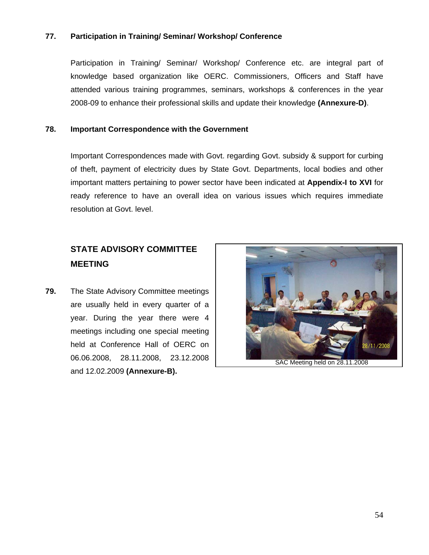### **77. Participation in Training/ Seminar/ Workshop/ Conference**

Participation in Training/ Seminar/ Workshop/ Conference etc. are integral part of knowledge based organization like OERC. Commissioners, Officers and Staff have attended various training programmes, seminars, workshops & conferences in the year 2008-09 to enhance their professional skills and update their knowledge **(Annexure-D)**.

### **78. Important Correspondence with the Government**

Important Correspondences made with Govt. regarding Govt. subsidy & support for curbing of theft, payment of electricity dues by State Govt. Departments, local bodies and other important matters pertaining to power sector have been indicated at **Appendix-I to XVI** for ready reference to have an overall idea on various issues which requires immediate resolution at Govt. level.

# **STATE ADVISORY COMMITTEE MEETING**

**79.** The State Advisory Committee meetings are usually held in every quarter of a year. During the year there were 4 meetings including one special meeting held at Conference Hall of OERC on 06.06.2008, 28.11.2008, 23.12.2008 and 12.02.2009 **(Annexure-B).**



SAC Meeting held on 28.11.2008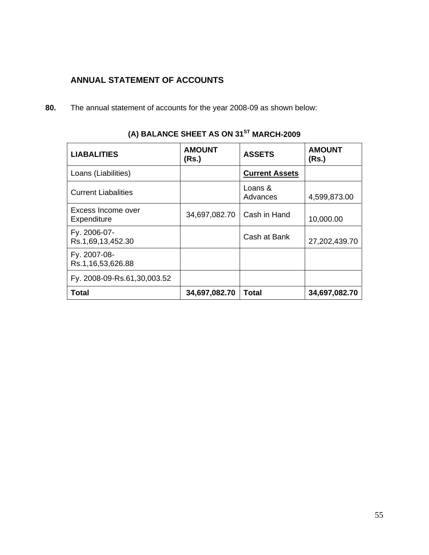# **ANNUAL STATEMENT OF ACCOUNTS**

**80.** The annual statement of accounts for the year 2008-09 as shown below:

| <b>LIABALITIES</b>                | <b>AMOUNT</b><br>(Rs.) | <b>ASSETS</b>         | <b>AMOUNT</b><br>(Rs.) |
|-----------------------------------|------------------------|-----------------------|------------------------|
| Loans (Liabilities)               |                        | <b>Current Assets</b> |                        |
| <b>Current Liabalities</b>        |                        | Loans &<br>Advances   | 4,599,873.00           |
| Excess Income over<br>Expenditure | 34,697,082.70          | Cash in Hand          | 10,000.00              |
| Fy. 2006-07-<br>Rs.1,69,13,452.30 |                        | Cash at Bank          | 27,202,439.70          |
| Fy. 2007-08-<br>Rs.1,16,53,626.88 |                        |                       |                        |
| Fy. 2008-09-Rs.61,30,003.52       |                        |                       |                        |
| Total                             | 34,697,082.70          | Total                 | 34,697,082.70          |

**(A) BALANCE SHEET AS ON 31ST MARCH-2009**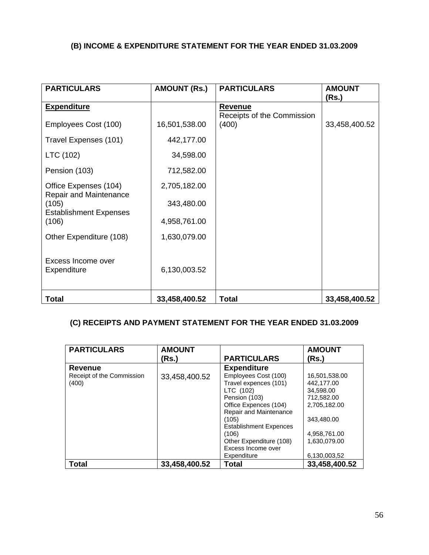# **(B) INCOME & EXPENDITURE STATEMENT FOR THE YEAR ENDED 31.03.2009**

| <b>PARTICULARS</b>                              | <b>AMOUNT (Rs.)</b> | <b>PARTICULARS</b>                           | <b>AMOUNT</b> |
|-------------------------------------------------|---------------------|----------------------------------------------|---------------|
| <b>Expenditure</b>                              |                     | <b>Revenue</b><br>Receipts of the Commission | (Rs.)         |
| Employees Cost (100)                            | 16,501,538.00       | (400)                                        | 33,458,400.52 |
| Travel Expenses (101)                           | 442,177.00          |                                              |               |
| LTC (102)                                       | 34,598.00           |                                              |               |
| Pension (103)                                   | 712,582.00          |                                              |               |
| Office Expenses (104)<br>Repair and Maintenance | 2,705,182.00        |                                              |               |
| (105)<br><b>Establishment Expenses</b>          | 343,480.00          |                                              |               |
| (106)                                           | 4,958,761.00        |                                              |               |
| Other Expenditure (108)                         | 1,630,079.00        |                                              |               |
| Excess Income over<br>Expenditure               | 6,130,003.52        |                                              |               |
| <b>Total</b>                                    | 33,458,400.52       | <b>Total</b>                                 | 33,458,400.52 |

# **(C) RECEIPTS AND PAYMENT STATEMENT FOR THE YEAR ENDED 31.03.2009**

| <b>PARTICULARS</b>        | <b>AMOUNT</b> |                               | <b>AMOUNT</b> |
|---------------------------|---------------|-------------------------------|---------------|
|                           | (Rs.)         | <b>PARTICULARS</b>            | (Rs.)         |
| Revenue                   |               | <b>Expenditure</b>            |               |
| Receipt of the Commission | 33,458,400.52 | Employees Cost (100)          | 16,501,538.00 |
| (400)                     |               | Travel expences (101)         | 442,177.00    |
|                           |               | LTC (102)                     | 34,598.00     |
|                           |               | Pension (103)                 | 712,582.00    |
|                           |               | Office Expences (104)         | 2,705,182.00  |
|                           |               | Repair and Maintenance        |               |
|                           |               | (105)                         | 343,480.00    |
|                           |               | <b>Establishment Expences</b> |               |
|                           |               | (106)                         | 4.958.761.00  |
|                           |               | Other Expenditure (108)       | 1,630,079.00  |
|                           |               | Excess Income over            |               |
|                           |               | Expenditure                   | 6,130,003,52  |
| Total                     | 33,458,400.52 | Total                         | 33,458,400.52 |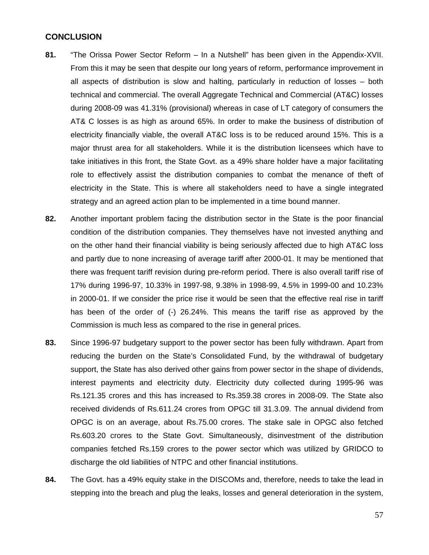### **CONCLUSION**

- **81.** "The Orissa Power Sector Reform In a Nutshell" has been given in the Appendix-XVII. From this it may be seen that despite our long years of reform, performance improvement in all aspects of distribution is slow and halting, particularly in reduction of losses – both technical and commercial. The overall Aggregate Technical and Commercial (AT&C) losses during 2008-09 was 41.31% (provisional) whereas in case of LT category of consumers the AT& C losses is as high as around 65%. In order to make the business of distribution of electricity financially viable, the overall AT&C loss is to be reduced around 15%. This is a major thrust area for all stakeholders. While it is the distribution licensees which have to take initiatives in this front, the State Govt. as a 49% share holder have a major facilitating role to effectively assist the distribution companies to combat the menance of theft of electricity in the State. This is where all stakeholders need to have a single integrated strategy and an agreed action plan to be implemented in a time bound manner.
- **82.** Another important problem facing the distribution sector in the State is the poor financial condition of the distribution companies. They themselves have not invested anything and on the other hand their financial viability is being seriously affected due to high AT&C loss and partly due to none increasing of average tariff after 2000-01. It may be mentioned that there was frequent tariff revision during pre-reform period. There is also overall tariff rise of 17% during 1996-97, 10.33% in 1997-98, 9.38% in 1998-99, 4.5% in 1999-00 and 10.23% in 2000-01. If we consider the price rise it would be seen that the effective real rise in tariff has been of the order of (-) 26.24%. This means the tariff rise as approved by the Commission is much less as compared to the rise in general prices.
- **83.** Since 1996-97 budgetary support to the power sector has been fully withdrawn. Apart from reducing the burden on the State's Consolidated Fund, by the withdrawal of budgetary support, the State has also derived other gains from power sector in the shape of dividends, interest payments and electricity duty. Electricity duty collected during 1995-96 was Rs.121.35 crores and this has increased to Rs.359.38 crores in 2008-09. The State also received dividends of Rs.611.24 crores from OPGC till 31.3.09. The annual dividend from OPGC is on an average, about Rs.75.00 crores. The stake sale in OPGC also fetched Rs.603.20 crores to the State Govt. Simultaneously, disinvestment of the distribution companies fetched Rs.159 crores to the power sector which was utilized by GRIDCO to discharge the old liabilities of NTPC and other financial institutions.
- **84.** The Govt. has a 49% equity stake in the DISCOMs and, therefore, needs to take the lead in stepping into the breach and plug the leaks, losses and general deterioration in the system,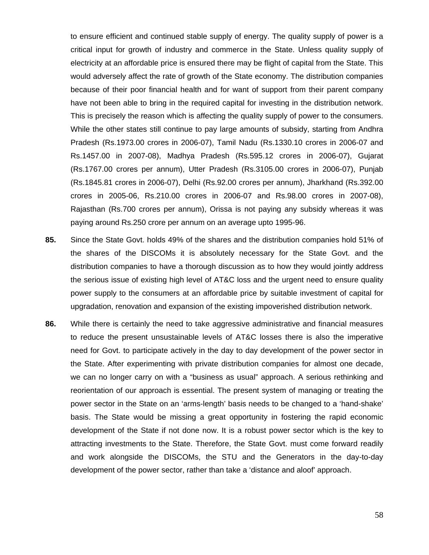to ensure efficient and continued stable supply of energy. The quality supply of power is a critical input for growth of industry and commerce in the State. Unless quality supply of electricity at an affordable price is ensured there may be flight of capital from the State. This would adversely affect the rate of growth of the State economy. The distribution companies because of their poor financial health and for want of support from their parent company have not been able to bring in the required capital for investing in the distribution network. This is precisely the reason which is affecting the quality supply of power to the consumers. While the other states still continue to pay large amounts of subsidy, starting from Andhra Pradesh (Rs.1973.00 crores in 2006-07), Tamil Nadu (Rs.1330.10 crores in 2006-07 and Rs.1457.00 in 2007-08), Madhya Pradesh (Rs.595.12 crores in 2006-07), Gujarat (Rs.1767.00 crores per annum), Utter Pradesh (Rs.3105.00 crores in 2006-07), Punjab (Rs.1845.81 crores in 2006-07), Delhi (Rs.92.00 crores per annum), Jharkhand (Rs.392.00 crores in 2005-06, Rs.210.00 crores in 2006-07 and Rs.98.00 crores in 2007-08), Rajasthan (Rs.700 crores per annum), Orissa is not paying any subsidy whereas it was paying around Rs.250 crore per annum on an average upto 1995-96.

- **85.** Since the State Govt. holds 49% of the shares and the distribution companies hold 51% of the shares of the DISCOMs it is absolutely necessary for the State Govt. and the distribution companies to have a thorough discussion as to how they would jointly address the serious issue of existing high level of AT&C loss and the urgent need to ensure quality power supply to the consumers at an affordable price by suitable investment of capital for upgradation, renovation and expansion of the existing impoverished distribution network.
- **86.** While there is certainly the need to take aggressive administrative and financial measures to reduce the present unsustainable levels of AT&C losses there is also the imperative need for Govt. to participate actively in the day to day development of the power sector in the State. After experimenting with private distribution companies for almost one decade, we can no longer carry on with a "business as usual" approach. A serious rethinking and reorientation of our approach is essential. The present system of managing or treating the power sector in the State on an 'arms-length' basis needs to be changed to a 'hand-shake' basis. The State would be missing a great opportunity in fostering the rapid economic development of the State if not done now. It is a robust power sector which is the key to attracting investments to the State. Therefore, the State Govt. must come forward readily and work alongside the DISCOMs, the STU and the Generators in the day-to-day development of the power sector, rather than take a 'distance and aloof' approach.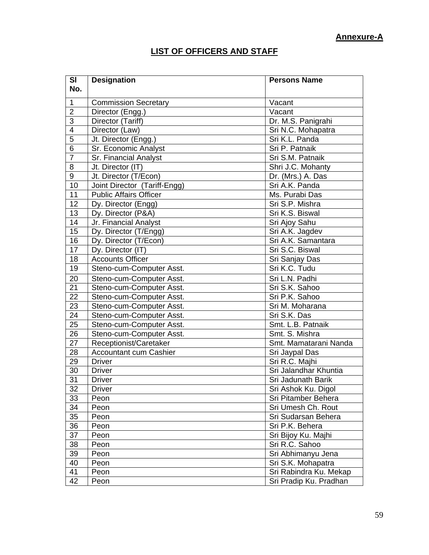# **LIST OF OFFICERS AND STAFF**

| <b>SI</b>      | <b>Designation</b>            | <b>Persons Name</b>    |
|----------------|-------------------------------|------------------------|
| No.            |                               |                        |
| $\mathbf{1}$   | <b>Commission Secretary</b>   | Vacant                 |
| $\overline{2}$ | Director (Engg.)              | Vacant                 |
| $\overline{3}$ | Director (Tariff)             | Dr. M.S. Panigrahi     |
| $\overline{4}$ | Director (Law)                | Sri N.C. Mohapatra     |
| 5              | Jt. Director (Engg.)          | Sri K.L. Panda         |
| 6              | Sr. Economic Analyst          | Sri P. Patnaik         |
| $\overline{7}$ | Sr. Financial Analyst         | Sri S.M. Patnaik       |
| 8              | Jt. Director (IT)             | Shri J.C. Mohanty      |
| 9              | Jt. Director (T/Econ)         | Dr. (Mrs.) A. Das      |
| 10             | Joint Director (Tariff-Engg)  | Sri A.K. Panda         |
| 11             | <b>Public Affairs Officer</b> | Ms. Purabi Das         |
| 12             | Dy. Director (Engg)           | Sri S.P. Mishra        |
| 13             | Dy. Director (P&A)            | Sri K.S. Biswal        |
| 14             | Jr. Financial Analyst         | Sri Ajoy Sahu          |
| 15             | Dy. Director (T/Engg)         | Sri A.K. Jagdev        |
| 16             | Dy. Director (T/Econ)         | Sri A.K. Samantara     |
| 17             | Dy. Director (IT)             | Sri S.C. Biswal        |
| 18             | <b>Accounts Officer</b>       | Sri Sanjay Das         |
| 19             | Steno-cum-Computer Asst.      | Sri K.C. Tudu          |
| 20             | Steno-cum-Computer Asst.      | Sri L.N. Padhi         |
| 21             | Steno-cum-Computer Asst.      | Sri S.K. Sahoo         |
| 22             | Steno-cum-Computer Asst.      | Sri P.K. Sahoo         |
| 23             | Steno-cum-Computer Asst.      | Sri M. Moharana        |
| 24             | Steno-cum-Computer Asst.      | Sri S.K. Das           |
| 25             | Steno-cum-Computer Asst.      | Smt. L.B. Patnaik      |
| 26             | Steno-cum-Computer Asst.      | Smt. S. Mishra         |
| 27             | Receptionist/Caretaker        | Smt. Mamatarani Nanda  |
| 28             | <b>Accountant cum Cashier</b> | Sri Jaypal Das         |
| 29             | <b>Driver</b>                 | Sri R.C. Majhi         |
| 30             | <b>Driver</b>                 | Sri Jalandhar Khuntia  |
| 31             | <b>Driver</b>                 | Sri Jadunath Barik     |
| 32             | <b>Driver</b>                 | Sri Ashok Ku. Digol    |
| 33             | Peon                          | Sri Pitamber Behera    |
| 34             | Peon                          | Sri Umesh Ch. Rout     |
| 35             | Peon                          | Sri Sudarsan Behera    |
| 36             | Peon                          | Sri P.K. Behera        |
| 37             | Peon                          | Sri Bijoy Ku. Majhi    |
| 38             | Peon                          | Sri R.C. Sahoo         |
| 39             | Peon                          | Sri Abhimanyu Jena     |
| 40             | Peon                          | Sri S.K. Mohapatra     |
| 41             | Peon                          | Sri Rabindra Ku. Mekap |
| 42             | Peon                          | Sri Pradip Ku. Pradhan |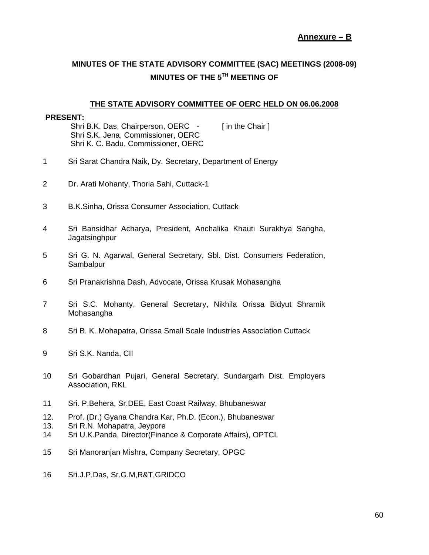# **MINUTES OF THE STATE ADVISORY COMMITTEE (SAC) MEETINGS (2008-09) MINUTES OF THE 5TH MEETING OF**

### **THE STATE ADVISORY COMMITTEE OF OERC HELD ON 06.06.2008**

# **PRESENT:**  Shri B.K. Das, Chairperson, OERC - [in the Chair ] Shri S.K. Jena, Commissioner, OERC Shri K. C. Badu, Commissioner, OERC 1 Sri Sarat Chandra Naik, Dy. Secretary, Department of Energy 2 Dr. Arati Mohanty, Thoria Sahi, Cuttack-1 3 B.K.Sinha, Orissa Consumer Association, Cuttack 4 Sri Bansidhar Acharya, President, Anchalika Khauti Surakhya Sangha, Jagatsinghpur 5 Sri G. N. Agarwal, General Secretary, Sbl. Dist. Consumers Federation, **Sambalpur** 6 Sri Pranakrishna Dash, Advocate, Orissa Krusak Mohasangha 7 Sri S.C. Mohanty, General Secretary, Nikhila Orissa Bidyut Shramik Mohasangha 8 Sri B. K. Mohapatra, Orissa Small Scale Industries Association Cuttack 9 Sri S.K. Nanda, CII 10 Sri Gobardhan Pujari, General Secretary, Sundargarh Dist. Employers Association, RKL 11 Sri. P.Behera, Sr.DEE, East Coast Railway, Bhubaneswar 12. 13. 14 Prof. (Dr.) Gyana Chandra Kar, Ph.D. (Econ.), Bhubaneswar Sri R.N. Mohapatra, Jeypore Sri U.K.Panda, Director(Finance & Corporate Affairs), OPTCL 15 Sri Manoranjan Mishra, Company Secretary, OPGC

16 Sri.J.P.Das, Sr.G.M,R&T,GRIDCO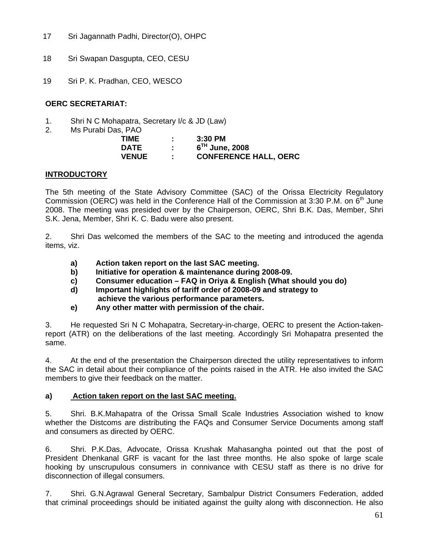- 17 Sri Jagannath Padhi, Director(O), OHPC
- 18 Sri Swapan Dasgupta, CEO, CESU
- 19 Sri P. K. Pradhan, CEO, WESCO

### **OERC SECRETARIAT:**

- 1. Shri N C Mohapatra, Secretary I/c & JD (Law)
- 2. Ms Purabi Das, PAO

| TIME         | 3:30 PM                      |
|--------------|------------------------------|
| DATE         | 6 <sup>TH</sup> June, 2008   |
| <b>VENUE</b> | <b>CONFERENCE HALL, OERC</b> |

### **INTRODUCTORY**

The 5th meeting of the State Advisory Committee (SAC) of the Orissa Electricity Regulatory Commission (OERC) was held in the Conference Hall of the Commission at 3:30 P.M. on  $6<sup>th</sup>$  June 2008. The meeting was presided over by the Chairperson, OERC, Shri B.K. Das, Member, Shri S.K. Jena, Member, Shri K. C. Badu were also present.

2. Shri Das welcomed the members of the SAC to the meeting and introduced the agenda items, viz.

- **a) Action taken report on the last SAC meeting.**
- **b) Initiative for operation & maintenance during 2008-09.**
- **c) Consumer education FAQ in Oriya & English (What should you do)**
- **d) Important highlights of tariff order of 2008-09 and strategy to achieve the various performance parameters.**
- **e) Any other matter with permission of the chair.**

3. He requested Sri N C Mohapatra, Secretary-in-charge, OERC to present the Action-takenreport (ATR) on the deliberations of the last meeting. Accordingly Sri Mohapatra presented the same.

4. At the end of the presentation the Chairperson directed the utility representatives to inform the SAC in detail about their compliance of the points raised in the ATR. He also invited the SAC members to give their feedback on the matter.

### **a) Action taken report on the last SAC meeting.**

5. Shri. B.K.Mahapatra of the Orissa Small Scale Industries Association wished to know whether the Distcoms are distributing the FAQs and Consumer Service Documents among staff and consumers as directed by OERC.

6. Shri. P.K.Das, Advocate, Orissa Krushak Mahasangha pointed out that the post of President Dhenkanal GRF is vacant for the last three months. He also spoke of large scale hooking by unscrupulous consumers in connivance with CESU staff as there is no drive for disconnection of illegal consumers.

7. Shri. G.N.Agrawal General Secretary, Sambalpur District Consumers Federation, added that criminal proceedings should be initiated against the guilty along with disconnection. He also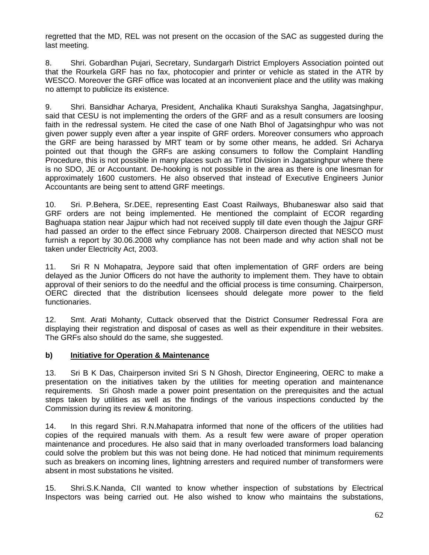regretted that the MD, REL was not present on the occasion of the SAC as suggested during the last meeting.

8. Shri. Gobardhan Pujari, Secretary, Sundargarh District Employers Association pointed out that the Rourkela GRF has no fax, photocopier and printer or vehicle as stated in the ATR by WESCO. Moreover the GRF office was located at an inconvenient place and the utility was making no attempt to publicize its existence.

9. Shri. Bansidhar Acharya, President, Anchalika Khauti Surakshya Sangha, Jagatsinghpur, said that CESU is not implementing the orders of the GRF and as a result consumers are loosing faith in the redressal system. He cited the case of one Nath Bhol of Jagatsinghpur who was not given power supply even after a year inspite of GRF orders. Moreover consumers who approach the GRF are being harassed by MRT team or by some other means, he added. Sri Acharya pointed out that though the GRFs are asking consumers to follow the Complaint Handling Procedure, this is not possible in many places such as Tirtol Division in Jagatsinghpur where there is no SDO, JE or Accountant. De-hooking is not possible in the area as there is one linesman for approximately 1600 customers. He also observed that instead of Executive Engineers Junior Accountants are being sent to attend GRF meetings.

10. Sri. P.Behera, Sr.DEE, representing East Coast Railways, Bhubaneswar also said that GRF orders are not being implemented. He mentioned the complaint of ECOR regarding Baghuapa station near Jajpur which had not received supply till date even though the Jajpur GRF had passed an order to the effect since February 2008. Chairperson directed that NESCO must furnish a report by 30.06.2008 why compliance has not been made and why action shall not be taken under Electricity Act, 2003.

11. Sri R N Mohapatra, Jeypore said that often implementation of GRF orders are being delayed as the Junior Officers do not have the authority to implement them. They have to obtain approval of their seniors to do the needful and the official process is time consuming. Chairperson, OERC directed that the distribution licensees should delegate more power to the field functionaries.

12. Smt. Arati Mohanty, Cuttack observed that the District Consumer Redressal Fora are displaying their registration and disposal of cases as well as their expenditure in their websites. The GRFs also should do the same, she suggested.

### **b) Initiative for Operation & Maintenance**

13. Sri B K Das, Chairperson invited Sri S N Ghosh, Director Engineering, OERC to make a presentation on the initiatives taken by the utilities for meeting operation and maintenance requirements. Sri Ghosh made a power point presentation on the prerequisites and the actual steps taken by utilities as well as the findings of the various inspections conducted by the Commission during its review & monitoring.

14. In this regard Shri. R.N.Mahapatra informed that none of the officers of the utilities had copies of the required manuals with them. As a result few were aware of proper operation maintenance and procedures. He also said that in many overloaded transformers load balancing could solve the problem but this was not being done. He had noticed that minimum requirements such as breakers on incoming lines, lightning arresters and required number of transformers were absent in most substations he visited.

15. Shri.S.K.Nanda, CII wanted to know whether inspection of substations by Electrical Inspectors was being carried out. He also wished to know who maintains the substations,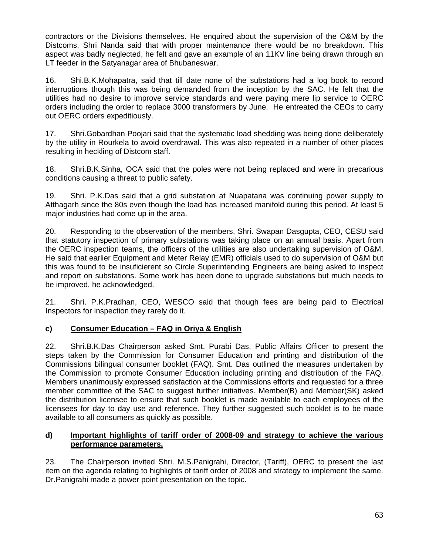contractors or the Divisions themselves. He enquired about the supervision of the O&M by the Distcoms. Shri Nanda said that with proper maintenance there would be no breakdown. This aspect was badly neglected, he felt and gave an example of an 11KV line being drawn through an LT feeder in the Satyanagar area of Bhubaneswar.

16. Shi.B.K.Mohapatra, said that till date none of the substations had a log book to record interruptions though this was being demanded from the inception by the SAC. He felt that the utilities had no desire to improve service standards and were paying mere lip service to OERC orders including the order to replace 3000 transformers by June. He entreated the CEOs to carry out OERC orders expeditiously.

17. Shri.Gobardhan Poojari said that the systematic load shedding was being done deliberately by the utility in Rourkela to avoid overdrawal. This was also repeated in a number of other places resulting in heckling of Distcom staff.

18. Shri.B.K.Sinha, OCA said that the poles were not being replaced and were in precarious conditions causing a threat to public safety.

19. Shri. P.K.Das said that a grid substation at Nuapatana was continuing power supply to Atthagarh since the 80s even though the load has increased manifold during this period. At least 5 major industries had come up in the area.

20. Responding to the observation of the members, Shri. Swapan Dasgupta, CEO, CESU said that statutory inspection of primary substations was taking place on an annual basis. Apart from the OERC inspection teams, the officers of the utilities are also undertaking supervision of O&M. He said that earlier Equipment and Meter Relay (EMR) officials used to do supervision of O&M but this was found to be insuficierent so Circle Superintending Engineers are being asked to inspect and report on substations. Some work has been done to upgrade substations but much needs to be improved, he acknowledged.

21. Shri. P.K.Pradhan, CEO, WESCO said that though fees are being paid to Electrical Inspectors for inspection they rarely do it.

# **c) Consumer Education – FAQ in Oriya & English**

22. Shri.B.K.Das Chairperson asked Smt. Purabi Das, Public Affairs Officer to present the steps taken by the Commission for Consumer Education and printing and distribution of the Commissions bilingual consumer booklet (FAQ). Smt. Das outlined the measures undertaken by the Commission to promote Consumer Education including printing and distribution of the FAQ. Members unanimously expressed satisfaction at the Commissions efforts and requested for a three member committee of the SAC to suggest further initiatives. Member(B) and Member(SK) asked the distribution licensee to ensure that such booklet is made available to each employees of the licensees for day to day use and reference. They further suggested such booklet is to be made available to all consumers as quickly as possible.

### **d) Important highlights of tariff order of 2008-09 and strategy to achieve the various performance parameters.**

23. The Chairperson invited Shri. M.S.Panigrahi, Director, (Tariff), OERC to present the last item on the agenda relating to highlights of tariff order of 2008 and strategy to implement the same. Dr.Panigrahi made a power point presentation on the topic.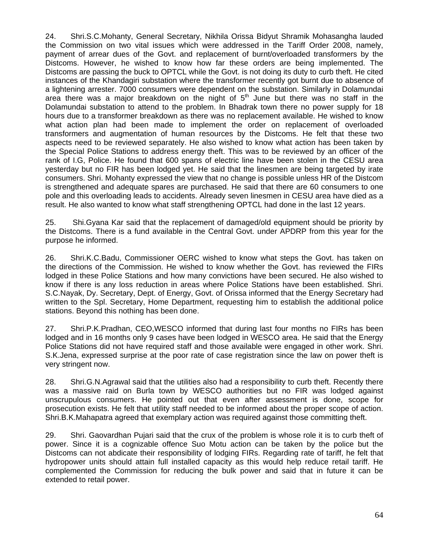24. Shri.S.C.Mohanty, General Secretary, Nikhila Orissa Bidyut Shramik Mohasangha lauded the Commission on two vital issues which were addressed in the Tariff Order 2008, namely, payment of arrear dues of the Govt. and replacement of burnt/overloaded transformers by the Distcoms. However, he wished to know how far these orders are being implemented. The Distcoms are passing the buck to OPTCL while the Govt. is not doing its duty to curb theft. He cited instances of the Khandagiri substation where the transformer recently got burnt due to absence of a lightening arrester. 7000 consumers were dependent on the substation. Similarly in Dolamundai area there was a major breakdown on the night of  $5<sup>th</sup>$  June but there was no staff in the Dolamundai substation to attend to the problem. In Bhadrak town there no power supply for 18 hours due to a transformer breakdown as there was no replacement available. He wished to know what action plan had been made to implement the order on replacement of overloaded transformers and augmentation of human resources by the Distcoms. He felt that these two aspects need to be reviewed separately. He also wished to know what action has been taken by the Special Police Stations to address energy theft. This was to be reviewed by an officer of the rank of I.G, Police. He found that 600 spans of electric line have been stolen in the CESU area yesterday but no FIR has been lodged yet. He said that the linesmen are being targeted by irate consumers. Shri. Mohanty expressed the view that no change is possible unless HR of the Distcom is strengthened and adequate spares are purchased. He said that there are 60 consumers to one pole and this overloading leads to accidents. Already seven linesmen in CESU area have died as a result. He also wanted to know what staff strengthening OPTCL had done in the last 12 years.

25. Shi.Gyana Kar said that the replacement of damaged/old equipment should be priority by the Distcoms. There is a fund available in the Central Govt. under APDRP from this year for the purpose he informed.

26. Shri.K.C.Badu, Commissioner OERC wished to know what steps the Govt. has taken on the directions of the Commission. He wished to know whether the Govt. has reviewed the FIRs lodged in these Police Stations and how many convictions have been secured. He also wished to know if there is any loss reduction in areas where Police Stations have been established. Shri. S.C.Nayak, Dy. Secretary, Dept. of Energy, Govt. of Orissa informed that the Energy Secretary had written to the Spl. Secretary, Home Department, requesting him to establish the additional police stations. Beyond this nothing has been done.

27. Shri.P.K.Pradhan, CEO,WESCO informed that during last four months no FIRs has been lodged and in 16 months only 9 cases have been lodged in WESCO area. He said that the Energy Police Stations did not have required staff and those available were engaged in other work. Shri. S.K.Jena, expressed surprise at the poor rate of case registration since the law on power theft is very stringent now.

28. Shri.G.N.Agrawal said that the utilities also had a responsibility to curb theft. Recently there was a massive raid on Burla town by WESCO authorities but no FIR was lodged against unscrupulous consumers. He pointed out that even after assessment is done, scope for prosecution exists. He felt that utility staff needed to be informed about the proper scope of action. Shri.B.K.Mahapatra agreed that exemplary action was required against those committing theft.

29. Shri. Gaovardhan Pujari said that the crux of the problem is whose role it is to curb theft of power. Since it is a cognizable offence Suo Motu action can be taken by the police but the Distcoms can not abdicate their responsibility of lodging FIRs. Regarding rate of tariff, he felt that hydropower units should attain full installed capacity as this would help reduce retail tariff. He complemented the Commission for reducing the bulk power and said that in future it can be extended to retail power.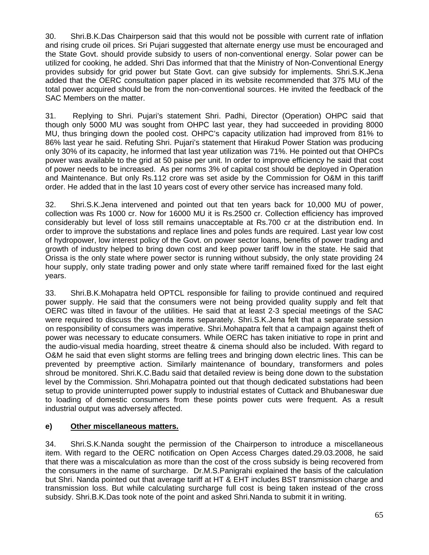30. Shri.B.K.Das Chairperson said that this would not be possible with current rate of inflation and rising crude oil prices. Sri Pujari suggested that alternate energy use must be encouraged and the State Govt. should provide subsidy to users of non-conventional energy. Solar power can be utilized for cooking, he added. Shri Das informed that that the Ministry of Non-Conventional Energy provides subsidy for grid power but State Govt. can give subsidy for implements. Shri.S.K.Jena added that the OERC consultation paper placed in its website recommended that 375 MU of the total power acquired should be from the non-conventional sources. He invited the feedback of the SAC Members on the matter.

31. Replying to Shri. Pujari's statement Shri. Padhi, Director (Operation) OHPC said that though only 5000 MU was sought from OHPC last year, they had succeeded in providing 8000 MU, thus bringing down the pooled cost. OHPC's capacity utilization had improved from 81% to 86% last year he said. Refuting Shri. Pujari's statement that Hirakud Power Station was producing only 30% of its capacity, he informed that last year utilization was 71%. He pointed out that OHPCs power was available to the grid at 50 paise per unit. In order to improve efficiency he said that cost of power needs to be increased. As per norms 3% of capital cost should be deployed in Operation and Maintenance. But only Rs.112 crore was set aside by the Commission for O&M in this tariff order. He added that in the last 10 years cost of every other service has increased many fold.

32. Shri.S.K.Jena intervened and pointed out that ten years back for 10,000 MU of power, collection was Rs 1000 cr. Now for 16000 MU it is Rs.2500 cr. Collection efficiency has improved considerably but level of loss still remains unacceptable at Rs.700 cr at the distribution end. In order to improve the substations and replace lines and poles funds are required. Last year low cost of hydropower, low interest policy of the Govt. on power sector loans, benefits of power trading and growth of industry helped to bring down cost and keep power tariff low in the state. He said that Orissa is the only state where power sector is running without subsidy, the only state providing 24 hour supply, only state trading power and only state where tariff remained fixed for the last eight years.

33. Shri.B.K.Mohapatra held OPTCL responsible for failing to provide continued and required power supply. He said that the consumers were not being provided quality supply and felt that OERC was tilted in favour of the utilities. He said that at least 2-3 special meetings of the SAC were required to discuss the agenda items separately. Shri.S.K.Jena felt that a separate session on responsibility of consumers was imperative. Shri.Mohapatra felt that a campaign against theft of power was necessary to educate consumers. While OERC has taken initiative to rope in print and the audio-visual media hoarding, street theatre & cinema should also be included. With regard to O&M he said that even slight storms are felling trees and bringing down electric lines. This can be prevented by preemptive action. Similarly maintenance of boundary, transformers and poles shroud be monitored. Shri.K.C.Badu said that detailed review is being done down to the substation level by the Commission. Shri.Mohapatra pointed out that though dedicated substations had been setup to provide uninterrupted power supply to industrial estates of Cuttack and Bhubaneswar due to loading of domestic consumers from these points power cuts were frequent. As a result industrial output was adversely affected.

### **e) Other miscellaneous matters.**

34. Shri.S.K.Nanda sought the permission of the Chairperson to introduce a miscellaneous item. With regard to the OERC notification on Open Access Charges dated.29.03.2008, he said that there was a miscalculation as more than the cost of the cross subsidy is being recovered from the consumers in the name of surcharge. Dr.M.S.Panigrahi explained the basis of the calculation but Shri. Nanda pointed out that average tariff at HT & EHT includes BST transmission charge and transmission loss. But while calculating surcharge full cost is being taken instead of the cross subsidy. Shri.B.K.Das took note of the point and asked Shri.Nanda to submit it in writing.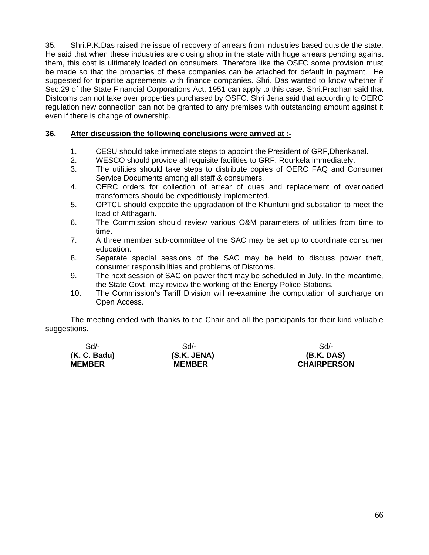35. Shri.P.K.Das raised the issue of recovery of arrears from industries based outside the state. He said that when these industries are closing shop in the state with huge arrears pending against them, this cost is ultimately loaded on consumers. Therefore like the OSFC some provision must be made so that the properties of these companies can be attached for default in payment. He suggested for tripartite agreements with finance companies. Shri. Das wanted to know whether if Sec.29 of the State Financial Corporations Act, 1951 can apply to this case. Shri.Pradhan said that Distcoms can not take over properties purchased by OSFC. Shri Jena said that according to OERC regulation new connection can not be granted to any premises with outstanding amount against it even if there is change of ownership.

### **36. After discussion the following conclusions were arrived at :-**

- 1. CESU should take immediate steps to appoint the President of GRF,Dhenkanal.
- 2. WESCO should provide all requisite facilities to GRF, Rourkela immediately.
- 3. The utilities should take steps to distribute copies of OERC FAQ and Consumer Service Documents among all staff & consumers.
- 4. OERC orders for collection of arrear of dues and replacement of overloaded transformers should be expeditiously implemented.
- 5. OPTCL should expedite the upgradation of the Khuntuni grid substation to meet the load of Atthagarh.
- 6. The Commission should review various O&M parameters of utilities from time to time.
- 7. A three member sub-committee of the SAC may be set up to coordinate consumer education.
- 8. Separate special sessions of the SAC may be held to discuss power theft, consumer responsibilities and problems of Distcoms.
- 9. The next session of SAC on power theft may be scheduled in July. In the meantime, the State Govt. may review the working of the Energy Police Stations.
- 10. The Commission's Tariff Division will re-examine the computation of surcharge on Open Access.

 The meeting ended with thanks to the Chair and all the participants for their kind valuable suggestions.

| Sd/-          | Sd/-          | $Sd$ -          |
|---------------|---------------|-----------------|
| (K. C. Badu)  | (S.K. JENA)   | (B.K. D)        |
| <b>MEMBER</b> | <b>MEMBER</b> | <b>CHAIRPEF</b> |

(**K. C. Badu) (S.K. JENA) (B.K. DAS) CHAIRPERSON**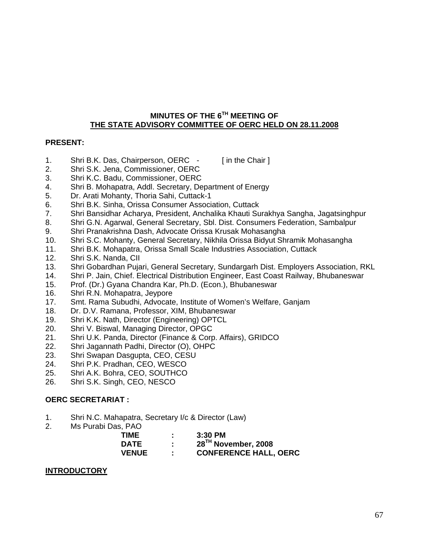### **MINUTES OF THE 6TH MEETING OF THE STATE ADVISORY COMMITTEE OF OERC HELD ON 28.11.2008**

### **PRESENT:**

- 1. Shri B.K. Das, Chairperson, OERC [in the Chair ]
	-
- 2. Shri S.K. Jena, Commissioner, OERC 3. Shri K.C. Badu, Commissioner, OERC
- 4. Shri B. Mohapatra, Addl. Secretary, Department of Energy
- 5. Dr. Arati Mohanty, Thoria Sahi, Cuttack-1
- 6. Shri B.K. Sinha, Orissa Consumer Association, Cuttack
- 7. Shri Bansidhar Acharya, President, Anchalika Khauti Surakhya Sangha, Jagatsinghpur
- 8. Shri G.N. Agarwal, General Secretary, Sbl. Dist. Consumers Federation, Sambalpur
- 9. Shri Pranakrishna Dash, Advocate Orissa Krusak Mohasangha
- 10. Shri S.C. Mohanty, General Secretary, Nikhila Orissa Bidyut Shramik Mohasangha
- 11. Shri B.K. Mohapatra, Orissa Small Scale Industries Association, Cuttack
- 12. Shri S.K. Nanda, CII
- 13. Shri Gobardhan Pujari, General Secretary, Sundargarh Dist. Employers Association, RKL
- 14. Shri P. Jain, Chief. Electrical Distribution Engineer, East Coast Railway, Bhubaneswar
- 15. Prof. (Dr.) Gyana Chandra Kar, Ph.D. (Econ.), Bhubaneswar
- 16. Shri R.N. Mohapatra, Jeypore
- 17. Smt. Rama Subudhi, Advocate, Institute of Women's Welfare, Ganjam
- 18. Dr. D.V. Ramana, Professor, XIM, Bhubaneswar
- 19. Shri K.K. Nath, Director (Engineering) OPTCL
- 20. Shri V. Biswal, Managing Director, OPGC
- 21. Shri U.K. Panda, Director (Finance & Corp. Affairs), GRIDCO
- 22. Shri Jagannath Padhi, Director (O), OHPC
- 23. Shri Swapan Dasgupta, CEO, CESU
- 24. Shri P.K. Pradhan, CEO, WESCO
- 25. Shri A.K. Bohra, CEO, SOUTHCO
- 26. Shri S.K. Singh, CEO, NESCO

### **OERC SECRETARIAT :**

- 1. Shri N.C. Mahapatra, Secretary I/c & Director (Law)
- 2. Ms Purabi Das, PAO

| <b>TIME</b>  | ٠ | 3:30 PM                         |
|--------------|---|---------------------------------|
| <b>DATE</b>  |   | 28 <sup>TH</sup> November, 2008 |
| <b>VENUE</b> |   | <b>CONFERENCE HALL, OERC</b>    |

#### **INTRODUCTORY**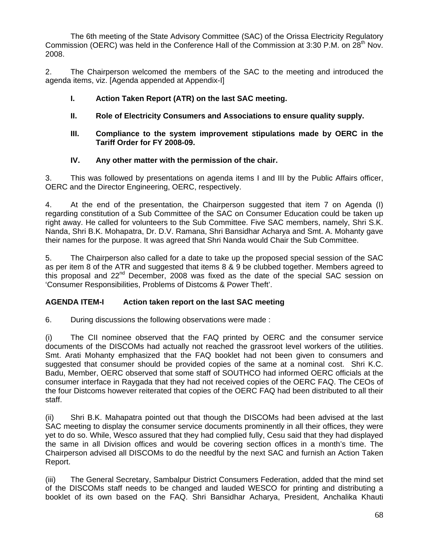The 6th meeting of the State Advisory Committee (SAC) of the Orissa Electricity Regulatory Commission (OERC) was held in the Conference Hall of the Commission at 3:30 P.M. on  $28<sup>th</sup>$  Nov. 2008.

2. The Chairperson welcomed the members of the SAC to the meeting and introduced the agenda items, viz. [Agenda appended at Appendix-I]

# **I. Action Taken Report (ATR) on the last SAC meeting.**

**II. Role of Electricity Consumers and Associations to ensure quality supply.** 

### **III. Compliance to the system improvement stipulations made by OERC in the Tariff Order for FY 2008-09.**

# **IV. Any other matter with the permission of the chair.**

3. This was followed by presentations on agenda items I and III by the Public Affairs officer, OERC and the Director Engineering, OERC, respectively.

4. At the end of the presentation, the Chairperson suggested that item 7 on Agenda (I) regarding constitution of a Sub Committee of the SAC on Consumer Education could be taken up right away. He called for volunteers to the Sub Committee. Five SAC members, namely, Shri S.K. Nanda, Shri B.K. Mohapatra, Dr. D.V. Ramana, Shri Bansidhar Acharya and Smt. A. Mohanty gave their names for the purpose. It was agreed that Shri Nanda would Chair the Sub Committee.

5. The Chairperson also called for a date to take up the proposed special session of the SAC as per item 8 of the ATR and suggested that items 8 & 9 be clubbed together. Members agreed to this proposal and 22<sup>nd</sup> December, 2008 was fixed as the date of the special SAC session on 'Consumer Responsibilities, Problems of Distcoms & Power Theft'.

# **AGENDA ITEM-I Action taken report on the last SAC meeting**

6. During discussions the following observations were made :

(i) The CII nominee observed that the FAQ printed by OERC and the consumer service documents of the DISCOMs had actually not reached the grassroot level workers of the utilities. Smt. Arati Mohanty emphasized that the FAQ booklet had not been given to consumers and suggested that consumer should be provided copies of the same at a nominal cost. Shri K.C. Badu, Member, OERC observed that some staff of SOUTHCO had informed OERC officials at the consumer interface in Raygada that they had not received copies of the OERC FAQ. The CEOs of the four Distcoms however reiterated that copies of the OERC FAQ had been distributed to all their staff.

(ii) Shri B.K. Mahapatra pointed out that though the DISCOMs had been advised at the last SAC meeting to display the consumer service documents prominently in all their offices, they were yet to do so. While, Wesco assured that they had complied fully, Cesu said that they had displayed the same in all Division offices and would be covering section offices in a month's time. The Chairperson advised all DISCOMs to do the needful by the next SAC and furnish an Action Taken Report.

(iii) The General Secretary, Sambalpur District Consumers Federation, added that the mind set of the DISCOMs staff needs to be changed and lauded WESCO for printing and distributing a booklet of its own based on the FAQ. Shri Bansidhar Acharya, President, Anchalika Khauti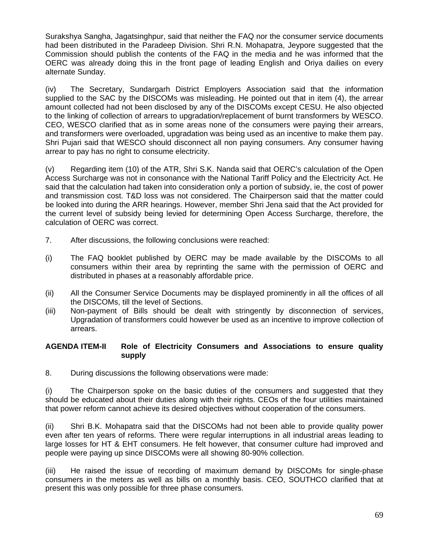Surakshya Sangha, Jagatsinghpur, said that neither the FAQ nor the consumer service documents had been distributed in the Paradeep Division. Shri R.N. Mohapatra, Jeypore suggested that the Commission should publish the contents of the FAQ in the media and he was informed that the OERC was already doing this in the front page of leading English and Oriya dailies on every alternate Sunday.

(iv) The Secretary, Sundargarh District Employers Association said that the information supplied to the SAC by the DISCOMs was misleading. He pointed out that in item (4), the arrear amount collected had not been disclosed by any of the DISCOMs except CESU. He also objected to the linking of collection of arrears to upgradation/replacement of burnt transformers by WESCO. CEO, WESCO clarified that as in some areas none of the consumers were paying their arrears, and transformers were overloaded, upgradation was being used as an incentive to make them pay. Shri Pujari said that WESCO should disconnect all non paying consumers. Any consumer having arrear to pay has no right to consume electricity.

(v) Regarding item (10) of the ATR, Shri S.K. Nanda said that OERC's calculation of the Open Access Surcharge was not in consonance with the National Tariff Policy and the Electricity Act. He said that the calculation had taken into consideration only a portion of subsidy, ie, the cost of power and transmission cost. T&D loss was not considered. The Chairperson said that the matter could be looked into during the ARR hearings. However, member Shri Jena said that the Act provided for the current level of subsidy being levied for determining Open Access Surcharge, therefore, the calculation of OERC was correct.

- 7. After discussions, the following conclusions were reached:
- (i) The FAQ booklet published by OERC may be made available by the DISCOMs to all consumers within their area by reprinting the same with the permission of OERC and distributed in phases at a reasonably affordable price.
- (ii) All the Consumer Service Documents may be displayed prominently in all the offices of all the DISCOMs, till the level of Sections.
- (iii) Non-payment of Bills should be dealt with stringently by disconnection of services, Upgradation of transformers could however be used as an incentive to improve collection of arrears.

### **AGENDA ITEM-II Role of Electricity Consumers and Associations to ensure quality supply**

8. During discussions the following observations were made:

(i) The Chairperson spoke on the basic duties of the consumers and suggested that they should be educated about their duties along with their rights. CEOs of the four utilities maintained that power reform cannot achieve its desired objectives without cooperation of the consumers.

(ii) Shri B.K. Mohapatra said that the DISCOMs had not been able to provide quality power even after ten years of reforms. There were regular interruptions in all industrial areas leading to large losses for HT & EHT consumers. He felt however, that consumer culture had improved and people were paying up since DISCOMs were all showing 80-90% collection.

(iii) He raised the issue of recording of maximum demand by DISCOMs for single-phase consumers in the meters as well as bills on a monthly basis. CEO, SOUTHCO clarified that at present this was only possible for three phase consumers.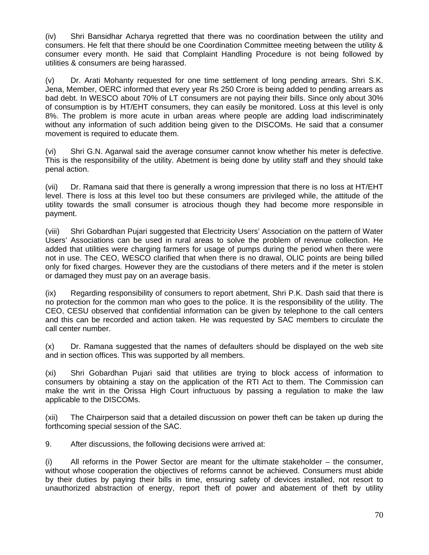(iv) Shri Bansidhar Acharya regretted that there was no coordination between the utility and consumers. He felt that there should be one Coordination Committee meeting between the utility & consumer every month. He said that Complaint Handling Procedure is not being followed by utilities & consumers are being harassed.

(v) Dr. Arati Mohanty requested for one time settlement of long pending arrears. Shri S.K. Jena, Member, OERC informed that every year Rs 250 Crore is being added to pending arrears as bad debt. In WESCO about 70% of LT consumers are not paying their bills. Since only about 30% of consumption is by HT/EHT consumers, they can easily be monitored. Loss at this level is only 8%. The problem is more acute in urban areas where people are adding load indiscriminately without any information of such addition being given to the DISCOMs. He said that a consumer movement is required to educate them.

(vi) Shri G.N. Agarwal said the average consumer cannot know whether his meter is defective. This is the responsibility of the utility. Abetment is being done by utility staff and they should take penal action.

(vii) Dr. Ramana said that there is generally a wrong impression that there is no loss at HT/EHT level. There is loss at this level too but these consumers are privileged while, the attitude of the utility towards the small consumer is atrocious though they had become more responsible in payment.

(viii) Shri Gobardhan Pujari suggested that Electricity Users' Association on the pattern of Water Users' Associations can be used in rural areas to solve the problem of revenue collection. He added that utilities were charging farmers for usage of pumps during the period when there were not in use. The CEO, WESCO clarified that when there is no drawal, OLIC points are being billed only for fixed charges. However they are the custodians of there meters and if the meter is stolen or damaged they must pay on an average basis.

(ix) Regarding responsibility of consumers to report abetment, Shri P.K. Dash said that there is no protection for the common man who goes to the police. It is the responsibility of the utility. The CEO, CESU observed that confidential information can be given by telephone to the call centers and this can be recorded and action taken. He was requested by SAC members to circulate the call center number.

(x) Dr. Ramana suggested that the names of defaulters should be displayed on the web site and in section offices. This was supported by all members.

(xi) Shri Gobardhan Pujari said that utilities are trying to block access of information to consumers by obtaining a stay on the application of the RTI Act to them. The Commission can make the writ in the Orissa High Court infructuous by passing a regulation to make the law applicable to the DISCOMs.

(xii) The Chairperson said that a detailed discussion on power theft can be taken up during the forthcoming special session of the SAC.

9. After discussions, the following decisions were arrived at:

(i) All reforms in the Power Sector are meant for the ultimate stakeholder – the consumer, without whose cooperation the objectives of reforms cannot be achieved. Consumers must abide by their duties by paying their bills in time, ensuring safety of devices installed, not resort to unauthorized abstraction of energy, report theft of power and abatement of theft by utility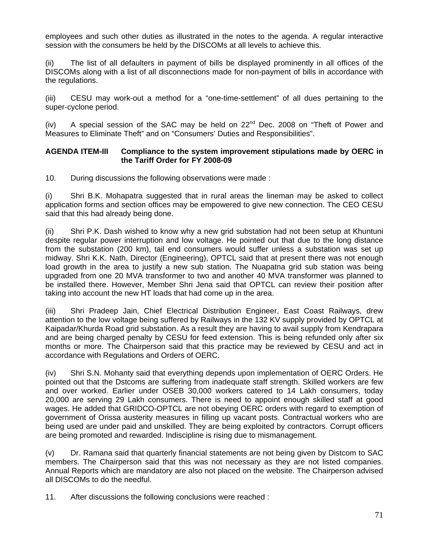employees and such other duties as illustrated in the notes to the agenda. A regular interactive session with the consumers be held by the DISCOMs at all levels to achieve this.

(ii) The list of all defaulters in payment of bills be displayed prominently in all offices of the DISCOMs along with a list of all disconnections made for non-payment of bills in accordance with the regulations.

(iii) CESU may work-out a method for a "one-time-settlement" of all dues pertaining to the super-cyclone period.

(iv) A special session of the SAC may be held on  $22<sup>nd</sup>$  Dec. 2008 on "Theft of Power and Measures to Eliminate Theft" and on "Consumers' Duties and Responsibilities".

### **AGENDA ITEM-III Compliance to the system improvement stipulations made by OERC in the Tariff Order for FY 2008-09**

10. During discussions the following observations were made :

(i) Shri B.K. Mohapatra suggested that in rural areas the lineman may be asked to collect application forms and section offices may be empowered to give new connection. The CEO CESU said that this had already being done.

(ii) Shri P.K. Dash wished to know why a new grid substation had not been setup at Khuntuni despite regular power interruption and low voltage. He pointed out that due to the long distance from the substation (200 km), tail end consumers would suffer unless a substation was set up midway. Shri K.K. Nath, Director (Engineering), OPTCL said that at present there was not enough load growth in the area to justify a new sub station. The Nuapatna grid sub station was being upgraded from one 20 MVA transformer to two and another 40 MVA transformer was planned to be installed there. However, Member Shri Jena said that OPTCL can review their position after taking into account the new HT loads that had come up in the area.

(iii) Shri Pradeep Jain, Chief Electrical Distribution Engineer, East Coast Railways, drew attention to the low voltage being suffered by Railways in the 132 KV supply provided by OPTCL at Kaipadar/Khurda Road grid substation. As a result they are having to avail supply from Kendrapara and are being charged penalty by CESU for feed extension. This is being refunded only after six months or more. The Chairperson said that this practice may be reviewed by CESU and act in accordance with Regulations and Orders of OERC.

(iv) Shri S.N. Mohanty said that everything depends upon implementation of OERC Orders. He pointed out that the Dstcoms are suffering from inadequate staff strength. Skilled workers are few and over worked. Earlier under OSEB 30,000 workers catered to 14 Lakh consumers, today 20,000 are serving 29 Lakh consumers. There is need to appoint enough skilled staff at good wages. He added that GRIDCO-OPTCL are not obeying OERC orders with regard to exemption of government of Orissa austerity measures in filling up vacant posts. Contractual workers who are being used are under paid and unskilled. They are being exploited by contractors. Corrupt officers are being promoted and rewarded. Indiscipline is rising due to mismanagement.

(v) Dr. Ramana said that quarterly financial statements are not being given by Distcom to SAC members. The Chairperson said that this was not necessary as they are not listed companies. Annual Reports which are mandatory are also not placed on the website. The Chairperson advised all DISCOMs to do the needful.

11. After discussions the following conclusions were reached :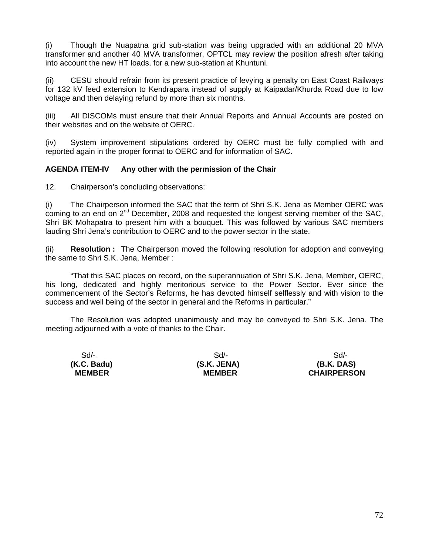(i) Though the Nuapatna grid sub-station was being upgraded with an additional 20 MVA transformer and another 40 MVA transformer, OPTCL may review the position afresh after taking into account the new HT loads, for a new sub-station at Khuntuni.

(ii) CESU should refrain from its present practice of levying a penalty on East Coast Railways for 132 kV feed extension to Kendrapara instead of supply at Kaipadar/Khurda Road due to low voltage and then delaying refund by more than six months.

(iii) All DISCOMs must ensure that their Annual Reports and Annual Accounts are posted on their websites and on the website of OERC.

(iv) System improvement stipulations ordered by OERC must be fully complied with and reported again in the proper format to OERC and for information of SAC.

### **AGENDA ITEM-IV Any other with the permission of the Chair**

12. Chairperson's concluding observations:

(i) The Chairperson informed the SAC that the term of Shri S.K. Jena as Member OERC was coming to an end on 2<sup>nd</sup> December, 2008 and requested the longest serving member of the SAC, Shri BK Mohapatra to present him with a bouquet. This was followed by various SAC members lauding Shri Jena's contribution to OERC and to the power sector in the state.

(ii) **Resolution :** The Chairperson moved the following resolution for adoption and conveying the same to Shri S.K. Jena, Member :

 "That this SAC places on record, on the superannuation of Shri S.K. Jena, Member, OERC, his long, dedicated and highly meritorious service to the Power Sector. Ever since the commencement of the Sector's Reforms, he has devoted himself selflessly and with vision to the success and well being of the sector in general and the Reforms in particular."

The Resolution was adopted unanimously and may be conveyed to Shri S.K. Jena. The meeting adjourned with a vote of thanks to the Chair.

Sd/- Sd/- Sd/-

**(K.C. Badu) (S.K. JENA) (B.K. DAS) MEMBER MEMBER CHAIRPERSON**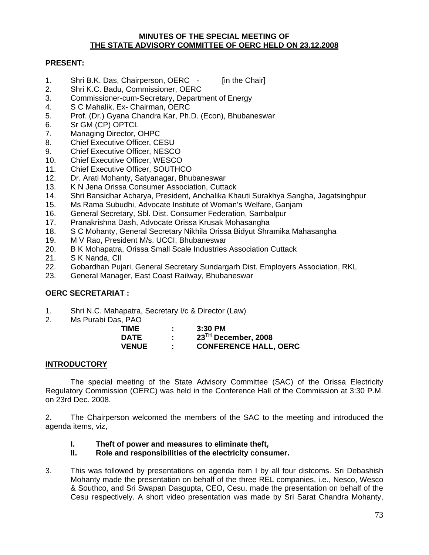## **MINUTES OF THE SPECIAL MEETING OF THE STATE ADVISORY COMMITTEE OF OERC HELD ON 23.12.2008**

# **PRESENT:**

1. Shri B.K. Das, Chairperson, OERC - [in the Chair]

- 2. Shri K.C. Badu, Commissioner, OERC
- 3. Commissioner-cum-Secretary, Department of Energy
- 4. S C Mahalik, Ex- Chairman, OERC
- 5. Prof. (Dr.) Gyana Chandra Kar, Ph.D. (Econ), Bhubaneswar
- 6. Sr GM (CP) OPTCL
- 7. Managing Director, OHPC
- 8. Chief Executive Officer, CESU
- 9. Chief Executive Officer, NESCO
- 10. Chief Executive Officer, WESCO
- 11. Chief Executive Officer, SOUTHCO
- 12. Dr. Arati Mohanty, Satyanagar, Bhubaneswar
- 13. K N Jena Orissa Consumer Association, Cuttack
- 14. Shri Bansidhar Acharya, President, Anchalika Khauti Surakhya Sangha, Jagatsinghpur
- 15. Ms Rama Subudhi, Advocate Institute of Woman's Welfare, Ganjam
- 16. General Secretary, Sbl. Dist. Consumer Federation, Sambalpur
- 17. Pranakrishna Dash, Advocate Orissa Krusak Mohasangha
- 18. S C Mohanty, General Secretary Nikhila Orissa Bidyut Shramika Mahasangha
- 19. M V Rao, President M/s. UCCI, Bhubaneswar
- 20. B K Mohapatra, Orissa Small Scale Industries Association Cuttack
- 21. S K Nanda, Cll
- 22. Gobardhan Pujari, General Secretary Sundargarh Dist. Employers Association, RKL
- 23. General Manager, East Coast Railway, Bhubaneswar

# **OERC SECRETARIAT :**

- 1. Shri N.C. Mahapatra, Secretary I/c & Director (Law)
- 2. Ms Purabi Das, PAO

| .<br>TIME    | $3:30$ PM                       |
|--------------|---------------------------------|
|              |                                 |
| DATE         | $23^{\text{TH}}$ December, 2008 |
| <b>VENUE</b> | <b>CONFERENCE HALL, OERC</b>    |

# **INTRODUCTORY**

The special meeting of the State Advisory Committee (SAC) of the Orissa Electricity Regulatory Commission (OERC) was held in the Conference Hall of the Commission at 3:30 P.M. on 23rd Dec. 2008.

2. The Chairperson welcomed the members of the SAC to the meeting and introduced the agenda items, viz,

- **I. Theft of power and measures to eliminate theft,**
- **II. Role and responsibilities of the electricity consumer.**
- 3. This was followed by presentations on agenda item I by all four distcoms. Sri Debashish Mohanty made the presentation on behalf of the three REL companies, i.e., Nesco, Wesco & Southco, and Sri Swapan Dasgupta, CEO, Cesu, made the presentation on behalf of the Cesu respectively. A short video presentation was made by Sri Sarat Chandra Mohanty,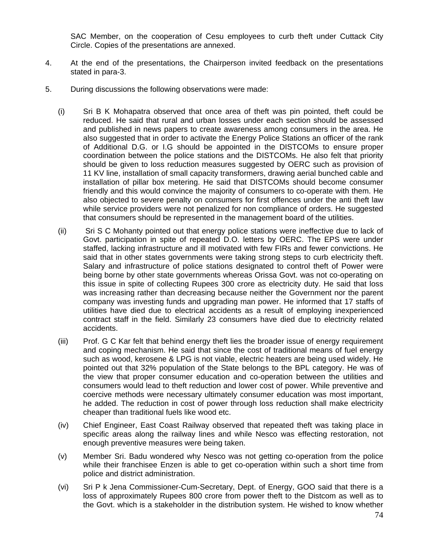SAC Member, on the cooperation of Cesu employees to curb theft under Cuttack City Circle. Copies of the presentations are annexed.

- 4. At the end of the presentations, the Chairperson invited feedback on the presentations stated in para-3.
- 5. During discussions the following observations were made:
	- (i) Sri B K Mohapatra observed that once area of theft was pin pointed, theft could be reduced. He said that rural and urban losses under each section should be assessed and published in news papers to create awareness among consumers in the area. He also suggested that in order to activate the Energy Police Stations an officer of the rank of Additional D.G. or I.G should be appointed in the DISTCOMs to ensure proper coordination between the police stations and the DISTCOMs. He also felt that priority should be given to loss reduction measures suggested by OERC such as provision of 11 KV line, installation of small capacity transformers, drawing aerial bunched cable and installation of pillar box metering. He said that DISTCOMs should become consumer friendly and this would convince the majority of consumers to co-operate with them. He also objected to severe penalty on consumers for first offences under the anti theft law while service providers were not penalized for non compliance of orders. He suggested that consumers should be represented in the management board of the utilities.
	- (ii) Sri S C Mohanty pointed out that energy police stations were ineffective due to lack of Govt. participation in spite of repeated D.O. letters by OERC. The EPS were under staffed, lacking infrastructure and ill motivated with few FIRs and fewer convictions. He said that in other states governments were taking strong steps to curb electricity theft. Salary and infrastructure of police stations designated to control theft of Power were being borne by other state governments whereas Orissa Govt. was not co-operating on this issue in spite of collecting Rupees 300 crore as electricity duty. He said that loss was increasing rather than decreasing because neither the Government nor the parent company was investing funds and upgrading man power. He informed that 17 staffs of utilities have died due to electrical accidents as a result of employing inexperienced contract staff in the field. Similarly 23 consumers have died due to electricity related accidents.
	- (iii) Prof. G C Kar felt that behind energy theft lies the broader issue of energy requirement and coping mechanism. He said that since the cost of traditional means of fuel energy such as wood, kerosene & LPG is not viable, electric heaters are being used widely. He pointed out that 32% population of the State belongs to the BPL category. He was of the view that proper consumer education and co-operation between the utilities and consumers would lead to theft reduction and lower cost of power. While preventive and coercive methods were necessary ultimately consumer education was most important, he added. The reduction in cost of power through loss reduction shall make electricity cheaper than traditional fuels like wood etc.
	- (iv) Chief Engineer, East Coast Railway observed that repeated theft was taking place in specific areas along the railway lines and while Nesco was effecting restoration, not enough preventive measures were being taken.
	- (v) Member Sri. Badu wondered why Nesco was not getting co-operation from the police while their franchisee Enzen is able to get co-operation within such a short time from police and district administration.
	- (vi) Sri P k Jena Commissioner-Cum-Secretary, Dept. of Energy, GOO said that there is a loss of approximately Rupees 800 crore from power theft to the Distcom as well as to the Govt. which is a stakeholder in the distribution system. He wished to know whether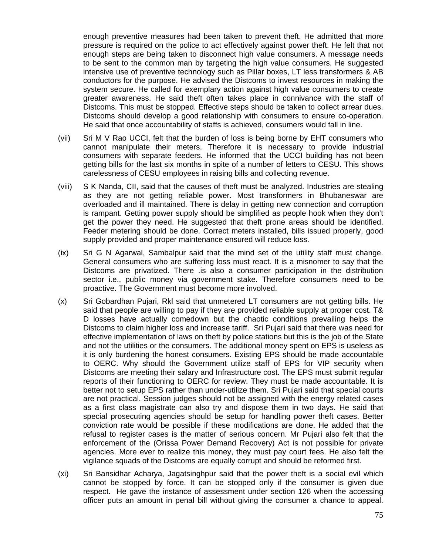enough preventive measures had been taken to prevent theft. He admitted that more pressure is required on the police to act effectively against power theft. He felt that not enough steps are being taken to disconnect high value consumers. A message needs to be sent to the common man by targeting the high value consumers. He suggested intensive use of preventive technology such as Pillar boxes, LT less transformers & AB conductors for the purpose. He advised the Distcoms to invest resources in making the system secure. He called for exemplary action against high value consumers to create greater awareness. He said theft often takes place in connivance with the staff of Distcoms. This must be stopped. Effective steps should be taken to collect arrear dues. Distcoms should develop a good relationship with consumers to ensure co-operation. He said that once accountability of staffs is achieved, consumers would fall in line.

- (vii) Sri M V Rao UCCI, felt that the burden of loss is being borne by EHT consumers who cannot manipulate their meters. Therefore it is necessary to provide industrial consumers with separate feeders. He informed that the UCCI building has not been getting bills for the last six months in spite of a number of letters to CESU. This shows carelessness of CESU employees in raising bills and collecting revenue.
- (viii) S K Nanda, CII, said that the causes of theft must be analyzed. Industries are stealing as they are not getting reliable power. Most transformers in Bhubaneswar are overloaded and ill maintained. There is delay in getting new connection and corruption is rampant. Getting power supply should be simplified as people hook when they don't get the power they need. He suggested that theft prone areas should be identified. Feeder metering should be done. Correct meters installed, bills issued properly, good supply provided and proper maintenance ensured will reduce loss.
- (ix) Sri G N Agarwal, Sambalpur said that the mind set of the utility staff must change. General consumers who are suffering loss must react. It is a misnomer to say that the Distcoms are privatized. There .is also a consumer participation in the distribution sector i.e., public money via government stake. Therefore consumers need to be proactive. The Government must become more involved.
- (x) Sri Gobardhan Pujari, Rkl said that unmetered LT consumers are not getting bills. He said that people are willing to pay if they are provided reliable supply at proper cost. T& D losses have actually comedown but the chaotic conditions prevailing helps the Distcoms to claim higher loss and increase tariff. Sri Pujari said that there was need for effective implementation of laws on theft by police stations but this is the job of the State and not the utilities or the consumers. The additional money spent on EPS is useless as it is only burdening the honest consumers. Existing EPS should be made accountable to OERC. Why should the Government utilize staff of EPS for VIP security when Distcoms are meeting their salary and Infrastructure cost. The EPS must submit regular reports of their functioning to OERC for review. They must be made accountable. It is better not to setup EPS rather than under-utilize them. Sri Pujari said that special courts are not practical. Session judges should not be assigned with the energy related cases as a first class magistrate can also try and dispose them in two days. He said that special prosecuting agencies should be setup for handling power theft cases. Better conviction rate would be possible if these modifications are done. He added that the refusal to register cases is the matter of serious concern. Mr Pujari also felt that the enforcement of the (Orissa Power Demand Recovery) Act is not possible for private agencies. More ever to realize this money, they must pay court fees. He also felt the vigilance squads of the Distcoms are equally corrupt and should be reformed first.
- (xi) Sri Bansidhar Acharya, Jagatsinghpur said that the power theft is a social evil which cannot be stopped by force. It can be stopped only if the consumer is given due respect. He gave the instance of assessment under section 126 when the accessing officer puts an amount in penal bill without giving the consumer a chance to appeal.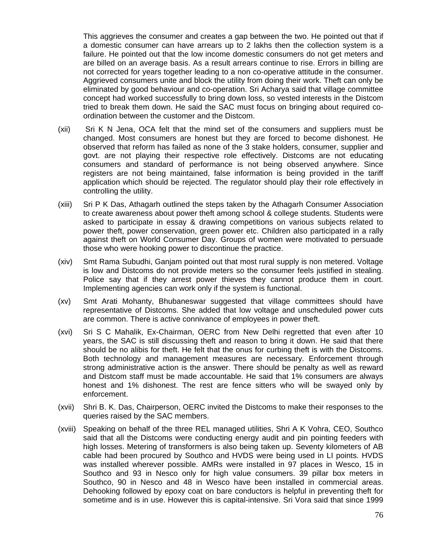This aggrieves the consumer and creates a gap between the two. He pointed out that if a domestic consumer can have arrears up to 2 lakhs then the collection system is a failure. He pointed out that the low income domestic consumers do not get meters and are billed on an average basis. As a result arrears continue to rise. Errors in billing are not corrected for years together leading to a non co-operative attitude in the consumer. Aggrieved consumers unite and block the utility from doing their work. Theft can only be eliminated by good behaviour and co-operation. Sri Acharya said that village committee concept had worked successfully to bring down loss, so vested interests in the Distcom tried to break them down. He said the SAC must focus on bringing about required coordination between the customer and the Distcom.

- (xii) Sri K N Jena, OCA felt that the mind set of the consumers and suppliers must be changed. Most consumers are honest but they are forced to become dishonest. He observed that reform has failed as none of the 3 stake holders, consumer, supplier and govt. are not playing their respective role effectively. Distcoms are not educating consumers and standard of performance is not being observed anywhere. Since registers are not being maintained, false information is being provided in the tariff application which should be rejected. The regulator should play their role effectively in controlling the utility.
- (xiii) Sri P K Das, Athagarh outlined the steps taken by the Athagarh Consumer Association to create awareness about power theft among school & college students. Students were asked to participate in essay & drawing competitions on various subjects related to power theft, power conservation, green power etc. Children also participated in a rally against theft on World Consumer Day. Groups of women were motivated to persuade those who were hooking power to discontinue the practice.
- (xiv) Smt Rama Subudhi, Ganjam pointed out that most rural supply is non metered. Voltage is low and Distcoms do not provide meters so the consumer feels justified in stealing. Police say that if they arrest power thieves they cannot produce them in court. Implementing agencies can work only if the system is functional.
- (xv) Smt Arati Mohanty, Bhubaneswar suggested that village committees should have representative of Distcoms. She added that low voltage and unscheduled power cuts are common. There is active connivance of employees in power theft.
- (xvi) Sri S C Mahalik, Ex-Chairman, OERC from New Delhi regretted that even after 10 years, the SAC is still discussing theft and reason to bring it down. He said that there should be no alibis for theft. He felt that the onus for curbing theft is with the Distcoms. Both technology and management measures are necessary. Enforcement through strong administrative action is the answer. There should be penalty as well as reward and Distcom staff must be made accountable. He said that 1% consumers are always honest and 1% dishonest. The rest are fence sitters who will be swayed only by enforcement.
- (xvii) Shri B. K. Das, Chairperson, OERC invited the Distcoms to make their responses to the queries raised by the SAC members.
- (xviii) Speaking on behalf of the three REL managed utilities, Shri A K Vohra, CEO, Southco said that all the Distcoms were conducting energy audit and pin pointing feeders with high losses. Metering of transformers is also being taken up. Seventy kilometers of AB cable had been procured by Southco and HVDS were being used in LI points. HVDS was installed wherever possible. AMRs were installed in 97 places in Wesco, 15 in Southco and 93 in Nesco only for high value consumers. 39 pillar box meters in Southco, 90 in Nesco and 48 in Wesco have been installed in commercial areas. Dehooking followed by epoxy coat on bare conductors is helpful in preventing theft for sometime and is in use. However this is capital-intensive. Sri Vora said that since 1999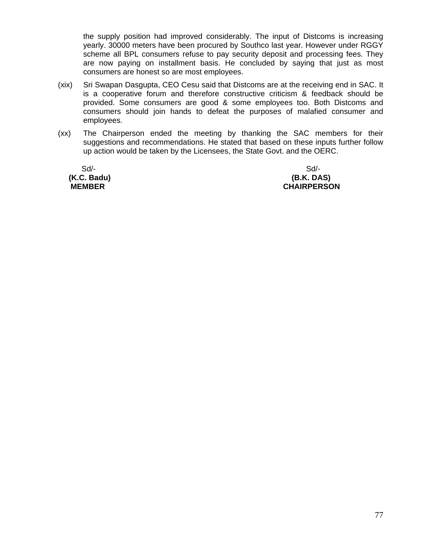the supply position had improved considerably. The input of Distcoms is increasing yearly. 30000 meters have been procured by Southco last year. However under RGGY scheme all BPL consumers refuse to pay security deposit and processing fees. They are now paying on installment basis. He concluded by saying that just as most consumers are honest so are most employees.

- (xix) Sri Swapan Dasgupta, CEO Cesu said that Distcoms are at the receiving end in SAC. It is a cooperative forum and therefore constructive criticism & feedback should be provided. Some consumers are good & some employees too. Both Distcoms and consumers should join hands to defeat the purposes of malafied consumer and employees.
- (xx) The Chairperson ended the meeting by thanking the SAC members for their suggestions and recommendations. He stated that based on these inputs further follow up action would be taken by the Licensees, the State Govt. and the OERC.

Sd/- Sd/-

 **(K.C. Badu) (B.K. DAS) MEMBER CHAIRPERSON**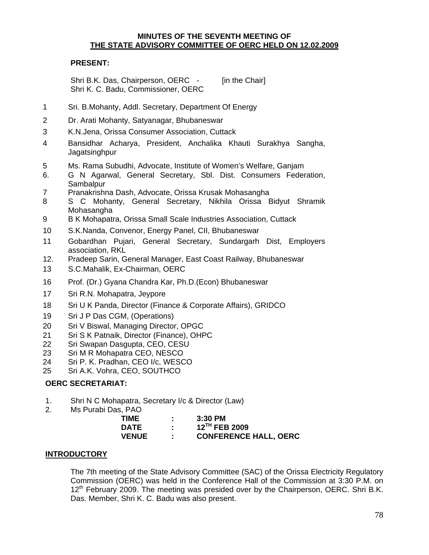#### **MINUTES OF THE SEVENTH MEETING OF THE STATE ADVISORY COMMITTEE OF OERC HELD ON 12.02.2009**

## **PRESENT:**

Shri B.K. Das, Chairperson, OERC - [in the Chair] Shri K. C. Badu, Commissioner, OERC

- 1 Sri. B.Mohanty, Addl. Secretary, Department Of Energy
- 2 Dr. Arati Mohanty, Satyanagar, Bhubaneswar
- 3 K.N.Jena, Orissa Consumer Association, Cuttack
- 4 Bansidhar Acharya, President, Anchalika Khauti Surakhya Sangha, Jagatsinghpur
- 5 Ms. Rama Subudhi, Advocate, Institute of Women's Welfare, Ganjam
- 6. G N Agarwal, General Secretary, Sbl. Dist. Consumers Federation, **Sambalpur**
- 7 Pranakrishna Dash, Advocate, Orissa Krusak Mohasangha
- 8 S C Mohanty, General Secretary, Nikhila Orissa Bidyut Shramik Mohasangha
- 9 B K Mohapatra, Orissa Small Scale Industries Association, Cuttack
- 10 S.K.Nanda, Convenor, Energy Panel, CII, Bhubaneswar
- 11 Gobardhan Pujari, General Secretary, Sundargarh Dist, Employers association, RKL
- 12. Pradeep Sarin, General Manager, East Coast Railway, Bhubaneswar
- 13 S.C.Mahalik, Ex-Chairman, OERC
- 16 Prof. (Dr.) Gyana Chandra Kar, Ph.D.(Econ) Bhubaneswar
- 17 Sri R.N. Mohapatra, Jeypore
- 18 Sri U K Panda, Director (Finance & Corporate Affairs), GRIDCO
- 19 Sri J P Das CGM, (Operations)
- 20 Sri V Biswal, Managing Director, OPGC
- 21 Sri S K Patnaik, Director (Finance), OHPC
- 22 Sri Swapan Dasgupta, CEO, CESU
- 23 Sri M R Mohapatra CEO, NESCO
- 24 Sri P. K. Pradhan, CEO I/c, WESCO
- 25 Sri A.K. Vohra, CEO, SOUTHCO

# **OERC SECRETARIAT:**

- 1. Shri N C Mohapatra, Secretary I/c & Director (Law)
- 2. Ms Purabi Das, PAO

| , , , , ,    |   |                              |
|--------------|---|------------------------------|
| TIME         |   | 3:30 PM                      |
| DATE         | ٠ | 12 <sup>TH</sup> FEB 2009    |
| <b>VENUE</b> |   | <b>CONFERENCE HALL, OERC</b> |
|              |   |                              |

# **INTRODUCTORY**

The 7th meeting of the State Advisory Committee (SAC) of the Orissa Electricity Regulatory Commission (OERC) was held in the Conference Hall of the Commission at 3:30 P.M. on  $12<sup>th</sup>$  February 2009. The meeting was presided over by the Chairperson, OERC. Shri B.K. Das. Member, Shri K. C. Badu was also present.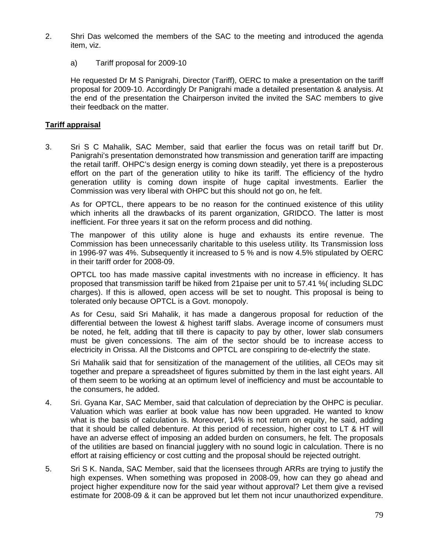- 2. Shri Das welcomed the members of the SAC to the meeting and introduced the agenda item, viz.
	- a) Tariff proposal for 2009-10

He requested Dr M S Panigrahi, Director (Tariff), OERC to make a presentation on the tariff proposal for 2009-10. Accordingly Dr Panigrahi made a detailed presentation & analysis. At the end of the presentation the Chairperson invited the invited the SAC members to give their feedback on the matter.

# **Tariff appraisal**

3. Sri S C Mahalik, SAC Member, said that earlier the focus was on retail tariff but Dr. Panigrahi's presentation demonstrated how transmission and generation tariff are impacting the retail tariff. OHPC's design energy is coming down steadily, yet there is a preposterous effort on the part of the generation utility to hike its tariff. The efficiency of the hydro generation utility is coming down inspite of huge capital investments. Earlier the Commission was very liberal with OHPC but this should not go on, he felt.

As for OPTCL, there appears to be no reason for the continued existence of this utility which inherits all the drawbacks of its parent organization, GRIDCO. The latter is most inefficient. For three years it sat on the reform process and did nothing.

The manpower of this utility alone is huge and exhausts its entire revenue. The Commission has been unnecessarily charitable to this useless utility. Its Transmission loss in 1996-97 was 4%. Subsequently it increased to 5 % and is now 4.5% stipulated by OERC in their tariff order for 2008-09.

OPTCL too has made massive capital investments with no increase in efficiency. It has proposed that transmission tariff be hiked from 21paise per unit to 57.41 %( including SLDC charges). If this is allowed, open access will be set to nought. This proposal is being to tolerated only because OPTCL is a Govt. monopoly.

As for Cesu, said Sri Mahalik, it has made a dangerous proposal for reduction of the differential between the lowest & highest tariff slabs. Average income of consumers must be noted, he felt, adding that till there is capacity to pay by other, lower slab consumers must be given concessions. The aim of the sector should be to increase access to electricity in Orissa. All the Distcoms and OPTCL are conspiring to de-electrify the state.

Sri Mahalik said that for sensitization of the management of the utilities, all CEOs may sit together and prepare a spreadsheet of figures submitted by them in the last eight years. All of them seem to be working at an optimum level of inefficiency and must be accountable to the consumers, he added.

- 4. Sri. Gyana Kar, SAC Member, said that calculation of depreciation by the OHPC is peculiar. Valuation which was earlier at book value has now been upgraded. He wanted to know what is the basis of calculation is. Moreover, 14% is not return on equity, he said, adding that it should be called debenture. At this period of recession, higher cost to LT & HT will have an adverse effect of imposing an added burden on consumers, he felt. The proposals of the utilities are based on financial jugglery with no sound logic in calculation. There is no effort at raising efficiency or cost cutting and the proposal should be rejected outright.
- 5. Sri S K. Nanda, SAC Member, said that the licensees through ARRs are trying to justify the high expenses. When something was proposed in 2008-09, how can they go ahead and project higher expenditure now for the said year without approval? Let them give a revised estimate for 2008-09 & it can be approved but let them not incur unauthorized expenditure.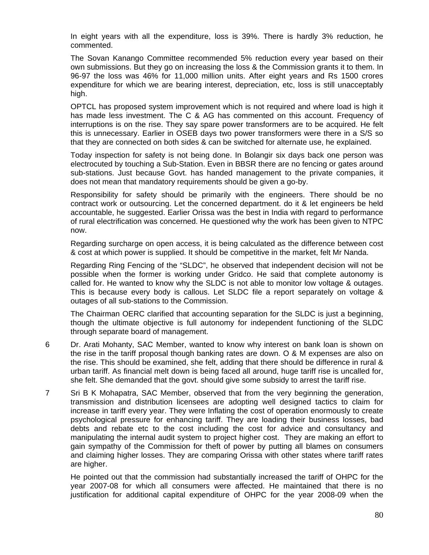In eight years with all the expenditure, loss is 39%. There is hardly 3% reduction, he commented.

The Sovan Kanango Committee recommended 5% reduction every year based on their own submissions. But they go on increasing the loss & the Commission grants it to them. In 96-97 the loss was 46% for 11,000 million units. After eight years and Rs 1500 crores expenditure for which we are bearing interest, depreciation, etc, loss is still unacceptably high.

OPTCL has proposed system improvement which is not required and where load is high it has made less investment. The C & AG has commented on this account. Frequency of interruptions is on the rise. They say spare power transformers are to be acquired. He felt this is unnecessary. Earlier in OSEB days two power transformers were there in a S/S so that they are connected on both sides & can be switched for alternate use, he explained.

Today inspection for safety is not being done. In Bolangir six days back one person was electrocuted by touching a Sub-Station. Even in BBSR there are no fencing or gates around sub-stations. Just because Govt. has handed management to the private companies, it does not mean that mandatory requirements should be given a go-by.

Responsibility for safety should be primarily with the engineers. There should be no contract work or outsourcing. Let the concerned department. do it & let engineers be held accountable, he suggested. Earlier Orissa was the best in India with regard to performance of rural electrification was concerned. He questioned why the work has been given to NTPC now.

Regarding surcharge on open access, it is being calculated as the difference between cost & cost at which power is supplied. It should be competitive in the market, felt Mr Nanda.

Regarding Ring Fencing of the "SLDC", he observed that independent decision will not be possible when the former is working under Gridco. He said that complete autonomy is called for. He wanted to know why the SLDC is not able to monitor low voltage & outages. This is because every body is callous. Let SLDC file a report separately on voltage & outages of all sub-stations to the Commission.

The Chairman OERC clarified that accounting separation for the SLDC is just a beginning, though the ultimate objective is full autonomy for independent functioning of the SLDC through separate board of management.

- 6 Dr. Arati Mohanty, SAC Member, wanted to know why interest on bank loan is shown on the rise in the tariff proposal though banking rates are down. O & M expenses are also on the rise. This should be examined, she felt, adding that there should be difference in rural & urban tariff. As financial melt down is being faced all around, huge tariff rise is uncalled for, she felt. She demanded that the govt. should give some subsidy to arrest the tariff rise.
- 7 Sri B K Mohapatra, SAC Member, observed that from the very beginning the generation, transmission and distribution licensees are adopting well designed tactics to claim for increase in tariff every year. They were Inflating the cost of operation enormously to create psychological pressure for enhancing tariff. They are loading their business losses, bad debts and rebate etc to the cost including the cost for advice and consultancy and manipulating the internal audit system to project higher cost. They are making an effort to gain sympathy of the Commission for theft of power by putting all blames on consumers and claiming higher losses. They are comparing Orissa with other states where tariff rates are higher.

He pointed out that the commission had substantially increased the tariff of OHPC for the year 2007-08 for which all consumers were affected. He maintained that there is no justification for additional capital expenditure of OHPC for the year 2008-09 when the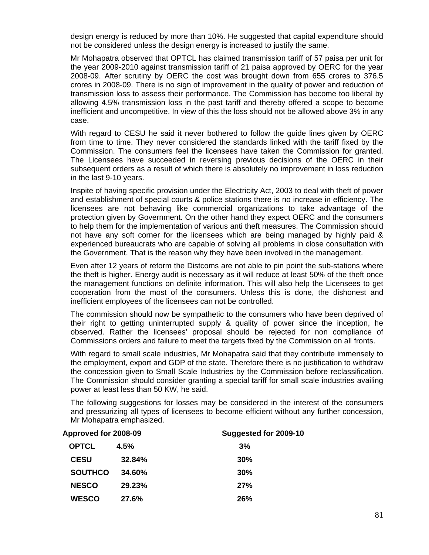design energy is reduced by more than 10%. He suggested that capital expenditure should not be considered unless the design energy is increased to justify the same.

Mr Mohapatra observed that OPTCL has claimed transmission tariff of 57 paisa per unit for the year 2009-2010 against transmission tariff of 21 paisa approved by OERC for the year 2008-09. After scrutiny by OERC the cost was brought down from 655 crores to 376.5 crores in 2008-09. There is no sign of improvement in the quality of power and reduction of transmission loss to assess their performance. The Commission has become too liberal by allowing 4.5% transmission loss in the past tariff and thereby offered a scope to become inefficient and uncompetitive. In view of this the loss should not be allowed above 3% in any case.

With regard to CESU he said it never bothered to follow the guide lines given by OERC from time to time. They never considered the standards linked with the tariff fixed by the Commission. The consumers feel the licensees have taken the Commission for granted. The Licensees have succeeded in reversing previous decisions of the OERC in their subsequent orders as a result of which there is absolutely no improvement in loss reduction in the last 9-10 years.

Inspite of having specific provision under the Electricity Act, 2003 to deal with theft of power and establishment of special courts & police stations there is no increase in efficiency. The licensees are not behaving like commercial organizations to take advantage of the protection given by Government. On the other hand they expect OERC and the consumers to help them for the implementation of various anti theft measures. The Commission should not have any soft corner for the licensees which are being managed by highly paid & experienced bureaucrats who are capable of solving all problems in close consultation with the Government. That is the reason why they have been involved in the management.

Even after 12 years of reform the Distcoms are not able to pin point the sub-stations where the theft is higher. Energy audit is necessary as it will reduce at least 50% of the theft once the management functions on definite information. This will also help the Licensees to get cooperation from the most of the consumers. Unless this is done, the dishonest and inefficient employees of the licensees can not be controlled.

The commission should now be sympathetic to the consumers who have been deprived of their right to getting uninterrupted supply & quality of power since the inception, he observed. Rather the licensees' proposal should be rejected for non compliance of Commissions orders and failure to meet the targets fixed by the Commission on all fronts.

With regard to small scale industries, Mr Mohapatra said that they contribute immensely to the employment, export and GDP of the state. Therefore there is no justification to withdraw the concession given to Small Scale Industries by the Commission before reclassification. The Commission should consider granting a special tariff for small scale industries availing power at least less than 50 KW, he said.

The following suggestions for losses may be considered in the interest of the consumers and pressurizing all types of licensees to become efficient without any further concession, Mr Mohapatra emphasized.

| Approved for 2008-09 |               | Suggested for 2009-10 |  |  |
|----------------------|---------------|-----------------------|--|--|
| <b>OPTCL</b>         | 4.5%          | 3%                    |  |  |
| <b>CESU</b>          | <b>32.84%</b> | 30%                   |  |  |
| <b>SOUTHCO</b>       | 34.60%        | 30%                   |  |  |
| <b>NESCO</b>         | 29.23%        | 27%                   |  |  |
| <b>WESCO</b>         | 27.6%         | 26%                   |  |  |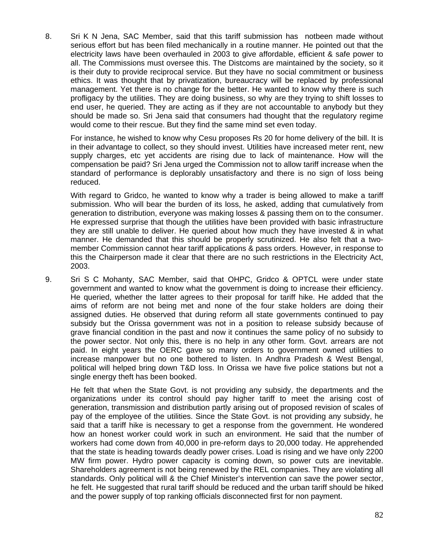8. Sri K N Jena, SAC Member, said that this tariff submission has notbeen made without serious effort but has been filed mechanically in a routine manner. He pointed out that the electricity laws have been overhauled in 2003 to give affordable, efficient & safe power to all. The Commissions must oversee this. The Distcoms are maintained by the society, so it is their duty to provide reciprocal service. But they have no social commitment or business ethics. It was thought that by privatization, bureaucracy will be replaced by professional management. Yet there is no change for the better. He wanted to know why there is such profligacy by the utilities. They are doing business, so why are they trying to shift losses to end user, he queried. They are acting as if they are not accountable to anybody but they should be made so. Sri Jena said that consumers had thought that the regulatory regime would come to their rescue. But they find the same mind set even today.

For instance, he wished to know why Cesu proposes Rs 20 for home delivery of the bill. It is in their advantage to collect, so they should invest. Utilities have increased meter rent, new supply charges, etc yet accidents are rising due to lack of maintenance. How will the compensation be paid? Sri Jena urged the Commission not to allow tariff increase when the standard of performance is deplorably unsatisfactory and there is no sign of loss being reduced.

With regard to Gridco, he wanted to know why a trader is being allowed to make a tariff submission. Who will bear the burden of its loss, he asked, adding that cumulatively from generation to distribution, everyone was making losses & passing them on to the consumer. He expressed surprise that though the utilities have been provided with basic infrastructure they are still unable to deliver. He queried about how much they have invested & in what manner. He demanded that this should be properly scrutinized. He also felt that a twomember Commission cannot hear tariff applications & pass orders. However, in response to this the Chairperson made it clear that there are no such restrictions in the Electricity Act, 2003.

9. Sri S C Mohanty, SAC Member, said that OHPC, Gridco & OPTCL were under state government and wanted to know what the government is doing to increase their efficiency. He queried, whether the latter agrees to their proposal for tariff hike. He added that the aims of reform are not being met and none of the four stake holders are doing their assigned duties. He observed that during reform all state governments continued to pay subsidy but the Orissa government was not in a position to release subsidy because of grave financial condition in the past and now it continues the same policy of no subsidy to the power sector. Not only this, there is no help in any other form. Govt. arrears are not paid. In eight years the OERC gave so many orders to government owned utilities to increase manpower but no one bothered to listen. In Andhra Pradesh & West Bengal, political will helped bring down T&D loss. In Orissa we have five police stations but not a single energy theft has been booked.

He felt that when the State Govt. is not providing any subsidy, the departments and the organizations under its control should pay higher tariff to meet the arising cost of generation, transmission and distribution partly arising out of proposed revision of scales of pay of the employee of the utilities. Since the State Govt. is not providing any subsidy, he said that a tariff hike is necessary to get a response from the government. He wondered how an honest worker could work in such an environment. He said that the number of workers had come down from 40,000 in pre-reform days to 20,000 today. He apprehended that the state is heading towards deadly power crises. Load is rising and we have only 2200 MW firm power. Hydro power capacity is coming down, so power cuts are inevitable. Shareholders agreement is not being renewed by the REL companies. They are violating all standards. Only political will & the Chief Minister's intervention can save the power sector, he felt. He suggested that rural tariff should be reduced and the urban tariff should be hiked and the power supply of top ranking officials disconnected first for non payment.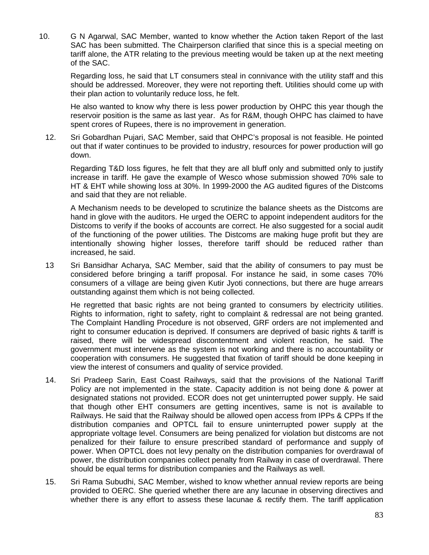10. G N Agarwal, SAC Member, wanted to know whether the Action taken Report of the last SAC has been submitted. The Chairperson clarified that since this is a special meeting on tariff alone, the ATR relating to the previous meeting would be taken up at the next meeting of the SAC.

Regarding loss, he said that LT consumers steal in connivance with the utility staff and this should be addressed. Moreover, they were not reporting theft. Utilities should come up with their plan action to voluntarily reduce loss, he felt.

He also wanted to know why there is less power production by OHPC this year though the reservoir position is the same as last year. As for R&M, though OHPC has claimed to have spent crores of Rupees, there is no improvement in generation.

12. Sri Gobardhan Pujari, SAC Member, said that OHPC's proposal is not feasible. He pointed out that if water continues to be provided to industry, resources for power production will go down.

Regarding T&D loss figures, he felt that they are all bluff only and submitted only to justify increase in tariff. He gave the example of Wesco whose submission showed 70% sale to HT & EHT while showing loss at 30%. In 1999-2000 the AG audited figures of the Distcoms and said that they are not reliable.

A Mechanism needs to be developed to scrutinize the balance sheets as the Distcoms are hand in glove with the auditors. He urged the OERC to appoint independent auditors for the Distcoms to verify if the books of accounts are correct. He also suggested for a social audit of the functioning of the power utilities. The Distcoms are making huge profit but they are intentionally showing higher losses, therefore tariff should be reduced rather than increased, he said.

13 Sri Bansidhar Acharya, SAC Member, said that the ability of consumers to pay must be considered before bringing a tariff proposal. For instance he said, in some cases 70% consumers of a village are being given Kutir Jyoti connections, but there are huge arrears outstanding against them which is not being collected.

He regretted that basic rights are not being granted to consumers by electricity utilities. Rights to information, right to safety, right to complaint & redressal are not being granted. The Complaint Handling Procedure is not observed, GRF orders are not implemented and right to consumer education is deprived. If consumers are deprived of basic rights & tariff is raised, there will be widespread discontentment and violent reaction, he said. The government must intervene as the system is not working and there is no accountability or cooperation with consumers. He suggested that fixation of tariff should be done keeping in view the interest of consumers and quality of service provided.

- 14. Sri Pradeep Sarin, East Coast Railways, said that the provisions of the National Tariff Policy are not implemented in the state. Capacity addition is not being done & power at designated stations not provided. ECOR does not get uninterrupted power supply. He said that though other EHT consumers are getting incentives, same is not is available to Railways. He said that the Railway should be allowed open access from IPPs & CPPs If the distribution companies and OPTCL fail to ensure uninterrupted power supply at the appropriate voltage level. Consumers are being penalized for violation but distcoms are not penalized for their failure to ensure prescribed standard of performance and supply of power. When OPTCL does not levy penalty on the distribution companies for overdrawal of power, the distribution companies collect penalty from Railway in case of overdrawal. There should be equal terms for distribution companies and the Railways as well.
- 15. Sri Rama Subudhi, SAC Member, wished to know whether annual review reports are being provided to OERC. She queried whether there are any lacunae in observing directives and whether there is any effort to assess these lacunae & rectify them. The tariff application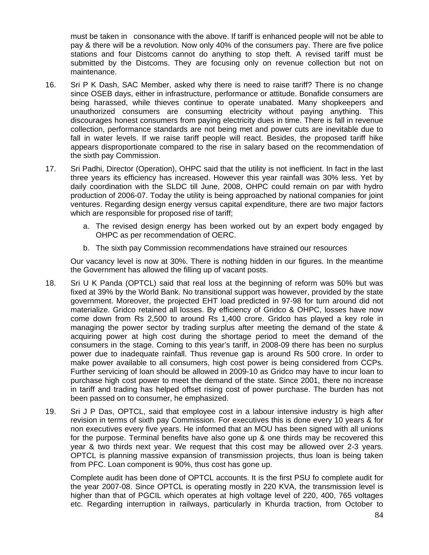must be taken in consonance with the above. If tariff is enhanced people will not be able to pay & there will be a revolution. Now only 40% of the consumers pay. There are five police stations and four Distcoms cannot do anything to stop theft. A revised tariff must be submitted by the Distcoms. They are focusing only on revenue collection but not on maintenance.

- 16. Sri P K Dash, SAC Member, asked why there is need to raise tariff? There is no change since OSEB days, either in infrastructure, performance or attitude. Bonafide consumers are being harassed, while thieves continue to operate unabated. Many shopkeepers and unauthorized consumers are consuming electricity without paying anything. This discourages honest consumers from paying electricity dues in time. There is fall in revenue collection, performance standards are not being met and power cuts are inevitable due to fall in water levels. If we raise tariff people will react. Besides, the proposed tariff hike appears disproportionate compared to the rise in salary based on the recommendation of the sixth pay Commission.
- 17. Sri Padhi, Director (Operation), OHPC said that the utility is not inefficient. In fact in the last three years its efficiency has increased. However this year rainfall was 30% less. Yet by daily coordination with the SLDC till June, 2008, OHPC could remain on par with hydro production of 2006-07. Today the utility is being approached by national companies for joint ventures. Regarding design energy versus capital expenditure, there are two major factors which are responsible for proposed rise of tariff;
	- a. The revised design energy has been worked out by an expert body engaged by OHPC as per recommendation of OERC.
	- b. The sixth pay Commission recommendations have strained our resources

Our vacancy level is now at 30%. There is nothing hidden in our figures. In the meantime the Government has allowed the filling up of vacant posts.

- 18. Sri U K Panda (OPTCL) said that real loss at the beginning of reform was 50% but was fixed at 39% by the World Bank. No transitional support was however, provided by the state government. Moreover, the projected EHT load predicted in 97-98 for turn around did not materialize. Gridco retained all losses. By efficiency of Gridco & OHPC, losses have now come down from Rs 2,500 to around Rs 1,400 crore. Gridco has played a key role in managing the power sector by trading surplus after meeting the demand of the state & acquiring power at high cost during the shortage period to meet the demand of the consumers in the stage. Coming to this year's tariff, in 2008-09 there has been no surplus power due to inadequate rainfall. Thus revenue gap is around Rs 500 crore. In order to make power available to all consumers, high cost power is being considered from CCPs. Further servicing of loan should be allowed in 2009-10 as Gridco may have to incur loan to purchase high cost power to meet the demand of the state. Since 2001, there no increase in tariff and trading has helped offset rising cost of power purchase. The burden has not been passed on to consumer, he emphasized.
- 19. Sri J P Das, OPTCL, said that employee cost in a labour intensive industry is high after revision in terms of sixth pay Commission. For executives this is done every 10 years & for non executives every five years. He informed that an MOU has been signed with all unions for the purpose. Terminal benefits have also gone up & one thirds may be recovered this year & two thirds next year. We request that this cost may be allowed over 2-3 years. OPTCL is planning massive expansion of transmission projects, thus loan is being taken from PFC. Loan component is 90%, thus cost has gone up.

Complete audit has been done of OPTCL accounts. It is the first PSU fo complete audit for the year 2007-08. Since OPTCL is operating mostly in 220 KVA, the transmission level is higher than that of PGCIL which operates at high voltage level of 220, 400, 765 voltages etc. Regarding interruption in railways, particularly in Khurda traction, from October to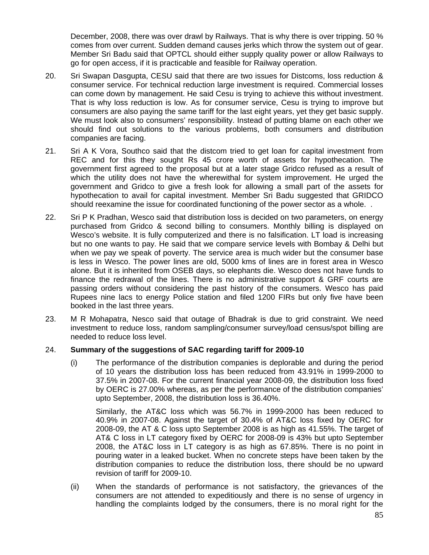December, 2008, there was over drawl by Railways. That is why there is over tripping. 50 % comes from over current. Sudden demand causes jerks which throw the system out of gear. Member Sri Badu said that OPTCL should either supply quality power or allow Railways to go for open access, if it is practicable and feasible for Railway operation.

- 20. Sri Swapan Dasgupta, CESU said that there are two issues for Distcoms, loss reduction & consumer service. For technical reduction large investment is required. Commercial losses can come down by management. He said Cesu is trying to achieve this without investment. That is why loss reduction is low. As for consumer service, Cesu is trying to improve but consumers are also paying the same tariff for the last eight years, yet they get basic supply. We must look also to consumers' responsibility. Instead of putting blame on each other we should find out solutions to the various problems, both consumers and distribution companies are facing.
- 21. Sri A K Vora, Southco said that the distcom tried to get loan for capital investment from REC and for this they sought Rs 45 crore worth of assets for hypothecation. The government first agreed to the proposal but at a later stage Gridco refused as a result of which the utility does not have the wherewithal for system improvement. He urged the government and Gridco to give a fresh look for allowing a small part of the assets for hypothecation to avail for capital investment. Member Sri Badu suggested that GRIDCO should reexamine the issue for coordinated functioning of the power sector as a whole. .
- 22. Sri P K Pradhan, Wesco said that distribution loss is decided on two parameters, on energy purchased from Gridco & second billing to consumers. Monthly billing is displayed on Wesco's website. It is fully computerized and there is no falsification. LT load is increasing but no one wants to pay. He said that we compare service levels with Bombay & Delhi but when we pay we speak of poverty. The service area is much wider but the consumer base is less in Wesco. The power lines are old, 5000 kms of lines are in forest area in Wesco alone. But it is inherited from OSEB days, so elephants die. Wesco does not have funds to finance the redrawal of the lines. There is no administrative support & GRF courts are passing orders without considering the past history of the consumers. Wesco has paid Rupees nine lacs to energy Police station and filed 1200 FIRs but only five have been booked in the last three years.
- 23. M R Mohapatra, Nesco said that outage of Bhadrak is due to grid constraint. We need investment to reduce loss, random sampling/consumer survey/load census/spot billing are needed to reduce loss level.

# 24. **Summary of the suggestions of SAC regarding tariff for 2009-10**

(i) The performance of the distribution companies is deplorable and during the period of 10 years the distribution loss has been reduced from 43.91% in 1999-2000 to 37.5% in 2007-08. For the current financial year 2008-09, the distribution loss fixed by OERC is 27.00% whereas, as per the performance of the distribution companies' upto September, 2008, the distribution loss is 36.40%.

Similarly, the AT&C loss which was 56.7% in 1999-2000 has been reduced to 40.9% in 2007-08. Against the target of 30.4% of AT&C loss fixed by OERC for 2008-09, the AT & C loss upto September 2008 is as high as 41.55%. The target of AT& C loss in LT category fixed by OERC for 2008-09 is 43% but upto September 2008, the AT&C loss in LT category is as high as 67.85%. There is no point in pouring water in a leaked bucket. When no concrete steps have been taken by the distribution companies to reduce the distribution loss, there should be no upward revision of tariff for 2009-10.

(ii) When the standards of performance is not satisfactory, the grievances of the consumers are not attended to expeditiously and there is no sense of urgency in handling the complaints lodged by the consumers, there is no moral right for the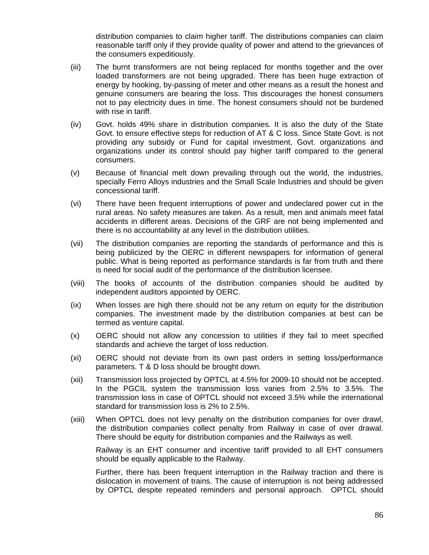distribution companies to claim higher tariff. The distributions companies can claim reasonable tariff only if they provide quality of power and attend to the grievances of the consumers expeditiously.

- (iii) The burnt transformers are not being replaced for months together and the over loaded transformers are not being upgraded. There has been huge extraction of energy by hooking, by-passing of meter and other means as a result the honest and genuine consumers are bearing the loss. This discourages the honest consumers not to pay electricity dues in time. The honest consumers should not be burdened with rise in tariff.
- (iv) Govt. holds 49% share in distribution companies. It is also the duty of the State Govt. to ensure effective steps for reduction of AT & C loss. Since State Govt. is not providing any subsidy or Fund for capital investment, Govt. organizations and organizations under its control should pay higher tariff compared to the general consumers.
- (v) Because of financial melt down prevailing through out the world, the industries, specially Ferro Alloys industries and the Small Scale Industries and should be given concessional tariff.
- (vi) There have been frequent interruptions of power and undeclared power cut in the rural areas. No safety measures are taken. As a result, men and animals meet fatal accidents in different areas. Decisions of the GRF are not being implemented and there is no accountability at any level in the distribution utilities.
- (vii) The distribution companies are reporting the standards of performance and this is being publicized by the OERC in different newspapers for information of general public. What is being reported as performance standards is far from truth and there is need for social audit of the performance of the distribution licensee.
- (viii) The books of accounts of the distribution companies should be audited by independent auditors appointed by OERC.
- (ix) When losses are high there should not be any return on equity for the distribution companies. The investment made by the distribution companies at best can be termed as venture capital.
- (x) OERC should not allow any concession to utilities if they fail to meet specified standards and achieve the target of loss reduction.
- (xi) OERC should not deviate from its own past orders in setting loss/performance parameters. T & D loss should be brought down.
- (xii) Transmission loss projected by OPTCL at 4.5% for 2009-10 should not be accepted. In the PGCIL system the transmission loss varies from 2.5% to 3.5%. The transmission loss in case of OPTCL should not exceed 3.5% while the international standard for transmission loss is 2% to 2.5%.
- (xiii) When OPTCL does not levy penalty on the distribution companies for over drawl, the distribution companies collect penalty from Railway in case of over drawal. There should be equity for distribution companies and the Railways as well.

Railway is an EHT consumer and incentive tariff provided to all EHT consumers should be equally applicable to the Railway.

Further, there has been frequent interruption in the Railway traction and there is dislocation in movement of trains. The cause of interruption is not being addressed by OPTCL despite repeated reminders and personal approach. OPTCL should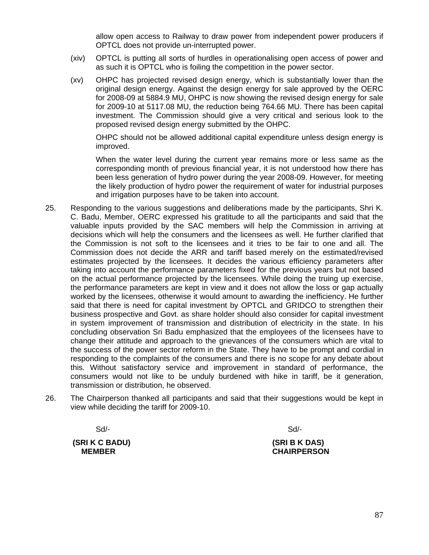allow open access to Railway to draw power from independent power producers if OPTCL does not provide un-interrupted power.

- (xiv) OPTCL is putting all sorts of hurdles in operationalising open access of power and as such it is OPTCL who is foiling the competition in the power sector.
- (xv) OHPC has projected revised design energy, which is substantially lower than the original design energy. Against the design energy for sale approved by the OERC for 2008-09 at 5884.9 MU, OHPC is now showing the revised design energy for sale for 2009-10 at 5117.08 MU, the reduction being 764.66 MU. There has been capital investment. The Commission should give a very critical and serious look to the proposed revised design energy submitted by the OHPC.

OHPC should not be allowed additional capital expenditure unless design energy is improved.

When the water level during the current year remains more or less same as the corresponding month of previous financial year, it is not understood how there has been less generation of hydro power during the year 2008-09. However, for meeting the likely production of hydro power the requirement of water for industrial purposes and irrigation purposes have to be taken into account.

- 25. Responding to the various suggestions and deliberations made by the participants, Shri K. C. Badu, Member, OERC expressed his gratitude to all the participants and said that the valuable inputs provided by the SAC members will help the Commission in arriving at decisions which will help the consumers and the licensees as well. He further clarified that the Commission is not soft to the licensees and it tries to be fair to one and all. The Commission does not decide the ARR and tariff based merely on the estimated/revised estimates projected by the licensees. It decides the various efficiency parameters after taking into account the performance parameters fixed for the previous years but not based on the actual performance projected by the licensees. While doing the truing up exercise, the performance parameters are kept in view and it does not allow the loss or gap actually worked by the licensees, otherwise it would amount to awarding the inefficiency. He further said that there is need for capital investment by OPTCL and GRIDCO to strengthen their business prospective and Govt. as share holder should also consider for capital investment in system improvement of transmission and distribution of electricity in the state. In his concluding observation Sri Badu emphasized that the employees of the licensees have to change their attitude and approach to the grievances of the consumers which are vital to the success of the power sector reform in the State. They have to be prompt and cordial in responding to the complaints of the consumers and there is no scope for any debate about this. Without satisfactory service and improvement in standard of performance, the consumers would not like to be unduly burdened with hike in tariff, be it generation, transmission or distribution, he observed.
- 26. The Chairperson thanked all participants and said that their suggestions would be kept in view while deciding the tariff for 2009-10.

 Sd/- Sd/-  **(SRI K C BADU) (SRI B K DAS) MEMBER CHAIRPERSON**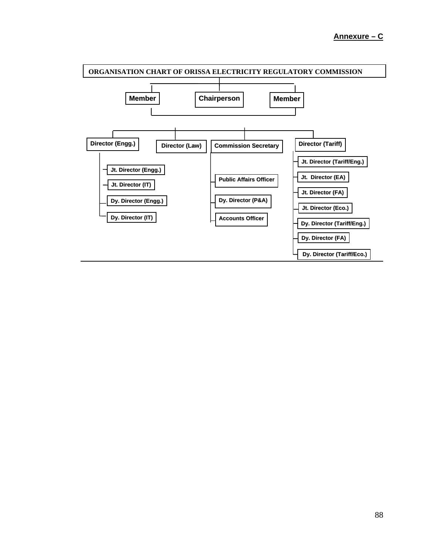# **Annexure – C**

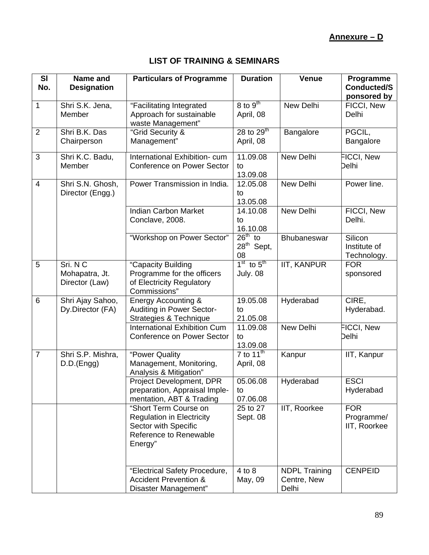# **LIST OF TRAINING & SEMINARS**

| SI<br>No.      | Name and<br><b>Designation</b>               | <b>Particulars of Programme</b>                                                                                        | <b>Duration</b>                              | <b>Venue</b>                                 | Programme<br><b>Conducted/S</b>          |
|----------------|----------------------------------------------|------------------------------------------------------------------------------------------------------------------------|----------------------------------------------|----------------------------------------------|------------------------------------------|
| $\mathbf 1$    | Shri S.K. Jena,<br>Member                    | "Facilitating Integrated<br>Approach for sustainable<br>waste Management"                                              | $8$ to $9th$<br>New Delhi<br>April, 08       |                                              | ponsored by<br>FICCI, New<br>Delhi       |
| $\overline{2}$ | Shri B.K. Das<br>Chairperson                 | "Grid Security &<br>Management"                                                                                        | 28 to 29 <sup>th</sup><br>April, 08          | Bangalore                                    | PGCIL,<br>Bangalore                      |
| 3              | Shri K.C. Badu,<br>Member                    | International Exhibition- cum<br><b>Conference on Power Sector</b>                                                     | 11.09.08<br>to<br>13.09.08                   | New Delhi                                    | FICCI, New<br>Delhi                      |
| $\overline{4}$ | Shri S.N. Ghosh,<br>Director (Engg.)         | Power Transmission in India.                                                                                           | 12.05.08<br>to<br>13.05.08                   | New Delhi                                    | Power line.                              |
|                |                                              | <b>Indian Carbon Market</b><br>Conclave, 2008.                                                                         | 14.10.08<br>to<br>16.10.08                   | New Delhi                                    | FICCI, New<br>Delhi.                     |
|                |                                              | "Workshop on Power Sector"                                                                                             | 26 <sup>th</sup><br>to<br>$28th$ Sept,<br>08 | Bhubaneswar                                  | Silicon<br>Institute of<br>Technology.   |
| 5              | Sri. N C<br>Mohapatra, Jt.<br>Director (Law) | "Capacity Building<br>Programme for the officers<br>of Electricity Regulatory<br>Commissions"                          | $1st$ to $5th$<br>July. 08                   | <b>IIT, KANPUR</b>                           | <b>FOR</b><br>sponsored                  |
| 6              | Shri Ajay Sahoo,<br>Dy.Director (FA)         | <b>Energy Accounting &amp;</b><br>Auditing in Power Sector-<br>Strategies & Technique                                  | 19.05.08<br>to<br>21.05.08                   | Hyderabad                                    | CIRE,<br>Hyderabad.                      |
|                |                                              | <b>International Exhibition Cum</b><br><b>Conference on Power Sector</b>                                               | 11.09.08<br>to<br>13.09.08                   | New Delhi                                    | FICCI, New<br>Delhi                      |
| $\overline{7}$ | Shri S.P. Mishra,<br>D.D.(Eng)               | "Power Quality<br>Management, Monitoring,<br>Analysis & Mitigation"                                                    | 7 to 11 <sup>th</sup><br>April, 08           | Kanpur                                       | IIT, Kanpur                              |
|                |                                              | Project Development, DPR<br>preparation, Appraisal Imple-<br>mentation, ABT & Trading                                  | 05.06.08<br>to<br>07.06.08                   | Hyderabad                                    | <b>ESCI</b><br>Hyderabad                 |
|                |                                              | "Short Term Course on<br><b>Regulation in Electricity</b><br>Sector with Specific<br>Reference to Renewable<br>Energy" | 25 to 27<br>Sept. 08                         | IIT, Roorkee                                 | <b>FOR</b><br>Programme/<br>IIT, Roorkee |
|                |                                              | "Electrical Safety Procedure,<br><b>Accident Prevention &amp;</b><br>Disaster Management"                              | $4$ to $8$<br>May, 09                        | <b>NDPL Training</b><br>Centre, New<br>Delhi | <b>CENPEID</b>                           |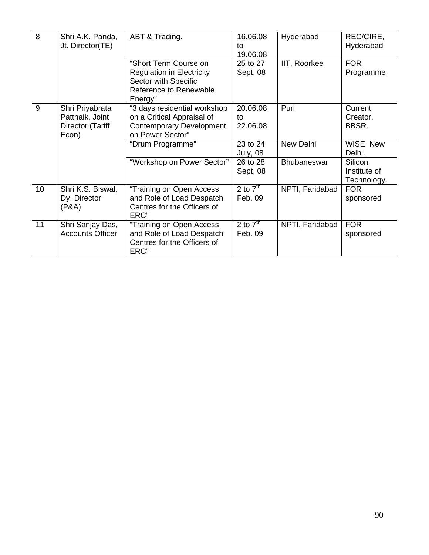| 8  | Shri A.K. Panda,<br>Jt. Director(TE)                            | ABT & Trading.                                                                                                         | 16.06.08<br>to<br>19.06.08                   | Hyderabad       | REC/CIRE,<br>Hyderabad                 |
|----|-----------------------------------------------------------------|------------------------------------------------------------------------------------------------------------------------|----------------------------------------------|-----------------|----------------------------------------|
|    |                                                                 | "Short Term Course on<br><b>Regulation in Electricity</b><br>Sector with Specific<br>Reference to Renewable<br>Energy" | 25 to 27<br>Sept. 08                         | IIT, Roorkee    | <b>FOR</b><br>Programme                |
| 9  | Shri Priyabrata<br>Pattnaik, Joint<br>Director (Tariff<br>Econ) | "3 days residential workshop<br>on a Critical Appraisal of<br><b>Contemporary Development</b><br>on Power Sector"      | 20.06.08<br>to<br>22.06.08                   | Puri            | Current<br>Creator,<br>BBSR.           |
|    |                                                                 | "Drum Programme"                                                                                                       | 23 to 24<br>July, 08                         | New Delhi       | WISE, New<br>Delhi.                    |
|    |                                                                 | "Workshop on Power Sector"                                                                                             | 26 to 28<br>Sept, 08                         | Bhubaneswar     | Silicon<br>Institute of<br>Technology. |
| 10 | Shri K.S. Biswal,<br>Dy. Director<br>(P&A)                      | "Training on Open Access<br>and Role of Load Despatch<br>Centres for the Officers of<br>ERC"                           | 2 to $7th$<br>Feb. 09                        | NPTI, Faridabad | <b>FOR</b><br>sponsored                |
| 11 | Shri Sanjay Das,<br><b>Accounts Officer</b>                     | "Training on Open Access<br>and Role of Load Despatch<br>Centres for the Officers of<br>ERC"                           | $2 \overline{$ to $7^{\text{th}}$<br>Feb. 09 | NPTI, Faridabad | <b>FOR</b><br>sponsored                |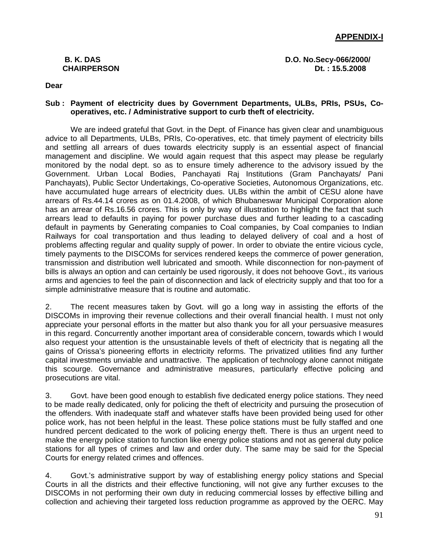**B. K. DAS B. K. DAS D.O. No.Secy-066/2000/ CHAIRPERSON Dt. : 15.5.2008** 

## **Dear**

#### **Sub : Payment of electricity dues by Government Departments, ULBs, PRIs, PSUs, Cooperatives, etc. / Administrative support to curb theft of electricity.**

We are indeed grateful that Govt. in the Dept. of Finance has given clear and unambiguous advice to all Departments, ULBs, PRIs, Co-operatives, etc. that timely payment of electricity bills and settling all arrears of dues towards electricity supply is an essential aspect of financial management and discipline. We would again request that this aspect may please be regularly monitored by the nodal dept. so as to ensure timely adherence to the advisory issued by the Government. Urban Local Bodies, Panchayati Raj Institutions (Gram Panchayats/ Pani Panchayats), Public Sector Undertakings, Co-operative Societies, Autonomous Organizations, etc. have accumulated huge arrears of electricity dues. ULBs within the ambit of CESU alone have arrears of Rs.44.14 crores as on 01.4.2008, of which Bhubaneswar Municipal Corporation alone has an arrear of Rs.16.56 crores. This is only by way of illustration to highlight the fact that such arrears lead to defaults in paying for power purchase dues and further leading to a cascading default in payments by Generating companies to Coal companies, by Coal companies to Indian Railways for coal transportation and thus leading to delayed delivery of coal and a host of problems affecting regular and quality supply of power. In order to obviate the entire vicious cycle, timely payments to the DISCOMs for services rendered keeps the commerce of power generation, transmission and distribution well lubricated and smooth. While disconnection for non-payment of bills is always an option and can certainly be used rigorously, it does not behoove Govt., its various arms and agencies to feel the pain of disconnection and lack of electricity supply and that too for a simple administrative measure that is routine and automatic.

2. The recent measures taken by Govt. will go a long way in assisting the efforts of the DISCOMs in improving their revenue collections and their overall financial health. I must not only appreciate your personal efforts in the matter but also thank you for all your persuasive measures in this regard. Concurrently another important area of considerable concern, towards which I would also request your attention is the unsustainable levels of theft of electricity that is negating all the gains of Orissa's pioneering efforts in electricity reforms. The privatized utilities find any further capital investments unviable and unattractive. The application of technology alone cannot mitigate this scourge. Governance and administrative measures, particularly effective policing and prosecutions are vital.

3. Govt. have been good enough to establish five dedicated energy police stations. They need to be made really dedicated, only for policing the theft of electricity and pursuing the prosecution of the offenders. With inadequate staff and whatever staffs have been provided being used for other police work, has not been helpful in the least. These police stations must be fully staffed and one hundred percent dedicated to the work of policing energy theft. There is thus an urgent need to make the energy police station to function like energy police stations and not as general duty police stations for all types of crimes and law and order duty. The same may be said for the Special Courts for energy related crimes and offences.

4. Govt.'s administrative support by way of establishing energy policy stations and Special Courts in all the districts and their effective functioning, will not give any further excuses to the DISCOMs in not performing their own duty in reducing commercial losses by effective billing and collection and achieving their targeted loss reduction programme as approved by the OERC. May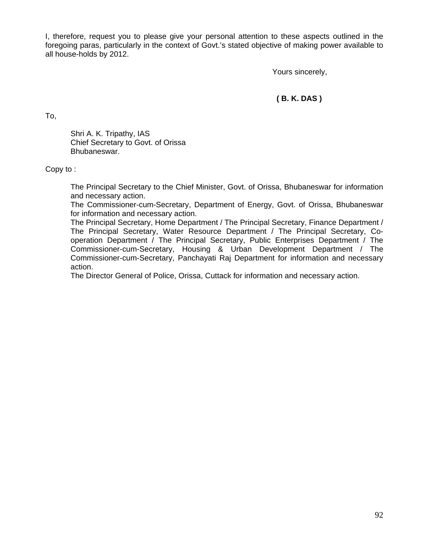I, therefore, request you to please give your personal attention to these aspects outlined in the foregoing paras, particularly in the context of Govt.'s stated objective of making power available to all house-holds by 2012.

Yours sincerely,

# **( B. K. DAS )**

To,

Shri A. K. Tripathy, IAS Chief Secretary to Govt. of Orissa Bhubaneswar.

Copy to :

The Principal Secretary to the Chief Minister, Govt. of Orissa, Bhubaneswar for information and necessary action.

The Commissioner-cum-Secretary, Department of Energy, Govt. of Orissa, Bhubaneswar for information and necessary action.

The Principal Secretary, Home Department / The Principal Secretary, Finance Department / The Principal Secretary, Water Resource Department / The Principal Secretary, Cooperation Department / The Principal Secretary, Public Enterprises Department / The Commissioner-cum-Secretary, Housing & Urban Development Department / The Commissioner-cum-Secretary, Panchayati Raj Department for information and necessary action.

The Director General of Police, Orissa, Cuttack for information and necessary action.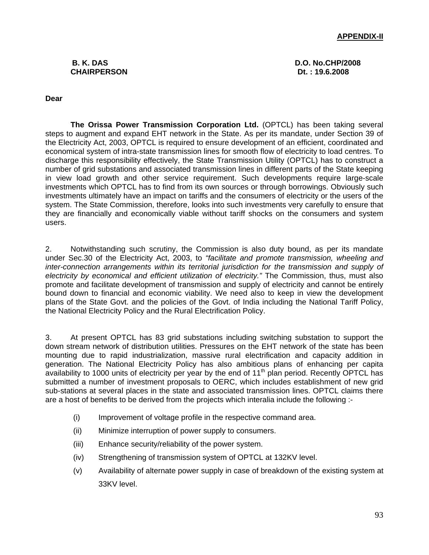# **CHAIRPERSON Dt. : 19.6.2008**

 **B. K. DAS D.O. No.CHP/2008** 

#### **Dear**

 **The Orissa Power Transmission Corporation Ltd.** (OPTCL) has been taking several steps to augment and expand EHT network in the State. As per its mandate, under Section 39 of the Electricity Act, 2003, OPTCL is required to ensure development of an efficient, coordinated and economical system of intra-state transmission lines for smooth flow of electricity to load centres. To discharge this responsibility effectively, the State Transmission Utility (OPTCL) has to construct a number of grid substations and associated transmission lines in different parts of the State keeping in view load growth and other service requirement. Such developments require large-scale investments which OPTCL has to find from its own sources or through borrowings. Obviously such investments ultimately have an impact on tariffs and the consumers of electricity or the users of the system. The State Commission, therefore, looks into such investments very carefully to ensure that they are financially and economically viable without tariff shocks on the consumers and system users.

2. Notwithstanding such scrutiny, the Commission is also duty bound, as per its mandate under Sec.30 of the Electricity Act, 2003, to *"facilitate and promote transmission, wheeling and inter-connection arrangements within its territorial jurisdiction for the transmission and supply of electricity by economical and efficient utilization of electricity."* The Commission, thus, must also promote and facilitate development of transmission and supply of electricity and cannot be entirely bound down to financial and economic viability. We need also to keep in view the development plans of the State Govt. and the policies of the Govt. of India including the National Tariff Policy, the National Electricity Policy and the Rural Electrification Policy.

3. At present OPTCL has 83 grid substations including switching substation to support the down stream network of distribution utilities. Pressures on the EHT network of the state has been mounting due to rapid industrialization, massive rural electrification and capacity addition in generation. The National Electricity Policy has also ambitious plans of enhancing per capita availability to 1000 units of electricity per year by the end of  $11<sup>th</sup>$  plan period. Recently OPTCL has submitted a number of investment proposals to OERC, which includes establishment of new grid sub-stations at several places in the state and associated transmission lines. OPTCL claims there are a host of benefits to be derived from the projects which interalia include the following :-

- (i) Improvement of voltage profile in the respective command area.
- (ii) Minimize interruption of power supply to consumers.
- (iii) Enhance security/reliability of the power system.
- (iv) Strengthening of transmission system of OPTCL at 132KV level.
- (v) Availability of alternate power supply in case of breakdown of the existing system at 33KV level.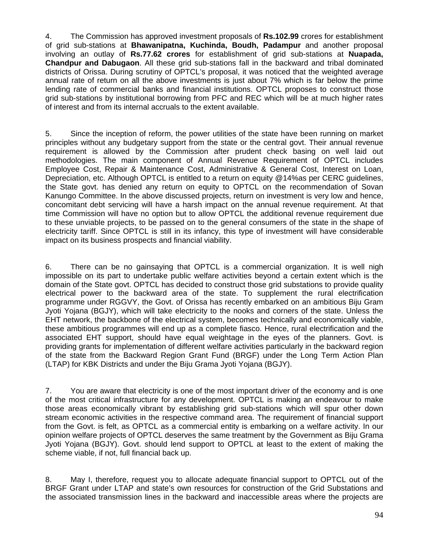4. The Commission has approved investment proposals of **Rs.102.99** crores for establishment of grid sub-stations at **Bhawanipatna, Kuchinda, Boudh, Padampur** and another proposal involving an outlay of **Rs.77.62 crores** for establishment of grid sub-stations at **Nuapada, Chandpur and Dabugaon**. All these grid sub-stations fall in the backward and tribal dominated districts of Orissa. During scrutiny of OPTCL's proposal, it was noticed that the weighted average annual rate of return on all the above investments is just about 7% which is far below the prime lending rate of commercial banks and financial institutions. OPTCL proposes to construct those grid sub-stations by institutional borrowing from PFC and REC which will be at much higher rates of interest and from its internal accruals to the extent available.

5. Since the inception of reform, the power utilities of the state have been running on market principles without any budgetary support from the state or the central govt. Their annual revenue requirement is allowed by the Commission after prudent check basing on well laid out methodologies. The main component of Annual Revenue Requirement of OPTCL includes Employee Cost, Repair & Maintenance Cost, Administrative & General Cost, Interest on Loan, Depreciation, etc. Although OPTCL is entitled to a return on equity @14%as per CERC guidelines, the State govt. has denied any return on equity to OPTCL on the recommendation of Sovan Kanungo Committee. In the above discussed projects, return on investment is very low and hence, concomitant debt servicing will have a harsh impact on the annual revenue requirement. At that time Commission will have no option but to allow OPTCL the additional revenue requirement due to these unviable projects, to be passed on to the general consumers of the state in the shape of electricity tariff. Since OPTCL is still in its infancy, this type of investment will have considerable impact on its business prospects and financial viability.

6. There can be no gainsaying that OPTCL is a commercial organization. It is well nigh impossible on its part to undertake public welfare activities beyond a certain extent which is the domain of the State govt. OPTCL has decided to construct those grid substations to provide quality electrical power to the backward area of the state. To supplement the rural electrification programme under RGGVY, the Govt. of Orissa has recently embarked on an ambitious Biju Gram Jyoti Yojana (BGJY), which will take electricity to the nooks and corners of the state. Unless the EHT network, the backbone of the electrical system, becomes technically and economically viable, these ambitious programmes will end up as a complete fiasco. Hence, rural electrification and the associated EHT support, should have equal weightage in the eyes of the planners. Govt. is providing grants for implementation of different welfare activities particularly in the backward region of the state from the Backward Region Grant Fund (BRGF) under the Long Term Action Plan (LTAP) for KBK Districts and under the Biju Grama Jyoti Yojana (BGJY).

7. You are aware that electricity is one of the most important driver of the economy and is one of the most critical infrastructure for any development. OPTCL is making an endeavour to make those areas economically vibrant by establishing grid sub-stations which will spur other down stream economic activities in the respective command area. The requirement of financial support from the Govt. is felt, as OPTCL as a commercial entity is embarking on a welfare activity. In our opinion welfare projects of OPTCL deserves the same treatment by the Government as Biju Grama Jyoti Yojana (BGJY). Govt. should lend support to OPTCL at least to the extent of making the scheme viable, if not, full financial back up.

8. May I, therefore, request you to allocate adequate financial support to OPTCL out of the BRGF Grant under LTAP and state's own resources for construction of the Grid Substations and the associated transmission lines in the backward and inaccessible areas where the projects are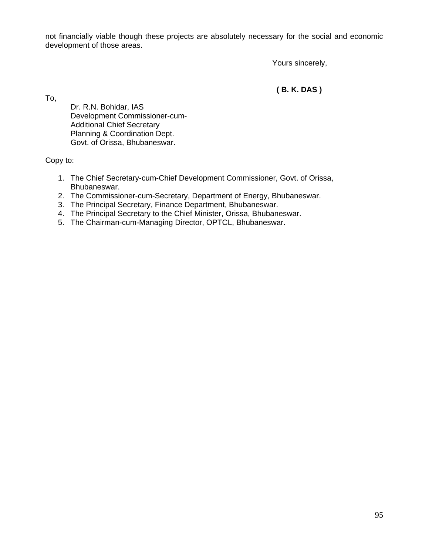not financially viable though these projects are absolutely necessary for the social and economic development of those areas.

Yours sincerely,

# **( B. K. DAS )**

To,

 Dr. R.N. Bohidar, IAS Development Commissioner-cum- Additional Chief Secretary Planning & Coordination Dept. Govt. of Orissa, Bhubaneswar.

Copy to:

- 1. The Chief Secretary-cum-Chief Development Commissioner, Govt. of Orissa, Bhubaneswar.
- 2. The Commissioner-cum-Secretary, Department of Energy, Bhubaneswar.
- 3. The Principal Secretary, Finance Department, Bhubaneswar.
- 4. The Principal Secretary to the Chief Minister, Orissa, Bhubaneswar.
- 5. The Chairman-cum-Managing Director, OPTCL, Bhubaneswar.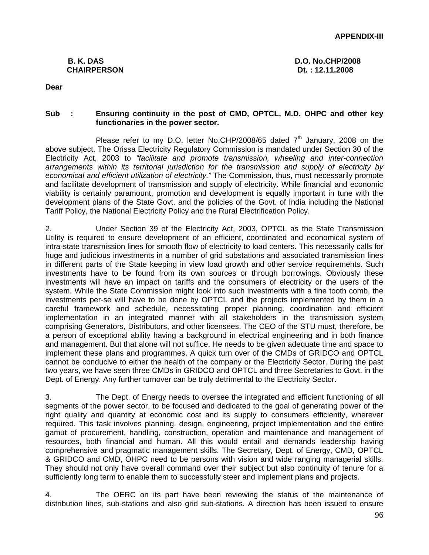**Dear** 

**B. K. DAS D.O. No.CHP/2008 CHAIRPERSON Dt. : 12.11.2008** 

#### **Sub : Ensuring continuity in the post of CMD, OPTCL, M.D. OHPC and other key functionaries in the power sector.**

Please refer to my D.O. letter No.CHP/2008/65 dated  $7<sup>th</sup>$  January, 2008 on the above subject. The Orissa Electricity Regulatory Commission is mandated under Section 30 of the Electricity Act, 2003 to *"facilitate and promote transmission, wheeling and inter-connection arrangements within its territorial jurisdiction for the transmission and supply of electricity by economical and efficient utilization of electricity."* The Commission, thus, must necessarily promote and facilitate development of transmission and supply of electricity. While financial and economic viability is certainly paramount, promotion and development is equally important in tune with the development plans of the State Govt. and the policies of the Govt. of India including the National Tariff Policy, the National Electricity Policy and the Rural Electrification Policy.

2. Under Section 39 of the Electricity Act, 2003, OPTCL as the State Transmission Utility is required to ensure development of an efficient, coordinated and economical system of intra-state transmission lines for smooth flow of electricity to load centers. This necessarily calls for huge and judicious investments in a number of grid substations and associated transmission lines in different parts of the State keeping in view load growth and other service requirements. Such investments have to be found from its own sources or through borrowings. Obviously these investments will have an impact on tariffs and the consumers of electricity or the users of the system. While the State Commission might look into such investments with a fine tooth comb, the investments per-se will have to be done by OPTCL and the projects implemented by them in a careful framework and schedule, necessitating proper planning, coordination and efficient implementation in an integrated manner with all stakeholders in the transmission system comprising Generators, Distributors, and other licensees. The CEO of the STU must, therefore, be a person of exceptional ability having a background in electrical engineering and in both finance and management. But that alone will not suffice. He needs to be given adequate time and space to implement these plans and programmes. A quick turn over of the CMDs of GRIDCO and OPTCL cannot be conducive to either the health of the company or the Electricity Sector. During the past two years, we have seen three CMDs in GRIDCO and OPTCL and three Secretaries to Govt. in the Dept. of Energy. Any further turnover can be truly detrimental to the Electricity Sector.

3. The Dept. of Energy needs to oversee the integrated and efficient functioning of all segments of the power sector, to be focused and dedicated to the goal of generating power of the right quality and quantity at economic cost and its supply to consumers efficiently, wherever required. This task involves planning, design, engineering, project implementation and the entire gamut of procurement, handling, construction, operation and maintenance and management of resources, both financial and human. All this would entail and demands leadership having comprehensive and pragmatic management skills. The Secretary, Dept. of Energy, CMD, OPTCL & GRIDCO and CMD, OHPC need to be persons with vision and wide ranging managerial skills. They should not only have overall command over their subject but also continuity of tenure for a sufficiently long term to enable them to successfully steer and implement plans and projects.

4. The OERC on its part have been reviewing the status of the maintenance of distribution lines, sub-stations and also grid sub-stations. A direction has been issued to ensure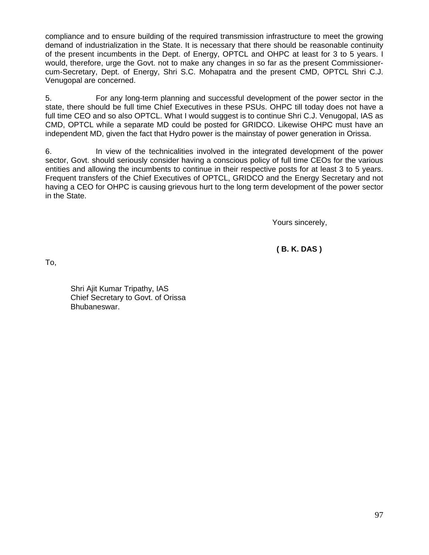compliance and to ensure building of the required transmission infrastructure to meet the growing demand of industrialization in the State. It is necessary that there should be reasonable continuity of the present incumbents in the Dept. of Energy, OPTCL and OHPC at least for 3 to 5 years. I would, therefore, urge the Govt. not to make any changes in so far as the present Commissionercum-Secretary, Dept. of Energy, Shri S.C. Mohapatra and the present CMD, OPTCL Shri C.J. Venugopal are concerned.

5. For any long-term planning and successful development of the power sector in the state, there should be full time Chief Executives in these PSUs. OHPC till today does not have a full time CEO and so also OPTCL. What I would suggest is to continue Shri C.J. Venugopal, IAS as CMD, OPTCL while a separate MD could be posted for GRIDCO. Likewise OHPC must have an independent MD, given the fact that Hydro power is the mainstay of power generation in Orissa.

6. In view of the technicalities involved in the integrated development of the power sector, Govt. should seriously consider having a conscious policy of full time CEOs for the various entities and allowing the incumbents to continue in their respective posts for at least 3 to 5 years. Frequent transfers of the Chief Executives of OPTCL, GRIDCO and the Energy Secretary and not having a CEO for OHPC is causing grievous hurt to the long term development of the power sector in the State.

Yours sincerely,

**( B. K. DAS )** 

To,

Shri Ajit Kumar Tripathy, IAS Chief Secretary to Govt. of Orissa Bhubaneswar.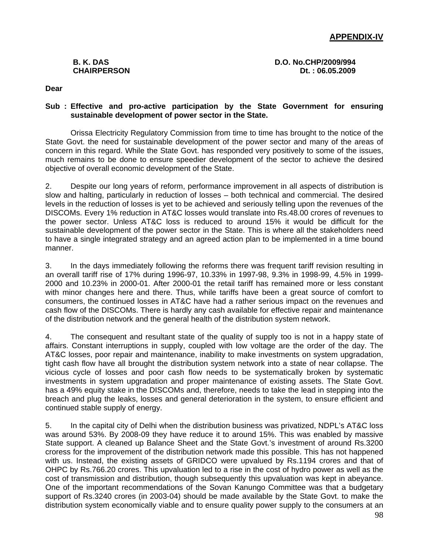**B. K. DAS D.O. No.CHP/2009/994 CHAIRPERSON Dt. : 06.05.2009** 

**Dear** 

#### **Sub : Effective and pro-active participation by the State Government for ensuring sustainable development of power sector in the State.**

 Orissa Electricity Regulatory Commission from time to time has brought to the notice of the State Govt. the need for sustainable development of the power sector and many of the areas of concern in this regard. While the State Govt. has responded very positively to some of the issues, much remains to be done to ensure speedier development of the sector to achieve the desired objective of overall economic development of the State.

2. Despite our long years of reform, performance improvement in all aspects of distribution is slow and halting, particularly in reduction of losses – both technical and commercial. The desired levels in the reduction of losses is yet to be achieved and seriously telling upon the revenues of the DISCOMs. Every 1% reduction in AT&C losses would translate into Rs.48.00 crores of revenues to the power sector. Unless AT&C loss is reduced to around 15% it would be difficult for the sustainable development of the power sector in the State. This is where all the stakeholders need to have a single integrated strategy and an agreed action plan to be implemented in a time bound manner.

3. In the days immediately following the reforms there was frequent tariff revision resulting in an overall tariff rise of 17% during 1996-97, 10.33% in 1997-98, 9.3% in 1998-99, 4.5% in 1999- 2000 and 10.23% in 2000-01. After 2000-01 the retail tariff has remained more or less constant with minor changes here and there. Thus, while tariffs have been a great source of comfort to consumers, the continued losses in AT&C have had a rather serious impact on the revenues and cash flow of the DISCOMs. There is hardly any cash available for effective repair and maintenance of the distribution network and the general health of the distribution system network.

4. The consequent and resultant state of the quality of supply too is not in a happy state of affairs. Constant interruptions in supply, coupled with low voltage are the order of the day. The AT&C losses, poor repair and maintenance, inability to make investments on system upgradation, tight cash flow have all brought the distribution system network into a state of near collapse. The vicious cycle of losses and poor cash flow needs to be systematically broken by systematic investments in system upgradation and proper maintenance of existing assets. The State Govt. has a 49% equity stake in the DISCOMs and, therefore, needs to take the lead in stepping into the breach and plug the leaks, losses and general deterioration in the system, to ensure efficient and continued stable supply of energy.

5. In the capital city of Delhi when the distribution business was privatized, NDPL's AT&C loss was around 53%. By 2008-09 they have reduce it to around 15%. This was enabled by massive State support. A cleaned up Balance Sheet and the State Govt.'s investment of around Rs.3200 croress for the improvement of the distribution network made this possible. This has not happened with us. Instead, the existing assets of GRIDCO were upvalued by Rs.1194 crores and that of OHPC by Rs.766.20 crores. This upvaluation led to a rise in the cost of hydro power as well as the cost of transmission and distribution, though subsequently this upvaluation was kept in abeyance. One of the important recommendations of the Sovan Kanungo Committee was that a budgetary support of Rs.3240 crores (in 2003-04) should be made available by the State Govt. to make the distribution system economically viable and to ensure quality power supply to the consumers at an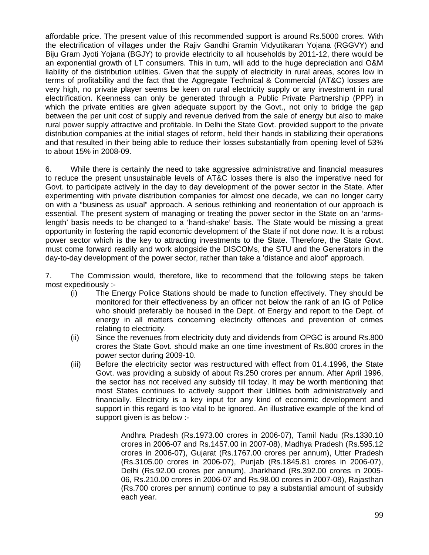affordable price. The present value of this recommended support is around Rs.5000 crores. With the electrification of villages under the Rajiv Gandhi Gramin Vidyutikaran Yojana (RGGVY) and Biju Gram Jyoti Yojana (BGJY) to provide electricity to all households by 2011-12, there would be an exponential growth of LT consumers. This in turn, will add to the huge depreciation and O&M liability of the distribution utilities. Given that the supply of electricity in rural areas, scores low in terms of profitability and the fact that the Aggregate Technical & Commercial (AT&C) losses are very high, no private player seems be keen on rural electricity supply or any investment in rural electrification. Keenness can only be generated through a Public Private Partnership (PPP) in which the private entities are given adequate support by the Govt., not only to bridge the gap between the per unit cost of supply and revenue derived from the sale of energy but also to make rural power supply attractive and profitable. In Delhi the State Govt. provided support to the private distribution companies at the initial stages of reform, held their hands in stabilizing their operations and that resulted in their being able to reduce their losses substantially from opening level of 53% to about 15% in 2008-09.

6. While there is certainly the need to take aggressive administrative and financial measures to reduce the present unsustainable levels of AT&C losses there is also the imperative need for Govt. to participate actively in the day to day development of the power sector in the State. After experimenting with private distribution companies for almost one decade, we can no longer carry on with a "business as usual" approach. A serious rethinking and reorientation of our approach is essential. The present system of managing or treating the power sector in the State on an 'armslength' basis needs to be changed to a 'hand-shake' basis. The State would be missing a great opportunity in fostering the rapid economic development of the State if not done now. It is a robust power sector which is the key to attracting investments to the State. Therefore, the State Govt. must come forward readily and work alongside the DISCOMs, the STU and the Generators in the day-to-day development of the power sector, rather than take a 'distance and aloof' approach.

7. The Commission would, therefore, like to recommend that the following steps be taken most expeditiously :-

- (i) The Energy Police Stations should be made to function effectively. They should be monitored for their effectiveness by an officer not below the rank of an IG of Police who should preferably be housed in the Dept. of Energy and report to the Dept. of energy in all matters concerning electricity offences and prevention of crimes relating to electricity.
- (ii) Since the revenues from electricity duty and dividends from OPGC is around Rs.800 crores the State Govt. should make an one time investment of Rs.800 crores in the power sector during 2009-10.
- (iii) Before the electricity sector was restructured with effect from 01.4.1996, the State Govt. was providing a subsidy of about Rs.250 crores per annum. After April 1996, the sector has not received any subsidy till today. It may be worth mentioning that most States continues to actively support their Utilities both administratively and financially. Electricity is a key input for any kind of economic development and support in this regard is too vital to be ignored. An illustrative example of the kind of support given is as below :-

Andhra Pradesh (Rs.1973.00 crores in 2006-07), Tamil Nadu (Rs.1330.10 crores in 2006-07 and Rs.1457.00 in 2007-08), Madhya Pradesh (Rs.595.12 crores in 2006-07), Gujarat (Rs.1767.00 crores per annum), Utter Pradesh (Rs.3105.00 crores in 2006-07), Punjab (Rs.1845.81 crores in 2006-07), Delhi (Rs.92.00 crores per annum), Jharkhand (Rs.392.00 crores in 2005- 06, Rs.210.00 crores in 2006-07 and Rs.98.00 crores in 2007-08), Rajasthan (Rs.700 crores per annum) continue to pay a substantial amount of subsidy each year.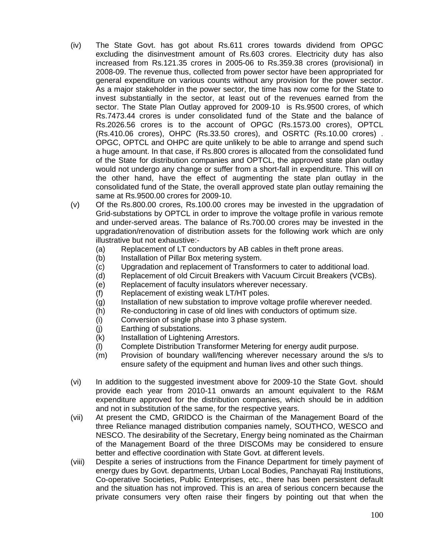- (iv) The State Govt. has got about Rs.611 crores towards dividend from OPGC excluding the disinvestment amount of Rs.603 crores. Electricity duty has also increased from Rs.121.35 crores in 2005-06 to Rs.359.38 crores (provisional) in 2008-09. The revenue thus, collected from power sector have been appropriated for general expenditure on various counts without any provision for the power sector. As a major stakeholder in the power sector, the time has now come for the State to invest substantially in the sector, at least out of the revenues earned from the sector. The State Plan Outlay approved for 2009-10 is Rs.9500 crores, of which Rs.7473.44 crores is under consolidated fund of the State and the balance of Rs.2026.56 crores is to the account of OPGC (Rs.1573.00 crores), OPTCL (Rs.410.06 crores), OHPC (Rs.33.50 crores), and OSRTC (Rs.10.00 crores) . OPGC, OPTCL and OHPC are quite unlikely to be able to arrange and spend such a huge amount. In that case, if Rs.800 crores is allocated from the consolidated fund of the State for distribution companies and OPTCL, the approved state plan outlay would not undergo any change or suffer from a short-fall in expenditure. This will on the other hand, have the effect of augmenting the state plan outlay in the consolidated fund of the State, the overall approved state plan outlay remaining the same at Rs.9500.00 crores for 2009-10.
- (v) Of the Rs.800.00 crores, Rs.100.00 crores may be invested in the upgradation of Grid-substations by OPTCL in order to improve the voltage profile in various remote and under-served areas. The balance of Rs.700.00 crores may be invested in the upgradation/renovation of distribution assets for the following work which are only illustrative but not exhaustive:-
	- (a) Replacement of LT conductors by AB cables in theft prone areas.
	- (b) Installation of Pillar Box metering system.
	- (c) Upgradation and replacement of Transformers to cater to additional load.
	- (d) Replacement of old Circuit Breakers with Vacuum Circuit Breakers (VCBs).
	- (e) Replacement of faculty insulators wherever necessary.
	- (f) Replacement of existing weak LT/HT poles.
	- (g) Installation of new substation to improve voltage profile wherever needed.
	- (h) Re-conductoring in case of old lines with conductors of optimum size.
	- (i) Conversion of single phase into 3 phase system.
	- (j) Earthing of substations.
	- (k) Installation of Lightening Arrestors.
	- (l) Complete Distribution Transformer Metering for energy audit purpose.
	- (m) Provision of boundary wall/fencing wherever necessary around the s/s to ensure safety of the equipment and human lives and other such things.
- (vi) In addition to the suggested investment above for 2009-10 the State Govt. should provide each year from 2010-11 onwards an amount equivalent to the R&M expenditure approved for the distribution companies, which should be in addition and not in substitution of the same, for the respective years.
- (vii) At present the CMD, GRIDCO is the Chairman of the Management Board of the three Reliance managed distribution companies namely, SOUTHCO, WESCO and NESCO. The desirability of the Secretary, Energy being nominated as the Chairman of the Management Board of the three DISCOMs may be considered to ensure better and effective coordination with State Govt. at different levels.
- (viii) Despite a series of instructions from the Finance Department for timely payment of energy dues by Govt. departments, Urban Local Bodies, Panchayati Raj Institutions, Co-operative Societies, Public Enterprises, etc., there has been persistent default and the situation has not improved. This is an area of serious concern because the private consumers very often raise their fingers by pointing out that when the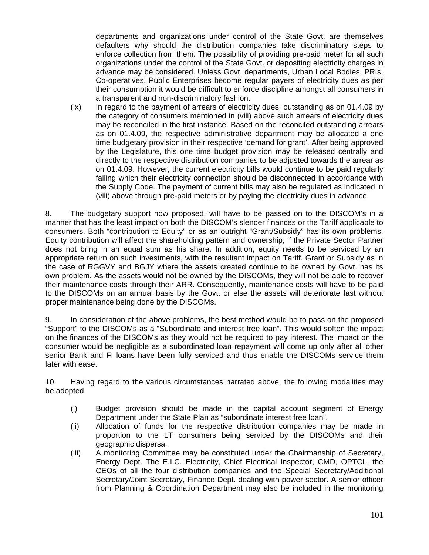departments and organizations under control of the State Govt. are themselves defaulters why should the distribution companies take discriminatory steps to enforce collection from them. The possibility of providing pre-paid meter for all such organizations under the control of the State Govt. or depositing electricity charges in advance may be considered. Unless Govt. departments, Urban Local Bodies, PRIs, Co-operatives, Public Enterprises become regular payers of electricity dues as per their consumption it would be difficult to enforce discipline amongst all consumers in a transparent and non-discriminatory fashion.

(ix) In regard to the payment of arrears of electricity dues, outstanding as on 01.4.09 by the category of consumers mentioned in (viii) above such arrears of electricity dues may be reconciled in the first instance. Based on the reconciled outstanding arrears as on 01.4.09, the respective administrative department may be allocated a one time budgetary provision in their respective 'demand for grant'. After being approved by the Legislature, this one time budget provision may be released centrally and directly to the respective distribution companies to be adjusted towards the arrear as on 01.4.09. However, the current electricity bills would continue to be paid regularly failing which their electricity connection should be disconnected in accordance with the Supply Code. The payment of current bills may also be regulated as indicated in (viii) above through pre-paid meters or by paying the electricity dues in advance.

8. The budgetary support now proposed, will have to be passed on to the DISCOM's in a manner that has the least impact on both the DISCOM's slender finances or the Tariff applicable to consumers. Both "contribution to Equity" or as an outright "Grant/Subsidy" has its own problems. Equity contribution will affect the shareholding pattern and ownership, if the Private Sector Partner does not bring in an equal sum as his share. In addition, equity needs to be serviced by an appropriate return on such investments, with the resultant impact on Tariff. Grant or Subsidy as in the case of RGGVY and BGJY where the assets created continue to be owned by Govt. has its own problem. As the assets would not be owned by the DISCOMs, they will not be able to recover their maintenance costs through their ARR. Consequently, maintenance costs will have to be paid to the DISCOMs on an annual basis by the Govt. or else the assets will deteriorate fast without proper maintenance being done by the DISCOMs.

9. In consideration of the above problems, the best method would be to pass on the proposed "Support" to the DISCOMs as a "Subordinate and interest free loan". This would soften the impact on the finances of the DISCOMs as they would not be required to pay interest. The impact on the consumer would be negligible as a subordinated loan repayment will come up only after all other senior Bank and FI loans have been fully serviced and thus enable the DISCOMs service them later with ease.

10. Having regard to the various circumstances narrated above, the following modalities may be adopted.

- (i) Budget provision should be made in the capital account segment of Energy Department under the State Plan as "subordinate interest free loan".
- (ii) Allocation of funds for the respective distribution companies may be made in proportion to the LT consumers being serviced by the DISCOMs and their geographic dispersal.
- (iii) A monitoring Committee may be constituted under the Chairmanship of Secretary, Energy Dept. The E.I.C. Electricity, Chief Electrical Inspector, CMD, OPTCL, the CEOs of all the four distribution companies and the Special Secretary/Additional Secretary/Joint Secretary, Finance Dept. dealing with power sector. A senior officer from Planning & Coordination Department may also be included in the monitoring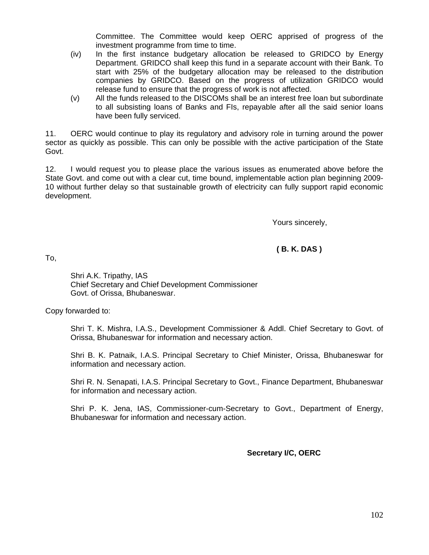Committee. The Committee would keep OERC apprised of progress of the investment programme from time to time.

- (iv) In the first instance budgetary allocation be released to GRIDCO by Energy Department. GRIDCO shall keep this fund in a separate account with their Bank. To start with 25% of the budgetary allocation may be released to the distribution companies by GRIDCO. Based on the progress of utilization GRIDCO would release fund to ensure that the progress of work is not affected.
- (v) All the funds released to the DISCOMs shall be an interest free loan but subordinate to all subsisting loans of Banks and FIs, repayable after all the said senior loans have been fully serviced.

11. OERC would continue to play its regulatory and advisory role in turning around the power sector as quickly as possible. This can only be possible with the active participation of the State Govt.

12. I would request you to please place the various issues as enumerated above before the State Govt. and come out with a clear cut, time bound, implementable action plan beginning 2009- 10 without further delay so that sustainable growth of electricity can fully support rapid economic development.

Yours sincerely,

# **( B. K. DAS )**

To,

 Shri A.K. Tripathy, IAS Chief Secretary and Chief Development Commissioner Govt. of Orissa, Bhubaneswar.

Copy forwarded to:

Shri T. K. Mishra, I.A.S., Development Commissioner & Addl. Chief Secretary to Govt. of Orissa, Bhubaneswar for information and necessary action.

Shri B. K. Patnaik, I.A.S. Principal Secretary to Chief Minister, Orissa, Bhubaneswar for information and necessary action.

Shri R. N. Senapati, I.A.S. Principal Secretary to Govt., Finance Department, Bhubaneswar for information and necessary action.

Shri P. K. Jena, IAS, Commissioner-cum-Secretary to Govt., Department of Energy, Bhubaneswar for information and necessary action.

**Secretary I/C, OERC**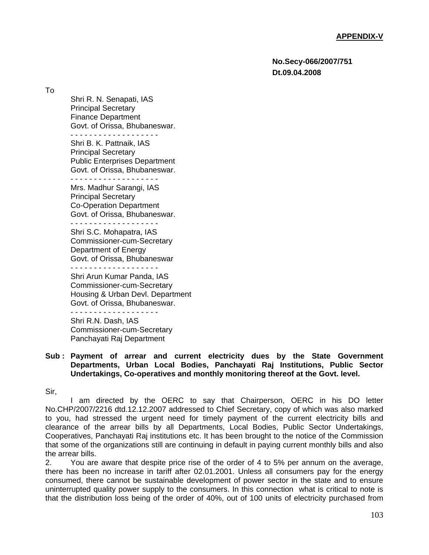**No.Secy-066/2007/751 Dt.09.04.2008** 

To

Shri R. N. Senapati, IAS Principal Secretary Finance Department Govt. of Orissa, Bhubaneswar. Shri B. K. Pattnaik, IAS Principal Secretary Public Enterprises Department Govt. of Orissa, Bhubaneswar. - - - - - - - - - - - - - - - - - - - Mrs. Madhur Sarangi, IAS Principal Secretary Co-Operation Department Govt. of Orissa, Bhubaneswar. - - - - - - - - - - - - - - - - - - - Shri S.C. Mohapatra, IAS Commissioner-cum-Secretary Department of Energy Govt. of Orissa, Bhubaneswar - - - - - - - - - - - - - - - - - - - Shri Arun Kumar Panda, IAS Commissioner-cum-Secretary Housing & Urban Devl. Department Govt. of Orissa, Bhubaneswar. - - - - - - - - - - - - - - - - - - - Shri R.N. Dash, IAS Commissioner-cum-Secretary

Panchayati Raj Department

**Sub : Payment of arrear and current electricity dues by the State Government Departments, Urban Local Bodies, Panchayati Raj Institutions, Public Sector Undertakings, Co-operatives and monthly monitoring thereof at the Govt. level.** 

Sir,

I am directed by the OERC to say that Chairperson, OERC in his DO letter No.CHP/2007/2216 dtd.12.12.2007 addressed to Chief Secretary, copy of which was also marked to you, had stressed the urgent need for timely payment of the current electricity bills and clearance of the arrear bills by all Departments, Local Bodies, Public Sector Undertakings, Cooperatives, Panchayati Raj institutions etc. It has been brought to the notice of the Commission that some of the organizations still are continuing in default in paying current monthly bills and also the arrear bills.

2. You are aware that despite price rise of the order of 4 to 5% per annum on the average, there has been no increase in tariff after 02.01.2001. Unless all consumers pay for the energy consumed, there cannot be sustainable development of power sector in the state and to ensure uninterrupted quality power supply to the consumers. In this connection what is critical to note is that the distribution loss being of the order of 40%, out of 100 units of electricity purchased from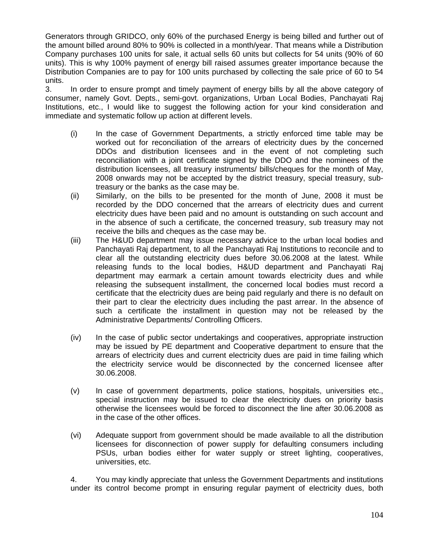Generators through GRIDCO, only 60% of the purchased Energy is being billed and further out of the amount billed around 80% to 90% is collected in a month/year. That means while a Distribution Company purchases 100 units for sale, it actual sells 60 units but collects for 54 units (90% of 60 units). This is why 100% payment of energy bill raised assumes greater importance because the Distribution Companies are to pay for 100 units purchased by collecting the sale price of 60 to 54 units.

3. In order to ensure prompt and timely payment of energy bills by all the above category of consumer, namely Govt. Depts., semi-govt. organizations, Urban Local Bodies, Panchayati Raj Institutions, etc., I would like to suggest the following action for your kind consideration and immediate and systematic follow up action at different levels.

- (i) In the case of Government Departments, a strictly enforced time table may be worked out for reconciliation of the arrears of electricity dues by the concerned DDOs and distribution licensees and in the event of not completing such reconciliation with a joint certificate signed by the DDO and the nominees of the distribution licensees, all treasury instruments/ bills/cheques for the month of May, 2008 onwards may not be accepted by the district treasury, special treasury, subtreasury or the banks as the case may be.
- (ii) Similarly, on the bills to be presented for the month of June, 2008 it must be recorded by the DDO concerned that the arrears of electricity dues and current electricity dues have been paid and no amount is outstanding on such account and in the absence of such a certificate, the concerned treasury, sub treasury may not receive the bills and cheques as the case may be.
- (iii) The H&UD department may issue necessary advice to the urban local bodies and Panchayati Raj department, to all the Panchayati Raj Institutions to reconcile and to clear all the outstanding electricity dues before 30.06.2008 at the latest. While releasing funds to the local bodies, H&UD department and Panchayati Raj department may earmark a certain amount towards electricity dues and while releasing the subsequent installment, the concerned local bodies must record a certificate that the electricity dues are being paid regularly and there is no default on their part to clear the electricity dues including the past arrear. In the absence of such a certificate the installment in question may not be released by the Administrative Departments/ Controlling Officers.
- (iv) In the case of public sector undertakings and cooperatives, appropriate instruction may be issued by PE department and Cooperative department to ensure that the arrears of electricity dues and current electricity dues are paid in time failing which the electricity service would be disconnected by the concerned licensee after 30.06.2008.
- (v) In case of government departments, police stations, hospitals, universities etc., special instruction may be issued to clear the electricity dues on priority basis otherwise the licensees would be forced to disconnect the line after 30.06.2008 as in the case of the other offices.
- (vi) Adequate support from government should be made available to all the distribution licensees for disconnection of power supply for defaulting consumers including PSUs, urban bodies either for water supply or street lighting, cooperatives, universities, etc.

4. You may kindly appreciate that unless the Government Departments and institutions under its control become prompt in ensuring regular payment of electricity dues, both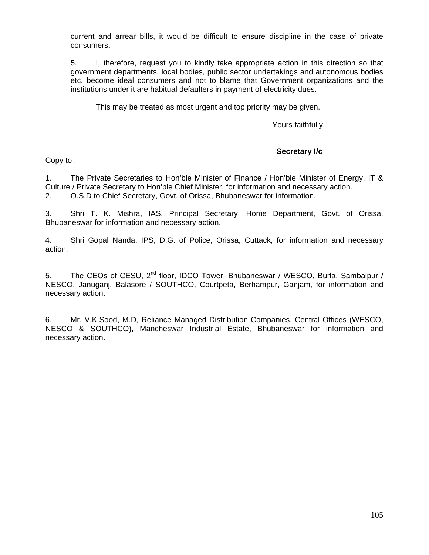current and arrear bills, it would be difficult to ensure discipline in the case of private consumers.

5. I, therefore, request you to kindly take appropriate action in this direction so that government departments, local bodies, public sector undertakings and autonomous bodies etc. become ideal consumers and not to blame that Government organizations and the institutions under it are habitual defaulters in payment of electricity dues.

This may be treated as most urgent and top priority may be given.

Yours faithfully,

## **Secretary I/c**

Copy to :

1. The Private Secretaries to Hon'ble Minister of Finance / Hon'ble Minister of Energy, IT & Culture / Private Secretary to Hon'ble Chief Minister, for information and necessary action. 2. O.S.D to Chief Secretary, Govt. of Orissa, Bhubaneswar for information.

3. Shri T. K. Mishra, IAS, Principal Secretary, Home Department, Govt. of Orissa, Bhubaneswar for information and necessary action.

4. Shri Gopal Nanda, IPS, D.G. of Police, Orissa, Cuttack, for information and necessary action.

5. The CEOs of CESU, 2<sup>nd</sup> floor, IDCO Tower, Bhubaneswar / WESCO, Burla, Sambalpur / NESCO, Januganj, Balasore / SOUTHCO, Courtpeta, Berhampur, Ganjam, for information and necessary action.

6. Mr. V.K.Sood, M.D, Reliance Managed Distribution Companies, Central Offices (WESCO, NESCO & SOUTHCO), Mancheswar Industrial Estate, Bhubaneswar for information and necessary action.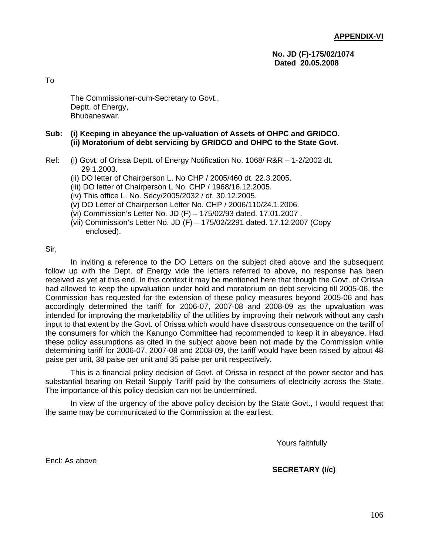**No. JD (F)-175/02/1074 Dated 20.05.2008** 

To

The Commissioner-cum-Secretary to Govt., Deptt. of Energy, Bhubaneswar.

#### **Sub: (i) Keeping in abeyance the up-valuation of Assets of OHPC and GRIDCO. (ii) Moratorium of debt servicing by GRIDCO and OHPC to the State Govt.**

- Ref: (i) Govt. of Orissa Deptt. of Energy Notification No. 1068/ R&R 1-2/2002 dt. 29.1.2003.
	- (ii) DO letter of Chairperson L. No CHP / 2005/460 dt. 22.3.2005.
	- (iii) DO letter of Chairperson L No. CHP / 1968/16.12.2005.
	- (iv) This office L. No. Secy/2005/2032 / dt. 30.12.2005.
	- (v) DO Letter of Chairperson Letter No. CHP / 2006/110/24.1.2006.
	- (vi) Commission's Letter No. JD (F) 175/02/93 dated. 17.01.2007 .
	- (vii) Commission's Letter No. JD (F) 175/02/2291 dated. 17.12.2007 (Copy enclosed).

Sir,

 In inviting a reference to the DO Letters on the subject cited above and the subsequent follow up with the Dept. of Energy vide the letters referred to above, no response has been received as yet at this end. In this context it may be mentioned here that though the Govt. of Orissa had allowed to keep the upvaluation under hold and moratorium on debt servicing till 2005-06, the Commission has requested for the extension of these policy measures beyond 2005-06 and has accordingly determined the tariff for 2006-07, 2007-08 and 2008-09 as the upvaluation was intended for improving the marketability of the utilities by improving their network without any cash input to that extent by the Govt. of Orissa which would have disastrous consequence on the tariff of the consumers for which the Kanungo Committee had recommended to keep it in abeyance. Had these policy assumptions as cited in the subject above been not made by the Commission while determining tariff for 2006-07, 2007-08 and 2008-09, the tariff would have been raised by about 48 paise per unit, 38 paise per unit and 35 paise per unit respectively.

 This is a financial policy decision of Govt. of Orissa in respect of the power sector and has substantial bearing on Retail Supply Tariff paid by the consumers of electricity across the State. The importance of this policy decision can not be undermined.

 In view of the urgency of the above policy decision by the State Govt., I would request that the same may be communicated to the Commission at the earliest.

Yours faithfully

Encl: As above

**SECRETARY (I/c)**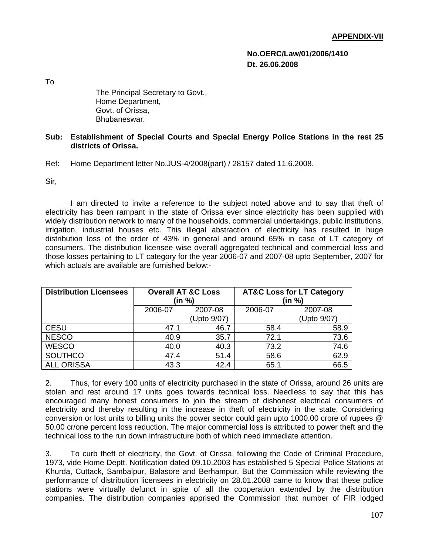# **No.OERC/Law/01/2006/1410 Dt. 26.06.2008**

To

 The Principal Secretary to Govt., Home Department, Govt. of Orissa, Bhubaneswar.

## **Sub: Establishment of Special Courts and Special Energy Police Stations in the rest 25 districts of Orissa.**

Ref: Home Department letter No.JUS-4/2008(part) / 28157 dated 11.6.2008.

Sir,

I am directed to invite a reference to the subject noted above and to say that theft of electricity has been rampant in the state of Orissa ever since electricity has been supplied with widely distribution network to many of the households, commercial undertakings, public institutions, irrigation, industrial houses etc. This illegal abstraction of electricity has resulted in huge distribution loss of the order of 43% in general and around 65% in case of LT category of consumers. The distribution licensee wise overall aggregated technical and commercial loss and those losses pertaining to LT category for the year 2006-07 and 2007-08 upto September, 2007 for which actuals are available are furnished below:-

| <b>Distribution Licensees</b> | <b>Overall AT &amp;C Loss</b> |             | <b>AT&amp;C Loss for LT Category</b> |             |  |
|-------------------------------|-------------------------------|-------------|--------------------------------------|-------------|--|
|                               | (in %)                        |             | (in %)                               |             |  |
|                               | 2006-07                       | 2007-08     | 2006-07                              | 2007-08     |  |
|                               |                               | (Upto 9/07) |                                      | (Upto 9/07) |  |
| <b>CESU</b>                   | 47.1                          | 46.7        | 58.4                                 | 58.9        |  |
| <b>NESCO</b>                  | 40.9                          | 35.7        | 72.1                                 | 73.6        |  |
| <b>WESCO</b>                  | 40.0                          | 40.3        | 73.2                                 | 74.6        |  |
| <b>SOUTHCO</b>                | 47.4                          | 51.4        | 58.6                                 | 62.9        |  |
| <b>ALL ORISSA</b>             | 43.3                          | 42.4        | 65.1                                 | 66.5        |  |

2. Thus, for every 100 units of electricity purchased in the state of Orissa, around 26 units are stolen and rest around 17 units goes towards technical loss. Needless to say that this has encouraged many honest consumers to join the stream of dishonest electrical consumers of electricity and thereby resulting in the increase in theft of electricity in the state. Considering conversion or lost units to billing units the power sector could gain upto 1000.00 crore of rupees @ 50.00 cr/one percent loss reduction. The major commercial loss is attributed to power theft and the technical loss to the run down infrastructure both of which need immediate attention.

3. To curb theft of electricity, the Govt. of Orissa, following the Code of Criminal Procedure, 1973, vide Home Deptt. Notification dated 09.10.2003 has established 5 Special Police Stations at Khurda, Cuttack, Sambalpur, Balasore and Berhampur. But the Commission while reviewing the performance of distribution licensees in electricity on 28.01.2008 came to know that these police stations were virtually defunct in spite of all the cooperation extended by the distribution companies. The distribution companies apprised the Commission that number of FIR lodged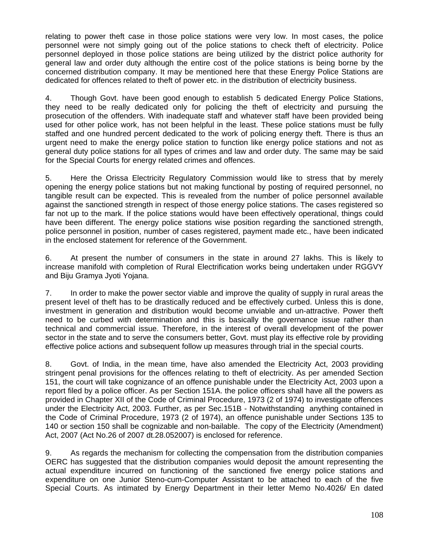relating to power theft case in those police stations were very low. In most cases, the police personnel were not simply going out of the police stations to check theft of electricity. Police personnel deployed in those police stations are being utilized by the district police authority for general law and order duty although the entire cost of the police stations is being borne by the concerned distribution company. It may be mentioned here that these Energy Police Stations are dedicated for offences related to theft of power etc. in the distribution of electricity business.

4. Though Govt. have been good enough to establish 5 dedicated Energy Police Stations, they need to be really dedicated only for policing the theft of electricity and pursuing the prosecution of the offenders. With inadequate staff and whatever staff have been provided being used for other police work, has not been helpful in the least. These police stations must be fully staffed and one hundred percent dedicated to the work of policing energy theft. There is thus an urgent need to make the energy police station to function like energy police stations and not as general duty police stations for all types of crimes and law and order duty. The same may be said for the Special Courts for energy related crimes and offences.

5. Here the Orissa Electricity Regulatory Commission would like to stress that by merely opening the energy police stations but not making functional by posting of required personnel, no tangible result can be expected. This is revealed from the number of police personnel available against the sanctioned strength in respect of those energy police stations. The cases registered so far not up to the mark. If the police stations would have been effectively operational, things could have been different. The energy police stations wise position regarding the sanctioned strength, police personnel in position, number of cases registered, payment made etc., have been indicated in the enclosed statement for reference of the Government.

6. At present the number of consumers in the state in around 27 lakhs. This is likely to increase manifold with completion of Rural Electrification works being undertaken under RGGVY and Biju Gramya Jyoti Yojana.

7. In order to make the power sector viable and improve the quality of supply in rural areas the present level of theft has to be drastically reduced and be effectively curbed. Unless this is done, investment in generation and distribution would become unviable and un-attractive. Power theft need to be curbed with determination and this is basically the governance issue rather than technical and commercial issue. Therefore, in the interest of overall development of the power sector in the state and to serve the consumers better, Govt. must play its effective role by providing effective police actions and subsequent follow up measures through trial in the special courts.

8. Govt. of India, in the mean time, have also amended the Electricity Act, 2003 providing stringent penal provisions for the offences relating to theft of electricity. As per amended Section 151, the court will take cognizance of an offence punishable under the Electricity Act, 2003 upon a report filed by a police officer. As per Section 151A. the police officers shall have all the powers as provided in Chapter XII of the Code of Criminal Procedure, 1973 (2 of 1974) to investigate offences under the Electricity Act, 2003. Further, as per Sec.151B - Notwithstanding anything contained in the Code of Criminal Procedure, 1973 (2 of 1974), an offence punishable under Sections 135 to 140 or section 150 shall be cognizable and non-bailable. The copy of the Electricity (Amendment) Act, 2007 (Act No.26 of 2007 dt.28.052007) is enclosed for reference.

9. As regards the mechanism for collecting the compensation from the distribution companies OERC has suggested that the distribution companies would deposit the amount representing the actual expenditure incurred on functioning of the sanctioned five energy police stations and expenditure on one Junior Steno-cum-Computer Assistant to be attached to each of the five Special Courts. As intimated by Energy Department in their letter Memo No.4026/ En dated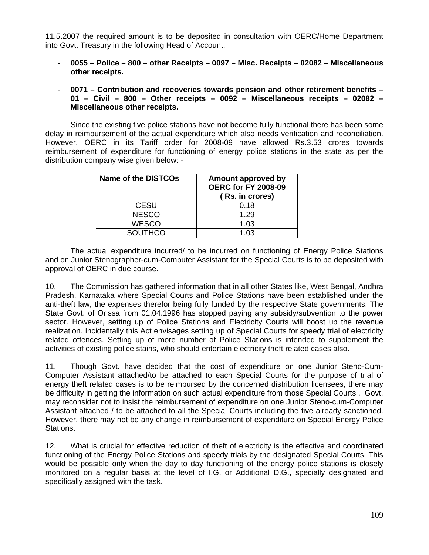11.5.2007 the required amount is to be deposited in consultation with OERC/Home Department into Govt. Treasury in the following Head of Account.

- **0055 Police 800 other Receipts 0097 Misc. Receipts 02082 Miscellaneous other receipts.**
- **0071 Contribution and recoveries towards pension and other retirement benefits 01 – Civil – 800 – Other receipts – 0092 – Miscellaneous receipts – 02082 – Miscellaneous other receipts.**

 Since the existing five police stations have not become fully functional there has been some delay in reimbursement of the actual expenditure which also needs verification and reconciliation. However, OERC in its Tariff order for 2008-09 have allowed Rs.3.53 crores towards reimbursement of expenditure for functioning of energy police stations in the state as per the distribution company wise given below: -

| Name of the DISTCOs | Amount approved by<br><b>OERC for FY 2008-09</b><br>(Rs. in crores) |
|---------------------|---------------------------------------------------------------------|
| <b>CESU</b>         | 0.18                                                                |
| <b>NESCO</b>        | 1.29                                                                |
| <b>WESCO</b>        | 1.03                                                                |
| <b>SOUTHCO</b>      | 1.03                                                                |

 The actual expenditure incurred/ to be incurred on functioning of Energy Police Stations and on Junior Stenographer-cum-Computer Assistant for the Special Courts is to be deposited with approval of OERC in due course.

10. The Commission has gathered information that in all other States like, West Bengal, Andhra Pradesh, Karnataka where Special Courts and Police Stations have been established under the anti-theft law, the expenses therefor being fully funded by the respective State governments. The State Govt. of Orissa from 01.04.1996 has stopped paying any subsidy/subvention to the power sector. However, setting up of Police Stations and Electricity Courts will boost up the revenue realization. Incidentally this Act envisages setting up of Special Courts for speedy trial of electricity related offences. Setting up of more number of Police Stations is intended to supplement the activities of existing police stains, who should entertain electricity theft related cases also.

11. Though Govt. have decided that the cost of expenditure on one Junior Steno-Cum-Computer Assistant attached/to be attached to each Special Courts for the purpose of trial of energy theft related cases is to be reimbursed by the concerned distribution licensees, there may be difficulty in getting the information on such actual expenditure from those Special Courts . Govt. may reconsider not to insist the reimbursement of expenditure on one Junior Steno-cum-Computer Assistant attached / to be attached to all the Special Courts including the five already sanctioned. However, there may not be any change in reimbursement of expenditure on Special Energy Police Stations.

12. What is crucial for effective reduction of theft of electricity is the effective and coordinated functioning of the Energy Police Stations and speedy trials by the designated Special Courts. This would be possible only when the day to day functioning of the energy police stations is closely monitored on a regular basis at the level of I.G. or Additional D.G., specially designated and specifically assigned with the task.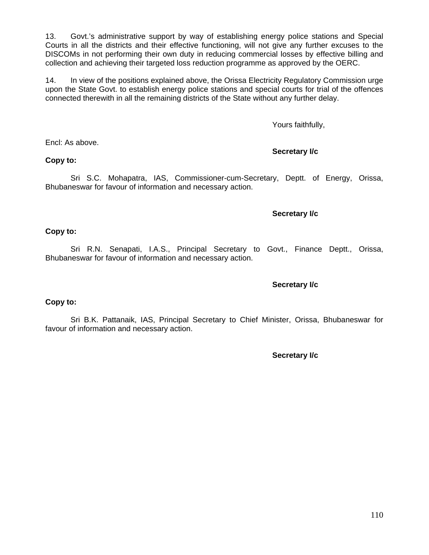13. Govt.'s administrative support by way of establishing energy police stations and Special Courts in all the districts and their effective functioning, will not give any further excuses to the DISCOMs in not performing their own duty in reducing commercial losses by effective billing and collection and achieving their targeted loss reduction programme as approved by the OERC.

14. In view of the positions explained above, the Orissa Electricity Regulatory Commission urge upon the State Govt. to establish energy police stations and special courts for trial of the offences connected therewith in all the remaining districts of the State without any further delay.

Yours faithfully,

 **Secretary I/c** 

Encl: As above.

## **Copy to:**

Sri S.C. Mohapatra, IAS, Commissioner-cum-Secretary, Deptt. of Energy, Orissa, Bhubaneswar for favour of information and necessary action.

## **Secretary I/c**

## **Copy to:**

Sri R.N. Senapati, I.A.S., Principal Secretary to Govt., Finance Deptt., Orissa, Bhubaneswar for favour of information and necessary action.

## **Secretary I/c**

## **Copy to:**

Sri B.K. Pattanaik, IAS, Principal Secretary to Chief Minister, Orissa, Bhubaneswar for favour of information and necessary action.

 **Secretary I/c**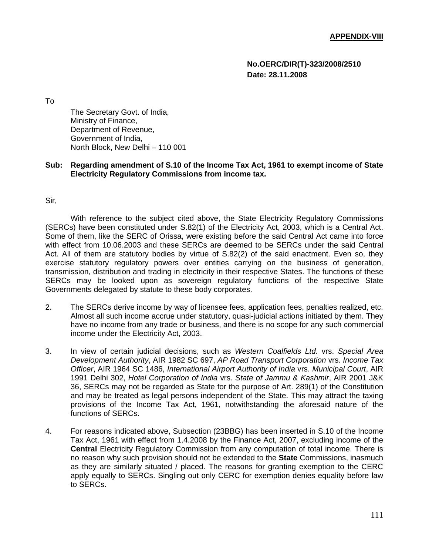**No.OERC/DIR(T)-323/2008/2510 Date: 28.11.2008**

To

The Secretary Govt. of India, Ministry of Finance, Department of Revenue, Government of India, North Block, New Delhi – 110 001

#### **Sub: Regarding amendment of S.10 of the Income Tax Act, 1961 to exempt income of State Electricity Regulatory Commissions from income tax.**

Sir,

 With reference to the subject cited above, the State Electricity Regulatory Commissions (SERCs) have been constituted under S.82(1) of the Electricity Act, 2003, which is a Central Act. Some of them, like the SERC of Orissa, were existing before the said Central Act came into force with effect from 10.06.2003 and these SERCs are deemed to be SERCs under the said Central Act. All of them are statutory bodies by virtue of S.82(2) of the said enactment. Even so, they exercise statutory regulatory powers over entities carrying on the business of generation, transmission, distribution and trading in electricity in their respective States. The functions of these SERCs may be looked upon as sovereign regulatory functions of the respective State Governments delegated by statute to these body corporates.

- 2. The SERCs derive income by way of licensee fees, application fees, penalties realized, etc. Almost all such income accrue under statutory, quasi-judicial actions initiated by them. They have no income from any trade or business, and there is no scope for any such commercial income under the Electricity Act, 2003.
- 3. In view of certain judicial decisions, such as *Western Coalfields Ltd.* vrs. *Special Area Development Authority*, AIR 1982 SC 697, *AP Road Transport Corporation* vrs. *Income Tax Officer*, AIR 1964 SC 1486, *International Airport Authority of India* vrs. *Municipal Court*, AIR 1991 Delhi 302, *Hotel Corporation of India* vrs. *State of Jammu & Kashmir*, AIR 2001 J&K 36, SERCs may not be regarded as State for the purpose of Art. 289(1) of the Constitution and may be treated as legal persons independent of the State. This may attract the taxing provisions of the Income Tax Act, 1961, notwithstanding the aforesaid nature of the functions of SERCs.
- 4. For reasons indicated above, Subsection (23BBG) has been inserted in S.10 of the Income Tax Act, 1961 with effect from 1.4.2008 by the Finance Act, 2007, excluding income of the **Central** Electricity Regulatory Commission from any computation of total income. There is no reason why such provision should not be extended to the **State** Commissions, inasmuch as they are similarly situated / placed. The reasons for granting exemption to the CERC apply equally to SERCs. Singling out only CERC for exemption denies equality before law to SERCs.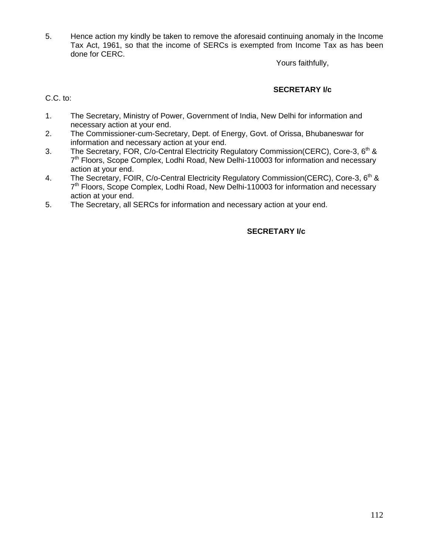5. Hence action my kindly be taken to remove the aforesaid continuing anomaly in the Income Tax Act, 1961, so that the income of SERCs is exempted from Income Tax as has been done for CERC.

Yours faithfully,

## **SECRETARY I/c**

C.C. to:

- 1. The Secretary, Ministry of Power, Government of India, New Delhi for information and necessary action at your end.
- 2. The Commissioner-cum-Secretary, Dept. of Energy, Govt. of Orissa, Bhubaneswar for information and necessary action at your end.
- 3. The Secretary, FOR, C/o-Central Electricity Regulatory Commission(CERC), Core-3, 6<sup>th</sup> & 7<sup>th</sup> Floors, Scope Complex, Lodhi Road, New Delhi-110003 for information and necessary action at your end.
- 4. The Secretary, FOIR, C/o-Central Electricity Regulatory Commission(CERC), Core-3, 6<sup>th</sup> &  $7<sup>th</sup>$  Floors, Scope Complex, Lodhi Road, New Delhi-110003 for information and necessary action at your end.
- 5. The Secretary, all SERCs for information and necessary action at your end.

## **SECRETARY I/c**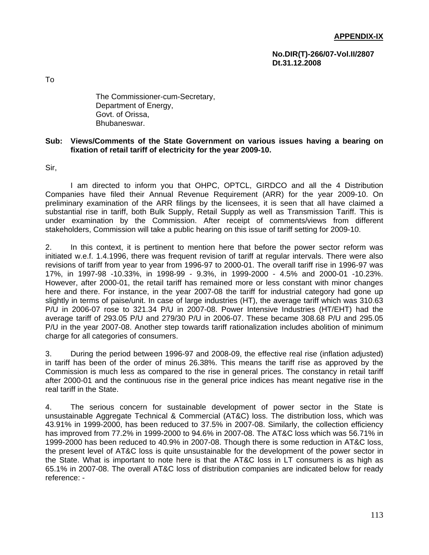**No.DIR(T)-266/07-Vol.II/2807 Dt.31.12.2008** 

To

 The Commissioner-cum-Secretary, Department of Energy, Govt. of Orissa, Bhubaneswar.

#### **Sub: Views/Comments of the State Government on various issues having a bearing on fixation of retail tariff of electricity for the year 2009-10.**

Sir,

I am directed to inform you that OHPC, OPTCL, GIRDCO and all the 4 Distribution Companies have filed their Annual Revenue Requirement (ARR) for the year 2009-10. On preliminary examination of the ARR filings by the licensees, it is seen that all have claimed a substantial rise in tariff, both Bulk Supply, Retail Supply as well as Transmission Tariff. This is under examination by the Commission. After receipt of comments/views from different stakeholders, Commission will take a public hearing on this issue of tariff setting for 2009-10.

2. In this context, it is pertinent to mention here that before the power sector reform was initiated w.e.f. 1.4.1996, there was frequent revision of tariff at regular intervals. There were also revisions of tariff from year to year from 1996-97 to 2000-01. The overall tariff rise in 1996-97 was 17%, in 1997-98 -10.33%, in 1998-99 - 9.3%, in 1999-2000 - 4.5% and 2000-01 -10.23%. However, after 2000-01, the retail tariff has remained more or less constant with minor changes here and there. For instance, in the year 2007-08 the tariff for industrial category had gone up slightly in terms of paise/unit. In case of large industries (HT), the average tariff which was 310.63 P/U in 2006-07 rose to 321.34 P/U in 2007-08. Power Intensive Industries (HT/EHT) had the average tariff of 293.05 P/U and 279/30 P/U in 2006-07. These became 308.68 P/U and 295.05 P/U in the year 2007-08. Another step towards tariff rationalization includes abolition of minimum charge for all categories of consumers.

3. During the period between 1996-97 and 2008-09, the effective real rise (inflation adjusted) in tariff has been of the order of minus 26.38%. This means the tariff rise as approved by the Commission is much less as compared to the rise in general prices. The constancy in retail tariff after 2000-01 and the continuous rise in the general price indices has meant negative rise in the real tariff in the State.

4. The serious concern for sustainable development of power sector in the State is unsustainable Aggregate Technical & Commercial (AT&C) loss. The distribution loss, which was 43.91% in 1999-2000, has been reduced to 37.5% in 2007-08. Similarly, the collection efficiency has improved from 77.2% in 1999-2000 to 94.6% in 2007-08. The AT&C loss which was 56.71% in 1999-2000 has been reduced to 40.9% in 2007-08. Though there is some reduction in AT&C loss, the present level of AT&C loss is quite unsustainable for the development of the power sector in the State. What is important to note here is that the AT&C loss in LT consumers is as high as 65.1% in 2007-08. The overall AT&C loss of distribution companies are indicated below for ready reference: -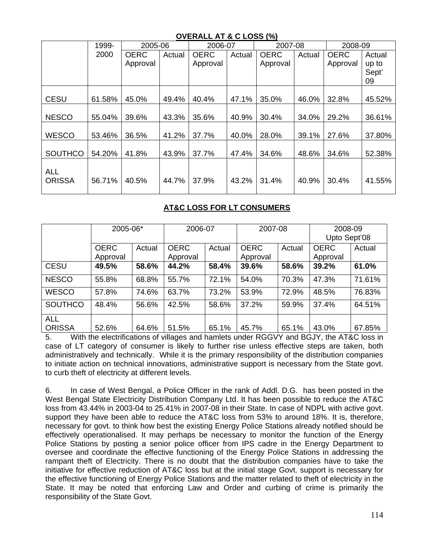| <b>UVERALL AT &amp; U LUSS (70)</b> |        |             |        |             |        |             |        |             |        |  |
|-------------------------------------|--------|-------------|--------|-------------|--------|-------------|--------|-------------|--------|--|
|                                     | 1999-  | 2005-06     |        | 2006-07     |        | 2007-08     |        | 2008-09     |        |  |
|                                     | 2000   | <b>OERC</b> | Actual | <b>OERC</b> | Actual | <b>OERC</b> | Actual | <b>OERC</b> | Actual |  |
|                                     |        | Approval    |        | Approval    |        | Approval    |        | Approval    | up to  |  |
|                                     |        |             |        |             |        |             |        |             | Sept'  |  |
|                                     |        |             |        |             |        |             |        |             | 09     |  |
|                                     |        |             |        |             |        |             |        |             |        |  |
| <b>CESU</b>                         | 61.58% | 45.0%       | 49.4%  | 40.4%       | 47.1%  | 35.0%       | 46.0%  | 32.8%       | 45.52% |  |
|                                     |        |             |        |             |        |             |        |             |        |  |
| <b>NESCO</b>                        | 55.04% | 39.6%       | 43.3%  | 35.6%       | 40.9%  | 30.4%       | 34.0%  | 29.2%       | 36.61% |  |
|                                     |        |             |        |             |        |             |        |             |        |  |
| <b>WESCO</b>                        | 53.46% | 36.5%       | 41.2%  | 37.7%       | 40.0%  | 28.0%       | 39.1%  | 27.6%       | 37.80% |  |
|                                     |        |             |        |             |        |             |        |             |        |  |
| <b>SOUTHCO</b>                      | 54.20% | 41.8%       | 43.9%  | 37.7%       | 47.4%  | 34.6%       | 48.6%  | 34.6%       | 52.38% |  |
|                                     |        |             |        |             |        |             |        |             |        |  |
| <b>ALL</b>                          |        |             |        |             |        |             |        |             |        |  |
| <b>ORISSA</b>                       | 56.71% | 40.5%       | 44.7%  | 37.9%       | 43.2%  | 31.4%       | 40.9%  | 30.4%       | 41.55% |  |
|                                     |        |             |        |             |        |             |        |             |        |  |

## **OVERALL AT & C LOSS (%)**

## **AT&C LOSS FOR LT CONSUMERS**

|                             |             | 2005-06*<br>2006-07 |             |        |             |         | 2008-09      |        |  |
|-----------------------------|-------------|---------------------|-------------|--------|-------------|---------|--------------|--------|--|
|                             |             |                     |             |        |             | 2007-08 |              |        |  |
|                             |             |                     |             |        |             |         | Upto Sept'08 |        |  |
|                             | <b>OERC</b> | Actual              | <b>OERC</b> | Actual | <b>OERC</b> | Actual  | <b>OERC</b>  | Actual |  |
|                             | Approval    |                     | Approval    |        | Approval    |         | Approval     |        |  |
| <b>CESU</b>                 | 49.5%       | 58.6%               | 44.2%       | 58.4%  | 39.6%       | 58.6%   | 39.2%        | 61.0%  |  |
| <b>NESCO</b>                | 55.8%       | 68.8%               | 55.7%       | 72.1%  | 54.0%       | 70.3%   | 47.3%        | 71.61% |  |
| <b>WESCO</b>                | 57.8%       | 74.6%               | 63.7%       | 73.2%  | 53.9%       | 72.9%   | 48.5%        | 76.83% |  |
| <b>SOUTHCO</b>              | 48.4%       | 56.6%               | 42.5%       | 58.6%  | 37.2%       | 59.9%   | 37.4%        | 64.51% |  |
| <b>ALL</b><br><b>ORISSA</b> | 52.6%       | 64.6%               | 51.5%       | 65.1%  | 45.7%       | 65.1%   | 43.0%        | 67.85% |  |

5. With the electrifications of villages and hamlets under RGGVY and BGJY, the AT&C loss in case of LT category of consumer is likely to further rise unless effective steps are taken, both administratively and technically. While it is the primary responsibility of the distribution companies to initiate action on technical innovations, administrative support is necessary from the State govt. to curb theft of electricity at different levels.

6. In case of West Bengal, a Police Officer in the rank of Addl. D.G. has been posted in the West Bengal State Electricity Distribution Company Ltd. It has been possible to reduce the AT&C loss from 43.44% in 2003-04 to 25.41% in 2007-08 in their State. In case of NDPL with active govt. support they have been able to reduce the AT&C loss from 53% to around 18%. It is, therefore, necessary for govt. to think how best the existing Energy Police Stations already notified should be effectively operationalised. It may perhaps be necessary to monitor the function of the Energy Police Stations by posting a senior police officer from IPS cadre in the Energy Department to oversee and coordinate the effective functioning of the Energy Police Stations in addressing the rampant theft of Electricity. There is no doubt that the distribution companies have to take the initiative for effective reduction of AT&C loss but at the initial stage Govt. support is necessary for the effective functioning of Energy Police Stations and the matter related to theft of electricity in the State. It may be noted that enforcing Law and Order and curbing of crime is primarily the responsibility of the State Govt.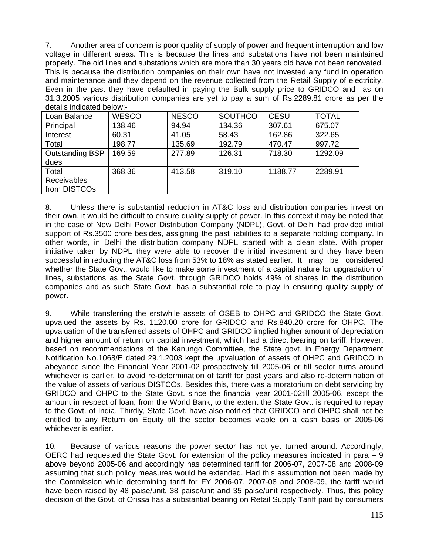7. Another area of concern is poor quality of supply of power and frequent interruption and low voltage in different areas. This is because the lines and substations have not been maintained properly. The old lines and substations which are more than 30 years old have not been renovated. This is because the distribution companies on their own have not invested any fund in operation and maintenance and they depend on the revenue collected from the Retail Supply of electricity. Even in the past they have defaulted in paying the Bulk supply price to GRIDCO and as on 31.3.2005 various distribution companies are yet to pay a sum of Rs.2289.81 crore as per the details indicated below:-

| Loan Balance                                   | <b>WESCO</b> | <b>NESCO</b> | <b>SOUTHCO</b> | <b>CESU</b> | <b>TOTAL</b> |
|------------------------------------------------|--------------|--------------|----------------|-------------|--------------|
| Principal                                      | 138.46       | 94.94        | 134.36         | 307.61      | 675.07       |
| Interest                                       | 60.31        | 41.05        | 58.43          | 162.86      | 322.65       |
| Total                                          | 198.77       | 135.69       | 192.79         | 470.47      | 997.72       |
| Outstanding BSP<br>dues                        | 169.59       | 277.89       | 126.31         | 718.30      | 1292.09      |
| Total                                          | 368.36       | 413.58       | 319.10         | 1188.77     | 2289.91      |
| <b>Receivables</b><br>from DISTCO <sub>s</sub> |              |              |                |             |              |

8. Unless there is substantial reduction in AT&C loss and distribution companies invest on their own, it would be difficult to ensure quality supply of power. In this context it may be noted that in the case of New Delhi Power Distribution Company (NDPL), Govt. of Delhi had provided initial support of Rs.3500 crore besides, assigning the past liabilities to a separate holding company. In other words, in Delhi the distribution company NDPL started with a clean slate. With proper initiative taken by NDPL they were able to recover the initial investment and they have been successful in reducing the AT&C loss from 53% to 18% as stated earlier. It may be considered whether the State Govt. would like to make some investment of a capital nature for upgradation of lines, substations as the State Govt. through GRIDCO holds 49% of shares in the distribution companies and as such State Govt. has a substantial role to play in ensuring quality supply of power.

9. While transferring the erstwhile assets of OSEB to OHPC and GRIDCO the State Govt. upvalued the assets by Rs. 1120.00 crore for GRIDCO and Rs.840.20 crore for OHPC. The upvaluation of the transferred assets of OHPC and GRIDCO implied higher amount of depreciation and higher amount of return on capital investment, which had a direct bearing on tariff. However, based on recommendations of the Kanungo Committee, the State govt. in Energy Department Notification No.1068/E dated 29.1.2003 kept the upvaluation of assets of OHPC and GRIDCO in abeyance since the Financial Year 2001-02 prospectively till 2005-06 or till sector turns around whichever is earlier, to avoid re-determination of tariff for past years and also re-determination of the value of assets of various DISTCOs. Besides this, there was a moratorium on debt servicing by GRIDCO and OHPC to the State Govt. since the financial year 2001-02till 2005-06, except the amount in respect of loan, from the World Bank, to the extent the State Govt. is required to repay to the Govt. of India. Thirdly, State Govt. have also notified that GRIDCO and OHPC shall not be entitled to any Return on Equity till the sector becomes viable on a cash basis or 2005-06 whichever is earlier.

10. Because of various reasons the power sector has not yet turned around. Accordingly, OERC had requested the State Govt. for extension of the policy measures indicated in para – 9 above beyond 2005-06 and accordingly has determined tariff for 2006-07, 2007-08 and 2008-09 assuming that such policy measures would be extended. Had this assumption not been made by the Commission while determining tariff for FY 2006-07, 2007-08 and 2008-09, the tariff would have been raised by 48 paise/unit, 38 paise/unit and 35 paise/unit respectively. Thus, this policy decision of the Govt. of Orissa has a substantial bearing on Retail Supply Tariff paid by consumers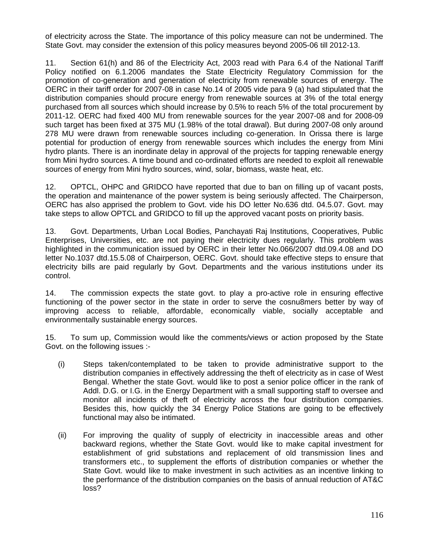of electricity across the State. The importance of this policy measure can not be undermined. The State Govt. may consider the extension of this policy measures beyond 2005-06 till 2012-13.

11. Section 61(h) and 86 of the Electricity Act, 2003 read with Para 6.4 of the National Tariff Policy notified on 6.1.2006 mandates the State Electricity Regulatory Commission for the promotion of co-generation and generation of electricity from renewable sources of energy. The OERC in their tariff order for 2007-08 in case No.14 of 2005 vide para 9 (a) had stipulated that the distribution companies should procure energy from renewable sources at 3% of the total energy purchased from all sources which should increase by 0.5% to reach 5% of the total procurement by 2011-12. OERC had fixed 400 MU from renewable sources for the year 2007-08 and for 2008-09 such target has been fixed at 375 MU (1.98% of the total drawal). But during 2007-08 only around 278 MU were drawn from renewable sources including co-generation. In Orissa there is large potential for production of energy from renewable sources which includes the energy from Mini hydro plants. There is an inordinate delay in approval of the projects for tapping renewable energy from Mini hydro sources. A time bound and co-ordinated efforts are needed to exploit all renewable sources of energy from Mini hydro sources, wind, solar, biomass, waste heat, etc.

12. OPTCL, OHPC and GRIDCO have reported that due to ban on filling up of vacant posts, the operation and maintenance of the power system is being seriously affected. The Chairperson, OERC has also apprised the problem to Govt. vide his DO letter No.636 dtd. 04.5.07. Govt. may take steps to allow OPTCL and GRIDCO to fill up the approved vacant posts on priority basis.

13. Govt. Departments, Urban Local Bodies, Panchayati Raj Institutions, Cooperatives, Public Enterprises, Universities, etc. are not paying their electricity dues regularly. This problem was highlighted in the communication issued by OERC in their letter No.066/2007 dtd.09.4.08 and DO letter No.1037 dtd.15.5.08 of Chairperson, OERC. Govt. should take effective steps to ensure that electricity bills are paid regularly by Govt. Departments and the various institutions under its control.

14. The commission expects the state govt. to play a pro-active role in ensuring effective functioning of the power sector in the state in order to serve the cosnu8mers better by way of improving access to reliable, affordable, economically viable, socially acceptable and environmentally sustainable energy sources.

15. To sum up, Commission would like the comments/views or action proposed by the State Govt. on the following issues :-

- (i) Steps taken/contemplated to be taken to provide administrative support to the distribution companies in effectively addressing the theft of electricity as in case of West Bengal. Whether the state Govt. would like to post a senior police officer in the rank of Addl. D.G. or I.G. in the Energy Department with a small supporting staff to oversee and monitor all incidents of theft of electricity across the four distribution companies. Besides this, how quickly the 34 Energy Police Stations are going to be effectively functional may also be intimated.
- (ii) For improving the quality of supply of electricity in inaccessible areas and other backward regions, whether the State Govt. would like to make capital investment for establishment of grid substations and replacement of old transmission lines and transformers etc., to supplement the efforts of distribution companies or whether the State Govt. would like to make investment in such activities as an incentive linking to the performance of the distribution companies on the basis of annual reduction of AT&C loss?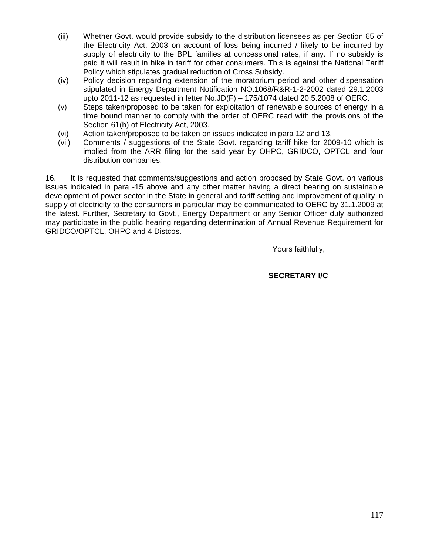- (iii) Whether Govt. would provide subsidy to the distribution licensees as per Section 65 of the Electricity Act, 2003 on account of loss being incurred / likely to be incurred by supply of electricity to the BPL families at concessional rates, if any. If no subsidy is paid it will result in hike in tariff for other consumers. This is against the National Tariff Policy which stipulates gradual reduction of Cross Subsidy.
- (iv) Policy decision regarding extension of the moratorium period and other dispensation stipulated in Energy Department Notification NO.1068/R&R-1-2-2002 dated 29.1.2003 upto 2011-12 as requested in letter No.JD(F) – 175/1074 dated 20.5.2008 of OERC.
- (v) Steps taken/proposed to be taken for exploitation of renewable sources of energy in a time bound manner to comply with the order of OERC read with the provisions of the Section 61(h) of Electricity Act, 2003.
- (vi) Action taken/proposed to be taken on issues indicated in para 12 and 13.
- (vii) Comments / suggestions of the State Govt. regarding tariff hike for 2009-10 which is implied from the ARR filing for the said year by OHPC, GRIDCO, OPTCL and four distribution companies.

16. It is requested that comments/suggestions and action proposed by State Govt. on various issues indicated in para -15 above and any other matter having a direct bearing on sustainable development of power sector in the State in general and tariff setting and improvement of quality in supply of electricity to the consumers in particular may be communicated to OERC by 31.1.2009 at the latest. Further, Secretary to Govt., Energy Department or any Senior Officer duly authorized may participate in the public hearing regarding determination of Annual Revenue Requirement for GRIDCO/OPTCL, OHPC and 4 Distcos.

Yours faithfully,

## **SECRETARY I/C**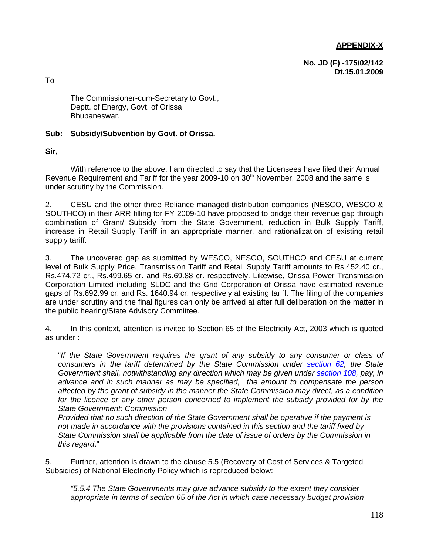#### **APPENDIX-X**

**No. JD (F) -175/02/142 Dt.15.01.2009** 

To

The Commissioner-cum-Secretary to Govt., Deptt. of Energy, Govt. of Orissa Bhubaneswar.

## **Sub: Subsidy/Subvention by Govt. of Orissa.**

**Sir,** 

 With reference to the above, I am directed to say that the Licensees have filed their Annual Revenue Requirement and Tariff for the year 2009-10 on 30<sup>th</sup> November, 2008 and the same is under scrutiny by the Commission.

2. CESU and the other three Reliance managed distribution companies (NESCO, WESCO & SOUTHCO) in their ARR filling for FY 2009-10 have proposed to bridge their revenue gap through combination of Grant/ Subsidy from the State Government, reduction in Bulk Supply Tariff, increase in Retail Supply Tariff in an appropriate manner, and rationalization of existing retail supply tariff.

3. The uncovered gap as submitted by WESCO, NESCO, SOUTHCO and CESU at current level of Bulk Supply Price, Transmission Tariff and Retail Supply Tariff amounts to Rs.452.40 cr., Rs.474.72 cr., Rs.499.65 cr. and Rs.69.88 cr. respectively. Likewise, Orissa Power Transmission Corporation Limited including SLDC and the Grid Corporation of Orissa have estimated revenue gaps of Rs.692.99 cr. and Rs. 1640.94 cr. respectively at existing tariff. The filing of the companies are under scrutiny and the final figures can only be arrived at after full deliberation on the matter in the public hearing/State Advisory Committee.

4. In this context, attention is invited to Section 65 of the Electricity Act, 2003 which is quoted as under :

"*If the State Government requires the grant of any subsidy to any consumer or class of consumers in the tariff determined by the State Commission under section 62, the State Government shall, notwithstanding any direction which may be given under section 108, pay, in advance and in such manner as may be specified, the amount to compensate the person affected by the grant of subsidy in the manner the State Commission may direct, as a condition*  for the licence or any other person concerned to implement the subsidy provided for by the *State Government: Commission* 

*Provided that no such direction of the State Government shall be operative if the payment is not made in accordance with the provisions contained in this section and the tariff fixed by State Commission shall be applicable from the date of issue of orders by the Commission in this regard*."

5. Further, attention is drawn to the clause 5.5 (Recovery of Cost of Services & Targeted Subsidies) of National Electricity Policy which is reproduced below:

*"5.5.4 The State Governments may give advance subsidy to the extent they consider appropriate in terms of section 65 of the Act in which case necessary budget provision*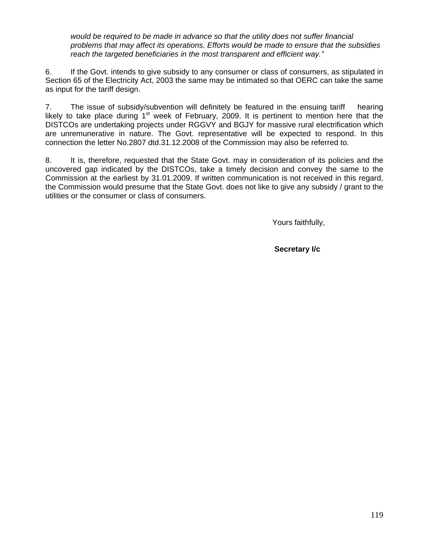*would be required to be made in advance so that the utility does not suffer financial problems that may affect its operations. Efforts would be made to ensure that the subsidies reach the targeted beneficiaries in the most transparent and efficient way."* 

6. If the Govt. intends to give subsidy to any consumer or class of consumers, as stipulated in Section 65 of the Electricity Act, 2003 the same may be intimated so that OERC can take the same as input for the tariff design.

7. The issue of subsidy/subvention will definitely be featured in the ensuing tariff hearing likely to take place during  $1<sup>st</sup>$  week of February, 2009. It is pertinent to mention here that the DISTCOs are undertaking projects under RGGVY and BGJY for massive rural electrification which are unremunerative in nature. The Govt. representative will be expected to respond. In this connection the letter No.2807 dtd.31.12.2008 of the Commission may also be referred to.

8. It is, therefore, requested that the State Govt. may in consideration of its policies and the uncovered gap indicated by the DISTCOs, take a timely decision and convey the same to the Commission at the earliest by 31.01.2009. If written communication is not received in this regard, the Commission would presume that the State Govt. does not like to give any subsidy / grant to the utilities or the consumer or class of consumers.

Yours faithfully,

 **Secretary I/c**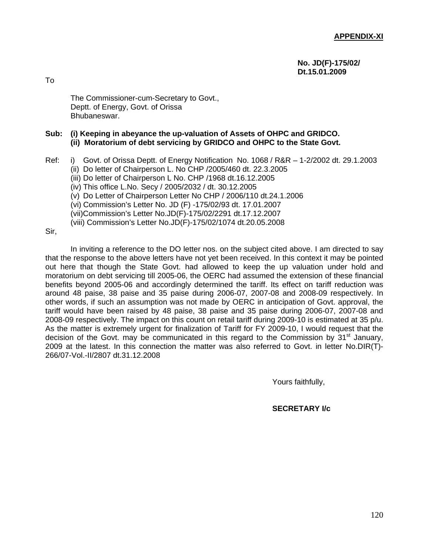To

The Commissioner-cum-Secretary to Govt., Deptt. of Energy, Govt. of Orissa Bhubaneswar.

#### **Sub: (i) Keeping in abeyance the up-valuation of Assets of OHPC and GRIDCO. (ii) Moratorium of debt servicing by GRIDCO and OHPC to the State Govt.**

Ref: i) Govt. of Orissa Deptt. of Energy Notification No. 1068 / R&R – 1-2/2002 dt. 29.1.2003 (ii) Do letter of Chairperson L. No CHP /2005/460 dt. 22.3.2005 (iii) Do letter of Chairperson L No. CHP /1968 dt.16.12.2005 (iv) This office L.No. Secy / 2005/2032 / dt. 30.12.2005 (v) Do Letter of Chairperson Letter No CHP / 2006/110 dt.24.1.2006 (vi) Commission's Letter No. JD (F) -175/02/93 dt. 17.01.2007 (vii)Commission's Letter No.JD(F)-175/02/2291 dt.17.12.2007 (viii) Commission's Letter No.JD(F)-175/02/1074 dt.20.05.2008

Sir,

 In inviting a reference to the DO letter nos. on the subject cited above. I am directed to say that the response to the above letters have not yet been received. In this context it may be pointed out here that though the State Govt. had allowed to keep the up valuation under hold and moratorium on debt servicing till 2005-06, the OERC had assumed the extension of these financial benefits beyond 2005-06 and accordingly determined the tariff. Its effect on tariff reduction was around 48 paise, 38 paise and 35 paise during 2006-07, 2007-08 and 2008-09 respectively. In other words, if such an assumption was not made by OERC in anticipation of Govt. approval, the tariff would have been raised by 48 paise, 38 paise and 35 paise during 2006-07, 2007-08 and 2008-09 respectively. The impact on this count on retail tariff during 2009-10 is estimated at 35 p/u. As the matter is extremely urgent for finalization of Tariff for FY 2009-10, I would request that the decision of the Govt. may be communicated in this regard to the Commission by  $31<sup>st</sup>$  January, 2009 at the latest. In this connection the matter was also referred to Govt. in letter No.DIR(T)- 266/07-Vol.-II/2807 dt.31.12.2008

Yours faithfully,

**SECRETARY I/c**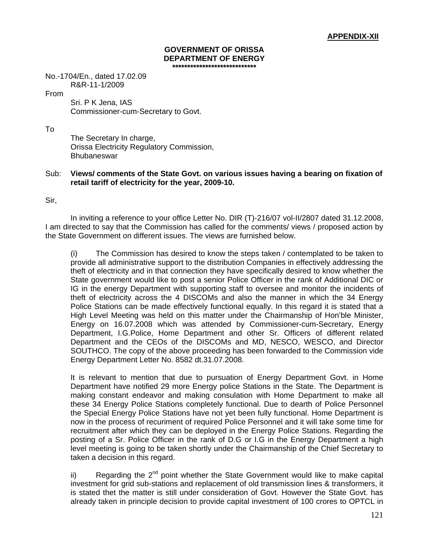#### **GOVERNMENT OF ORISSA DEPARTMENT OF ENERGY \*\*\*\*\*\*\*\*\*\*\*\*\*\*\*\*\*\*\*\*\*\*\*\*\*\*\*\***

No.-1704/En., dated 17.02.09 R&R-11-1/2009

From

Sri. P K Jena, IAS Commissioner-cum-Secretary to Govt.

To

 The Secretary In charge, Orissa Electricity Regulatory Commission, **Bhubaneswar** 

### Sub: **Views/ comments of the State Govt. on various issues having a bearing on fixation of retail tariff of electricity for the year, 2009-10.**

Sir,

 In inviting a reference to your office Letter No. DIR (T)-216/07 vol-II/2807 dated 31.12.2008, I am directed to say that the Commission has called for the comments/ views / proposed action by the State Government on different issues. The views are furnished below.

(i) The Commission has desired to know the steps taken / contemplated to be taken to provide all administrative support to the distribution Companies in effectively addressing the theft of electricity and in that connection they have specifically desired to know whether the State government would like to post a senior Police Officer in the rank of Additional DIC or IG in the energy Department with supporting staff to oversee and monitor the incidents of theft of electricity across the 4 DISCOMs and also the manner in which the 34 Energy Police Stations can be made effectively functional equally. In this regard it is stated that a High Level Meeting was held on this matter under the Chairmanship of Hon'ble Minister, Energy on 16.07.2008 which was attended by Commissioner-cum-Secretary, Energy Department, I.G.Police, Home Department and other Sr. Officers of different related Department and the CEOs of the DISCOMs and MD, NESCO, WESCO, and Director SOUTHCO. The copy of the above proceeding has been forwarded to the Commission vide Energy Department Letter No. 8582 dt.31.07.2008.

It is relevant to mention that due to pursuation of Energy Department Govt. in Home Department have notified 29 more Energy police Stations in the State. The Department is making constant endeavor and making consulation with Home Department to make all these 34 Energy Police Stations completely functional. Due to dearth of Police Personnel the Special Energy Police Stations have not yet been fully functional. Home Department is now in the process of recuriment of required Police Personnel and it will take some time for recruitment after which they can be deployed in the Energy Police Stations. Regarding the posting of a Sr. Police Officer in the rank of D.G or I.G in the Energy Department a high level meeting is going to be taken shortly under the Chairmanship of the Chief Secretary to taken a decision in this regard.

ii) Regarding the  $2^{nd}$  point whether the State Government would like to make capital investment for grid sub-stations and replacement of old transmission lines & transformers, it is stated thet the matter is still under consideration of Govt. However the State Govt. has already taken in principle decision to provide capital investment of 100 crores to OPTCL in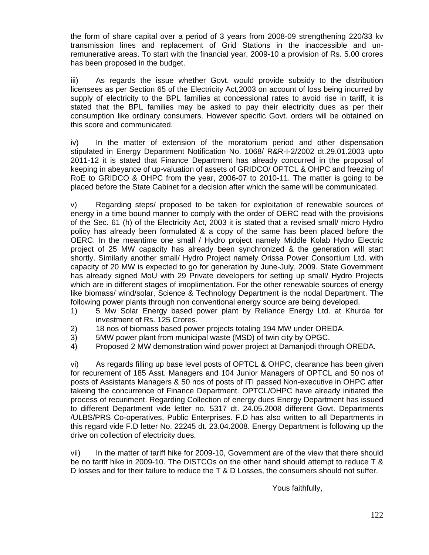the form of share capital over a period of 3 years from 2008-09 strengthening 220/33 kv transmission lines and replacement of Grid Stations in the inaccessible and unremunerative areas. To start with the financial year, 2009-10 a provision of Rs. 5.00 crores has been proposed in the budget.

iii) As regards the issue whether Govt. would provide subsidy to the distribution licensees as per Section 65 of the Electricity Act,2003 on account of loss being incurred by supply of electricity to the BPL families at concessional rates to avoid rise in tariff, it is stated that the BPL families may be asked to pay their electricity dues as per their consumption like ordinary consumers. However specific Govt. orders will be obtained on this score and communicated.

iv) In the matter of extension of the moratorium period and other dispensation stipulated in Energy Department Notification No. 1068/ R&R-I-2/2002 dt.29.01.2003 upto 2011-12 it is stated that Finance Department has already concurred in the proposal of keeping in abeyance of up-valuation of assets of GRIDCO/ OPTCL & OHPC and freezing of RoE to GRIDCO & OHPC from the year, 2006-07 to 2010-11. The matter is going to be placed before the State Cabinet for a decision after which the same will be communicated.

v) Regarding steps/ proposed to be taken for exploitation of renewable sources of energy in a time bound manner to comply with the order of OERC read with the provisions of the Sec. 61 (h) of the Electricity Act, 2003 it is stated that a revised small/ micro Hydro policy has already been formulated & a copy of the same has been placed before the OERC. In the meantime one small / Hydro project namely Middle Kolab Hydro Electric project of 25 MW capacity has already been synchronized & the generation will start shortly. Similarly another small/ Hydro Project namely Orissa Power Consortium Ltd. with capacity of 20 MW is expected to go for generation by June-July, 2009. State Government has already signed MoU with 29 Private developers for setting up small/ Hydro Projects which are in different stages of imoplimentation. For the other renewable sources of energy like biomass/ wind/solar, Science & Technology Department is the nodal Department. The following power plants through non conventional energy source are being developed.

- 1) 5 Mw Solar Energy based power plant by Reliance Energy Ltd. at Khurda for investment of Rs. 125 Crores.
- 2) 18 nos of biomass based power projects totaling 194 MW under OREDA.
- 3) 5MW power plant from municipal waste (MSD) of twin city by OPGC.
- 4) Proposed 2 MW demonstration wind power project at Damanjodi through OREDA.

vi) As regards filling up base level posts of OPTCL & OHPC, clearance has been given for recurement of 185 Asst. Managers and 104 Junior Managers of OPTCL and 50 nos of posts of Assistants Managers & 50 nos of posts of ITI passed Non-executive in OHPC after takeing the concurrence of Finance Department. OPTCL/OHPC have already initiated the process of recuriment. Regarding Collection of energy dues Energy Department has issued to different Department vide letter no. 5317 dt. 24.05.2008 different Govt. Departments /ULBS/PRS Co-operatives, Public Enterprises. F.D has also written to all Departments in this regard vide F.D letter No. 22245 dt. 23.04.2008. Energy Department is following up the drive on collection of electricity dues.

vii) In the matter of tariff hike for 2009-10, Government are of the view that there should be no tariff hike in 2009-10. The DISTCOs on the other hand should attempt to reduce T & D losses and for their failure to reduce the T & D Losses, the consumers should not suffer.

Yous faithfully,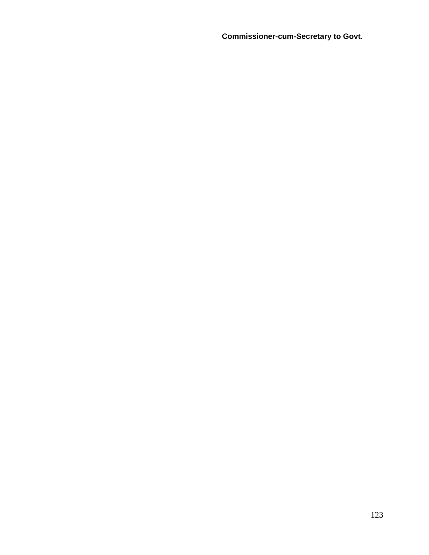**Commissioner-cum-Secretary to Govt.**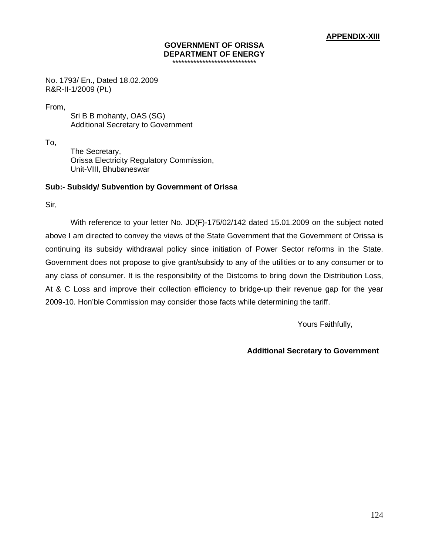#### **GOVERNMENT OF ORISSA DEPARTMENT OF ENERGY**  \*\*\*\*\*\*\*\*\*\*\*\*\*\*\*\*\*\*\*\*\*\*\*\*\*\*\*\*

No. 1793/ En., Dated 18.02.2009 R&R-II-1/2009 (Pt.)

From,

 Sri B B mohanty, OAS (SG) Additional Secretary to Government

To,

 The Secretary, Orissa Electricity Regulatory Commission, Unit-VIII, Bhubaneswar

#### **Sub:- Subsidy/ Subvention by Government of Orissa**

Sir,

With reference to your letter No. JD(F)-175/02/142 dated 15.01.2009 on the subject noted above I am directed to convey the views of the State Government that the Government of Orissa is continuing its subsidy withdrawal policy since initiation of Power Sector reforms in the State. Government does not propose to give grant/subsidy to any of the utilities or to any consumer or to any class of consumer. It is the responsibility of the Distcoms to bring down the Distribution Loss, At & C Loss and improve their collection efficiency to bridge-up their revenue gap for the year 2009-10. Hon'ble Commission may consider those facts while determining the tariff.

Yours Faithfully,

**Additional Secretary to Government**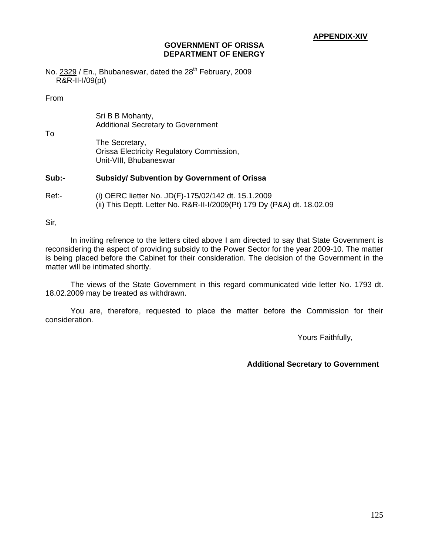#### **GOVERNMENT OF ORISSA DEPARTMENT OF ENERGY**

No. 2329 / En., Bhubaneswar, dated the 28<sup>th</sup> February, 2009 R&R-II-I/09(pt)

### From

|       | Sri B B Mohanty,<br><b>Additional Secretary to Government</b>                                                                  |
|-------|--------------------------------------------------------------------------------------------------------------------------------|
| To    | The Secretary,<br>Orissa Electricity Regulatory Commission,<br>Unit-VIII, Bhubaneswar                                          |
| Sub:- | <b>Subsidy/ Subvention by Government of Orissa</b>                                                                             |
| Ref:- | (i) OERC lietter No. JD(F)-175/02/142 dt. 15.1.2009<br>(ii) This Deptt. Letter No. R&R-II-I/2009(Pt) 179 Dy (P&A) dt. 18.02.09 |

Sir,

 In inviting refrence to the letters cited above I am directed to say that State Government is reconsidering the aspect of providing subsidy to the Power Sector for the year 2009-10. The matter is being placed before the Cabinet for their consideration. The decision of the Government in the matter will be intimated shortly.

 The views of the State Government in this regard communicated vide letter No. 1793 dt. 18.02.2009 may be treated as withdrawn.

 You are, therefore, requested to place the matter before the Commission for their consideration.

Yours Faithfully,

**Additional Secretary to Government**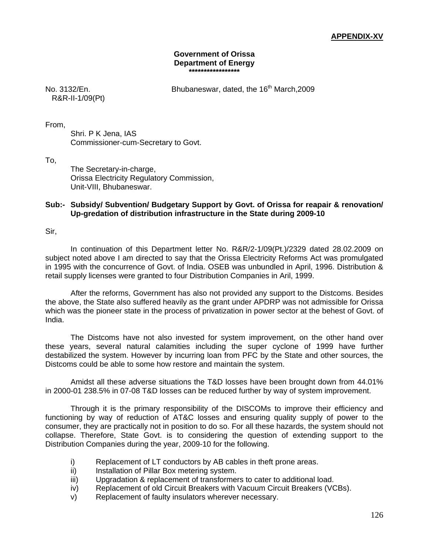#### **Government of Orissa Department of Energy \*\*\*\*\*\*\*\*\*\*\*\*\*\*\*\*\***

R&R-II-1/09(Pt)

No. 3132/En. Same Bhubaneswar, dated, the 16<sup>th</sup> March, 2009

 Shri. P K Jena, IAS Commissioner-cum-Secretary to Govt.

To,

From,

 The Secretary-in-charge, Orissa Electricity Regulatory Commission, Unit-VIII, Bhubaneswar.

#### **Sub:- Subsidy/ Subvention/ Budgetary Support by Govt. of Orissa for reapair & renovation/ Up-gredation of distribution infrastructure in the State during 2009-10**

Sir,

 In continuation of this Department letter No. R&R/2-1/09(Pt.)/2329 dated 28.02.2009 on subject noted above I am directed to say that the Orissa Electricity Reforms Act was promulgated in 1995 with the concurrence of Govt. of India. OSEB was unbundled in April, 1996. Distribution & retail supply licenses were granted to four Distribution Companies in Aril, 1999.

 After the reforms, Government has also not provided any support to the Distcoms. Besides the above, the State also suffered heavily as the grant under APDRP was not admissible for Orissa which was the pioneer state in the process of privatization in power sector at the behest of Govt. of India.

 The Distcoms have not also invested for system improvement, on the other hand over these years, several natural calamities including the super cyclone of 1999 have further destabilized the system. However by incurring loan from PFC by the State and other sources, the Distcoms could be able to some how restore and maintain the system.

 Amidst all these adverse situations the T&D losses have been brought down from 44.01% in 2000-01 238.5% in 07-08 T&D losses can be reduced further by way of system improvement.

 Through it is the primary responsibility of the DISCOMs to improve their efficiency and functioning by way of reduction of AT&C losses and ensuring quality supply of power to the consumer, they are practically not in position to do so. For all these hazards, the system should not collapse. Therefore, State Govt. is to considering the question of extending support to the Distribution Companies during the year, 2009-10 for the following.

- i) Replacement of LT conductors by AB cables in theft prone areas.
- ii) Installation of Pillar Box metering system.
- iii) Upgradation & replacement of transformers to cater to additional load.
- iv) Replacement of old Circuit Breakers with Vacuum Circuit Breakers (VCBs).
- v) Replacement of faulty insulators wherever necessary.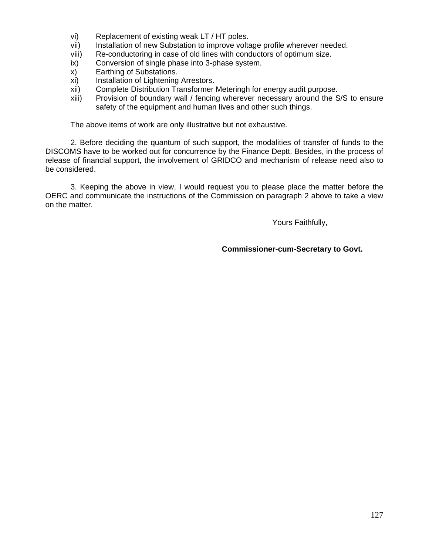- vi) Replacement of existing weak LT / HT poles.
- vii) Installation of new Substation to improve voltage profile wherever needed.
- viii) Re-conductoring in case of old lines with conductors of optimum size.
- ix) Conversion of single phase into 3-phase system.
- x) Earthing of Substations.
- xi) Installation of Lightening Arrestors.
- xii) Complete Distribution Transformer Meteringh for energy audit purpose.
- xiii) Provision of boundary wall / fencing wherever necessary around the S/S to ensure safety of the equipment and human lives and other such things.

The above items of work are only illustrative but not exhaustive.

 2. Before deciding the quantum of such support, the modalities of transfer of funds to the DISCOMS have to be worked out for concurrence by the Finance Deptt. Besides, in the process of release of financial support, the involvement of GRIDCO and mechanism of release need also to be considered.

 3. Keeping the above in view, I would request you to please place the matter before the OERC and communicate the instructions of the Commission on paragraph 2 above to take a view on the matter.

Yours Faithfully,

**Commissioner-cum-Secretary to Govt.**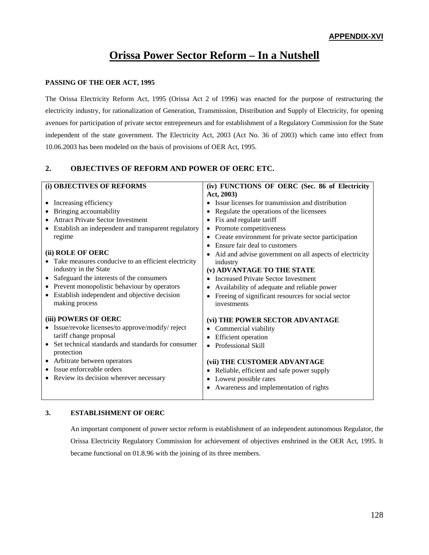# **Orissa Power Sector Reform – In a Nutshell**

#### **PASSING OF THE OER ACT, 1995**

The Orissa Electricity Reform Act, 1995 (Orissa Act 2 of 1996) was enacted for the purpose of restructuring the electricity industry, for rationalization of Generation, Transmission, Distribution and Supply of Electricity, for opening avenues for participation of private sector entrepreneurs and for establishment of a Regulatory Commission for the State independent of the state government. The Electricity Act, 2003 (Act No. 36 of 2003) which came into effect from 10.06.2003 has been modeled on the basis of provisions of OER Act, 1995.

#### **2. OBJECTIVES OF REFORM AND POWER OF OERC ETC.**

| (i) OBJECTIVES OF REFORMS                             | (iv) FUNCTIONS OF OERC (Sec. 86 of Electricity          |
|-------------------------------------------------------|---------------------------------------------------------|
|                                                       | Act, 2003)                                              |
| • Increasing efficiency                               | Issue licenses for transmission and distribution        |
| Bringing accountability                               | Regulate the operations of the licensees                |
| <b>Attract Private Sector Investment</b>              | Fix and regulate tariff                                 |
| Establish an independent and transparent regulatory   | Promote competitiveness<br>٠                            |
| regime                                                | Create environment for private sector participation     |
|                                                       | Ensure fair deal to customers<br>$\bullet$              |
| (ii) ROLE OF OERC                                     | Aid and advise government on all aspects of electricity |
| • Take measures conducive to an efficient electricity | industry                                                |
| industry in the State                                 | (v) ADVANTAGE TO THE STATE                              |
| • Safeguard the interests of the consumers            | <b>Increased Private Sector Investment</b>              |
| • Prevent monopolistic behaviour by operators         | Availability of adequate and reliable power             |
| Establish independent and objective decision          | Freeing of significant resources for social sector      |
| making process                                        | investments                                             |
| (iii) POWERS OF OERC                                  | (vi) THE POWER SECTOR ADVANTAGE                         |
| • Issue/revoke licenses/to approve/modify/ reject     | Commercial viability                                    |
| tariff change proposal                                | <b>Efficient</b> operation                              |
| Set technical standards and standards for consumer    | Professional Skill                                      |
| protection                                            |                                                         |
| • Arbitrate between operators                         | (vii) THE CUSTOMER ADVANTAGE                            |
| • Issue enforceable orders                            | Reliable, efficient and safe power supply               |
| Review its decision wherever necessary                | Lowest possible rates                                   |
|                                                       | Awareness and implementation of rights                  |
|                                                       |                                                         |

#### **3. ESTABLISHMENT OF OERC**

An important component of power sector reform is establishment of an independent autonomous Regulator, the Orissa Electricity Regulatory Commission for achievement of objectives enshrined in the OER Act, 1995. It became functional on 01.8.96 with the joining of its three members.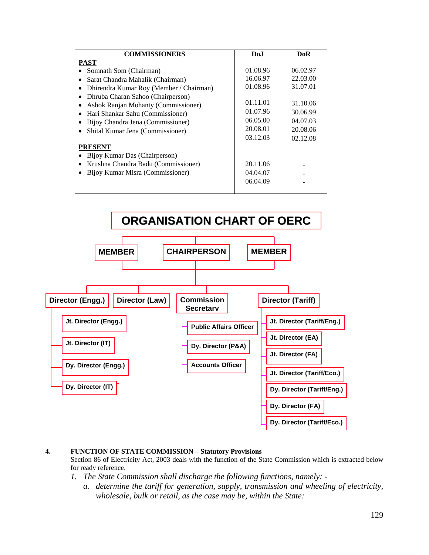| <b>COMMISSIONERS</b>                    | DoJ      | DoR      |
|-----------------------------------------|----------|----------|
| <b>PAST</b>                             |          |          |
| Somnath Som (Chairman)                  | 01.08.96 | 06.02.97 |
| Sarat Chandra Mahalik (Chairman)        | 16.06.97 | 22.03.00 |
| Dhirendra Kumar Roy (Member / Chairman) | 01.08.96 | 31.07.01 |
| Dhruba Charan Sahoo (Chairperson)       |          |          |
| Ashok Ranjan Mohanty (Commissioner)     | 01.11.01 | 31.10.06 |
| Hari Shankar Sahu (Commissioner)        | 01.07.96 | 30.06.99 |
| Bijoy Chandra Jena (Commissioner)       | 06.05.00 | 04.07.03 |
| Shital Kumar Jena (Commissioner)        | 20.08.01 | 20.08.06 |
|                                         | 03.12.03 | 02.12.08 |
| <b>PRESENT</b>                          |          |          |
| Bijoy Kumar Das (Chairperson)           |          |          |
| Krushna Chandra Badu (Commissioner)     | 20.11.06 |          |
| Bijoy Kumar Misra (Commissioner)        | 04.04.07 |          |
|                                         | 06.04.09 |          |
|                                         |          |          |



#### **4. FUNCTION OF STATE COMMISSION – Statutory Provisions**

Section 86 of Electricity Act, 2003 deals with the function of the State Commission which is extracted below for ready reference.

- *1. The State Commission shall discharge the following functions, namely:* 
	- *a. determine the tariff for generation, supply, transmission and wheeling of electricity, wholesale, bulk or retail, as the case may be, within the State:*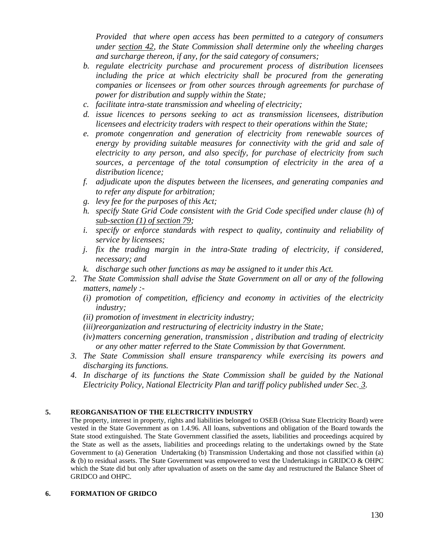*Provided that where open access has been permitted to a category of consumers under section 42, the State Commission shall determine only the wheeling charges and surcharge thereon, if any, for the said category of consumers;* 

- *b. regulate electricity purchase and procurement process of distribution licensees including the price at which electricity shall be procured from the generating companies or licensees or from other sources through agreements for purchase of power for distribution and supply within the State;*
- *c. facilitate intra-state transmission and wheeling of electricity;*
- *d. issue licences to persons seeking to act as transmission licensees, distribution licensees and electricity traders with respect to their operations within the State;*
- *e. promote congenration and generation of electricity from renewable sources of energy by providing suitable measures for connectivity with the grid and sale of electricity to any person, and also specify, for purchase of electricity from such sources, a percentage of the total consumption of electricity in the area of a distribution licence;*
- *f. adjudicate upon the disputes between the licensees, and generating companies and to refer any dispute for arbitration;*
- *g. levy fee for the purposes of this Act;*
- *h. specify State Grid Code consistent with the Grid Code specified under clause (h) of sub-section (1) of section 79;*
- *i. specify or enforce standards with respect to quality, continuity and reliability of service by licensees;*
- *j. fix the trading margin in the intra-State trading of electricity, if considered, necessary; and*
- *k. discharge such other functions as may be assigned to it under this Act.*
- *2. The State Commission shall advise the State Government on all or any of the following matters, namely :-* 
	- *(i) promotion of competition, efficiency and economy in activities of the electricity industry;*
	- *(ii) promotion of investment in electricity industry;*
	- *(iii)reorganization and restructuring of electricity industry in the State;*
	- *(iv)matters concerning generation, transmission , distribution and trading of electricity or any other matter referred to the State Commission by that Government.*
- *3. The State Commission shall ensure transparency while exercising its powers and discharging its functions.*
- *4. In discharge of its functions the State Commission shall be guided by the National Electricity Policy, National Electricity Plan and tariff policy published under Sec. 3.*

#### **5. REORGANISATION OF THE ELECTRICITY INDUSTRY**

The property, interest in property, rights and liabilities belonged to OSEB (Orissa State Electricity Board) were vested in the State Government as on 1.4.96. All loans, subventions and obligation of the Board towards the State stood extinguished. The State Government classified the assets, liabilities and proceedings acquired by the State as well as the assets, liabilities and proceedings relating to the undertakings owned by the State Government to (a) Generation Undertaking (b) Transmission Undertaking and those not classified within (a) & (b) to residual assets. The State Government was empowered to vest the Undertakings in GRIDCO & OHPC which the State did but only after upvaluation of assets on the same day and restructured the Balance Sheet of GRIDCO and OHPC.

#### **6. FORMATION OF GRIDCO**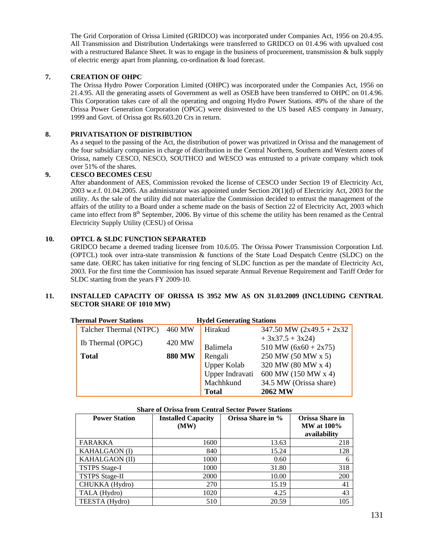The Grid Corporation of Orissa Limited (GRIDCO) was incorporated under Companies Act, 1956 on 20.4.95. All Transmission and Distribution Undertakings were transferred to GRIDCO on 01.4.96 with upvalued cost with a restructured Balance Sheet. It was to engage in the business of procurement, transmission & bulk supply of electric energy apart from planning, co-ordination & load forecast.

#### **7. CREATION OF OHPC**

The Orissa Hydro Power Corporation Limited (OHPC) was incorporated under the Companies Act, 1956 on 21.4.95. All the generating assets of Government as well as OSEB have been transferred to OHPC on 01.4.96. This Corporation takes care of all the operating and ongoing Hydro Power Stations. 49% of the share of the Orissa Power Generation Corporation (OPGC) were disinvested to the US based AES company in January, 1999 and Govt. of Orissa got Rs.603.20 Crs in return.

#### **8. PRIVATISATION OF DISTRIBUTION**

As a sequel to the passing of the Act, the distribution of power was privatized in Orissa and the management of the four subsidiary companies in charge of distribution in the Central Northern, Southern and Western zones of Orissa, namely CESCO, NESCO, SOUTHCO and WESCO was entrusted to a private company which took over 51% of the shares.

#### **9. CESCO BECOMES CESU**

After abandonment of AES, Commission revoked the license of CESCO under Section 19 of Electricity Act, 2003 w.e.f. 01.04.2005. An administrator was appointed under Section 20(1)(d) of Electricity Act, 2003 for the utility. As the sale of the utility did not materialize the Commission decided to entrust the management of the affairs of the utility to a Board under a scheme made on the basis of Section 22 of Electricity Act, 2003 which came into effect from  $8<sup>th</sup>$  September, 2006. By virtue of this scheme the utility has been renamed as the Central Electricity Supply Utility (CESU) of Orissa

#### **10. OPTCL & SLDC FUNCTION SEPARATED**

GRIDCO became a deemed trading licensee from 10.6.05. The Orissa Power Transmission Corporation Ltd. (OPTCL) took over intra-state transmission & functions of the State Load Despatch Centre (SLDC) on the same date. OERC has taken initiative for ring fencing of SLDC function as per the mandate of Electricity Act, 2003. For the first time the Commission has issued separate Annual Revenue Requirement and Tariff Order for SLDC starting from the years FY 2009-10.

#### **11. INSTALLED CAPACITY OF ORISSA IS 3952 MW AS ON 31.03.2009 (INCLUDING CENTRAL SECTOR SHARE OF 1010 MW)**

| <b>Thermal Power Stations</b> |               | <b>Hydel Generating Stations</b> |                             |  |
|-------------------------------|---------------|----------------------------------|-----------------------------|--|
| Talcher Thermal (NTPC)        | 460 MW        | Hirakud                          | 347.50 MW $(2x49.5 + 2x32)$ |  |
| Ib Thermal (OPGC)             | 420 MW        |                                  | $+3x37.5 + 3x24$            |  |
|                               |               | <b>Balimela</b>                  | 510 MW $(6x60 + 2x75)$      |  |
| <b>Total</b>                  | <b>880 MW</b> | Rengali                          | 250 MW (50 MW x 5)          |  |
|                               |               | <b>Upper Kolab</b>               | 320 MW (80 MW x 4)          |  |
|                               |               | Upper Indravati                  | 600 MW (150 MW x 4)         |  |
|                               |               | Machhkund                        | 34.5 MW (Orissa share)      |  |
|                               |               | <b>Total</b>                     | <b>2062 MW</b>              |  |

#### **Share of Orissa from Central Sector Power Stations**

| <b>Power Station</b>  | <b>Installed Capacity</b><br>(MW) | Orissa Share in % | Orissa Share in<br><b>MW</b> at 100%<br>availability |
|-----------------------|-----------------------------------|-------------------|------------------------------------------------------|
| <b>FARAKKA</b>        | 1600                              | 13.63             | 218                                                  |
| <b>KAHALGAON (I)</b>  | 840                               | 15.24             | 128                                                  |
| KAHALGAON (II)        | 1000                              | 0.60              | 6                                                    |
| <b>TSTPS Stage-I</b>  | 1000                              | 31.80             | 318                                                  |
| <b>TSTPS Stage-II</b> | 2000                              | 10.00             | 200                                                  |
| CHUKKA (Hydro)        | 270                               | 15.19             | 41                                                   |
| TALA (Hydro)          | 1020                              | 4.25              | 43                                                   |
| TEESTA (Hydro)        | 510                               | 20.59             | 105                                                  |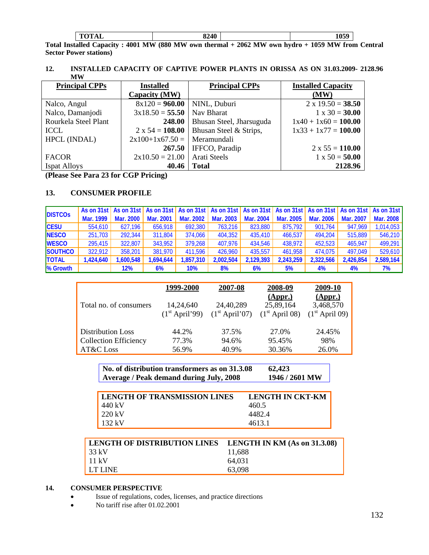#### **TOTAL** 1059 **Total Installed Capacity : 4001 MW (880 MW own thermal + 2062 MW own hydro + 1059 MW from Central Sector Power stations)**

#### **12. INSTALLED CAPACITY OF CAPTIVE POWER PLANTS IN ORISSA AS ON 31.03.2009- 2128.96 MW**

| <b>Principal CPPs</b> | <b>Installed</b>       | <b>Principal CPPs</b>    | <b>Installed Capacity</b> |
|-----------------------|------------------------|--------------------------|---------------------------|
|                       | Capacity (MW)          |                          | (MW)                      |
| Nalco, Angul          | $8x120 = 960.00$       | NINL, Duburi             | $2 \times 19.50 = 38.50$  |
| Nalco, Damanjodi      | $3x18.50 = 55.50$      | Nav Bharat               | $1 \times 30 = 30.00$     |
| Rourkela Steel Plant  | 248.00                 | Bhusan Steel, Jharsuguda | $1x40 + 1x60 = 100.00$    |
| <b>ICCL</b>           | $2 \times 54 = 108.00$ | Bhusan Steel & Strips,   | $1x33 + 1x77 = 100.00$    |
| <b>HPCL</b> (INDAL)   | $2x100+1x67.50=$       | Meramundali              |                           |
|                       | 267.50                 | IFFCO, Paradip           | $2 \times 55 = 110.00$    |
| <b>FACOR</b>          | $2x10.50 = 21.00$      | <b>Arati Steels</b>      | $1 \times 50 = 50.00$     |
| Ispat Alloys          | 40.46                  | <b>Total</b>             | 2128.96                   |

**(Please See Para 23 for CGP Pricing)** 

## **13. CONSUMER PROFILE**

| <b>DISTCOS</b>  |                  |                  |                  | As on 31st   As on 31st   As on 31st   As on 31st   As on 31st   As on 31st   As on 31st   As on 31st   As on 31st   As on 31st   As on 31st |                  |                  |                  |                  |                  |                  |
|-----------------|------------------|------------------|------------------|----------------------------------------------------------------------------------------------------------------------------------------------|------------------|------------------|------------------|------------------|------------------|------------------|
|                 | <b>Mar. 1999</b> | <b>Mar. 2000</b> | <b>Mar. 2001</b> | <b>Mar. 2002</b>                                                                                                                             | <b>Mar. 2003</b> | <b>Mar. 2004</b> | <b>Mar. 2005</b> | <b>Mar. 2006</b> | <b>Mar. 2007</b> | <b>Mar. 2008</b> |
| <b>ICESU</b>    | 554.610          | 627,196          | 656,918          | 692,380                                                                                                                                      | 763.216          | 823,880          | 875,792          | 901,764          | 947,969          | 1,014,053        |
| <b>INESCO</b>   | 251.703          | 292.344          | 311,804          | 374,066                                                                                                                                      | 404,352          | 435,410          | 466,537          | 494.204          | 515,889          | 546.210          |
| <b>WESCO</b>    | 295.415          | 322,807          | 343,952          | 379,268                                                                                                                                      | 407.976          | 434.546          | 438,972          | 452.523          | 465.947          | 499,291          |
| <b>SOUTHCO</b>  | 322.912          | 358,201          | 381.970          | 411,596                                                                                                                                      | 426,960          | 435.557          | 461,958          | 474.075          | 497.049          | 529,610          |
| <b>TOTAL</b>    | 1,424,640        | 1,600,548        | 694,644,         | 1,857,310                                                                                                                                    | 2,002,504        | 2,129,393        | 2,243,259        | 2,322,566        | 2,426,854        | 2,589,164        |
| <b>M</b> Growth |                  | 12%              | 6%               | 10%                                                                                                                                          | 8%               | 6%               | 5%               | 4%               | 4%               | 7%               |

|                              | 1999-2000                               | 2007-08                                 | 2008-09                                  | 2009-10                                  |
|------------------------------|-----------------------------------------|-----------------------------------------|------------------------------------------|------------------------------------------|
| Total no. of consumers       | 14,24,640<br>(1 <sup>st</sup> April'99) | 24,40,289<br>(1 <sup>st</sup> April'07) | (Appr.)<br>25,89,164<br>$(1st$ April 08) | (Appr.)<br>3,468,570<br>$(1st$ April 09) |
| <b>Distribution Loss</b>     | 44.2%                                   | 37.5%                                   | 27.0%                                    | 24.45%                                   |
| <b>Collection Efficiency</b> | 77.3%                                   | 94.6%                                   | 95.45%                                   | 98%                                      |
| AT&C Loss                    | 56.9%                                   | 40.9%                                   | 30.36%                                   | 26.0%                                    |

**No. of distribution transformers as on 31.3.08 Average / Peak demand during July, 2008 62,423 1946 / 2601 MW** 

| LENGTH OF TRANSMISSION LINES | LENGTH IN CKT-KM |
|------------------------------|------------------|
| 440 kV                       | 460.5            |
| $\sim$ 220 kV                | 4482.4           |
| 132 kV                       | 4613.1           |

| LENGTH OF DISTRIBUTION LINES LENGTH IN KM (As on 31.3.08) |        |
|-----------------------------------------------------------|--------|
| $\sqrt{33}$ kV                                            | 11.688 |
| $11 \text{ kV}$                                           | 64.031 |
| LT LINE                                                   | 63.098 |

#### **14. CONSUMER PERSPECTIVE**

- Issue of regulations, codes, licenses, and practice directions
- No tariff rise after 01.02.2001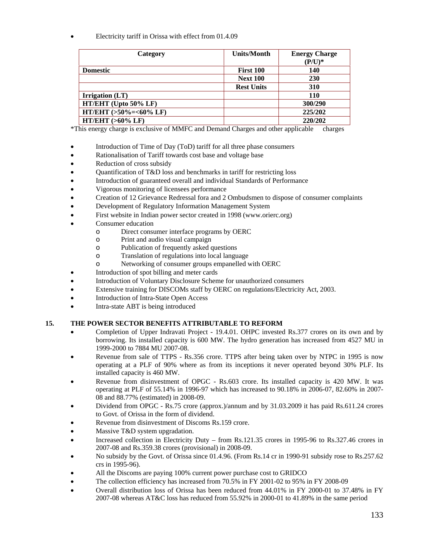• Electricity tariff in Orissa with effect from 01.4.09

| Category                  | <b>Units/Month</b> | <b>Energy Charge</b><br>(P/U)* |
|---------------------------|--------------------|--------------------------------|
| <b>Domestic</b>           | First 100          | <b>140</b>                     |
|                           | <b>Next 100</b>    | <b>230</b>                     |
|                           | <b>Rest Units</b>  | <b>310</b>                     |
| <b>Irrigation</b> (LT)    |                    | <b>110</b>                     |
| HT/EHT (Upto 50% LF)      |                    | 300/290                        |
| HT/EHT $(>50\%=<60\%$ LF) |                    | 225/202                        |
| $HT/EHT$ (>60% LF)        |                    | 220/202                        |

\*This energy charge is exclusive of MMFC and Demand Charges and other applicable charges

- Introduction of Time of Day (ToD) tariff for all three phase consumers
- Rationalisation of Tariff towards cost base and voltage base
- Reduction of cross subsidy
- Quantification of T&D loss and benchmarks in tariff for restricting loss
- Introduction of guaranteed overall and individual Standards of Performance
- Vigorous monitoring of licensees performance
- Creation of 12 Grievance Redressal fora and 2 Ombudsmen to dispose of consumer complaints
- Development of Regulatory Information Management System
- First website in Indian power sector created in 1998 (www.orierc.org)
- Consumer education
	- o Direct consumer interface programs by OERC
	- o Print and audio visual campaign
	- o Publication of frequently asked questions
	- o Translation of regulations into local language
	- o Networking of consumer groups empanelled with OERC
- Introduction of spot billing and meter cards
- Introduction of Voluntary Disclosure Scheme for unauthorized consumers
- Extensive training for DISCOMs staff by OERC on regulations/Electricity Act, 2003.
- Introduction of Intra-State Open Access
- Intra-state ABT is being introduced

#### **15. THE POWER SECTOR BENEFITS ATTRIBUTABLE TO REFORM**

- Completion of Upper Indravati Project 19.4.01. OHPC invested Rs.377 crores on its own and by borrowing. Its installed capacity is 600 MW. The hydro generation has increased from 4527 MU in 1999-2000 to 7884 MU 2007-08.
- Revenue from sale of TTPS Rs.356 crore. TTPS after being taken over by NTPC in 1995 is now operating at a PLF of 90% where as from its inceptions it never operated beyond 30% PLF. Its installed capacity is 460 MW.
- Revenue from disinvestment of OPGC Rs.603 crore. Its installed capacity is 420 MW. It was operating at PLF of 55.14% in 1996-97 which has increased to 90.18% in 2006-07, 82.60% in 2007- 08 and 88.77% (estimated) in 2008-09.
- Dividend from OPGC Rs.75 crore (approx.)/annum and by 31.03.2009 it has paid Rs.611.24 crores to Govt. of Orissa in the form of dividend.
- Revenue from disinvestment of Discoms Rs.159 crore.
- Massive T&D system upgradation.
- Increased collection in Electricity Duty from Rs.121.35 crores in 1995-96 to Rs.327.46 crores in 2007-08 and Rs.359.38 crores (provisional) in 2008-09.
- No subsidy by the Govt. of Orissa since 01.4.96. (From Rs.14 cr in 1990-91 subsidy rose to Rs.257.62 crs in 1995-96).
- All the Discoms are paying 100% current power purchase cost to GRIDCO
- The collection efficiency has increased from 70.5% in FY 2001-02 to 95% in FY 2008-09
- Overall distribution loss of Orissa has been reduced from 44.01% in FY 2000-01 to 37.48% in FY 2007-08 whereas AT&C loss has reduced from 55.92% in 2000-01 to 41.89% in the same period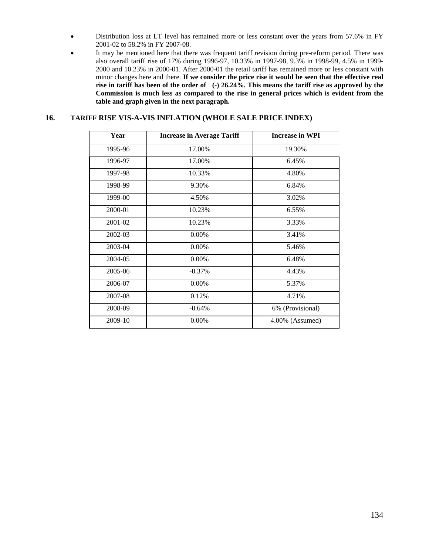- Distribution loss at LT level has remained more or less constant over the years from 57.6% in FY 2001-02 to 58.2% in FY 2007-08.
- It may be mentioned here that there was frequent tariff revision during pre-reform period. There was also overall tariff rise of 17% during 1996-97, 10.33% in 1997-98, 9.3% in 1998-99, 4.5% in 1999- 2000 and 10.23% in 2000-01. After 2000-01 the retail tariff has remained more or less constant with minor changes here and there. **If we consider the price rise it would be seen that the effective real rise in tariff has been of the order of (-) 26.24%. This means the tariff rise as approved by the Commission is much less as compared to the rise in general prices which is evident from the table and graph given in the next paragraph.**

#### **16. TARIFF RISE VIS-A-VIS INFLATION (WHOLE SALE PRICE INDEX)**

| Year    | <b>Increase in Average Tariff</b> | <b>Increase in WPI</b> |
|---------|-----------------------------------|------------------------|
| 1995-96 | 17.00%                            | 19.30%                 |
| 1996-97 | 17.00%                            | 6.45%                  |
| 1997-98 | 10.33%                            | 4.80%                  |
| 1998-99 | 9.30%                             | 6.84%                  |
| 1999-00 | 4.50%                             | 3.02%                  |
| 2000-01 | 10.23%                            | 6.55%                  |
| 2001-02 | 10.23%                            | 3.33%                  |
| 2002-03 | 0.00%                             | 3.41%                  |
| 2003-04 | 0.00%                             | 5.46%                  |
| 2004-05 | 0.00%                             | 6.48%                  |
| 2005-06 | $-0.37%$                          | 4.43%                  |
| 2006-07 | 0.00%                             | 5.37%                  |
| 2007-08 | 0.12%                             | 4.71%                  |
| 2008-09 | $-0.64%$                          | 6% (Provisional)       |
| 2009-10 | 0.00%                             | 4.00% (Assumed)        |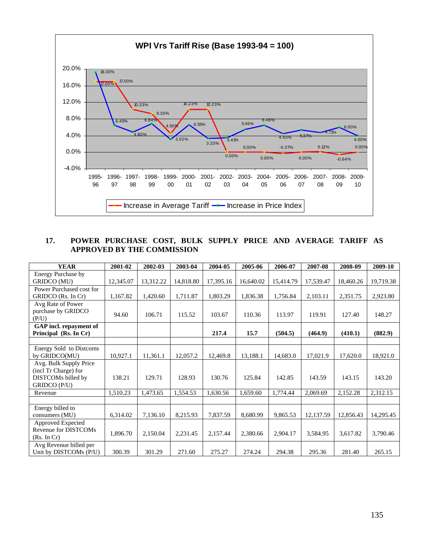

## **17. POWER PURCHASE COST, BULK SUPPLY PRICE AND AVERAGE TARIFF AS APPROVED BY THE COMMISSION**

| <b>YEAR</b>                   | 2001-02   | 2002-03   | 2003-04   | 2004-05   | 2005-06   | 2006-07   | 2007-08   | 2008-09   | 2009-10   |
|-------------------------------|-----------|-----------|-----------|-----------|-----------|-----------|-----------|-----------|-----------|
| Energy Purchase by            |           |           |           |           |           |           |           |           |           |
| <b>GRIDCO</b> (MU)            | 12,345.07 | 13,312.22 | 14,818.80 | 17,395.16 | 16,640.02 | 15,414.79 | 17,539.47 | 18,460.26 | 19,719.38 |
| Power Purchased cost for      |           |           |           |           |           |           |           |           |           |
| GRIDCO (Rs. In Cr)            | 1,167.82  | 1,420.60  | 1,711.87  | 1,803.29  | 1,836.38  | 1,756.84  | 2,103.11  | 2,351.75  | 2,923.80  |
| Avg Rate of Power             |           |           |           |           |           |           |           |           |           |
| purchase by GRIDCO            | 94.60     | 106.71    | 115.52    | 103.67    | 110.36    | 113.97    | 119.91    | 127.40    | 148.27    |
| (P/U)                         |           |           |           |           |           |           |           |           |           |
| <b>GAP</b> incl. repayment of |           |           |           |           |           |           |           |           |           |
| Principal (Rs. In Cr)         |           |           |           | 217.4     | 15.7      | (504.5)   | (464.9)   | (410.1)   | (882.9)   |
|                               |           |           |           |           |           |           |           |           |           |
| Energy Sold to Distcoms       |           |           |           |           |           |           |           |           |           |
| by GRIDCO(MU)                 | 10,927.1  | 11,361.1  | 12,057.2  | 12,469.8  | 13,188.1  | 14,683.0  | 17,021.9  | 17,620.0  | 18,921.0  |
| Avg. Bulk Supply Price        |           |           |           |           |           |           |           |           |           |
| (incl Tr Charge) for          |           |           |           |           |           |           |           |           |           |
| DISTCOMs billed by            | 138.21    | 129.71    | 128.93    | 130.76    | 125.84    | 142.85    | 143.59    | 143.15    | 143.20    |
| GRIDCO (P/U)                  |           |           |           |           |           |           |           |           |           |
| Revenue                       | 1,510.23  | 1,473.65  | 1,554.53  | 1,630.56  | 1,659.60  | 1,774.44  | 2,069.69  | 2,152.28  | 2,312.15  |
|                               |           |           |           |           |           |           |           |           |           |
| Energy billed to              |           |           |           |           |           |           |           |           |           |
| consumers (MU)                | 6,314.02  | 7,136.10  | 8,215.93  | 7,837.59  | 8,680.99  | 9,865.53  | 12,137.59 | 12,856.43 | 14,295.45 |
| Approved Expected             |           |           |           |           |           |           |           |           |           |
| Revenue for DISTCOMs          |           |           |           |           |           |           |           |           |           |
| (Rs. In Cr)                   | 1,896.70  | 2,150.04  | 2,231.45  | 2,157.44  | 2,380.66  | 2,904.17  | 3,584.95  | 3,617.82  | 3,790.46  |
| Avg Revenue billed per        |           |           |           |           |           |           |           |           |           |
| Unit by DISTCOMs (P/U)        | 300.39    | 301.29    | 271.60    | 275.27    | 274.24    | 294.38    | 295.36    | 281.40    | 265.15    |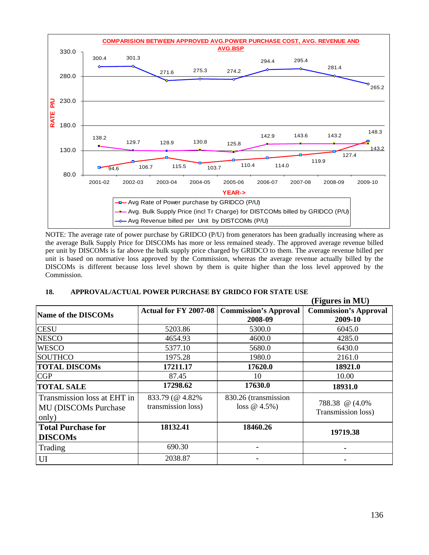

NOTE: The average rate of power purchase by GRIDCO (P/U) from generators has been gradually increasing where as the average Bulk Supply Price for DISCOMs has more or less remained steady. The approved average revenue billed per unit by DISCOMs is far above the bulk supply price charged by GRIDCO to them. The average revenue billed per unit is based on normative loss approved by the Commission, whereas the average revenue actually billed by the DISCOMs is different because loss level shown by them is quite higher than the loss level approved by the Commission.

#### **18. APPROVAL/ACTUAL POWER PURCHASE BY GRIDCO FOR STATE USE**

|                                                                      |                                        |                                         | (Figures in MU)                         |
|----------------------------------------------------------------------|----------------------------------------|-----------------------------------------|-----------------------------------------|
| <b>Name of the DISCOMs</b>                                           | <b>Actual for FY 2007-08</b>           | <b>Commission's Approval</b><br>2008-09 | <b>Commission's Approval</b><br>2009-10 |
| <b>CESU</b>                                                          | 5203.86                                | 5300.0                                  | 6045.0                                  |
| <b>NESCO</b>                                                         | 4654.93                                | 4600.0                                  | 4285.0                                  |
| WESCO                                                                | 5377.10                                | 5680.0                                  | 6430.0                                  |
| SOUTHCO                                                              | 1975.28                                | 1980.0                                  | 2161.0                                  |
| <b>TOTAL DISCOMS</b>                                                 | 17211.17                               | 17620.0                                 | 18921.0                                 |
| CGP                                                                  | 87.45                                  | 10                                      | 10.00                                   |
| <b>TOTAL SALE</b>                                                    | 17298.62                               | 17630.0                                 | 18931.0                                 |
| Transmission loss at EHT in<br><b>MU (DISCOMs Purchase)</b><br>only) | 833.79 (@ 4.82%)<br>transmission loss) | 830.26 (transmission<br>$loss @ 4.5\%$  | 788.38 @ (4.0%)<br>Transmission loss)   |
| <b>Total Purchase for</b><br><b>DISCOMs</b>                          | 18132.41                               | 18460.26                                | 19719.38                                |
| Trading                                                              | 690.30                                 | ٠                                       |                                         |
| UI                                                                   | 2038.87                                | ۰                                       |                                         |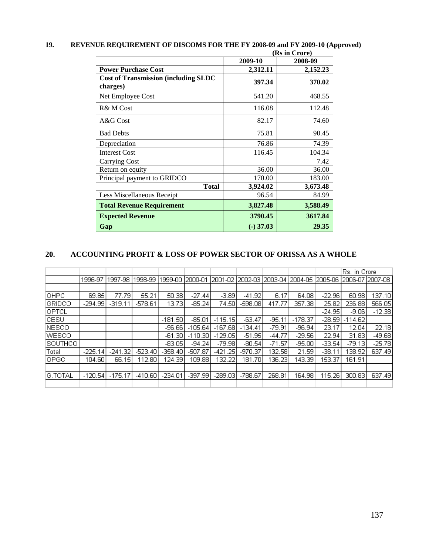|                                                         | (RS III UFOFE) |          |  |  |  |
|---------------------------------------------------------|----------------|----------|--|--|--|
|                                                         | 2009-10        | 2008-09  |  |  |  |
| <b>Power Purchase Cost</b>                              | 2,312.11       | 2,152.23 |  |  |  |
| <b>Cost of Transmission (including SLDC</b><br>charges) | 397.34         | 370.02   |  |  |  |
| Net Employee Cost                                       | 541.20         | 468.55   |  |  |  |
| R& M Cost                                               | 116.08         | 112.48   |  |  |  |
| A&G Cost                                                | 82.17          | 74.60    |  |  |  |
| <b>Bad Debts</b>                                        | 75.81          | 90.45    |  |  |  |
| Depreciation                                            | 76.86          | 74.39    |  |  |  |
| <b>Interest Cost</b>                                    | 116.45         | 104.34   |  |  |  |
| <b>Carrying Cost</b>                                    |                | 7.42     |  |  |  |
| Return on equity                                        | 36.00          | 36.00    |  |  |  |
| Principal payment to GRIDCO                             | 170.00         | 183.00   |  |  |  |
| <b>Total</b>                                            | 3,924.02       | 3,673.48 |  |  |  |
| Less Miscellaneous Receipt                              | 96.54          | 84.99    |  |  |  |
| <b>Total Revenue Requirement</b>                        | 3,827.48       | 3,588.49 |  |  |  |
| <b>Expected Revenue</b>                                 | 3790.45        | 3617.84  |  |  |  |
| Gap                                                     | $(-)$ 37.03    | 29.35    |  |  |  |

**19. REVENUE REQUIREMENT OF DISCOMS FOR THE FY 2008-09 and FY 2009-10 (Approved) (Rs in Crore)** 

## **20. ACCOUNTING PROFIT & LOSS OF POWER SECTOR OF ORISSA AS A WHOLE**

|              |           |           |           |           |           |           |           |          |           |          | Rs. in Crore    |          |
|--------------|-----------|-----------|-----------|-----------|-----------|-----------|-----------|----------|-----------|----------|-----------------|----------|
|              | 1996-97   | 1997-98   | 1998-99   | 1999-00   | 2000-01   | 2001-02   | 2002-03   | 2003-04  | 2004-05   | 2005-06  | 2006-0712007-08 |          |
|              |           |           |           |           |           |           |           |          |           |          |                 |          |
| <b>OHPC</b>  | 69.85     | 77.79     | 55.21     | 50.38     | $-27.44$  | $-3.89$   | $-41.92$  | 6.17     | 64.08     | $-22.96$ | 60.98           | 137.10   |
| GRIDCO       | $-294.99$ | $-319.11$ | $-578.61$ | 13.73     | $-85.24$  | 74.50     | $-598.08$ | 417.77   | 357.38    | 25.82    | 236.88          | 566.05   |
| <b>OPTCL</b> |           |           |           |           |           |           |           |          |           | $-24.95$ | $-9.06$         | $-12.38$ |
| CESU         |           |           |           | $-181.50$ | $-85.01$  | $-115.15$ | $-63.47$  | $-95.11$ | $-178.37$ | $-28.59$ | $-114.62$       |          |
| NESCO        |           |           |           | $-96.66$  | $-105.64$ | $-167.68$ | $-134.41$ | $-79.91$ | $-96.94$  | 23.17    | 12.04           | 22.18    |
| WESCO        |           |           |           | $-61.30$  | $-110.30$ | $-129.05$ | $-51.95$  | $-44.77$ | $-29.56$  | 22.94    | 31.83           | $-49.68$ |
| SOUTHCO      |           |           |           | $-83.05$  | $-94.24$  | $-79.98$  | $-80.54$  | $-71.57$ | $-95.00$  | $-33.54$ | $-79.13$        | $-25.78$ |
| Total        | $-225.14$ | $-241.32$ | $-523.40$ | $-358.40$ | $-507.87$ | $-421.25$ | -970.37   | 132.58   | 21.59     | $-38.11$ | 138.92          | 637.49   |
| <b>OPGC</b>  | 104.60    | 66.15     | 112.80    | 124.391   | 109.88    | 132.22    | 181.70    | 136.23   | 143.39    | 153.37   | 161.91          |          |
|              |           |           |           |           |           |           |           |          |           |          |                 |          |
| G.TOTAL      | $-120.54$ | $-175.17$ | $-410.60$ | $-234.01$ | -397.99   | $-289.03$ | $-788.67$ | 268.81   | 164.98    | 115.26   | 300.83          | 637.49   |
|              |           |           |           |           |           |           |           |          |           |          |                 |          |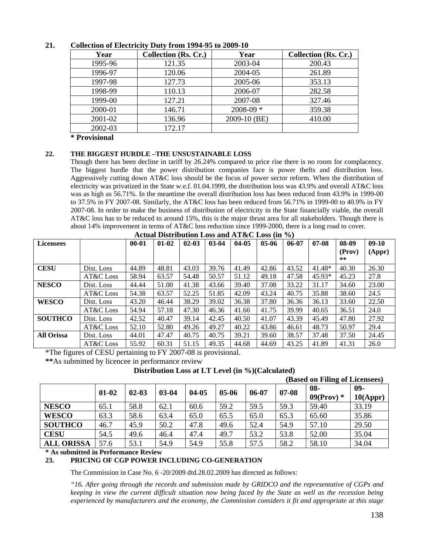| Year    | <b>Collection (Rs. Cr.)</b> | Year          | Collection (Rs. Cr.) |
|---------|-----------------------------|---------------|----------------------|
| 1995-96 | 121.35                      | 2003-04       | 200.43               |
| 1996-97 | 120.06                      | 2004-05       | 261.89               |
| 1997-98 | 127.73                      | 2005-06       | 353.13               |
| 1998-99 | 110.13                      | 2006-07       | 282.58               |
| 1999-00 | 127.21                      | 2007-08       | 327.46               |
| 2000-01 | 146.71                      | $2008 - 09$ * | 359.38               |
| 2001-02 | 136.96                      | 2009-10 (BE)  | 410.00               |
| 2002-03 | 172.17                      |               |                      |
|         |                             |               |                      |

**21. Collection of Electricity Duty from 1994-95 to 2009-10** 

 **\* Provisional** 

#### **22. THE BIGGEST HURDLE –THE UNSUSTAINABLE LOSS**

Though there has been decline in tariff by 26.24% compared to price rise there is no room for complacency. The biggest hurdle that the power distribution companies face is power thefts and distribution loss. Aggressively cutting down AT&C loss should be the focus of power sector reform. When the distribution of electricity was privatized in the State w.e.f. 01.04.1999, the distribution loss was 43.9% and overall AT&C loss was as high as 56.71%. In the meantime the overall distribution loss has been reduced from 43.9% in 1999-00 to 37.5% in FY 2007-08. Similarly, the AT&C loss has been reduced from 56.71% in 1999-00 to 40.9% in FY 2007-08. In order to make the business of distribution of electricity in the State financially viable, the overall AT&C loss has to be reduced to around 15%, this is the major thrust area for all stakeholders. Though there is about 14% improvement in terms of AT&C loss reduction since 1999-2000, there is a long road to cover.

|                   |            |           | $11000$ The protection $1000$ and $1100$ Theory (11 $707$ |           |         |           |         |       |           |                 |         |
|-------------------|------------|-----------|-----------------------------------------------------------|-----------|---------|-----------|---------|-------|-----------|-----------------|---------|
| <b>Licensees</b>  |            | $00 - 01$ | $01-02$                                                   | $02 - 03$ | $03-04$ | $04 - 05$ | $05-06$ | 06-07 | $07 - 08$ | 08-09<br>(Prov) | $09-10$ |
|                   |            |           |                                                           |           |         |           |         |       |           | $***$           | (Appr)  |
| <b>CESU</b>       | Dist. Loss | 44.89     | 48.81                                                     | 43.03     | 39.76   | 41.49     | 42.86   | 43.52 | $41.48*$  | 40.30           | 26.30   |
|                   | AT&C Loss  | 58.94     | 63.57                                                     | 54.48     | 50.57   | 51.12     | 49.18   | 47.58 | $45.93*$  | 45.23           | 27.8    |
| <b>NESCO</b>      | Dist. Loss | 44.44     | 51.00                                                     | 41.38     | 43.66   | 39.40     | 37.08   | 33.22 | 31.17     | 34.60           | 23.00   |
|                   | AT&C Loss  | 54.38     | 63.57                                                     | 52.25     | 51.85   | 42.09     | 43.24   | 40.75 | 35.88     | 38.60           | 24.5    |
| <b>WESCO</b>      | Dist. Loss | 43.20     | 46.44                                                     | 38.29     | 39.02   | 36.38     | 37.80   | 36.36 | 36.13     | 33.60           | 22.50   |
|                   | AT&C Loss  | 54.94     | 57.18                                                     | 47.30     | 46.36   | 41.66     | 41.75   | 39.99 | 40.65     | 36.51           | 24.0    |
| <b>SOUTHCO</b>    | Dist. Loss | 42.52     | 40.47                                                     | 39.14     | 42.45   | 40.50     | 41.07   | 43.39 | 45.49     | 47.80           | 27.92   |
|                   | AT&C Loss  | 52.10     | 52.80                                                     | 49.26     | 49.27   | 40.22     | 43.86   | 46.61 | 48.73     | 50.97           | 29.4    |
| <b>All Orissa</b> | Dist. Loss | 44.01     | 47.47                                                     | 40.75     | 40.75   | 39.21     | 39.60   | 38.57 | 37.48     | 37.50           | 24.45   |
|                   | AT&C Loss  | 55.92     | 60.31                                                     | 51.15     | 49.35   | 44.68     | 44.69   | 43.25 | 41.89     | 41.31           | 26.0    |

**Actual Distribution Loss and AT&C Loss (in %)**

\*The figures of CESU pertaining to FY 2007-08 is provisional.

**\*\***As submitted by licencee in performance review

**Distribution Loss at LT Level (in %)(Calculated)** 

| (Based on Filing of Licensees) |
|--------------------------------|
|--------------------------------|

|                   | $01 - 02$ | $02 - 03$ | $03 - 04$ | $04 - 05$ | $05-06$ | $06-07$ | $07 - 08$ | $\epsilon$<br>$08 -$ | $09 -$   |
|-------------------|-----------|-----------|-----------|-----------|---------|---------|-----------|----------------------|----------|
|                   |           |           |           |           |         |         |           | $09$ (Prov) $*$      | 10(Appr) |
| <b>NESCO</b>      | 65.1      | 58.8      | 62.1      | 60.6      | 59.2    | 59.5    | 59.3      | 59.40                | 33.19    |
| <b>WESCO</b>      | 63.3      | 58.6      | 63.4      | 65.0      | 65.5    | 65.0    | 65.3      | 65.60                | 35.86    |
| <b>SOUTHCO</b>    | 46.7      | 45.9      | 50.2      | 47.8      | 49.6    | 52.4    | 54.9      | 57.10                | 29.50    |
| <b>CESU</b>       | 54.5      | 49.6      | 46.4      | 47.4      | 49.7    | 53.2    | 53.8      | 52.00                | 35.04    |
| <b>ALL ORISSA</b> | 57.6      | 53.1      | 54.9      | 54.9      | 55.8    | 57.5    | 58.2      | 58.10                | 34.04    |

**\* As submitted in Performance Review** 

#### **23. PRICING OF CGP POWER INCLUDING CO-GENERATION**

The Commission in Case No. 6 -20/2009 dtd.28.02.2009 has directed as follows:

*"16. After going through the records and submission made by GRIDCO and the representative of CGPs and keeping in view the current difficult situation now being faced by the State as well as the recession being experienced by manufacturers and the economy, the Commission considers it fit and appropriate at this stage*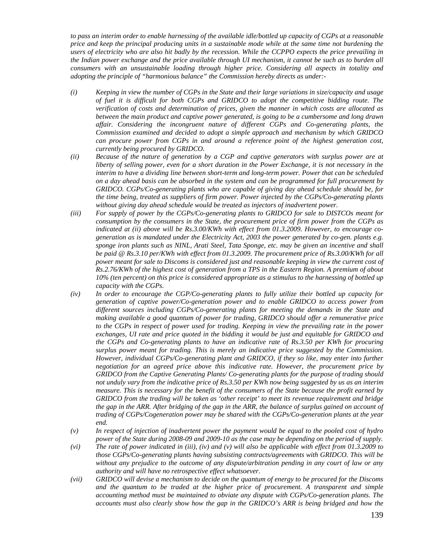*to pass an interim order to enable harnessing of the available idle/bottled up capacity of CGPs at a reasonable price and keep the principal producing units in a sustainable mode while at the same time not burdening the users of electricity who are also hit badly by the recession. While the CCPPO expects the price prevailing in the Indian power exchange and the price available through UI mechanism, it cannot be such as to burden all consumers with an unsustainable loading through higher price. Considering all aspects in totality and adopting the principle of "harmonious balance" the Commission hereby directs as under:-* 

- *(i) Keeping in view the number of CGPs in the State and their large variations in size/capacity and usage of fuel it is difficult for both CGPs and GRIDCO to adopt the competitive bidding route. The verification of costs and determination of prices, given the manner in which costs are allocated as between the main product and captive power generated, is going to be a cumbersome and long drawn affair. Considering the incongruent nature of different CGPs and Co-generating plants, the Commission examined and decided to adopt a simple approach and mechanism by which GRIDCO can procure power from CGPs in and around a reference point of the highest generation cost, currently being procured by GRIDCO.*
- *(ii) Because of the nature of generation by a CGP and captive generators with surplus power are at liberty of selling power, even for a short duration in the Power Exchange, it is not necessary in the interim to have a dividing line between short-term and long-term power. Power that can be scheduled on a day ahead basis can be absorbed in the system and can be programmed for full procurement by GRIDCO. CGPs/Co-generating plants who are capable of giving day ahead schedule should be, for the time being, treated as suppliers of firm power. Power injected by the CGPs/Co-generating plants without giving day ahead schedule would be treated as injectors of inadvertent power.*
- *(iii) For supply of power by the CGPs/Co-generating plants to GRIDCO for sale to DISTCOs meant for consumption by the consumers in the State, the procurement price of firm power from the CGPs as indicated at (ii) above will be Rs.3.00/KWh with effect from 01.3.2009. However, to encourage cogeneration as is mandated under the Electricity Act, 2003 the power generated by co-gen. plants e.g. sponge iron plants such as NINL, Arati Steel, Tata Sponge, etc. may be given an incentive and shall be paid @ Rs.3.10 per/KWh with effect from 01.3.2009. The procurement price of Rs.3.00/KWh for all power meant for sale to Discoms is considered just and reasonable keeping in view the current cost of Rs.2.76/KWh of the highest cost of generation from a TPS in the Eastern Region. A premium of about 10% (ten percent) on this price is considered appropriate as a stimulus to the harnessing of bottled up capacity with the CGPs.*
- *(iv) In order to encourage the CGP/Co-generating plants to fully utilize their bottled up capacity for generation of captive power/Co-generation power and to enable GRIDCO to access power from different sources including CGPs/Co-generating plants for meeting the demands in the State and making available a good quantum of power for trading, GRIDCO should offer a remunerative price to the CGPs in respect of power used for trading. Keeping in view the prevailing rate in the power exchanges, UI rate and price quoted in the bidding it would be just and equitable for GRIDCO and the CGPs and Co-generating plants to have an indicative rate of Rs.3.50 per KWh for procuring surplus power meant for trading. This is merely an indicative price suggested by the Commission. However, individual CGPs/Co-generating plant and GRIDCO, if they so like, may enter into further negotiation for an agreed price above this indicative rate. However, the procurement price by GRIDCO from the Captive Generating Plants/ Co-generating plants for the purpose of trading should not unduly vary from the indicative price of Rs.3.50 per KWh now being suggested by us as an interim measure. This is necessary for the benefit of the consumers of the State because the profit earned by GRIDCO from the trading will be taken as 'other receipt' to meet its revenue requirement and bridge the gap in the ARR. After bridging of the gap in the ARR, the balance of surplus gained on account of trading of CGPs/Cogeneration power may be shared with the CGPs/Co-generation plants at the year end.*
- *(v) In respect of injection of inadvertent power the payment would be equal to the pooled cost of hydro power of the State during 2008-09 and 2009-10 as the case may be depending on the period of supply.*
- *(vi) The rate of power indicated in (iii), (iv) and (v) will also be applicable with effect from 01.3.2009 to those CGPs/Co-generating plants having subsisting contracts/agreements with GRIDCO. This will be without any prejudice to the outcome of any dispute/arbitration pending in any court of law or any authority and will have no retrospective effect whatsoever.*
- *(vii) GRIDCO will devise a mechanism to decide on the quantum of energy to be procured for the Discoms and the quantum to be traded at the higher price of procurement. A transparent and simple accounting method must be maintained to obviate any dispute with CGPs/Co-generation plants. The accounts must also clearly show how the gap in the GRIDCO's ARR is being bridged and how the*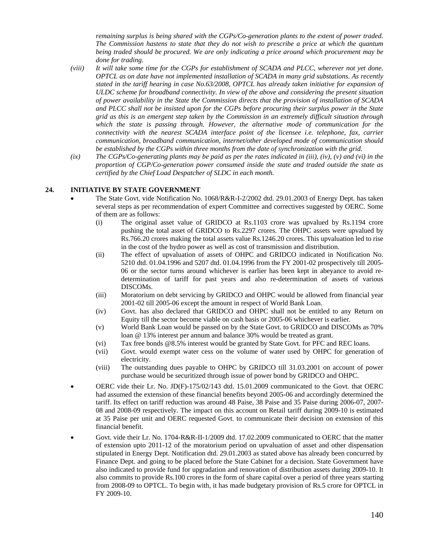*remaining surplus is being shared with the CGPs/Co-generation plants to the extent of power traded. The Commission hastens to state that they do not wish to prescribe a price at which the quantum being traded should be procured. We are only indicating a price around which procurement may be done for trading.* 

- *(viii) It will take some time for the CGPs for establishment of SCADA and PLCC, wherever not yet done. OPTCL as on date have not implemented installation of SCADA in many grid substations. As recently stated in the tariff hearing in case No.63/2008, OPTCL has already taken initiative for expansion of ULDC scheme for broadband connectivity. In view of the above and considering the present situation of power availability in the State the Commission directs that the provision of installation of SCADA and PLCC shall not be insisted upon for the CGPs before procuring their surplus power in the State grid as this is an emergent step taken by the Commission in an extremely difficult situation through which the state is passing through. However, the alternative mode of communication for the connectivity with the nearest SCADA interface point of the licensee i.e. telephone, fax, carrier communication, broadband communication, internet/other developed mode of communication should be established by the CGPs within three months from the date of synchronization with the grid.*
- *(ix) The CGPs/Co-generating plants may be paid as per the rates indicated in (iii), (iv), (v) and (vi) in the proportion of CGP/Co-generation power consumed inside the state and traded outside the state as certified by the Chief Load Despatcher of SLDC in each month.*

#### **24. INITIATIVE BY STATE GOVERNMENT**

- The State Govt. vide Notification No. 1068/R&R-I-2/2002 dtd. 29.01.2003 of Energy Dept. has taken several steps as per recommendation of expert Committee and correctives suggested by OERC. Some of them are as follows:
	- (i) The original asset value of GRIDCO at Rs.1103 crore was upvalued by Rs.1194 crore pushing the total asset of GRIDCO to Rs.2297 crores. The OHPC assets were upvalued by Rs.766.20 crores making the total assets value Rs.1246.20 crores. This upvaluation led to rise in the cost of the hydro power as well as cost of transmission and distribution.
	- (ii) The effect of upvaluation of assets of OHPC and GRIDCO indicated in Notification No. 5210 dtd. 01.04.1996 and 5207 dtd. 01.04.1996 from the FY 2001-02 prospectively till 2005- 06 or the sector turns around whichever is earlier has been kept in abeyance to avoid redetermination of tariff for past years and also re-determination of assets of various DISCOMs.
	- (iii) Moratorium on debt servicing by GRIDCO and OHPC would be allowed from financial year 2001-02 till 2005-06 except the amount in respect of World Bank Loan.
	- (iv) Govt. has also declared that GRIDCO and OHPC shall not be entitled to any Return on Equity till the sector become viable on cash basis or 2005-06 whichever is earlier.
	- (v) World Bank Loan would be passed on by the State Govt. to GRIDCO and DISCOMs as 70% loan @ 13% interest per annum and balance 30% would be treated as grant.
	- (vi) Tax free bonds @8.5% interest would be granted by State Govt. for PFC and REC loans.
	- (vii) Govt. would exempt water cess on the volume of water used by OHPC for generation of electricity.
	- (viii) The outstanding dues payable to OHPC by GRIDCO till 31.03.2001 on account of power purchase would be securitized through issue of power bond by GRIDCO and OHPC.
- OERC vide their Lr. No. JD(F)-175/02/143 dtd. 15.01.2009 communicated to the Govt. that OERC had assumed the extension of these financial benefits beyond 2005-06 and accordingly determined the tariff. Its effect on tariff reduction was around 48 Paise, 38 Paise and 35 Paise during 2006-07, 2007- 08 and 2008-09 respectively. The impact on this account on Retail tariff during 2009-10 is estimated at 35 Paise per unit and OERC requested Govt. to communicate their decision on extension of this financial benefit.
- Govt. vide their Lr. No. 1704-R&R-II-1/2009 dtd. 17.02.2009 communicated to OERC that the matter of extension upto 2011-12 of the moratorium period on upvaluation of asset and other dispensation stipulated in Energy Dept. Notification dtd. 29.01.2003 as stated above has already been concurred by Finance Dept. and going to be placed before the State Cabinet for a decision. State Government have also indicated to provide fund for upgradation and renovation of distribution assets during 2009-10. It also commits to provide Rs.100 crores in the form of share capital over a period of three years starting from 2008-09 to OPTCL. To begin with, it has made budgetary provision of Rs.5 crore for OPTCL in FY 2009-10.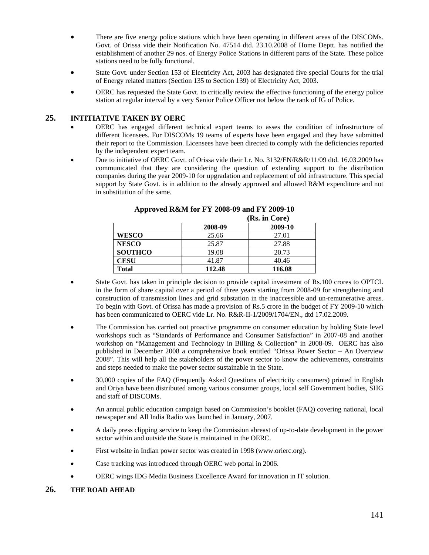- There are five energy police stations which have been operating in different areas of the DISCOMs. Govt. of Orissa vide their Notification No. 47514 dtd. 23.10.2008 of Home Deptt. has notified the establishment of another 29 nos. of Energy Police Stations in different parts of the State. These police stations need to be fully functional.
- State Govt. under Section 153 of Electricity Act, 2003 has designated five special Courts for the trial of Energy related matters (Section 135 to Section 139) of Electricity Act, 2003.
- OERC has requested the State Govt. to critically review the effective functioning of the energy police station at regular interval by a very Senior Police Officer not below the rank of IG of Police.

#### **25. INTITIATIVE TAKEN BY OERC**

- OERC has engaged different technical expert teams to asses the condition of infrastructure of different licensees. For DISCOMs 19 teams of experts have been engaged and they have submitted their report to the Commission. Licensees have been directed to comply with the deficiencies reported by the independent expert team.
- Due to initiative of OERC Govt. of Orissa vide their Lr. No. 3132/EN/R&R/11/09 dtd. 16.03.2009 has communicated that they are considering the question of extending support to the distribution companies during the year 2009-10 for upgradation and replacement of old infrastructure. This special support by State Govt. is in addition to the already approved and allowed R&M expenditure and not in substitution of the same.

|                | (Rs. in Core) |         |
|----------------|---------------|---------|
|                | 2008-09       | 2009-10 |
| WESCO          | 25.66         | 27.01   |
| <b>NESCO</b>   | 25.87         | 27.88   |
| <b>SOUTHCO</b> | 19.08         | 20.73   |
| <b>CESU</b>    | 41.87         | 40.46   |
| Total          | 112.48        | 116.08  |

**Approved R&M for FY 2008-09 and FY 2009-10** 

- State Govt. has taken in principle decision to provide capital investment of Rs.100 crores to OPTCL in the form of share capital over a period of three years starting from 2008-09 for strengthening and construction of transmission lines and grid substation in the inaccessible and un-remunerative areas. To begin with Govt. of Orissa has made a provision of Rs.5 crore in the budget of FY 2009-10 which has been communicated to OERC vide Lr. No. R&R-II-1/2009/1704/EN., dtd 17.02.2009.
- The Commission has carried out proactive programme on consumer education by holding State level workshops such as "Standards of Performance and Consumer Satisfaction" in 2007-08 and another workshop on "Management and Technology in Billing & Collection" in 2008-09. OERC has also published in December 2008 a comprehensive book entitled "Orissa Power Sector – An Overview 2008". This will help all the stakeholders of the power sector to know the achievements, constraints and steps needed to make the power sector sustainable in the State.
- 30,000 copies of the FAQ (Frequently Asked Questions of electricity consumers) printed in English and Oriya have been distributed among various consumer groups, local self Government bodies, SHG and staff of DISCOMs.
- An annual public education campaign based on Commission's booklet (FAQ) covering national, local newspaper and All India Radio was launched in January, 2007.
- A daily press clipping service to keep the Commission abreast of up-to-date development in the power sector within and outside the State is maintained in the OERC.
- First website in Indian power sector was created in 1998 (www.orierc.org).
- Case tracking was introduced through OERC web portal in 2006.
- OERC wings IDG Media Business Excellence Award for innovation in IT solution.

#### **26. THE ROAD AHEAD**